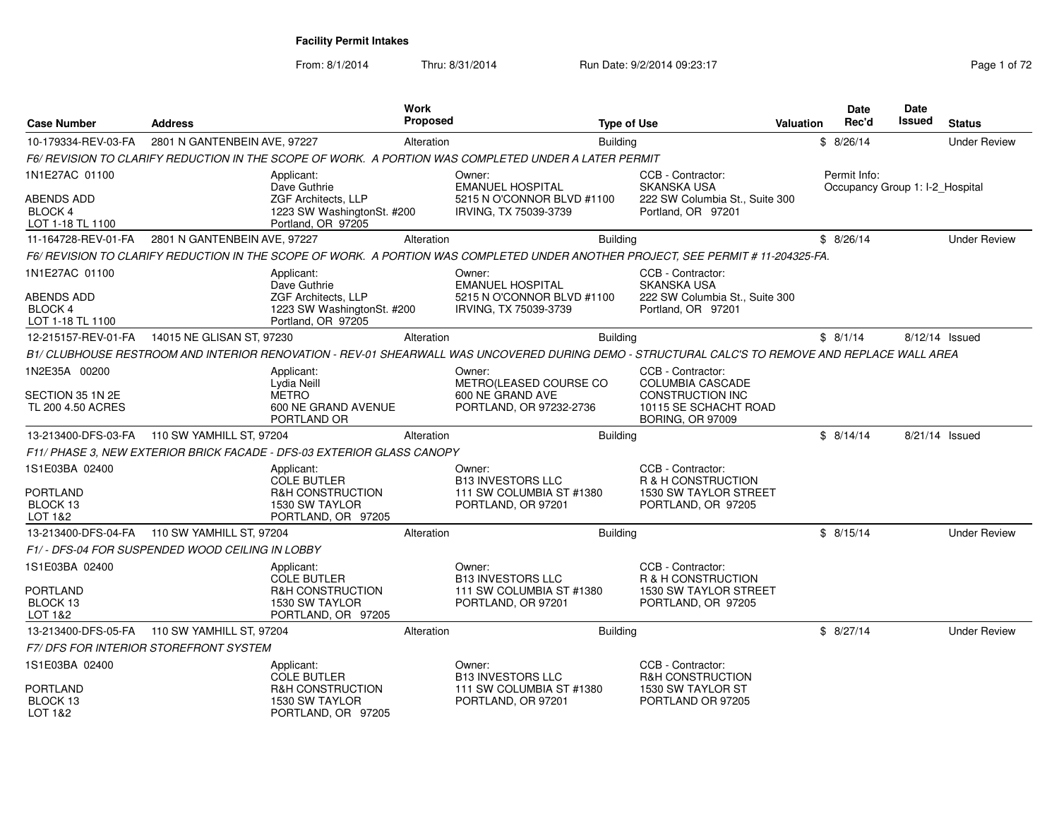From: 8/1/2014Thru: 8/31/2014 Run Date: 9/2/2014 09:23:17 Page 1 of 72

| <b>Case Number</b>                                      | <b>Address</b>                         |                                                                                |            | <b>Proposed</b>                                                                                                                                 | <b>Type of Use</b> |                                                                             | Valuation | Date<br>Rec'd                                   | <b>Date</b><br>Issued | <b>Status</b>       |
|---------------------------------------------------------|----------------------------------------|--------------------------------------------------------------------------------|------------|-------------------------------------------------------------------------------------------------------------------------------------------------|--------------------|-----------------------------------------------------------------------------|-----------|-------------------------------------------------|-----------------------|---------------------|
| 10-179334-REV-03-FA                                     | 2801 N GANTENBEIN AVE, 97227           |                                                                                | Alteration |                                                                                                                                                 | <b>Building</b>    |                                                                             |           | \$8/26/14                                       |                       | <b>Under Review</b> |
|                                                         |                                        |                                                                                |            | F6/ REVISION TO CLARIFY REDUCTION IN THE SCOPE OF WORK.  A PORTION WAS COMPLETED UNDER A LATER PERMIT                                           |                    |                                                                             |           |                                                 |                       |                     |
| 1N1E27AC 01100                                          |                                        | Applicant:<br>Dave Guthrie                                                     |            | Owner:<br><b>EMANUEL HOSPITAL</b>                                                                                                               |                    | CCB - Contractor:<br><b>SKANSKA USA</b>                                     |           | Permit Info:<br>Occupancy Group 1: I-2_Hospital |                       |                     |
| ABENDS ADD<br>BLOCK 4<br>LOT 1-18 TL 1100               |                                        | ZGF Architects, LLP<br>1223 SW WashingtonSt. #200<br>Portland, OR 97205        |            | 5215 N O'CONNOR BLVD #1100<br>IRVING, TX 75039-3739                                                                                             |                    | 222 SW Columbia St., Suite 300<br>Portland, OR 97201                        |           |                                                 |                       |                     |
| 11-164728-REV-01-FA                                     | 2801 N GANTENBEIN AVE, 97227           |                                                                                | Alteration |                                                                                                                                                 | <b>Building</b>    |                                                                             |           | \$8/26/14                                       |                       | <b>Under Review</b> |
|                                                         |                                        |                                                                                |            | F6/ REVISION TO CLARIFY REDUCTION IN THE SCOPE OF WORK. A PORTION WAS COMPLETED UNDER ANOTHER PROJECT, SEE PERMIT # 11-204325-FA.               |                    |                                                                             |           |                                                 |                       |                     |
| 1N1E27AC 01100                                          |                                        | Applicant:<br>Dave Guthrie                                                     |            | Owner:<br><b>EMANUEL HOSPITAL</b>                                                                                                               |                    | CCB - Contractor:<br><b>SKANSKA USA</b>                                     |           |                                                 |                       |                     |
| <b>ABENDS ADD</b><br><b>BLOCK 4</b><br>LOT 1-18 TL 1100 |                                        | <b>ZGF Architects, LLP</b><br>1223 SW WashingtonSt. #200<br>Portland, OR 97205 |            | 5215 N O'CONNOR BLVD #1100<br>IRVING, TX 75039-3739                                                                                             |                    | 222 SW Columbia St., Suite 300<br>Portland, OR 97201                        |           |                                                 |                       |                     |
| 12-215157-REV-01-FA                                     | 14015 NE GLISAN ST, 97230              |                                                                                | Alteration |                                                                                                                                                 | <b>Building</b>    |                                                                             |           | \$8/1/14                                        | 8/12/14 Issued        |                     |
|                                                         |                                        |                                                                                |            | B1/ CLUBHOUSE RESTROOM AND INTERIOR RENOVATION - REV-01 SHEARWALL WAS UNCOVERED DURING DEMO - STRUCTURAL CALC'S TO REMOVE AND REPLACE WALL AREA |                    |                                                                             |           |                                                 |                       |                     |
| 1N2E35A 00200                                           |                                        | Applicant:<br>Lydia Neill                                                      |            | Owner:<br>METRO(LEASED COURSE CO                                                                                                                |                    | CCB - Contractor:<br><b>COLUMBIA CASCADE</b>                                |           |                                                 |                       |                     |
| SECTION 35 1N 2E<br>TL 200 4.50 ACRES                   |                                        | <b>METRO</b><br>600 NE GRAND AVENUE<br>PORTLAND OR                             |            | 600 NE GRAND AVE<br>PORTLAND, OR 97232-2736                                                                                                     |                    | <b>CONSTRUCTION INC</b><br>10115 SE SCHACHT ROAD<br><b>BORING, OR 97009</b> |           |                                                 |                       |                     |
| 13-213400-DFS-03-FA 110 SW YAMHILL ST, 97204            |                                        |                                                                                | Alteration |                                                                                                                                                 | <b>Building</b>    |                                                                             |           | \$8/14/14                                       | 8/21/14 Issued        |                     |
|                                                         |                                        | F11/ PHASE 3, NEW EXTERIOR BRICK FACADE - DFS-03 EXTERIOR GLASS CANOPY         |            |                                                                                                                                                 |                    |                                                                             |           |                                                 |                       |                     |
| 1S1E03BA 02400                                          |                                        | Applicant:<br><b>COLE BUTLER</b>                                               |            | Owner:<br><b>B13 INVESTORS LLC</b>                                                                                                              |                    | CCB - Contractor:<br>R & H CONSTRUCTION                                     |           |                                                 |                       |                     |
| <b>PORTLAND</b><br>BLOCK 13<br>LOT 1&2                  |                                        | <b>R&amp;H CONSTRUCTION</b><br>1530 SW TAYLOR<br>PORTLAND, OR 97205            |            | 111 SW COLUMBIA ST #1380<br>PORTLAND, OR 97201                                                                                                  |                    | 1530 SW TAYLOR STREET<br>PORTLAND, OR 97205                                 |           |                                                 |                       |                     |
| 13-213400-DFS-04-FA   110 SW YAMHILL ST, 97204          |                                        |                                                                                | Alteration |                                                                                                                                                 | Building           |                                                                             |           | \$8/15/14                                       |                       | <b>Under Review</b> |
| F1/ - DFS-04 FOR SUSPENDED WOOD CEILING IN LOBBY        |                                        |                                                                                |            |                                                                                                                                                 |                    |                                                                             |           |                                                 |                       |                     |
| 1S1E03BA 02400                                          |                                        | Applicant:<br><b>COLE BUTLER</b>                                               |            | Owner:<br><b>B13 INVESTORS LLC</b>                                                                                                              |                    | CCB - Contractor:<br>R & H CONSTRUCTION                                     |           |                                                 |                       |                     |
| PORTLAND<br>BLOCK 13<br>LOT 1&2                         |                                        | <b>R&amp;H CONSTRUCTION</b><br>1530 SW TAYLOR<br>PORTLAND, OR 97205            |            | 111 SW COLUMBIA ST #1380<br>PORTLAND, OR 97201                                                                                                  |                    | 1530 SW TAYLOR STREET<br>PORTLAND, OR 97205                                 |           |                                                 |                       |                     |
| 13-213400-DFS-05-FA 110 SW YAMHILL ST, 97204            |                                        |                                                                                | Alteration |                                                                                                                                                 | <b>Building</b>    |                                                                             |           | \$8/27/14                                       |                       | <b>Under Review</b> |
|                                                         | F7/ DFS FOR INTERIOR STOREFRONT SYSTEM |                                                                                |            |                                                                                                                                                 |                    |                                                                             |           |                                                 |                       |                     |
| 1S1E03BA 02400                                          |                                        | Applicant:<br><b>COLE BUTLER</b>                                               |            | Owner:<br><b>B13 INVESTORS LLC</b>                                                                                                              |                    | CCB - Contractor:<br><b>R&amp;H CONSTRUCTION</b>                            |           |                                                 |                       |                     |
| PORTLAND<br>BLOCK 13<br>LOT 1&2                         |                                        | <b>R&amp;H CONSTRUCTION</b><br>1530 SW TAYLOR<br>PORTLAND, OR 97205            |            | 111 SW COLUMBIA ST #1380<br>PORTLAND, OR 97201                                                                                                  |                    | 1530 SW TAYLOR ST<br>PORTLAND OR 97205                                      |           |                                                 |                       |                     |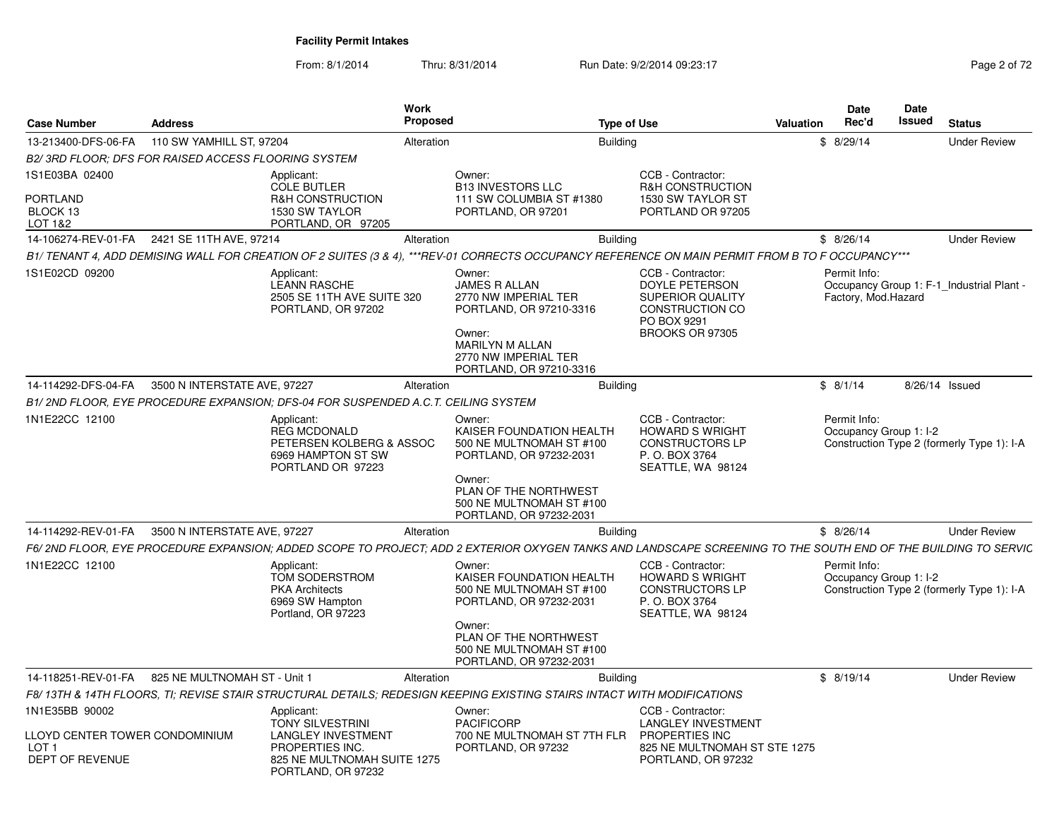From: 8/1/2014Thru: 8/31/2014 Run Date: 9/2/2014 09:23:17 Page 2 of 72

| <b>Case Number</b>                                                    | <b>Address</b>               |                                                                                                                                     | <b>Work</b><br><b>Proposed</b> |                                                                                                                                                                                                                                                                                                                            | <b>Type of Use</b> |                                                                                                                     | Valuation | <b>Date</b><br>Rec'd                   | Date<br>Issued | <b>Status</b>                              |
|-----------------------------------------------------------------------|------------------------------|-------------------------------------------------------------------------------------------------------------------------------------|--------------------------------|----------------------------------------------------------------------------------------------------------------------------------------------------------------------------------------------------------------------------------------------------------------------------------------------------------------------------|--------------------|---------------------------------------------------------------------------------------------------------------------|-----------|----------------------------------------|----------------|--------------------------------------------|
| 13-213400-DFS-06-FA                                                   | 110 SW YAMHILL ST, 97204     |                                                                                                                                     | Alteration                     |                                                                                                                                                                                                                                                                                                                            | <b>Building</b>    |                                                                                                                     | \$        | 8/29/14                                |                | <b>Under Review</b>                        |
| B2/3RD FLOOR: DFS FOR RAISED ACCESS FLOORING SYSTEM                   |                              |                                                                                                                                     |                                |                                                                                                                                                                                                                                                                                                                            |                    |                                                                                                                     |           |                                        |                |                                            |
| 1S1E03BA 02400<br>PORTLAND<br>BLOCK 13<br>LOT 1&2                     |                              | Applicant:<br><b>COLE BUTLER</b><br>R&H CONSTRUCTION<br>1530 SW TAYLOR<br>PORTLAND, OR 97205                                        |                                | Owner:<br><b>B13 INVESTORS LLC</b><br>111 SW COLUMBIA ST #1380<br>PORTLAND, OR 97201                                                                                                                                                                                                                                       |                    | CCB - Contractor:<br><b>R&amp;H CONSTRUCTION</b><br>1530 SW TAYLOR ST<br>PORTLAND OR 97205                          |           |                                        |                |                                            |
| 14-106274-REV-01-FA                                                   | 2421 SE 11TH AVE, 97214      |                                                                                                                                     | Alteration                     |                                                                                                                                                                                                                                                                                                                            | <b>Building</b>    |                                                                                                                     |           | \$8/26/14                              |                | <b>Under Review</b>                        |
|                                                                       |                              |                                                                                                                                     |                                | B1/ TENANT 4, ADD DEMISING WALL FOR CREATION OF 2 SUITES (3 & 4), ***REV-01 CORRECTS OCCUPANCY REFERENCE ON MAIN PERMIT FROM B TO F OCCUPANCY***                                                                                                                                                                           |                    |                                                                                                                     |           |                                        |                |                                            |
| 1S1E02CD 09200                                                        |                              | Applicant:<br><b>LEANN RASCHE</b><br>2505 SE 11TH AVE SUITE 320<br>PORTLAND, OR 97202                                               |                                | Owner:<br><b>JAMES R ALLAN</b><br>2770 NW IMPERIAL TER<br>PORTLAND, OR 97210-3316<br>Owner:<br>MARILYN M ALLAN<br>2770 NW IMPERIAL TER<br>PORTLAND, OR 97210-3316                                                                                                                                                          |                    | CCB - Contractor:<br>DOYLE PETERSON<br><b>SUPERIOR QUALITY</b><br>CONSTRUCTION CO<br>PO BOX 9291<br>BROOKS OR 97305 |           | Permit Info:<br>Factory, Mod.Hazard    |                | Occupancy Group 1: F-1_Industrial Plant -  |
| 14-114292-DFS-04-FA                                                   | 3500 N INTERSTATE AVE, 97227 |                                                                                                                                     | Alteration                     |                                                                                                                                                                                                                                                                                                                            | <b>Building</b>    |                                                                                                                     |           | \$8/1/14                               |                | 8/26/14 Issued                             |
|                                                                       |                              | B1/2ND FLOOR, EYE PROCEDURE EXPANSION; DFS-04 FOR SUSPENDED A.C.T. CEILING SYSTEM                                                   |                                |                                                                                                                                                                                                                                                                                                                            |                    |                                                                                                                     |           |                                        |                |                                            |
| 1N1E22CC 12100                                                        |                              | Applicant:<br><b>REG MCDONALD</b><br>PETERSEN KOLBERG & ASSOC<br>6969 HAMPTON ST SW<br>PORTLAND OR 97223                            |                                | Owner:<br>KAISER FOUNDATION HEALTH<br>500 NE MULTNOMAH ST #100<br>PORTLAND, OR 97232-2031<br>Owner:<br>PLAN OF THE NORTHWEST<br>500 NE MULTNOMAH ST #100                                                                                                                                                                   |                    | CCB - Contractor:<br><b>HOWARD S WRIGHT</b><br><b>CONSTRUCTORS LP</b><br>P. O. BOX 3764<br>SEATTLE, WA 98124        |           | Permit Info:<br>Occupancy Group 1: I-2 |                | Construction Type 2 (formerly Type 1): I-A |
|                                                                       |                              |                                                                                                                                     |                                | PORTLAND, OR 97232-2031                                                                                                                                                                                                                                                                                                    |                    |                                                                                                                     |           |                                        |                |                                            |
| 14-114292-REV-01-FA                                                   | 3500 N INTERSTATE AVE, 97227 |                                                                                                                                     | Alteration                     |                                                                                                                                                                                                                                                                                                                            | <b>Building</b>    |                                                                                                                     |           | \$8/26/14                              |                | <b>Under Review</b>                        |
| 1N1E22CC 12100                                                        |                              | Applicant:<br>TOM SODERSTROM<br><b>PKA Architects</b><br>6969 SW Hampton<br>Portland, OR 97223                                      |                                | F6/ 2ND FLOOR, EYE PROCEDURE EXPANSION; ADDED SCOPE TO PROJECT; ADD 2 EXTERIOR OXYGEN TANKS AND LANDSCAPE SCREENING TO THE SOUTH END OF THE BUILDING TO SERVIC<br>Owner:<br>KAISER FOUNDATION HEALTH<br>500 NE MULTNOMAH ST #100<br>PORTLAND, OR 97232-2031<br>Owner:<br>PLAN OF THE NORTHWEST<br>500 NE MULTNOMAH ST #100 |                    | CCB - Contractor:<br><b>HOWARD S WRIGHT</b><br><b>CONSTRUCTORS LP</b><br>P. O. BOX 3764<br>SEATTLE, WA 98124        |           | Permit Info:<br>Occupancy Group 1: I-2 |                | Construction Type 2 (formerly Type 1): I-A |
|                                                                       |                              |                                                                                                                                     |                                | PORTLAND, OR 97232-2031                                                                                                                                                                                                                                                                                                    |                    |                                                                                                                     |           |                                        |                |                                            |
| 14-118251-REV-01-FA                                                   | 825 NE MULTNOMAH ST - Unit 1 |                                                                                                                                     | Alteration                     |                                                                                                                                                                                                                                                                                                                            | <b>Building</b>    |                                                                                                                     |           | \$8/19/14                              |                | <b>Under Review</b>                        |
| 1N1E35BB 90002                                                        |                              |                                                                                                                                     |                                | F8/ 13TH & 14TH FLOORS. TI: REVISE STAIR STRUCTURAL DETAILS: REDESIGN KEEPING EXISTING STAIRS INTACT WITH MODIFICATIONS                                                                                                                                                                                                    |                    | CCB - Contractor:                                                                                                   |           |                                        |                |                                            |
| LLOYD CENTER TOWER CONDOMINIUM<br>LOT <sub>1</sub><br>DEPT OF REVENUE |                              | Applicant:<br>TONY SILVESTRINI<br><b>LANGLEY INVESTMENT</b><br>PROPERTIES INC.<br>825 NE MULTNOMAH SUITE 1275<br>PORTLAND, OR 97232 |                                | Owner:<br><b>PACIFICORP</b><br>700 NE MULTNOMAH ST 7TH FLR<br>PORTLAND, OR 97232                                                                                                                                                                                                                                           |                    | <b>LANGLEY INVESTMENT</b><br><b>PROPERTIES INC</b><br>825 NE MULTNOMAH ST STE 1275<br>PORTLAND, OR 97232            |           |                                        |                |                                            |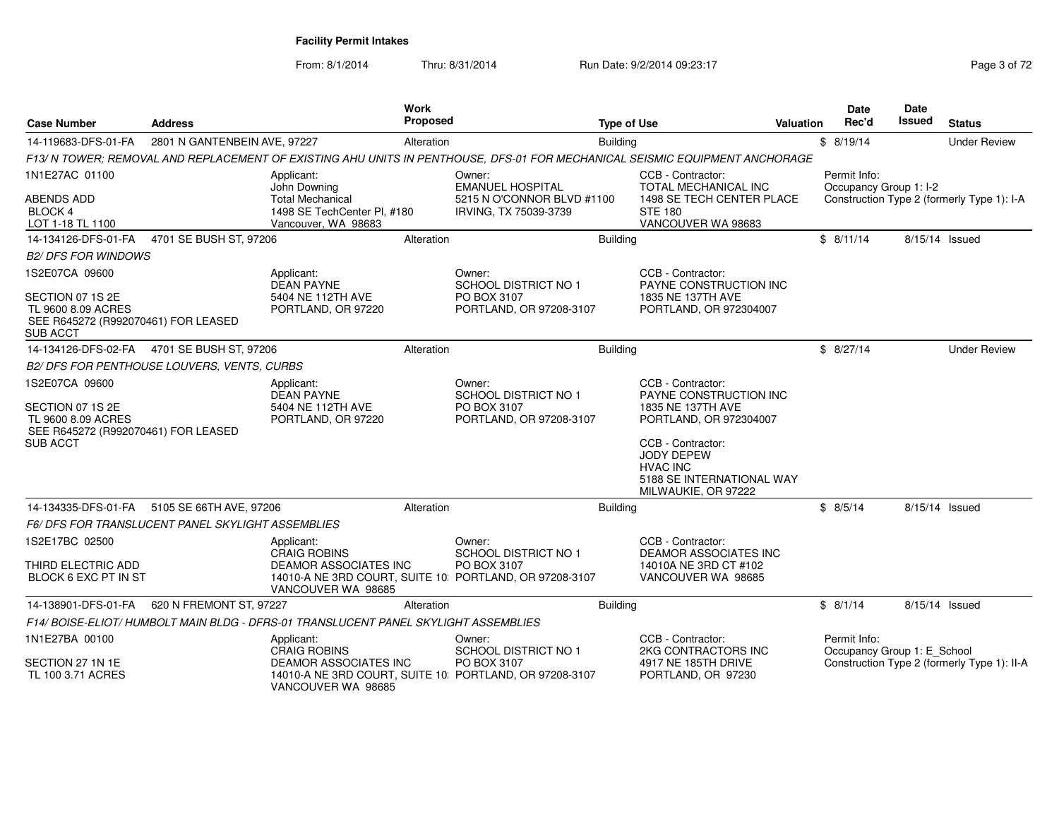From: 8/1/2014Thru: 8/31/2014 Run Date: 9/2/2014 09:23:17 Page 3 of 72

| <b>Case Number</b><br><b>Address</b>                                                             |                                                  |                                                                                   | <b>Work</b><br><b>Proposed</b><br><b>Type of Use</b> |                                                                                                                             |                 |                                                                                                               | <b>Valuation</b> | <b>Date</b><br>Rec'd                        | Date<br>Issued | <b>Status</b>                               |
|--------------------------------------------------------------------------------------------------|--------------------------------------------------|-----------------------------------------------------------------------------------|------------------------------------------------------|-----------------------------------------------------------------------------------------------------------------------------|-----------------|---------------------------------------------------------------------------------------------------------------|------------------|---------------------------------------------|----------------|---------------------------------------------|
| 14-119683-DFS-01-FA                                                                              | 2801 N GANTENBEIN AVE, 97227                     |                                                                                   | Alteration                                           |                                                                                                                             | <b>Building</b> |                                                                                                               |                  | \$8/19/14                                   |                | <b>Under Review</b>                         |
|                                                                                                  |                                                  |                                                                                   |                                                      | F13/ N TOWER; REMOVAL AND REPLACEMENT OF EXISTING AHU UNITS IN PENTHOUSE, DFS-01 FOR MECHANICAL SEISMIC EQUIPMENT ANCHORAGE |                 |                                                                                                               |                  |                                             |                |                                             |
| 1N1E27AC 01100                                                                                   |                                                  | Applicant:<br>John Downing                                                        |                                                      | Owner:<br><b>EMANUEL HOSPITAL</b>                                                                                           |                 | CCB - Contractor:<br>TOTAL MECHANICAL INC                                                                     |                  | Permit Info:<br>Occupancy Group 1: I-2      |                |                                             |
| <b>ABENDS ADD</b><br><b>BLOCK 4</b><br>LOT 1-18 TL 1100                                          |                                                  | <b>Total Mechanical</b><br>1498 SE TechCenter PI, #180<br>Vancouver, WA 98683     |                                                      | 5215 N O'CONNOR BLVD #1100<br>IRVING, TX 75039-3739                                                                         |                 | 1498 SE TECH CENTER PLACE<br><b>STE 180</b><br>VANCOUVER WA 98683                                             |                  |                                             |                | Construction Type 2 (formerly Type 1): I-A  |
| 14-134126-DFS-01-FA                                                                              | 4701 SE BUSH ST, 97206                           |                                                                                   | Alteration                                           |                                                                                                                             | Building        |                                                                                                               |                  | \$8/11/14                                   |                | 8/15/14 Issued                              |
| <b>B2/ DFS FOR WINDOWS</b>                                                                       |                                                  |                                                                                   |                                                      |                                                                                                                             |                 |                                                                                                               |                  |                                             |                |                                             |
| 1S2E07CA 09600                                                                                   |                                                  | Applicant:<br><b>DEAN PAYNE</b>                                                   |                                                      | Owner:<br><b>SCHOOL DISTRICT NO 1</b>                                                                                       |                 | CCB - Contractor:<br>PAYNE CONSTRUCTION INC                                                                   |                  |                                             |                |                                             |
| SECTION 07 1S 2E<br>TL 9600 8.09 ACRES<br>SEE R645272 (R992070461) FOR LEASED<br><b>SUB ACCT</b> |                                                  | 5404 NE 112TH AVE<br>PORTLAND, OR 97220                                           |                                                      | PO BOX 3107<br>PORTLAND, OR 97208-3107                                                                                      |                 | 1835 NE 137TH AVE<br>PORTLAND, OR 972304007                                                                   |                  |                                             |                |                                             |
| 14-134126-DFS-02-FA                                                                              | 4701 SE BUSH ST, 97206                           |                                                                                   | Alteration                                           |                                                                                                                             | <b>Building</b> |                                                                                                               |                  | \$8/27/14                                   |                | <b>Under Review</b>                         |
|                                                                                                  | B2/DFS FOR PENTHOUSE LOUVERS, VENTS, CURBS       |                                                                                   |                                                      |                                                                                                                             |                 |                                                                                                               |                  |                                             |                |                                             |
| 1S2E07CA 09600<br>SECTION 07 1S 2E<br>TL 9600 8.09 ACRES                                         | SEE R645272 (R992070461) FOR LEASED              | Applicant:<br><b>DEAN PAYNE</b><br>5404 NE 112TH AVE<br>PORTLAND, OR 97220        |                                                      | Owner:<br><b>SCHOOL DISTRICT NO 1</b><br>PO BOX 3107<br>PORTLAND, OR 97208-3107                                             |                 | CCB - Contractor:<br>PAYNE CONSTRUCTION INC<br>1835 NE 137TH AVE<br>PORTLAND, OR 972304007                    |                  |                                             |                |                                             |
| <b>SUB ACCT</b>                                                                                  |                                                  |                                                                                   |                                                      |                                                                                                                             |                 | CCB - Contractor:<br><b>JODY DEPEW</b><br><b>HVAC INC</b><br>5188 SE INTERNATIONAL WAY<br>MILWAUKIE, OR 97222 |                  |                                             |                |                                             |
| 14-134335-DFS-01-FA 5105 SE 66TH AVE, 97206                                                      |                                                  |                                                                                   | Alteration                                           |                                                                                                                             | <b>Building</b> |                                                                                                               |                  | \$8/5/14                                    | 8/15/14 Issued |                                             |
|                                                                                                  | F6/DFS FOR TRANSLUCENT PANEL SKYLIGHT ASSEMBLIES |                                                                                   |                                                      |                                                                                                                             |                 |                                                                                                               |                  |                                             |                |                                             |
| 1S2E17BC 02500                                                                                   |                                                  | Applicant:<br><b>CRAIG ROBINS</b>                                                 |                                                      | Owner:<br><b>SCHOOL DISTRICT NO 1</b>                                                                                       |                 | CCB - Contractor:<br><b>DEAMOR ASSOCIATES INC</b>                                                             |                  |                                             |                |                                             |
| THIRD ELECTRIC ADD<br>BLOCK 6 EXC PT IN ST                                                       |                                                  | <b>DEAMOR ASSOCIATES INC</b><br>VANCOUVER WA 98685                                |                                                      | PO BOX 3107<br>14010-A NE 3RD COURT, SUITE 10: PORTLAND, OR 97208-3107                                                      |                 | 14010A NE 3RD CT #102<br>VANCOUVER WA 98685                                                                   |                  |                                             |                |                                             |
| 14-138901-DFS-01-FA                                                                              | 620 N FREMONT ST, 97227                          |                                                                                   | Alteration                                           |                                                                                                                             | <b>Building</b> |                                                                                                               |                  | \$8/1/14                                    | 8/15/14 Issued |                                             |
|                                                                                                  |                                                  | F14/BOISE-ELIOT/HUMBOLT MAIN BLDG - DFRS-01 TRANSLUCENT PANEL SKYLIGHT ASSEMBLIES |                                                      |                                                                                                                             |                 |                                                                                                               |                  |                                             |                |                                             |
| 1N1E27BA 00100                                                                                   |                                                  | Applicant:<br><b>CRAIG ROBINS</b>                                                 |                                                      | Owner:<br><b>SCHOOL DISTRICT NO 1</b>                                                                                       |                 | CCB - Contractor:<br>2KG CONTRACTORS INC                                                                      |                  | Permit Info:<br>Occupancy Group 1: E_School |                |                                             |
| SECTION 27 1N 1E<br>TL 100 3.71 ACRES                                                            |                                                  | DEAMOR ASSOCIATES INC<br>VANCOUVER WA 98685                                       |                                                      | PO BOX 3107<br>14010-A NE 3RD COURT, SUITE 10: PORTLAND, OR 97208-3107                                                      |                 | 4917 NE 185TH DRIVE<br>PORTLAND, OR 97230                                                                     |                  |                                             |                | Construction Type 2 (formerly Type 1): II-A |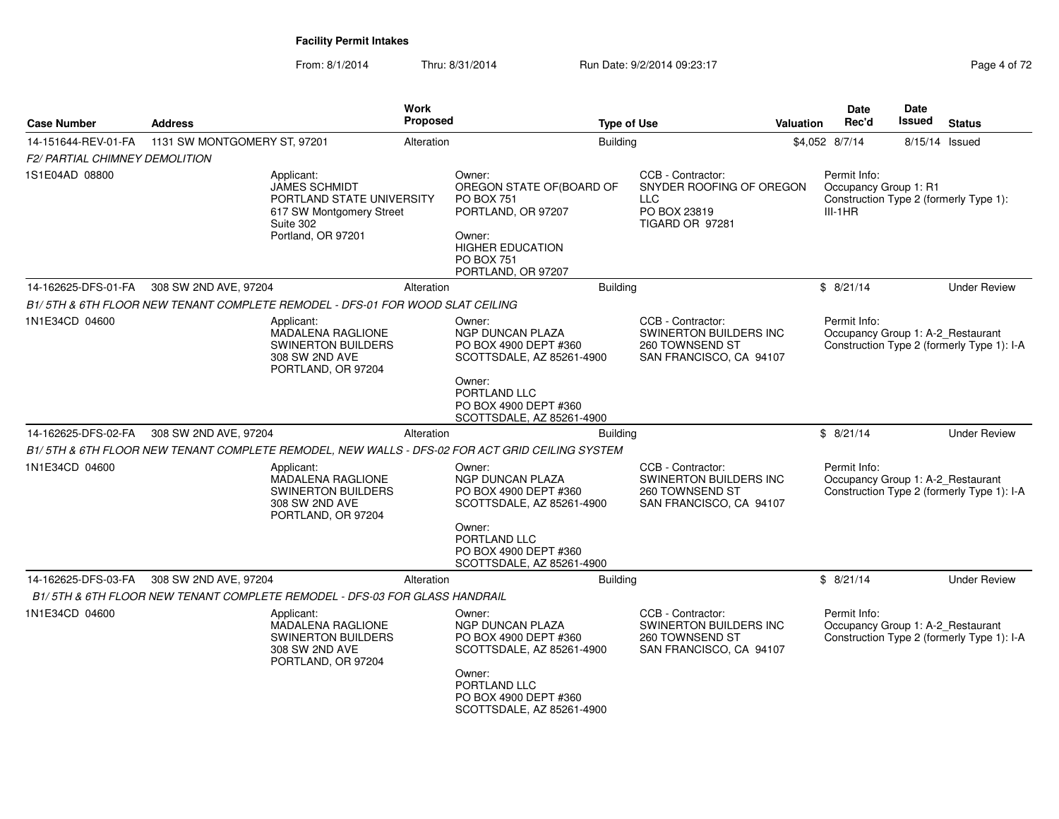From: 8/1/2014Thru: 8/31/2014 **Run Date: 9/2/2014 09:23:17 Page 4 of 72/2014 09:23:17** 

| Case Number                           | <b>Address</b>                                                                                                                 | <b>Work</b><br><b>Proposed</b>                                                                                                    | <b>Type of Use</b>                                                                                                                                  | <b>Date</b><br>Rec'd<br><b>Valuation</b> | <b>Date</b><br>Issued<br><b>Status</b>                                          |
|---------------------------------------|--------------------------------------------------------------------------------------------------------------------------------|-----------------------------------------------------------------------------------------------------------------------------------|-----------------------------------------------------------------------------------------------------------------------------------------------------|------------------------------------------|---------------------------------------------------------------------------------|
| 14-151644-REV-01-FA                   | 1131 SW MONTGOMERY ST, 97201                                                                                                   | Alteration                                                                                                                        | <b>Building</b>                                                                                                                                     | \$4,052 8/7/14                           | 8/15/14 Issued                                                                  |
| <b>F2/ PARTIAL CHIMNEY DEMOLITION</b> |                                                                                                                                |                                                                                                                                   |                                                                                                                                                     |                                          |                                                                                 |
| 1S1E04AD 08800                        | Applicant:<br><b>JAMES SCHMIDT</b><br>PORTLAND STATE UNIVERSITY<br>617 SW Montgomery Street<br>Suite 302<br>Portland, OR 97201 | Owner:<br><b>PO BOX 751</b><br>PORTLAND, OR 97207<br>Owner:<br><b>HIGHER EDUCATION</b><br><b>PO BOX 751</b><br>PORTLAND, OR 97207 | CCB - Contractor:<br>OREGON STATE OF (BOARD OF<br>SNYDER ROOFING OF OREGON<br><b>LLC</b><br>PO BOX 23819<br>TIGARD OR 97281                         | Permit Info:<br>$III-1HR$                | Occupancy Group 1: R1<br>Construction Type 2 (formerly Type 1):                 |
| 14-162625-DFS-01-FA                   | 308 SW 2ND AVE, 97204                                                                                                          | Alteration                                                                                                                        | <b>Building</b>                                                                                                                                     | \$8/21/14                                | <b>Under Review</b>                                                             |
|                                       | B1/5TH & 6TH FLOOR NEW TENANT COMPLETE REMODEL - DFS-01 FOR WOOD SLAT CEILING                                                  |                                                                                                                                   |                                                                                                                                                     |                                          |                                                                                 |
| 1N1E34CD 04600                        | Applicant:<br><b>MADALENA RAGLIONE</b><br><b>SWINERTON BUILDERS</b><br>308 SW 2ND AVE<br>PORTLAND, OR 97204                    | Owner:<br><b>NGP DUNCAN PLAZA</b><br>PO BOX 4900 DEPT #360<br>Owner:<br>PORTLAND LLC                                              | CCB - Contractor:<br>SWINERTON BUILDERS INC<br>260 TOWNSEND ST<br>SAN FRANCISCO, CA 94107<br>SCOTTSDALE, AZ 85261-4900                              | Permit Info:                             | Occupancy Group 1: A-2_Restaurant<br>Construction Type 2 (formerly Type 1): I-A |
|                                       |                                                                                                                                | PO BOX 4900 DEPT #360                                                                                                             | SCOTTSDALE, AZ 85261-4900                                                                                                                           |                                          |                                                                                 |
| 14-162625-DFS-02-FA                   | 308 SW 2ND AVE, 97204                                                                                                          | Alteration                                                                                                                        | <b>Building</b>                                                                                                                                     | \$8/21/14                                | <b>Under Review</b>                                                             |
|                                       | B1/5TH & 6TH FLOOR NEW TENANT COMPLETE REMODEL, NEW WALLS - DFS-02 FOR ACT GRID CEILING SYSTEM                                 |                                                                                                                                   |                                                                                                                                                     |                                          |                                                                                 |
| 1N1E34CD 04600                        | Applicant:<br><b>MADALENA RAGLIONE</b><br><b>SWINERTON BUILDERS</b><br>308 SW 2ND AVE<br>PORTLAND, OR 97204                    | Owner:<br><b>NGP DUNCAN PLAZA</b><br>PO BOX 4900 DEPT #360<br>Owner:<br>PORTLAND LLC                                              | CCB - Contractor:<br>SWINERTON BUILDERS INC<br>260 TOWNSEND ST<br>SAN FRANCISCO, CA 94107<br>SCOTTSDALE, AZ 85261-4900                              | Permit Info:                             | Occupancy Group 1: A-2 Restaurant<br>Construction Type 2 (formerly Type 1): I-A |
|                                       |                                                                                                                                | PO BOX 4900 DEPT #360                                                                                                             | SCOTTSDALE, AZ 85261-4900                                                                                                                           |                                          |                                                                                 |
| 14-162625-DFS-03-FA                   | 308 SW 2ND AVE, 97204                                                                                                          | Alteration                                                                                                                        | Building                                                                                                                                            | \$8/21/14                                | <b>Under Review</b>                                                             |
|                                       | B1/5TH & 6TH FLOOR NEW TENANT COMPLETE REMODEL - DFS-03 FOR GLASS HANDRAIL                                                     |                                                                                                                                   |                                                                                                                                                     |                                          |                                                                                 |
| 1N1E34CD 04600                        | Applicant:<br><b>MADALENA RAGLIONE</b><br><b>SWINERTON BUILDERS</b><br>308 SW 2ND AVE<br>PORTLAND, OR 97204                    | Owner:<br><b>NGP DUNCAN PLAZA</b><br>PO BOX 4900 DEPT #360<br>Owner:<br>PORTLAND LLC<br>PO BOX 4900 DEPT #360                     | CCB - Contractor:<br>SWINERTON BUILDERS INC<br>260 TOWNSEND ST<br>SAN FRANCISCO, CA 94107<br>SCOTTSDALE, AZ 85261-4900<br>SCOTTSDALE, AZ 85261-4900 | Permit Info:                             | Occupancy Group 1: A-2_Restaurant<br>Construction Type 2 (formerly Type 1): I-A |
|                                       |                                                                                                                                |                                                                                                                                   |                                                                                                                                                     |                                          |                                                                                 |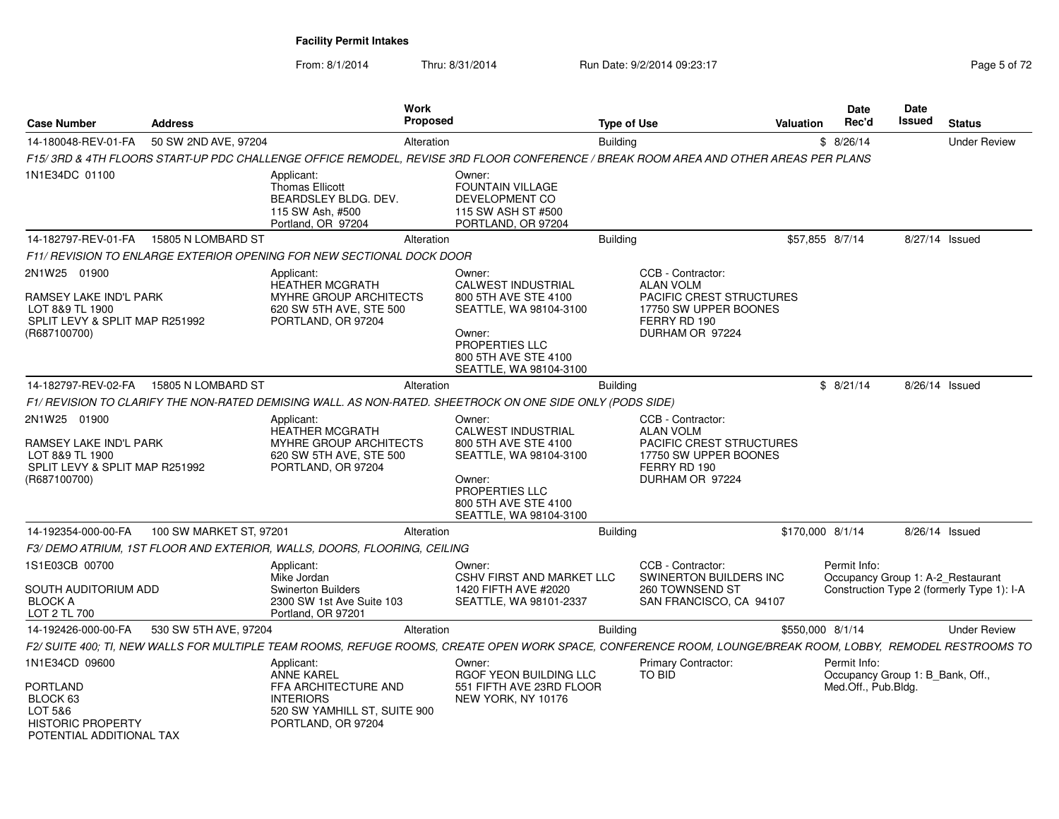From: 8/1/2014Thru: 8/31/2014 Run Date: 9/2/2014 09:23:17 Page 5 of 72

| <b>Case Number</b>                                                                                          | <b>Address</b>          | <b>Work</b><br><b>Proposed</b>                                                                                                                              |                                                                                                                                                                     | <b>Type of Use</b>                                                                                                            | <b>Valuation</b> | <b>Date</b><br>Rec'd                                                    | Date<br><b>Issued</b> | <b>Status</b>                              |
|-------------------------------------------------------------------------------------------------------------|-------------------------|-------------------------------------------------------------------------------------------------------------------------------------------------------------|---------------------------------------------------------------------------------------------------------------------------------------------------------------------|-------------------------------------------------------------------------------------------------------------------------------|------------------|-------------------------------------------------------------------------|-----------------------|--------------------------------------------|
| 14-180048-REV-01-FA                                                                                         | 50 SW 2ND AVE, 97204    | Alteration                                                                                                                                                  |                                                                                                                                                                     | <b>Building</b>                                                                                                               |                  | \$8/26/14                                                               |                       | <b>Under Review</b>                        |
|                                                                                                             |                         | F15/ 3RD & 4TH FLOORS START-UP PDC CHALLENGE OFFICE REMODEL. REVISE 3RD FLOOR CONFERENCE / BREAK ROOM AREA AND OTHER AREAS PER PLANS                        |                                                                                                                                                                     |                                                                                                                               |                  |                                                                         |                       |                                            |
| 1N1E34DC 01100                                                                                              |                         | Applicant:<br><b>Thomas Ellicott</b><br>BEARDSLEY BLDG. DEV.<br>115 SW Ash, #500<br>Portland, OR 97204                                                      | Owner:<br><b>FOUNTAIN VILLAGE</b><br>DEVELOPMENT CO<br>115 SW ASH ST #500<br>PORTLAND, OR 97204                                                                     |                                                                                                                               |                  |                                                                         |                       |                                            |
| 14-182797-REV-01-FA                                                                                         | 15805 N LOMBARD ST      | Alteration                                                                                                                                                  |                                                                                                                                                                     | Building                                                                                                                      |                  | \$57,855 8/7/14                                                         |                       | 8/27/14 Issued                             |
|                                                                                                             |                         | F11/ REVISION TO ENLARGE EXTERIOR OPENING FOR NEW SECTIONAL DOCK DOOR                                                                                       |                                                                                                                                                                     |                                                                                                                               |                  |                                                                         |                       |                                            |
| 2N1W25 01900<br>RAMSEY LAKE IND'L PARK<br>LOT 8&9 TL 1900<br>SPLIT LEVY & SPLIT MAP R251992<br>(R687100700) |                         | Applicant:<br><b>HEATHER MCGRATH</b><br><b>MYHRE GROUP ARCHITECTS</b><br>620 SW 5TH AVE, STE 500<br>PORTLAND, OR 97204                                      | Owner:<br><b>CALWEST INDUSTRIAL</b><br>800 5TH AVE STE 4100<br>SEATTLE, WA 98104-3100<br>Owner:<br>PROPERTIES LLC<br>800 5TH AVE STE 4100<br>SEATTLE, WA 98104-3100 | CCB - Contractor:<br><b>ALAN VOLM</b><br>PACIFIC CREST STRUCTURES<br>17750 SW UPPER BOONES<br>FERRY RD 190<br>DURHAM OR 97224 |                  |                                                                         |                       |                                            |
| 14-182797-REV-02-FA                                                                                         | 15805 N LOMBARD ST      | Alteration                                                                                                                                                  |                                                                                                                                                                     | <b>Building</b>                                                                                                               |                  | \$8/21/14                                                               |                       | 8/26/14 Issued                             |
|                                                                                                             |                         | F1/ REVISION TO CLARIFY THE NON-RATED DEMISING WALL. AS NON-RATED. SHEETROCK ON ONE SIDE ONLY (PODS SIDE)                                                   |                                                                                                                                                                     |                                                                                                                               |                  |                                                                         |                       |                                            |
| 2N1W25 01900<br>RAMSEY LAKE IND'L PARK<br>LOT 8&9 TL 1900<br>SPLIT LEVY & SPLIT MAP R251992<br>(R687100700) |                         | Applicant:<br><b>HEATHER MCGRATH</b><br><b>MYHRE GROUP ARCHITECTS</b><br>620 SW 5TH AVE, STE 500<br>PORTLAND, OR 97204                                      | Owner:<br><b>CALWEST INDUSTRIAL</b><br>800 5TH AVE STE 4100<br>SEATTLE, WA 98104-3100<br>Owner:<br>PROPERTIES LLC<br>800 5TH AVE STE 4100<br>SEATTLE, WA 98104-3100 | CCB - Contractor:<br><b>ALAN VOLM</b><br>PACIFIC CREST STRUCTURES<br>17750 SW UPPER BOONES<br>FERRY RD 190<br>DURHAM OR 97224 |                  |                                                                         |                       |                                            |
| 14-192354-000-00-FA                                                                                         | 100 SW MARKET ST, 97201 | Alteration                                                                                                                                                  |                                                                                                                                                                     | Building                                                                                                                      |                  | \$170,000 8/1/14                                                        |                       | 8/26/14 Issued                             |
|                                                                                                             |                         | F3/ DEMO ATRIUM, 1ST FLOOR AND EXTERIOR, WALLS, DOORS, FLOORING, CEILING                                                                                    |                                                                                                                                                                     |                                                                                                                               |                  |                                                                         |                       |                                            |
| 1S1E03CB 00700<br>SOUTH AUDITORIUM ADD<br><b>BLOCK A</b><br>LOT 2 TL 700                                    |                         | Applicant:<br>Mike Jordan<br><b>Swinerton Builders</b><br>2300 SW 1st Ave Suite 103<br>Portland, OR 97201                                                   | Owner:<br><b>CSHV FIRST AND MARKET LLC</b><br>1420 FIFTH AVE #2020<br>SEATTLE, WA 98101-2337                                                                        | CCB - Contractor:<br>SWINERTON BUILDERS INC<br>260 TOWNSEND ST<br>SAN FRANCISCO, CA 94107                                     |                  | Permit Info:<br>Occupancy Group 1: A-2_Restaurant                       |                       | Construction Type 2 (formerly Type 1): I-A |
| 14-192426-000-00-FA                                                                                         | 530 SW 5TH AVE, 97204   | Alteration                                                                                                                                                  |                                                                                                                                                                     | <b>Building</b>                                                                                                               |                  | \$550,000 8/1/14                                                        |                       | <b>Under Review</b>                        |
|                                                                                                             |                         | F2/ SUITE 400; TI, NEW WALLS FOR MULTIPLE TEAM ROOMS, REFUGE ROOMS, CREATE OPEN WORK SPACE, CONFERENCE ROOM, LOUNGE/BREAK ROOM, LOBBY, REMODEL RESTROOMS TO |                                                                                                                                                                     |                                                                                                                               |                  |                                                                         |                       |                                            |
| 1N1E34CD 09600<br>PORTLAND<br>BLOCK 63<br>LOT 5&6<br><b>HISTORIC PROPERTY</b><br>POTENTIAL ADDITIONAL TAX   |                         | Applicant:<br><b>ANNE KAREL</b><br>FFA ARCHITECTURE AND<br><b>INTERIORS</b><br>520 SW YAMHILL ST, SUITE 900<br>PORTLAND, OR 97204                           | Owner:<br>RGOF YEON BUILDING LLC<br>551 FIFTH AVE 23RD FLOOR<br>NEW YORK, NY 10176                                                                                  | <b>Primary Contractor:</b><br>TO BID                                                                                          |                  | Permit Info:<br>Occupancy Group 1: B Bank, Off.,<br>Med.Off., Pub.Bldg. |                       |                                            |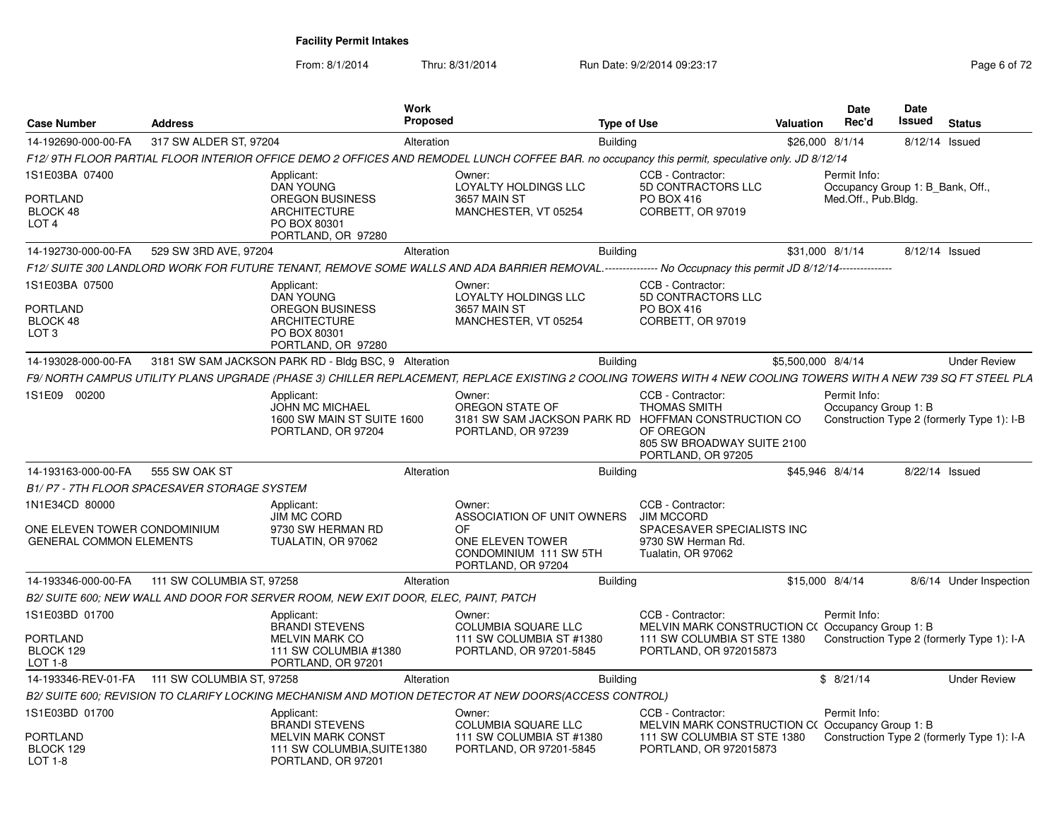From: 8/1/2014

Thru: 8/31/2014 Run Date: 9/2/2014 09:23:17 Page 6 of 72

| <b>Case Number</b>                                                | <b>Address</b>            |                                                                                          | Work<br><b>Proposed</b> |                                                                                                                                                                  | <b>Type of Use</b> |                                                                                                                                      | <b>Valuation</b>   |              | <b>Date</b><br>Rec'd             | Date<br>Issued | <b>Status</b>                              |
|-------------------------------------------------------------------|---------------------------|------------------------------------------------------------------------------------------|-------------------------|------------------------------------------------------------------------------------------------------------------------------------------------------------------|--------------------|--------------------------------------------------------------------------------------------------------------------------------------|--------------------|--------------|----------------------------------|----------------|--------------------------------------------|
| 14-192690-000-00-FA                                               | 317 SW ALDER ST, 97204    |                                                                                          | Alteration              |                                                                                                                                                                  | <b>Building</b>    |                                                                                                                                      | \$26,000 8/1/14    |              |                                  | 8/12/14 Issued |                                            |
|                                                                   |                           |                                                                                          |                         | F12/ 9TH FLOOR PARTIAL FLOOR INTERIOR OFFICE DEMO 2 OFFICES AND REMODEL LUNCH COFFEE BAR. no occupancy this permit, speculative only. JD 8/12/14                 |                    |                                                                                                                                      |                    |              |                                  |                |                                            |
| 1S1E03BA 07400                                                    |                           | Applicant:<br><b>DAN YOUNG</b>                                                           |                         | Owner:<br>LOYALTY HOLDINGS LLC                                                                                                                                   |                    | CCB - Contractor:<br>5D CONTRACTORS LLC                                                                                              |                    | Permit Info: | Occupancy Group 1: B_Bank, Off., |                |                                            |
| <b>PORTLAND</b><br>BLOCK 48<br>LOT <sub>4</sub>                   |                           | OREGON BUSINESS<br><b>ARCHITECTURE</b><br>PO BOX 80301<br>PORTLAND, OR 97280             |                         | 3657 MAIN ST<br>MANCHESTER, VT 05254                                                                                                                             |                    | PO BOX 416<br>CORBETT, OR 97019                                                                                                      |                    |              | Med.Off., Pub.Bldg.              |                |                                            |
| 14-192730-000-00-FA                                               | 529 SW 3RD AVE, 97204     |                                                                                          | Alteration              |                                                                                                                                                                  | <b>Building</b>    |                                                                                                                                      | \$31,000 8/1/14    |              |                                  | 8/12/14 Issued |                                            |
|                                                                   |                           |                                                                                          |                         | F12/ SUITE 300 LANDLORD WORK FOR FUTURE TENANT, REMOVE SOME WALLS AND ADA BARRIER REMOVAL.--------------- No Occupnacy this permit JD 8/12/14--------------      |                    |                                                                                                                                      |                    |              |                                  |                |                                            |
| 1S1E03BA 07500<br><b>PORTLAND</b><br>BLOCK 48<br>LOT <sub>3</sub> |                           | Applicant:<br>DAN YOUNG<br><b>OREGON BUSINESS</b><br><b>ARCHITECTURE</b><br>PO BOX 80301 |                         | Owner:<br>LOYALTY HOLDINGS LLC<br>3657 MAIN ST<br>MANCHESTER, VT 05254                                                                                           |                    | CCB - Contractor:<br>5D CONTRACTORS LLC<br>PO BOX 416<br>CORBETT, OR 97019                                                           |                    |              |                                  |                |                                            |
|                                                                   |                           | PORTLAND, OR 97280                                                                       |                         |                                                                                                                                                                  |                    |                                                                                                                                      |                    |              |                                  |                |                                            |
| 14-193028-000-00-FA                                               |                           | 3181 SW SAM JACKSON PARK RD - Bldg BSC, 9 Alteration                                     |                         |                                                                                                                                                                  | <b>Building</b>    |                                                                                                                                      | \$5,500,000 8/4/14 |              |                                  |                | <b>Under Review</b>                        |
|                                                                   |                           |                                                                                          |                         | F9/ NORTH CAMPUS UTILITY PLANS UPGRADE (PHASE 3) CHILLER REPLACEMENT, REPLACE EXISTING 2 COOLING TOWERS WITH 4 NEW COOLING TOWERS WITH A NEW 739 SQ FT STEEL PLA |                    |                                                                                                                                      |                    |              |                                  |                |                                            |
| 1S1E09 00200                                                      |                           | Applicant:<br><b>JOHN MC MICHAEL</b><br>1600 SW MAIN ST SUITE 1600<br>PORTLAND, OR 97204 |                         | Owner:<br>OREGON STATE OF<br>3181 SW SAM JACKSON PARK RD<br>PORTLAND, OR 97239                                                                                   |                    | CCB - Contractor:<br><b>THOMAS SMITH</b><br>HOFFMAN CONSTRUCTION CO<br>OF OREGON<br>805 SW BROADWAY SUITE 2100<br>PORTLAND, OR 97205 |                    | Permit Info: | Occupancy Group 1: B             |                | Construction Type 2 (formerly Type 1): I-B |
| 14-193163-000-00-FA                                               | 555 SW OAK ST             |                                                                                          | Alteration              |                                                                                                                                                                  | <b>Building</b>    |                                                                                                                                      | \$45.946 8/4/14    |              |                                  | 8/22/14 Issued |                                            |
| B1/ P7 - 7TH FLOOR SPACESAVER STORAGE SYSTEM                      |                           |                                                                                          |                         |                                                                                                                                                                  |                    |                                                                                                                                      |                    |              |                                  |                |                                            |
| 1N1E34CD 80000                                                    |                           | Applicant:<br><b>JIM MC CORD</b>                                                         |                         | Owner:<br>ASSOCIATION OF UNIT OWNERS                                                                                                                             |                    | CCB - Contractor:<br><b>JIM MCCORD</b>                                                                                               |                    |              |                                  |                |                                            |
| ONE ELEVEN TOWER CONDOMINIUM<br><b>GENERAL COMMON ELEMENTS</b>    |                           | 9730 SW HERMAN RD<br>TUALATIN, OR 97062                                                  |                         | OF<br>ONE ELEVEN TOWER<br>CONDOMINIUM 111 SW 5TH<br>PORTLAND, OR 97204                                                                                           |                    | SPACESAVER SPECIALISTS INC<br>9730 SW Herman Rd.<br>Tualatin, OR 97062                                                               |                    |              |                                  |                |                                            |
| 14-193346-000-00-FA                                               | 111 SW COLUMBIA ST, 97258 |                                                                                          | Alteration              |                                                                                                                                                                  | <b>Building</b>    |                                                                                                                                      | \$15,000 8/4/14    |              |                                  |                | 8/6/14 Under Inspection                    |
|                                                                   |                           | B2/ SUITE 600; NEW WALL AND DOOR FOR SERVER ROOM, NEW EXIT DOOR, ELEC, PAINT, PATCH      |                         |                                                                                                                                                                  |                    |                                                                                                                                      |                    |              |                                  |                |                                            |
| 1S1E03BD 01700                                                    |                           | Applicant:<br><b>BRANDI STEVENS</b>                                                      |                         | Owner:<br><b>COLUMBIA SQUARE LLC</b>                                                                                                                             |                    | CCB - Contractor:<br>MELVIN MARK CONSTRUCTION C(Occupancy Group 1: B)                                                                |                    | Permit Info: |                                  |                |                                            |
| <b>PORTLAND</b><br>BLOCK 129<br>$LOT 1-8$                         |                           | <b>MELVIN MARK CO</b><br>111 SW COLUMBIA #1380<br>PORTLAND, OR 97201                     |                         | 111 SW COLUMBIA ST #1380<br>PORTLAND, OR 97201-5845                                                                                                              |                    | 111 SW COLUMBIA ST STE 1380<br>PORTLAND, OR 972015873                                                                                |                    |              |                                  |                | Construction Type 2 (formerly Type 1): I-A |
| 14-193346-REV-01-FA                                               | 111 SW COLUMBIA ST. 97258 |                                                                                          | Alteration              |                                                                                                                                                                  | <b>Building</b>    |                                                                                                                                      |                    | \$8/21/14    |                                  |                | <b>Under Review</b>                        |
|                                                                   |                           |                                                                                          |                         | B2/ SUITE 600; REVISION TO CLARIFY LOCKING MECHANISM AND MOTION DETECTOR AT NEW DOORS(ACCESS CONTROL)                                                            |                    |                                                                                                                                      |                    |              |                                  |                |                                            |
| 1S1E03BD 01700                                                    |                           | Applicant:<br><b>BRANDI STEVENS</b>                                                      |                         | Owner:<br><b>COLUMBIA SQUARE LLC</b>                                                                                                                             |                    | CCB - Contractor:<br>MELVIN MARK CONSTRUCTION C(Occupancy Group 1: B                                                                 |                    | Permit Info: |                                  |                |                                            |
| <b>PORTLAND</b><br>BLOCK 129<br>LOT 1-8                           |                           | <b>MELVIN MARK CONST</b><br>111 SW COLUMBIA, SUITE1380<br>PORTLAND, OR 97201             |                         | 111 SW COLUMBIA ST #1380<br>PORTLAND, OR 97201-5845                                                                                                              |                    | 111 SW COLUMBIA ST STE 1380<br>PORTLAND, OR 972015873                                                                                |                    |              |                                  |                | Construction Type 2 (formerly Type 1): I-A |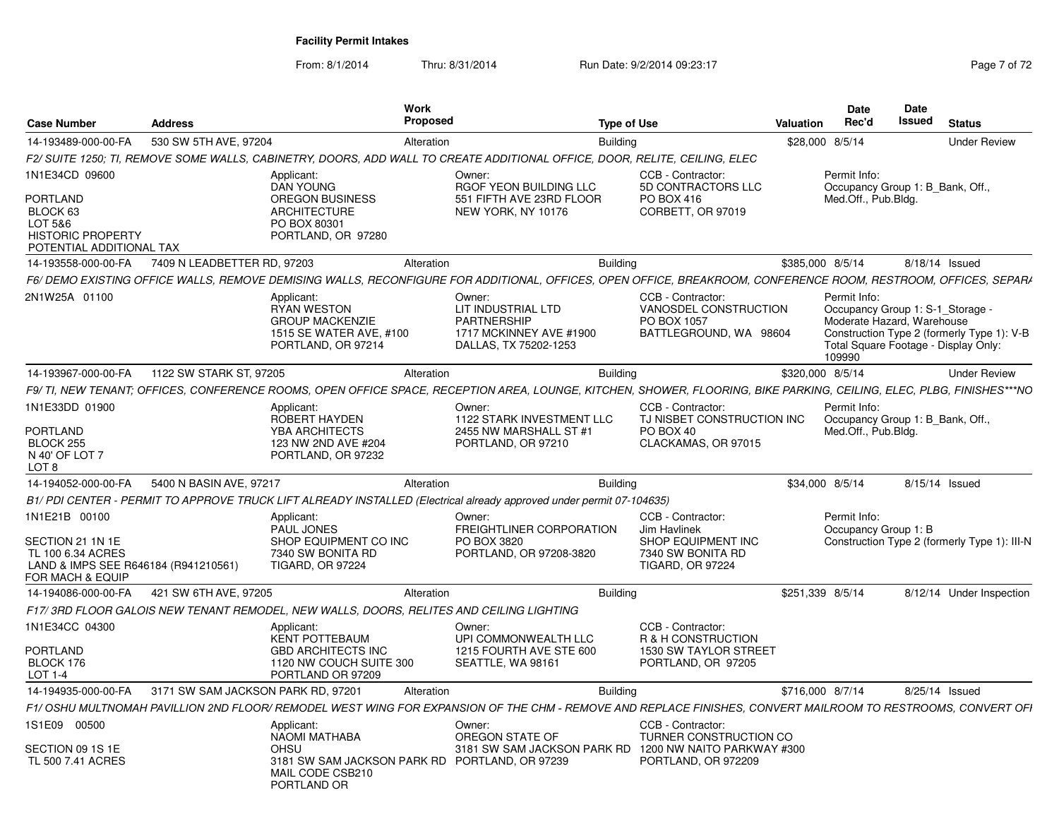From: 8/1/2014Thru: 8/31/2014 Run Date: 9/2/2014 09:23:17 Page 7 of 72

| <b>Case Number</b>                                                                                                 | <b>Address</b>                     |                                                                                                                       | Work<br>Proposed                                                                                                                                                      | <b>Type of Use</b>                                                                                      | Valuation | Date<br>Rec'd                                                                            | Date<br><b>Issued</b> | <b>Status</b>                                                                      |
|--------------------------------------------------------------------------------------------------------------------|------------------------------------|-----------------------------------------------------------------------------------------------------------------------|-----------------------------------------------------------------------------------------------------------------------------------------------------------------------|---------------------------------------------------------------------------------------------------------|-----------|------------------------------------------------------------------------------------------|-----------------------|------------------------------------------------------------------------------------|
| 14-193489-000-00-FA                                                                                                | 530 SW 5TH AVE, 97204              |                                                                                                                       | Alteration                                                                                                                                                            | <b>Building</b>                                                                                         |           | \$28,000 8/5/14                                                                          |                       | <b>Under Review</b>                                                                |
|                                                                                                                    |                                    |                                                                                                                       | F2/ SUITE 1250: TI. REMOVE SOME WALLS. CABINETRY. DOORS. ADD WALL TO CREATE ADDITIONAL OFFICE. DOOR. RELITE. CEILING. ELEC                                            |                                                                                                         |           |                                                                                          |                       |                                                                                    |
| 1N1E34CD 09600<br>PORTLAND<br>BLOCK 63<br>LOT 5&6<br><b>HISTORIC PROPERTY</b><br>POTENTIAL ADDITIONAL TAX          |                                    | Applicant:<br><b>DAN YOUNG</b><br><b>OREGON BUSINESS</b><br><b>ARCHITECTURE</b><br>PO BOX 80301<br>PORTLAND, OR 97280 | Owner:<br>RGOF YEON BUILDING LLC<br>551 FIFTH AVE 23RD FLOOR<br>NEW YORK, NY 10176                                                                                    | CCB - Contractor:<br>5D CONTRACTORS LLC<br>PO BOX 416<br>CORBETT, OR 97019                              |           | Permit Info:<br>Occupancy Group 1: B Bank, Off<br>Med.Off., Pub.Blda.                    |                       |                                                                                    |
| 14-193558-000-00-FA                                                                                                | 7409 N LEADBETTER RD. 97203        |                                                                                                                       | Alteration                                                                                                                                                            | <b>Building</b>                                                                                         |           | \$385,000 8/5/14                                                                         |                       | 8/18/14 Issued                                                                     |
|                                                                                                                    |                                    |                                                                                                                       | F6/ DEMO EXISTING OFFICE WALLS. REMOVE DEMISING WALLS. RECONFIGURE FOR ADDITIONAL. OFFICES. OPEN OFFICE. BREAKROOM. CONFERENCE ROOM. RESTROOM. OFFICES. SEPARA        |                                                                                                         |           |                                                                                          |                       |                                                                                    |
| 2N1W25A 01100                                                                                                      |                                    | Applicant:<br><b>RYAN WESTON</b><br><b>GROUP MACKENZIE</b><br>1515 SE WATER AVE, #100<br>PORTLAND, OR 97214           | Owner:<br>LIT INDUSTRIAL LTD<br><b>PARTNERSHIP</b><br>1717 MCKINNEY AVE #1900<br>DALLAS, TX 75202-1253                                                                | CCB - Contractor:<br>VANOSDEL CONSTRUCTION<br>PO BOX 1057<br>BATTLEGROUND, WA 98604                     |           | Permit Info:<br>Occupancy Group 1: S-1 Storage -<br>Moderate Hazard, Warehouse<br>109990 |                       | Construction Type 2 (formerly Type 1): V-B<br>Total Square Footage - Display Only: |
| 14-193967-000-00-FA                                                                                                | 1122 SW STARK ST, 97205            |                                                                                                                       | Alteration                                                                                                                                                            | <b>Building</b>                                                                                         |           | \$320,000 8/5/14                                                                         |                       | <b>Under Review</b>                                                                |
|                                                                                                                    |                                    |                                                                                                                       | F9/ TI, NEW TENANT; OFFICES, CONFERENCE ROOMS, OPEN OFFICE SPACE, RECEPTION AREA, LOUNGE, KITCHEN, SHOWER, FLOORING, BIKE PARKING, CEILING, ELEC, PLBG, FINISHES***NO |                                                                                                         |           |                                                                                          |                       |                                                                                    |
| 1N1E33DD 01900<br>PORTLAND<br>BLOCK 255<br>N 40' OF LOT 7<br>LOT 8                                                 |                                    | Applicant:<br><b>ROBERT HAYDEN</b><br><b>YBA ARCHITECTS</b><br>123 NW 2ND AVE #204<br>PORTLAND, OR 97232              | Owner:<br>1122 STARK INVESTMENT LLC<br>2455 NW MARSHALL ST #1<br>PORTLAND, OR 97210                                                                                   | CCB - Contractor:<br>TJ NISBET CONSTRUCTION INC<br>PO BOX 40<br>CLACKAMAS, OR 97015                     |           | Permit Info:<br>Occupancy Group 1: B Bank, Off<br>Med.Off., Pub.Blda.                    |                       |                                                                                    |
| 14-194052-000-00-FA                                                                                                | 5400 N BASIN AVE, 97217            |                                                                                                                       | Alteration                                                                                                                                                            | Buildina                                                                                                |           | \$34,000 8/5/14                                                                          |                       | 8/15/14 Issued                                                                     |
|                                                                                                                    |                                    |                                                                                                                       | B1/ PDI CENTER - PERMIT TO APPROVE TRUCK LIFT ALREADY INSTALLED (Electrical already approved under permit 07-104635)                                                  |                                                                                                         |           |                                                                                          |                       |                                                                                    |
| 1N1E21B 00100<br>SECTION 21 1N 1E<br>TL 100 6.34 ACRES<br>LAND & IMPS SEE R646184 (R941210561)<br>FOR MACH & EQUIP |                                    | Applicant:<br><b>PAUL JONES</b><br>SHOP EQUIPMENT CO INC<br>7340 SW BONITA RD<br><b>TIGARD, OR 97224</b>              | Owner:<br>FREIGHTLINER CORPORATION<br>PO BOX 3820<br>PORTLAND, OR 97208-3820                                                                                          | CCB - Contractor:<br>Jim Havlinek<br>SHOP EQUIPMENT INC<br>7340 SW BONITA RD<br><b>TIGARD, OR 97224</b> |           | Permit Info:<br>Occupancy Group 1: B                                                     |                       | Construction Type 2 (formerly Type 1): III-N                                       |
| 14-194086-000-00-FA                                                                                                | 421 SW 6TH AVE, 97205              |                                                                                                                       | Alteration                                                                                                                                                            | <b>Building</b>                                                                                         |           | \$251,339 8/5/14                                                                         |                       | 8/12/14 Under Inspection                                                           |
|                                                                                                                    |                                    |                                                                                                                       | F17/3RD FLOOR GALOIS NEW TENANT REMODEL, NEW WALLS, DOORS, RELITES AND CEILING LIGHTING                                                                               |                                                                                                         |           |                                                                                          |                       |                                                                                    |
| 1N1E34CC 04300<br>PORTLAND<br>BLOCK 176<br>LOT 1-4                                                                 |                                    | Applicant:<br><b>KENT POTTEBAUM</b><br><b>GBD ARCHITECTS INC</b><br>1120 NW COUCH SUITE 300<br>PORTLAND OR 97209      | Owner:<br>UPI COMMONWEALTH LLC<br>1215 FOURTH AVE STE 600<br>SEATTLE, WA 98161                                                                                        | CCB - Contractor:<br>R & H CONSTRUCTION<br>1530 SW TAYLOR STREET<br>PORTLAND, OR 97205                  |           |                                                                                          |                       |                                                                                    |
| 14-194935-000-00-FA                                                                                                | 3171 SW SAM JACKSON PARK RD, 97201 |                                                                                                                       | Alteration                                                                                                                                                            | Building                                                                                                |           | \$716,000 8/7/14                                                                         |                       | 8/25/14 Issued                                                                     |
|                                                                                                                    |                                    |                                                                                                                       | F1/ OSHU MULTNOMAH PAVILLION 2ND FLOOR/ REMODEL WEST WING FOR EXPANSION OF THE CHM - REMOVE AND REPLACE FINISHES. CONVERT MAILROOM TO RESTROOMS. CONVERT OFI          |                                                                                                         |           |                                                                                          |                       |                                                                                    |
| 1S1E09 00500                                                                                                       |                                    | Applicant:<br><b>NAOMI MATHABA</b>                                                                                    | Owner:<br>OREGON STATE OF                                                                                                                                             | CCB - Contractor:<br><b>TURNER CONSTRUCTION CO</b>                                                      |           |                                                                                          |                       |                                                                                    |
| SECTION 09 1S 1E<br>TL 500 7.41 ACRES                                                                              |                                    | OHSU<br>MAIL CODE CSB210<br>PORTLAND OR                                                                               | 3181 SW SAM JACKSON PARK RD<br>3181 SW SAM JACKSON PARK RD PORTLAND, OR 97239                                                                                         | 1200 NW NAITO PARKWAY #300<br>PORTLAND, OR 972209                                                       |           |                                                                                          |                       |                                                                                    |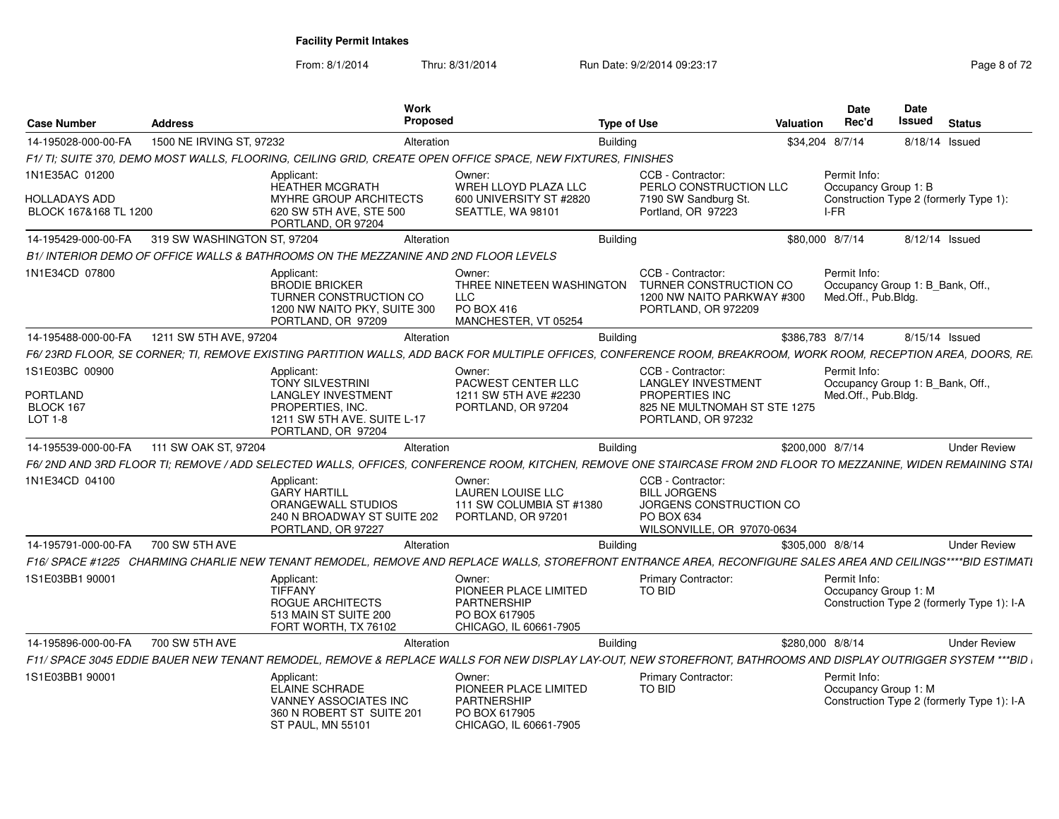From: 8/1/2014

Thru: 8/31/2014 Run Date: 9/2/2014 09:23:17 Page 8 of 72

| <b>Case Number</b>                            | <b>Address</b>              | Work<br>Proposed                                                                                                                                                 |                                                                                                  | <b>Type of Use</b> |                                                                                                                 | <b>Valuation</b> | <b>Date</b><br>Rec'd                                                    | Date<br><b>Issued</b> | <b>Status</b>                              |
|-----------------------------------------------|-----------------------------|------------------------------------------------------------------------------------------------------------------------------------------------------------------|--------------------------------------------------------------------------------------------------|--------------------|-----------------------------------------------------------------------------------------------------------------|------------------|-------------------------------------------------------------------------|-----------------------|--------------------------------------------|
| 14-195028-000-00-FA                           | 1500 NE IRVING ST, 97232    | Alteration                                                                                                                                                       |                                                                                                  | <b>Building</b>    |                                                                                                                 | \$34,204 8/7/14  |                                                                         |                       | 8/18/14 Issued                             |
|                                               |                             | F1/ TI: SUITE 370, DEMO MOST WALLS, FLOORING, CEILING GRID, CREATE OPEN OFFICE SPACE, NEW FIXTURES, FINISHES                                                     |                                                                                                  |                    |                                                                                                                 |                  |                                                                         |                       |                                            |
| 1N1E35AC 01200                                |                             | Applicant:<br><b>HEATHER MCGRATH</b>                                                                                                                             | Owner:<br>WREH LLOYD PLAZA LLC                                                                   |                    | CCB - Contractor:<br>PERLO CONSTRUCTION LLC                                                                     |                  | Permit Info:<br>Occupancy Group 1: B                                    |                       |                                            |
| <b>HOLLADAYS ADD</b><br>BLOCK 167&168 TL 1200 |                             | MYHRE GROUP ARCHITECTS<br>620 SW 5TH AVE, STE 500<br>PORTLAND, OR 97204                                                                                          | 600 UNIVERSITY ST #2820<br>SEATTLE, WA 98101                                                     |                    | 7190 SW Sandburg St.<br>Portland, OR 97223                                                                      |                  | I-FR                                                                    |                       | Construction Type 2 (formerly Type 1):     |
| 14-195429-000-00-FA                           | 319 SW WASHINGTON ST, 97204 | Alteration                                                                                                                                                       |                                                                                                  | <b>Building</b>    |                                                                                                                 | \$80,000 8/7/14  |                                                                         |                       | 8/12/14 Issued                             |
|                                               |                             | B1/ INTERIOR DEMO OF OFFICE WALLS & BATHROOMS ON THE MEZZANINE AND 2ND FLOOR LEVELS                                                                              |                                                                                                  |                    |                                                                                                                 |                  |                                                                         |                       |                                            |
| 1N1E34CD 07800                                |                             | Applicant:<br><b>BRODIE BRICKER</b><br>TURNER CONSTRUCTION CO<br>1200 NW NAITO PKY, SUITE 300<br>PORTLAND, OR 97209                                              | Owner:<br>THREE NINETEEN WASHINGTON<br>LLC.<br>PO BOX 416<br>MANCHESTER, VT 05254                |                    | CCB - Contractor:<br>TURNER CONSTRUCTION CO<br>1200 NW NAITO PARKWAY #300<br>PORTLAND, OR 972209                |                  | Permit Info:<br>Occupancy Group 1: B_Bank, Off.,<br>Med.Off., Pub.Bldg. |                       |                                            |
| 14-195488-000-00-FA                           | 1211 SW 5TH AVE, 97204      | Alteration                                                                                                                                                       |                                                                                                  | <b>Building</b>    |                                                                                                                 | \$386,783 8/7/14 |                                                                         |                       | 8/15/14 Issued                             |
|                                               |                             | F6/23RD FLOOR, SE CORNER; TI, REMOVE EXISTING PARTITION WALLS, ADD BACK FOR MULTIPLE OFFICES, CONFERENCE ROOM, BREAKROOM, WORK ROOM, RECEPTION AREA, DOORS, RE.  |                                                                                                  |                    |                                                                                                                 |                  |                                                                         |                       |                                            |
| 1S1E03BC 00900                                |                             | Applicant:<br><b>TONY SILVESTRINI</b>                                                                                                                            | Owner:<br>PACWEST CENTER LLC                                                                     |                    | CCB - Contractor:<br><b>LANGLEY INVESTMENT</b>                                                                  |                  | Permit Info:<br>Occupancy Group 1: B Bank, Off.,                        |                       |                                            |
| <b>PORTLAND</b>                               |                             | <b>LANGLEY INVESTMENT</b>                                                                                                                                        | 1211 SW 5TH AVE #2230                                                                            |                    | PROPERTIES INC                                                                                                  |                  | Med.Off., Pub.Bldg.                                                     |                       |                                            |
| BLOCK 167<br>LOT 1-8                          |                             | PROPERTIES, INC.<br>1211 SW 5TH AVE. SUITE L-17<br>PORTLAND, OR 97204                                                                                            | PORTLAND, OR 97204                                                                               |                    | 825 NE MULTNOMAH ST STE 1275<br>PORTLAND, OR 97232                                                              |                  |                                                                         |                       |                                            |
| 14-195539-000-00-FA                           | 111 SW OAK ST, 97204        | Alteration                                                                                                                                                       |                                                                                                  | <b>Building</b>    |                                                                                                                 | \$200,000 8/7/14 |                                                                         |                       | <b>Under Review</b>                        |
|                                               |                             | F6/ 2ND AND 3RD FLOOR TI; REMOVE / ADD SELECTED WALLS, OFFICES, CONFERENCE ROOM, KITCHEN, REMOVE ONE STAIRCASE FROM 2ND FLOOR TO MEZZANINE, WIDEN REMAINING STAI |                                                                                                  |                    |                                                                                                                 |                  |                                                                         |                       |                                            |
| 1N1E34CD 04100                                |                             | Applicant:<br><b>GARY HARTILL</b><br>ORANGEWALL STUDIOS<br>240 N BROADWAY ST SUITE 202<br>PORTLAND, OR 97227                                                     | Owner:<br><b>LAUREN LOUISE LLC</b><br>111 SW COLUMBIA ST #1380<br>PORTLAND, OR 97201             |                    | CCB - Contractor:<br><b>BILL JORGENS</b><br>JORGENS CONSTRUCTION CO<br>PO BOX 634<br>WILSONVILLE, OR 97070-0634 |                  |                                                                         |                       |                                            |
| 14-195791-000-00-FA                           | 700 SW 5TH AVE              | Alteration                                                                                                                                                       |                                                                                                  | <b>Building</b>    |                                                                                                                 | \$305,000 8/8/14 |                                                                         |                       | <b>Under Review</b>                        |
|                                               |                             | F16/ SPACE #1225 CHARMING CHARLIE NEW TENANT REMODEL, REMOVE AND REPLACE WALLS, STOREFRONT ENTRANCE AREA, RECONFIGURE SALES AREA AND CEILINGS****BID ESTIMATI    |                                                                                                  |                    |                                                                                                                 |                  |                                                                         |                       |                                            |
| 1S1E03BB1 90001                               |                             | Applicant:<br>TIFFANY<br>ROGUE ARCHITECTS<br>513 MAIN ST SUITE 200<br>FORT WORTH, TX 76102                                                                       | Owner:<br>PIONEER PLACE LIMITED<br><b>PARTNERSHIP</b><br>PO BOX 617905<br>CHICAGO. IL 60661-7905 |                    | <b>Primary Contractor:</b><br><b>TO BID</b>                                                                     |                  | Permit Info:<br>Occupancy Group 1: M                                    |                       | Construction Type 2 (formerly Type 1): I-A |
| 14-195896-000-00-FA                           | 700 SW 5TH AVE              | Alteration                                                                                                                                                       |                                                                                                  | <b>Building</b>    |                                                                                                                 | \$280,000 8/8/14 |                                                                         |                       | <b>Under Review</b>                        |
|                                               |                             | F11/ SPACE 3045 EDDIE BAUER NEW TENANT REMODEL, REMOVE & REPLACE WALLS FOR NEW DISPLAY LAY-OUT, NEW STOREFRONT, BATHROOMS AND DISPLAY OUTRIGGER SYSTEM ***BID    |                                                                                                  |                    |                                                                                                                 |                  |                                                                         |                       |                                            |
| 1S1E03BB1 90001                               |                             | Applicant:<br><b>ELAINE SCHRADE</b><br>VANNEY ASSOCIATES INC<br>360 N ROBERT ST SUITE 201<br><b>ST PAUL, MN 55101</b>                                            | Owner:<br>PIONEER PLACE LIMITED<br>PARTNERSHIP<br>PO BOX 617905<br>CHICAGO. IL 60661-7905        |                    | <b>Primary Contractor:</b><br><b>TO BID</b>                                                                     |                  | Permit Info:<br>Occupancy Group 1: M                                    |                       | Construction Type 2 (formerly Type 1): I-A |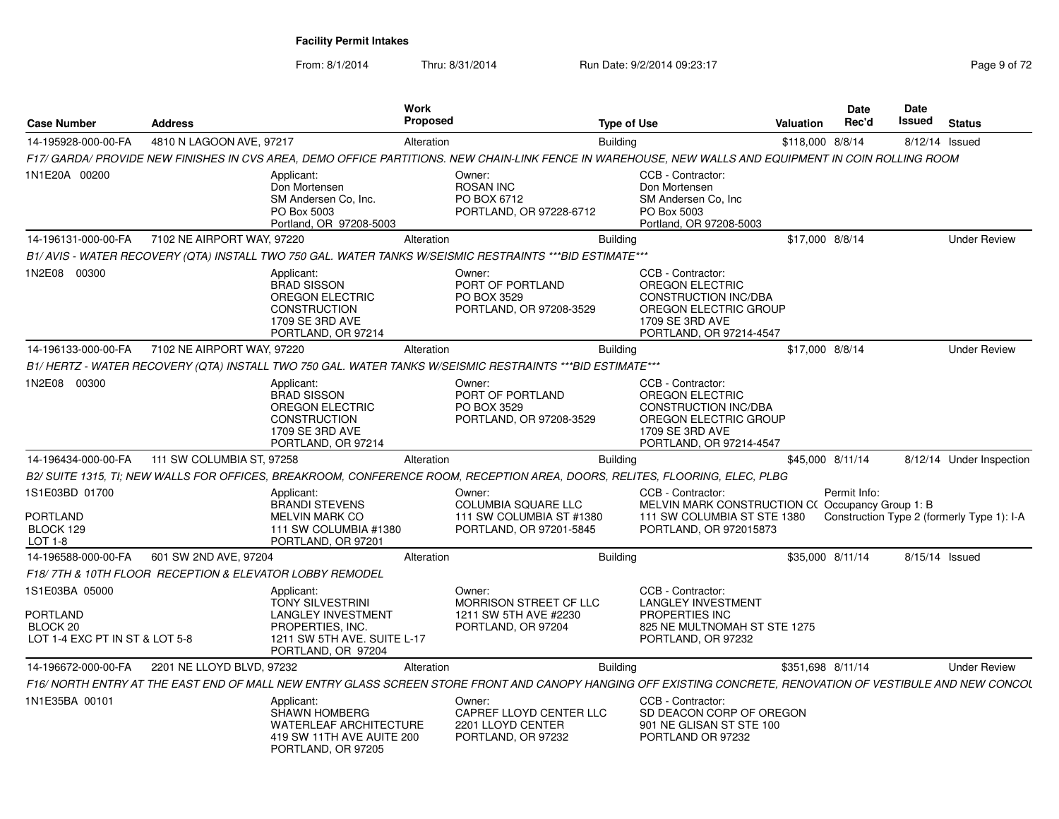From: 8/1/2014

Thru: 8/31/2014 Run Date: 9/2/2014 09:23:17 Page 9 of 72

| <b>Case Number</b>                                                                         | <b>Address</b>             |                                                                                                                                             | Work<br><b>Proposed</b> |                                                                                                                                                             |                 | <b>Type of Use</b>                                                                                                                         | <b>Valuation</b>  | Date<br>Rec'd | Date<br>Issued | <b>Status</b>                              |
|--------------------------------------------------------------------------------------------|----------------------------|---------------------------------------------------------------------------------------------------------------------------------------------|-------------------------|-------------------------------------------------------------------------------------------------------------------------------------------------------------|-----------------|--------------------------------------------------------------------------------------------------------------------------------------------|-------------------|---------------|----------------|--------------------------------------------|
| 14-195928-000-00-FA                                                                        | 4810 N LAGOON AVE, 97217   |                                                                                                                                             | Alteration              |                                                                                                                                                             | <b>Building</b> |                                                                                                                                            | \$118,000 8/8/14  |               | 8/12/14 Issued |                                            |
|                                                                                            |                            |                                                                                                                                             |                         | F17/ GARDA/ PROVIDE NEW FINISHES IN CVS AREA, DEMO OFFICE PARTITIONS. NEW CHAIN-LINK FENCE IN WAREHOUSE, NEW WALLS AND EQUIPMENT IN COIN ROLLING ROOM       |                 |                                                                                                                                            |                   |               |                |                                            |
| 1N1E20A 00200                                                                              |                            | Applicant:<br>Don Mortensen<br>SM Andersen Co, Inc.<br>PO Box 5003<br>Portland, OR 97208-5003                                               |                         | Owner:<br><b>ROSAN INC</b><br>PO BOX 6712<br>PORTLAND, OR 97228-6712                                                                                        |                 | CCB - Contractor:<br>Don Mortensen<br>SM Andersen Co, Inc.<br>PO Box 5003<br>Portland, OR 97208-5003                                       |                   |               |                |                                            |
| 14-196131-000-00-FA                                                                        | 7102 NE AIRPORT WAY, 97220 |                                                                                                                                             | Alteration              |                                                                                                                                                             | <b>Building</b> |                                                                                                                                            | \$17,000 8/8/14   |               |                | <b>Under Review</b>                        |
|                                                                                            |                            |                                                                                                                                             |                         | B1/AVIS - WATER RECOVERY (QTA) INSTALL TWO 750 GAL. WATER TANKS W/SEISMIC RESTRAINTS *** BID ESTIMATE ***                                                   |                 |                                                                                                                                            |                   |               |                |                                            |
| 1N2E08 00300                                                                               |                            | Applicant:<br><b>BRAD SISSON</b><br><b>OREGON ELECTRIC</b><br><b>CONSTRUCTION</b><br>1709 SE 3RD AVE<br>PORTLAND, OR 97214                  |                         | Owner:<br>PORT OF PORTLAND<br>PO BOX 3529<br>PORTLAND, OR 97208-3529                                                                                        |                 | CCB - Contractor:<br>OREGON ELECTRIC<br><b>CONSTRUCTION INC/DBA</b><br>OREGON ELECTRIC GROUP<br>1709 SE 3RD AVE<br>PORTLAND, OR 97214-4547 |                   |               |                |                                            |
| 14-196133-000-00-FA                                                                        | 7102 NE AIRPORT WAY, 97220 |                                                                                                                                             | Alteration              |                                                                                                                                                             | <b>Building</b> |                                                                                                                                            | \$17,000 8/8/14   |               |                | <b>Under Review</b>                        |
|                                                                                            |                            |                                                                                                                                             |                         | B1/HERTZ - WATER RECOVERY (QTA) INSTALL TWO 750 GAL. WATER TANKS W/SEISMIC RESTRAINTS ***BID ESTIMATE***                                                    |                 |                                                                                                                                            |                   |               |                |                                            |
| 1N2E08 00300                                                                               |                            | Applicant:<br><b>BRAD SISSON</b><br><b>OREGON ELECTRIC</b><br><b>CONSTRUCTION</b><br>1709 SE 3RD AVE<br>PORTLAND, OR 97214                  |                         | Owner:<br>PORT OF PORTLAND<br>PO BOX 3529<br>PORTLAND, OR 97208-3529                                                                                        |                 | CCB - Contractor:<br>OREGON ELECTRIC<br><b>CONSTRUCTION INC/DBA</b><br>OREGON ELECTRIC GROUP<br>1709 SE 3RD AVE<br>PORTLAND, OR 97214-4547 |                   |               |                |                                            |
| 14-196434-000-00-FA                                                                        | 111 SW COLUMBIA ST, 97258  |                                                                                                                                             | Alteration              |                                                                                                                                                             | <b>Building</b> |                                                                                                                                            | \$45,000 8/11/14  |               |                | 8/12/14 Under Inspection                   |
|                                                                                            |                            |                                                                                                                                             |                         | B2/ SUITE 1315, TI; NEW WALLS FOR OFFICES, BREAKROOM, CONFERENCE ROOM, RECEPTION AREA, DOORS, RELITES, FLOORING, ELEC, PLBG                                 |                 |                                                                                                                                            |                   |               |                |                                            |
| 1S1E03BD 01700<br><b>PORTLAND</b><br>BLOCK 129<br>LOT 1-8                                  |                            | Applicant:<br><b>BRANDI STEVENS</b><br><b>MELVIN MARK CO</b><br>111 SW COLUMBIA #1380<br>PORTLAND, OR 97201                                 |                         | Owner:<br>COLUMBIA SQUARE LLC<br>111 SW COLUMBIA ST #1380<br>PORTLAND, OR 97201-5845                                                                        |                 | CCB - Contractor:<br>MELVIN MARK CONSTRUCTION C(Occupancy Group 1: B)<br>111 SW COLUMBIA ST STE 1380<br>PORTLAND, OR 972015873             |                   | Permit Info:  |                | Construction Type 2 (formerly Type 1): I-A |
| 14-196588-000-00-FA                                                                        | 601 SW 2ND AVE, 97204      |                                                                                                                                             | Alteration              |                                                                                                                                                             | <b>Building</b> |                                                                                                                                            | \$35,000 8/11/14  |               | 8/15/14 Issued |                                            |
| F18/7TH & 10TH FLOOR RECEPTION & ELEVATOR LOBBY REMODEL                                    |                            |                                                                                                                                             |                         |                                                                                                                                                             |                 |                                                                                                                                            |                   |               |                |                                            |
| 1S1E03BA 05000<br><b>PORTLAND</b><br>BLOCK <sub>20</sub><br>LOT 1-4 EXC PT IN ST & LOT 5-8 |                            | Applicant:<br><b>TONY SILVESTRINI</b><br><b>LANGLEY INVESTMENT</b><br>PROPERTIES, INC.<br>1211 SW 5TH AVE. SUITE L-17<br>PORTLAND, OR 97204 |                         | Owner:<br>MORRISON STREET CF LLC<br>1211 SW 5TH AVE #2230<br>PORTLAND, OR 97204                                                                             |                 | CCB - Contractor:<br><b>LANGLEY INVESTMENT</b><br><b>PROPERTIES INC</b><br>825 NE MULTNOMAH ST STE 1275<br>PORTLAND, OR 97232              |                   |               |                |                                            |
| 14-196672-000-00-FA                                                                        | 2201 NE LLOYD BLVD, 97232  |                                                                                                                                             | Alteration              |                                                                                                                                                             | <b>Building</b> |                                                                                                                                            | \$351,698 8/11/14 |               |                | <b>Under Review</b>                        |
|                                                                                            |                            |                                                                                                                                             |                         | F16/NORTH ENTRY AT THE EAST END OF MALL NEW ENTRY GLASS SCREEN STORE FRONT AND CANOPY HANGING OFF EXISTING CONCRETE, RENOVATION OF VESTIBULE AND NEW CONCOL |                 |                                                                                                                                            |                   |               |                |                                            |
| 1N1E35BA 00101                                                                             |                            | Applicant:<br><b>SHAWN HOMBERG</b><br><b>WATERLEAF ARCHITECTURE</b><br>419 SW 11TH AVE AUITE 200<br>PORTLAND, OR 97205                      |                         | Owner:<br>CAPREF LLOYD CENTER LLC<br>2201 LLOYD CENTER<br>PORTLAND, OR 97232                                                                                |                 | CCB - Contractor:<br>SD DEACON CORP OF OREGON<br>901 NE GLISAN ST STE 100<br>PORTLAND OR 97232                                             |                   |               |                |                                            |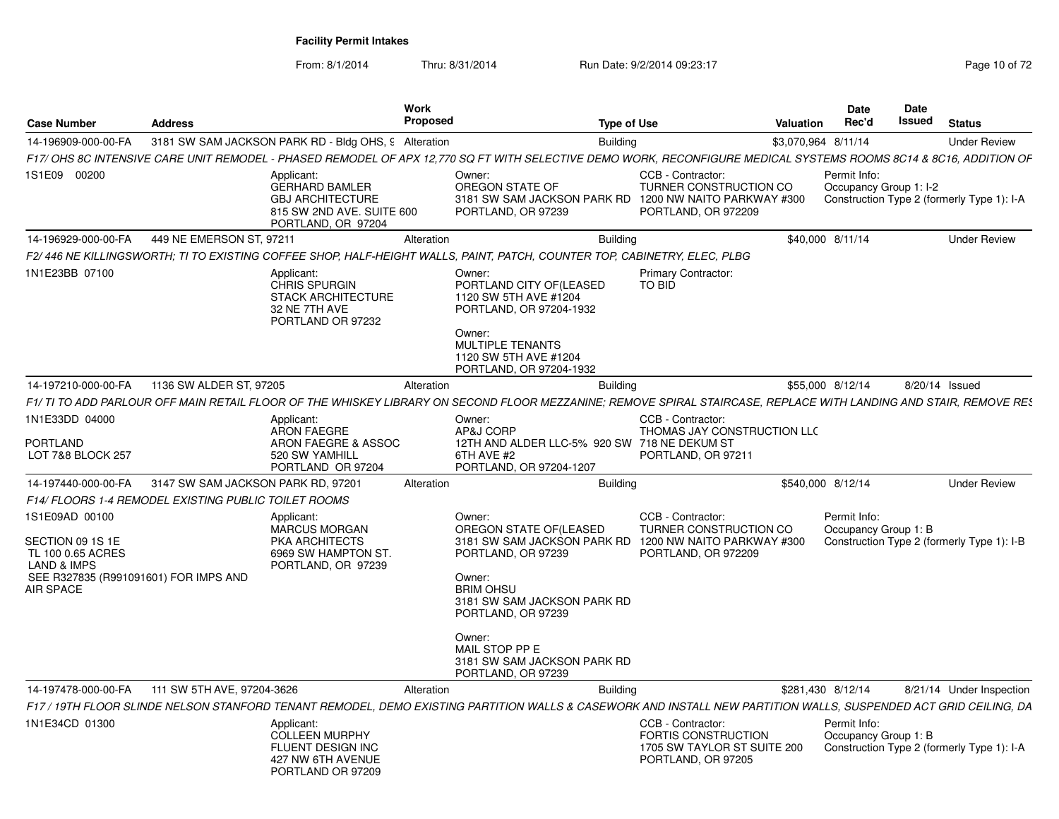From: 8/1/2014

Thru: 8/31/2014 Run Date: 9/2/2014 09:23:17 Rege 10 of 72

| <b>Case Number</b>                                                                                                                             | <b>Address</b>                     |                                                                                                                   | Work<br>Proposed | <b>Type of Use</b>                                                                                                                                                                                    |                                                                                                        | Valuation           | Date<br>Rec'd                          | Date<br>Issued | <b>Status</b>                              |
|------------------------------------------------------------------------------------------------------------------------------------------------|------------------------------------|-------------------------------------------------------------------------------------------------------------------|------------------|-------------------------------------------------------------------------------------------------------------------------------------------------------------------------------------------------------|--------------------------------------------------------------------------------------------------------|---------------------|----------------------------------------|----------------|--------------------------------------------|
| 14-196909-000-00-FA                                                                                                                            |                                    | 3181 SW SAM JACKSON PARK RD - Bldg OHS, 9 Alteration                                                              |                  | <b>Building</b>                                                                                                                                                                                       |                                                                                                        | \$3,070,964 8/11/14 |                                        |                | <b>Under Review</b>                        |
|                                                                                                                                                |                                    |                                                                                                                   |                  | F17/ OHS 8C INTENSIVE CARE UNIT REMODEL - PHASED REMODEL OF APX 12.770 SQ FT WITH SELECTIVE DEMO WORK, RECONFIGURE MEDICAL SYSTEMS ROOMS 8C14 & 8C16, ADDITION OF                                     |                                                                                                        |                     |                                        |                |                                            |
| 1S1E09 00200                                                                                                                                   |                                    | Applicant:<br><b>GERHARD BAMLER</b><br><b>GBJ ARCHITECTURE</b><br>815 SW 2ND AVE. SUITE 600<br>PORTLAND, OR 97204 |                  | Owner:<br>OREGON STATE OF<br>3181 SW SAM JACKSON PARK RD<br>PORTLAND, OR 97239                                                                                                                        | CCB - Contractor<br><b>TURNER CONSTRUCTION CO</b><br>1200 NW NAITO PARKWAY #300<br>PORTLAND, OR 972209 |                     | Permit Info:<br>Occupancy Group 1: I-2 |                | Construction Type 2 (formerly Type 1): I-A |
| 14-196929-000-00-FA                                                                                                                            | 449 NE EMERSON ST, 97211           |                                                                                                                   | Alteration       | <b>Building</b>                                                                                                                                                                                       |                                                                                                        |                     | \$40,000 8/11/14                       |                | <b>Under Review</b>                        |
|                                                                                                                                                |                                    |                                                                                                                   |                  | F2/446 NE KILLINGSWORTH; TI TO EXISTING COFFEE SHOP, HALF-HEIGHT WALLS, PAINT, PATCH, COUNTER TOP, CABINETRY, ELEC, PLBG                                                                              |                                                                                                        |                     |                                        |                |                                            |
| 1N1E23BB 07100                                                                                                                                 |                                    | Applicant:<br>CHRIS SPURGIN<br><b>STACK ARCHITECTURE</b><br>32 NE 7TH AVE<br>PORTLAND OR 97232                    |                  | Owner:<br>PORTLAND CITY OF(LEASED<br>1120 SW 5TH AVE #1204<br>PORTLAND, OR 97204-1932<br>Owner:<br>MULTIPLE TENANTS<br>1120 SW 5TH AVE #1204<br>PORTLAND, OR 97204-1932                               | <b>Primary Contractor:</b><br>TO BID                                                                   |                     |                                        |                |                                            |
| 14-197210-000-00-FA                                                                                                                            | 1136 SW ALDER ST, 97205            |                                                                                                                   | Alteration       | <b>Building</b>                                                                                                                                                                                       |                                                                                                        |                     | \$55,000 8/12/14                       |                | 8/20/14 Issued                             |
|                                                                                                                                                |                                    |                                                                                                                   |                  | F1/ TI TO ADD PARLOUR OFF MAIN RETAIL FLOOR OF THE WHISKEY LIBRARY ON SECOND FLOOR MEZZANINE; REMOVE SPIRAL STAIRCASE, REPLACE WITH LANDING AND STAIR, REMOVE RES                                     |                                                                                                        |                     |                                        |                |                                            |
| 1N1E33DD 04000<br><b>PORTLAND</b><br>LOT 7&8 BLOCK 257                                                                                         |                                    | Applicant:<br><b>ARON FAEGRE</b><br>ARON FAEGRE & ASSOC<br>520 SW YAMHILL<br>PORTLAND OR 97204                    |                  | Owner:<br>AP&J CORP<br>12TH AND ALDER LLC-5% 920 SW 718 NE DEKUM ST<br>6TH AVE #2<br>PORTLAND, OR 97204-1207                                                                                          | CCB - Contractor:<br>THOMAS JAY CONSTRUCTION LLC<br>PORTLAND, OR 97211                                 |                     |                                        |                |                                            |
| 14-197440-000-00-FA                                                                                                                            | 3147 SW SAM JACKSON PARK RD, 97201 |                                                                                                                   | Alteration       | <b>Building</b>                                                                                                                                                                                       |                                                                                                        |                     | \$540,000 8/12/14                      |                | <b>Under Review</b>                        |
| <b>F14/ FLOORS 1-4 REMODEL EXISTING PUBLIC TOILET ROOMS</b>                                                                                    |                                    |                                                                                                                   |                  |                                                                                                                                                                                                       |                                                                                                        |                     |                                        |                |                                            |
| 1S1E09AD 00100<br>SECTION 09 1S 1E<br>TL 100 0.65 ACRES<br><b>LAND &amp; IMPS</b><br>SEE R327835 (R991091601) FOR IMPS AND<br><b>AIR SPACE</b> |                                    | Applicant:<br><b>MARCUS MORGAN</b><br>PKA ARCHITECTS<br>6969 SW HAMPTON ST.<br>PORTLAND, OR 97239                 |                  | Owner:<br>OREGON STATE OF (LEASED<br>3181 SW SAM JACKSON PARK RD<br>PORTLAND, OR 97239<br>Owner:<br><b>BRIM OHSU</b><br>3181 SW SAM JACKSON PARK RD<br>PORTLAND, OR 97239<br>Owner:<br>MAIL STOP PP E | CCB - Contractor:<br>TURNER CONSTRUCTION CO<br>1200 NW NAITO PARKWAY #300<br>PORTLAND, OR 972209       |                     | Permit Info:<br>Occupancy Group 1: B   |                | Construction Type 2 (formerly Type 1): I-B |
|                                                                                                                                                |                                    |                                                                                                                   |                  | 3181 SW SAM JACKSON PARK RD<br>PORTLAND, OR 97239                                                                                                                                                     |                                                                                                        |                     |                                        |                |                                            |
| 14-197478-000-00-FA                                                                                                                            | 111 SW 5TH AVE, 97204-3626         |                                                                                                                   | Alteration       | <b>Building</b>                                                                                                                                                                                       |                                                                                                        | \$281,430 8/12/14   |                                        |                | 8/21/14 Under Inspection                   |
|                                                                                                                                                |                                    |                                                                                                                   |                  | F17 / 19TH FLOOR SLINDE NELSON STANFORD TENANT REMODEL, DEMO EXISTING PARTITION WALLS & CASEWORK AND INSTALL NEW PARTITION WALLS, SUSPENDED ACT GRID CEILING, DA                                      |                                                                                                        |                     |                                        |                |                                            |
| 1N1E34CD 01300                                                                                                                                 |                                    | Applicant:<br><b>COLLEEN MURPHY</b><br>FLUENT DESIGN INC<br>427 NW 6TH AVENUE<br>PORTLAND OR 97209                |                  |                                                                                                                                                                                                       | CCB - Contractor:<br><b>FORTIS CONSTRUCTION</b><br>1705 SW TAYLOR ST SUITE 200<br>PORTLAND, OR 97205   |                     | Permit Info:<br>Occupancy Group 1: B   |                | Construction Type 2 (formerly Type 1): I-A |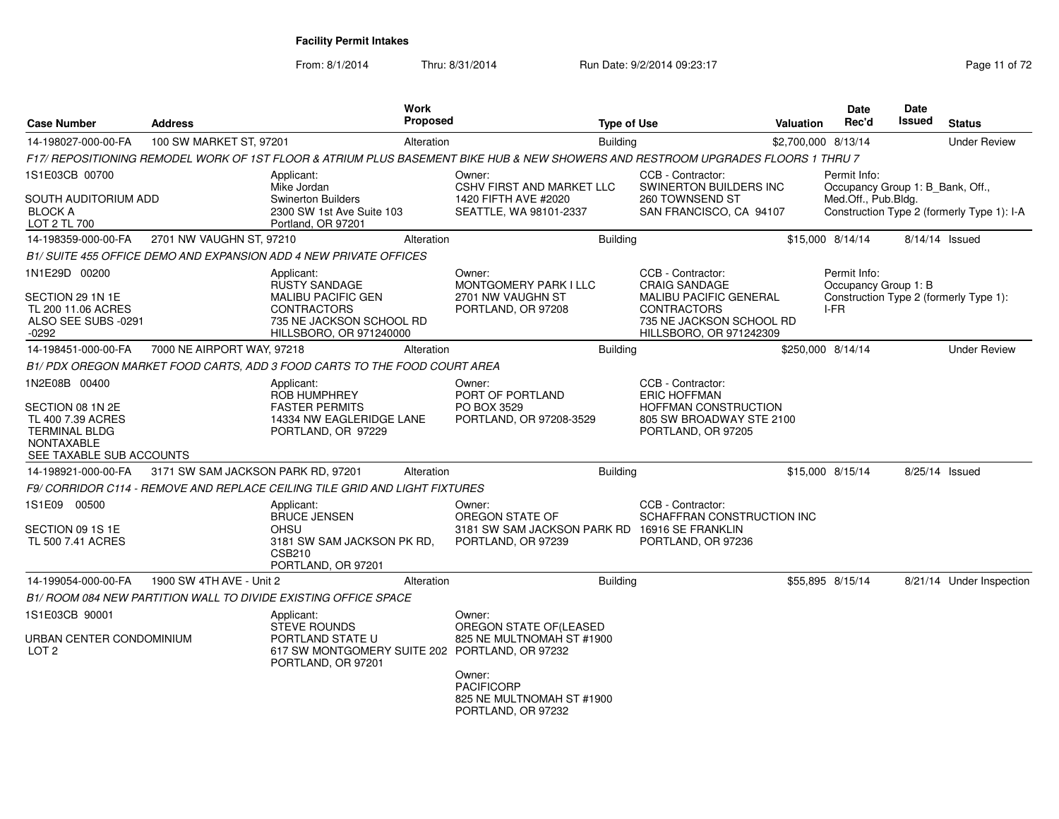From: 8/1/2014Thru: 8/31/2014 Run Date: 9/2/2014 09:23:17 Rege 11 of 72

| <b>Case Number</b>                                                                                             | <b>Address</b>                     |                                                                                                                        |            | <b>Proposed</b>                                                                                                                  | <b>Type of Use</b> |                                                                                                                              | <b>Valuation</b>    | <b>Date</b><br>Rec'd                             | <b>Date</b><br>Issued | <b>Status</b>                              |
|----------------------------------------------------------------------------------------------------------------|------------------------------------|------------------------------------------------------------------------------------------------------------------------|------------|----------------------------------------------------------------------------------------------------------------------------------|--------------------|------------------------------------------------------------------------------------------------------------------------------|---------------------|--------------------------------------------------|-----------------------|--------------------------------------------|
| 14-198027-000-00-FA                                                                                            | 100 SW MARKET ST, 97201            |                                                                                                                        | Alteration |                                                                                                                                  | <b>Building</b>    |                                                                                                                              | \$2,700,000 8/13/14 |                                                  |                       | <b>Under Review</b>                        |
|                                                                                                                |                                    |                                                                                                                        |            | F17/ REPOSITIONING REMODEL WORK OF 1ST FLOOR & ATRIUM PLUS BASEMENT BIKE HUB & NEW SHOWERS AND RESTROOM UPGRADES FLOORS 1 THRU 7 |                    |                                                                                                                              |                     |                                                  |                       |                                            |
| 1S1E03CB 00700                                                                                                 |                                    | Applicant:<br>Mike Jordan                                                                                              |            | Owner:<br><b>CSHV FIRST AND MARKET LLC</b>                                                                                       |                    | CCB - Contractor:<br>SWINERTON BUILDERS INC                                                                                  |                     | Permit Info:<br>Occupancy Group 1: B_Bank, Off., |                       |                                            |
| SOUTH AUDITORIUM ADD<br><b>BLOCK A</b><br>LOT 2 TL 700                                                         |                                    | <b>Swinerton Builders</b><br>2300 SW 1st Ave Suite 103<br>Portland, OR 97201                                           |            | 1420 FIFTH AVE #2020<br>SEATTLE, WA 98101-2337                                                                                   |                    | 260 TOWNSEND ST<br>SAN FRANCISCO, CA 94107                                                                                   |                     | Med.Off., Pub.Bldg.                              |                       | Construction Type 2 (formerly Type 1): I-A |
| 14-198359-000-00-FA                                                                                            | 2701 NW VAUGHN ST, 97210           |                                                                                                                        | Alteration |                                                                                                                                  | <b>Building</b>    |                                                                                                                              |                     | \$15,000 8/14/14                                 |                       | 8/14/14 Issued                             |
|                                                                                                                |                                    | B1/ SUITE 455 OFFICE DEMO AND EXPANSION ADD 4 NEW PRIVATE OFFICES                                                      |            |                                                                                                                                  |                    |                                                                                                                              |                     |                                                  |                       |                                            |
| 1N1E29D 00200<br>SECTION 29 1N 1E<br>TL 200 11.06 ACRES<br>ALSO SEE SUBS -0291                                 |                                    | Applicant:<br><b>RUSTY SANDAGE</b><br><b>MALIBU PACIFIC GEN</b><br><b>CONTRACTORS</b><br>735 NE JACKSON SCHOOL RD      |            | Owner:<br>MONTGOMERY PARK I LLC<br>2701 NW VAUGHN ST<br>PORTLAND, OR 97208                                                       |                    | CCB - Contractor:<br><b>CRAIG SANDAGE</b><br><b>MALIBU PACIFIC GENERAL</b><br><b>CONTRACTORS</b><br>735 NE JACKSON SCHOOL RD |                     | Permit Info:<br>Occupancy Group 1: B<br>I-FR     |                       | Construction Type 2 (formerly Type 1):     |
| -0292<br>14-198451-000-00-FA                                                                                   | 7000 NE AIRPORT WAY, 97218         | HILLSBORO, OR 971240000                                                                                                |            |                                                                                                                                  | <b>Building</b>    | HILLSBORO, OR 971242309                                                                                                      | \$250,000 8/14/14   |                                                  |                       | <b>Under Review</b>                        |
|                                                                                                                |                                    |                                                                                                                        | Alteration |                                                                                                                                  |                    |                                                                                                                              |                     |                                                  |                       |                                            |
| 1N2E08B 00400                                                                                                  |                                    | B1/ PDX OREGON MARKET FOOD CARTS, ADD 3 FOOD CARTS TO THE FOOD COURT AREA                                              |            | Owner:                                                                                                                           |                    | CCB - Contractor:                                                                                                            |                     |                                                  |                       |                                            |
| SECTION 08 1N 2E<br>TL 400 7.39 ACRES<br><b>TERMINAL BLDG</b><br><b>NONTAXABLE</b><br>SEE TAXABLE SUB ACCOUNTS |                                    | Applicant:<br><b>ROB HUMPHREY</b><br><b>FASTER PERMITS</b><br>14334 NW EAGLERIDGE LANE<br>PORTLAND, OR 97229           |            | PORT OF PORTLAND<br>PO BOX 3529<br>PORTLAND, OR 97208-3529                                                                       |                    | <b>ERIC HOFFMAN</b><br><b>HOFFMAN CONSTRUCTION</b><br>805 SW BROADWAY STE 2100<br>PORTLAND, OR 97205                         |                     |                                                  |                       |                                            |
| 14-198921-000-00-FA                                                                                            | 3171 SW SAM JACKSON PARK RD, 97201 |                                                                                                                        | Alteration |                                                                                                                                  | <b>Building</b>    |                                                                                                                              |                     | \$15,000 8/15/14                                 |                       | 8/25/14 Issued                             |
|                                                                                                                |                                    | F9/CORRIDOR C114 - REMOVE AND REPLACE CEILING TILE GRID AND LIGHT FIXTURES                                             |            |                                                                                                                                  |                    |                                                                                                                              |                     |                                                  |                       |                                            |
| 1S1E09 00500<br>SECTION 09 1S 1E<br>TL 500 7.41 ACRES                                                          |                                    | Applicant:<br><b>BRUCE JENSEN</b><br><b>OHSU</b><br>3181 SW SAM JACKSON PK RD,<br>CSB210<br>PORTLAND, OR 97201         |            | Owner:<br>OREGON STATE OF<br>3181 SW SAM JACKSON PARK RD 16916 SE FRANKLIN<br>PORTLAND, OR 97239                                 |                    | CCB - Contractor:<br>SCHAFFRAN CONSTRUCTION INC<br>PORTLAND, OR 97236                                                        |                     |                                                  |                       |                                            |
| 14-199054-000-00-FA                                                                                            | 1900 SW 4TH AVE - Unit 2           |                                                                                                                        | Alteration |                                                                                                                                  | <b>Building</b>    |                                                                                                                              |                     | \$55,895 8/15/14                                 |                       | 8/21/14 Under Inspection                   |
|                                                                                                                |                                    | B1/ ROOM 084 NEW PARTITION WALL TO DIVIDE EXISTING OFFICE SPACE                                                        |            |                                                                                                                                  |                    |                                                                                                                              |                     |                                                  |                       |                                            |
| 1S1E03CB 90001<br>URBAN CENTER CONDOMINIUM<br>LOT <sub>2</sub>                                                 |                                    | Applicant:<br>STEVE ROUNDS<br>PORTLAND STATE U<br>617 SW MONTGOMERY SUITE 202 PORTLAND, OR 97232<br>PORTLAND, OR 97201 |            | Owner:<br>OREGON STATE OF(LEASED<br>825 NE MULTNOMAH ST #1900<br>Owner:                                                          |                    |                                                                                                                              |                     |                                                  |                       |                                            |
|                                                                                                                |                                    |                                                                                                                        |            | <b>PACIFICORP</b><br>825 NE MULTNOMAH ST #1900<br>PORTLAND, OR 97232                                                             |                    |                                                                                                                              |                     |                                                  |                       |                                            |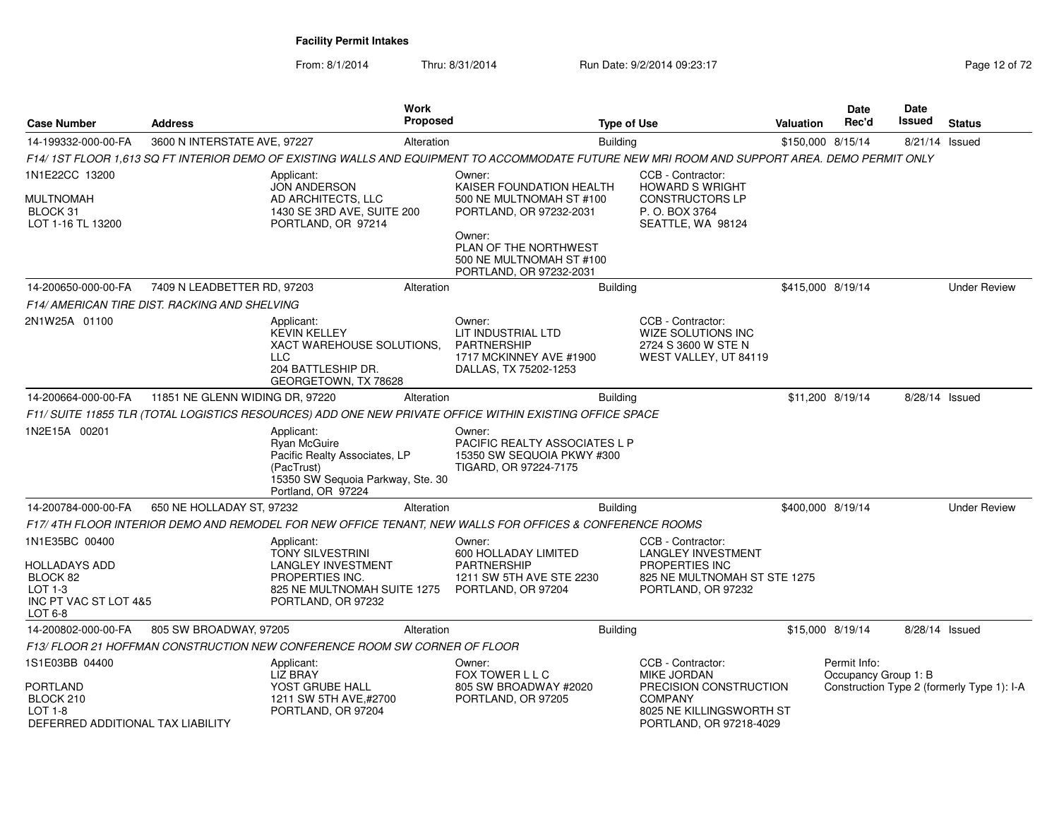From: 8/1/2014Thru: 8/31/2014 Run Date: 9/2/2014 09:23:17

| Page 12 of 72 |  |  |
|---------------|--|--|
|---------------|--|--|

| <b>Case Number</b>                                                                                    | <b>Address</b>                                |                                                                                                                                            |            | <b>Proposed</b>                                                                                                                                | <b>Type of Use</b> | Valuation                                                                                                                                  | Date<br>Rec'd     | Date<br>Issued                       | <b>Status</b>  |                                            |
|-------------------------------------------------------------------------------------------------------|-----------------------------------------------|--------------------------------------------------------------------------------------------------------------------------------------------|------------|------------------------------------------------------------------------------------------------------------------------------------------------|--------------------|--------------------------------------------------------------------------------------------------------------------------------------------|-------------------|--------------------------------------|----------------|--------------------------------------------|
| 14-199332-000-00-FA                                                                                   | 3600 N INTERSTATE AVE, 97227                  |                                                                                                                                            | Alteration |                                                                                                                                                | <b>Building</b>    |                                                                                                                                            | \$150,000 8/15/14 |                                      | 8/21/14 Issued |                                            |
|                                                                                                       |                                               |                                                                                                                                            |            | F14/ 1ST FLOOR 1.613 SQ FT INTERIOR DEMO OF EXISTING WALLS AND EQUIPMENT TO ACCOMMODATE FUTURE NEW MRI ROOM AND SUPPORT AREA. DEMO PERMIT ONLY |                    |                                                                                                                                            |                   |                                      |                |                                            |
| 1N1E22CC 13200                                                                                        |                                               | Applicant:<br><b>JON ANDERSON</b>                                                                                                          |            | Owner:<br>KAISER FOUNDATION HEALTH                                                                                                             |                    | CCB - Contractor:<br><b>HOWARD S WRIGHT</b>                                                                                                |                   |                                      |                |                                            |
| MULTNOMAH<br>BLOCK 31<br>LOT 1-16 TL 13200                                                            |                                               | AD ARCHITECTS, LLC<br>1430 SE 3RD AVE, SUITE 200<br>PORTLAND, OR 97214                                                                     |            | 500 NE MULTNOMAH ST #100<br>PORTLAND, OR 97232-2031                                                                                            |                    | <b>CONSTRUCTORS LP</b><br>P. O. BOX 3764<br>SEATTLE, WA 98124                                                                              |                   |                                      |                |                                            |
|                                                                                                       |                                               |                                                                                                                                            |            | Owner:<br>PLAN OF THE NORTHWEST<br>500 NE MULTNOMAH ST #100<br>PORTLAND, OR 97232-2031                                                         |                    |                                                                                                                                            |                   |                                      |                |                                            |
| 14-200650-000-00-FA                                                                                   | 7409 N LEADBETTER RD, 97203                   |                                                                                                                                            | Alteration |                                                                                                                                                | <b>Building</b>    |                                                                                                                                            | \$415,000 8/19/14 |                                      |                | <b>Under Review</b>                        |
|                                                                                                       | F14/ AMERICAN TIRE DIST. RACKING AND SHELVING |                                                                                                                                            |            |                                                                                                                                                |                    |                                                                                                                                            |                   |                                      |                |                                            |
| 2N1W25A 01100                                                                                         |                                               | Applicant:<br><b>KEVIN KELLEY</b><br>XACT WAREHOUSE SOLUTIONS,<br><b>LLC</b><br>204 BATTLESHIP DR.<br>GEORGETOWN, TX 78628                 |            | Owner:<br>LIT INDUSTRIAL LTD<br><b>PARTNERSHIP</b><br>1717 MCKINNEY AVE #1900<br>DALLAS, TX 75202-1253                                         |                    | CCB - Contractor:<br><b>WIZE SOLUTIONS INC</b><br>2724 S 3600 W STE N<br>WEST VALLEY, UT 84119                                             |                   |                                      |                |                                            |
| 14-200664-000-00-FA                                                                                   | 11851 NE GLENN WIDING DR, 97220               |                                                                                                                                            | Alteration |                                                                                                                                                | <b>Building</b>    |                                                                                                                                            |                   | \$11,200 8/19/14                     | 8/28/14 Issued |                                            |
|                                                                                                       |                                               |                                                                                                                                            |            | F11/ SUITE 11855 TLR (TOTAL LOGISTICS RESOURCES) ADD ONE NEW PRIVATE OFFICE WITHIN EXISTING OFFICE SPACE                                       |                    |                                                                                                                                            |                   |                                      |                |                                            |
| 1N2E15A 00201                                                                                         |                                               | Applicant:<br>Ryan McGuire<br>Pacific Realty Associates, LP<br>(PacTrust)<br>15350 SW Sequoia Parkway, Ste. 30<br>Portland, OR 97224       |            | Owner:<br>PACIFIC REALTY ASSOCIATES L P<br>15350 SW SEQUOIA PKWY #300<br>TIGARD, OR 97224-7175                                                 |                    |                                                                                                                                            |                   |                                      |                |                                            |
| 14-200784-000-00-FA                                                                                   | 650 NE HOLLADAY ST, 97232                     |                                                                                                                                            | Alteration |                                                                                                                                                | <b>Building</b>    |                                                                                                                                            | \$400,000 8/19/14 |                                      |                | <b>Under Review</b>                        |
|                                                                                                       |                                               |                                                                                                                                            |            | F17/ 4TH FLOOR INTERIOR DEMO AND REMODEL FOR NEW OFFICE TENANT. NEW WALLS FOR OFFICES & CONFERENCE ROOMS                                       |                    |                                                                                                                                            |                   |                                      |                |                                            |
| 1N1E35BC 00400<br>HOLLADAYS ADD<br>BLOCK 82<br>LOT $1-3$<br>INC PT VAC ST LOT 4&5<br>LOT 6-8          |                                               | Applicant:<br><b>TONY SILVESTRINI</b><br><b>LANGLEY INVESTMENT</b><br>PROPERTIES INC.<br>825 NE MULTNOMAH SUITE 1275<br>PORTLAND, OR 97232 |            | Owner:<br>600 HOLLADAY LIMITED<br><b>PARTNERSHIP</b><br>1211 SW 5TH AVE STE 2230<br>PORTLAND, OR 97204                                         |                    | CCB - Contractor:<br><b>LANGLEY INVESTMENT</b><br>PROPERTIES INC<br>825 NE MULTNOMAH ST STE 1275<br>PORTLAND, OR 97232                     |                   |                                      |                |                                            |
| 14-200802-000-00-FA                                                                                   | 805 SW BROADWAY, 97205                        |                                                                                                                                            | Alteration |                                                                                                                                                | <b>Building</b>    |                                                                                                                                            |                   | \$15,000 8/19/14                     | 8/28/14 Issued |                                            |
|                                                                                                       |                                               | F13/ FLOOR 21 HOFFMAN CONSTRUCTION NEW CONFERENCE ROOM SW CORNER OF FLOOR                                                                  |            |                                                                                                                                                |                    |                                                                                                                                            |                   |                                      |                |                                            |
| 1S1E03BB 04400<br><b>PORTLAND</b><br>BLOCK 210<br><b>LOT 1-8</b><br>DEFERRED ADDITIONAL TAX LIABILITY |                                               | Applicant:<br><b>LIZ BRAY</b><br>YOST GRUBE HALL<br>1211 SW 5TH AVE,#2700<br>PORTLAND, OR 97204                                            |            | Owner:<br>FOX TOWER L L C<br>805 SW BROADWAY #2020<br>PORTLAND, OR 97205                                                                       |                    | CCB - Contractor:<br><b>MIKE JORDAN</b><br>PRECISION CONSTRUCTION<br><b>COMPANY</b><br>8025 NE KILLINGSWORTH ST<br>PORTLAND, OR 97218-4029 |                   | Permit Info:<br>Occupancy Group 1: B |                | Construction Type 2 (formerly Type 1): I-A |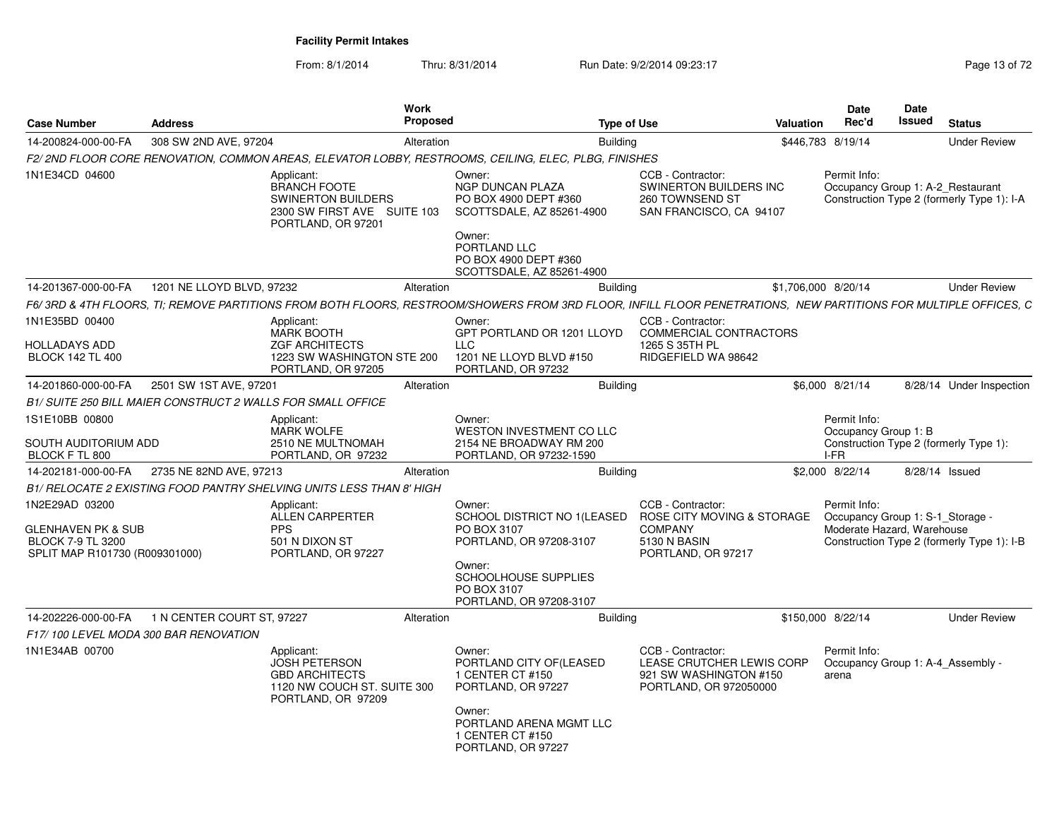From: 8/1/2014

Thru: 8/31/2014 Run Date: 9/2/2014 09:23:17 Rege 13 of 72

| <b>Case Number</b>                                                                                            | <b>Address</b>                                              |                                                                                                                     | Work<br><b>Proposed</b> |                                                                                                                                                                 | <b>Type of Use</b>                                                                                      | Valuation | <b>Date</b><br>Rec'd                                                           | <b>Date</b><br>Issued | <b>Status</b>                                                                   |
|---------------------------------------------------------------------------------------------------------------|-------------------------------------------------------------|---------------------------------------------------------------------------------------------------------------------|-------------------------|-----------------------------------------------------------------------------------------------------------------------------------------------------------------|---------------------------------------------------------------------------------------------------------|-----------|--------------------------------------------------------------------------------|-----------------------|---------------------------------------------------------------------------------|
| 14-200824-000-00-FA                                                                                           | 308 SW 2ND AVE, 97204                                       |                                                                                                                     | Alteration              | <b>Building</b>                                                                                                                                                 |                                                                                                         |           | \$446,783 8/19/14                                                              |                       | <b>Under Review</b>                                                             |
|                                                                                                               |                                                             |                                                                                                                     |                         | F2/2ND FLOOR CORE RENOVATION, COMMON AREAS, ELEVATOR LOBBY, RESTROOMS, CEILING, ELEC, PLBG, FINISHES                                                            |                                                                                                         |           |                                                                                |                       |                                                                                 |
| 1N1E34CD 04600                                                                                                |                                                             | Applicant:<br><b>BRANCH FOOTE</b><br><b>SWINERTON BUILDERS</b><br>2300 SW FIRST AVE SUITE 103<br>PORTLAND, OR 97201 |                         | Owner:<br>NGP DUNCAN PLAZA<br>PO BOX 4900 DEPT #360<br>SCOTTSDALE, AZ 85261-4900<br>Owner:<br>PORTLAND LLC<br>PO BOX 4900 DEPT #360                             | CCB - Contractor:<br>SWINERTON BUILDERS INC<br>260 TOWNSEND ST<br>SAN FRANCISCO, CA 94107               |           | Permit Info:                                                                   |                       | Occupancy Group 1: A-2 Restaurant<br>Construction Type 2 (formerly Type 1): I-A |
|                                                                                                               |                                                             |                                                                                                                     |                         | SCOTTSDALE, AZ 85261-4900                                                                                                                                       |                                                                                                         |           |                                                                                |                       |                                                                                 |
| 14-201367-000-00-FA                                                                                           | 1201 NE LLOYD BLVD, 97232                                   |                                                                                                                     | Alteration              | <b>Building</b>                                                                                                                                                 |                                                                                                         |           | \$1,706,000 8/20/14                                                            |                       | <b>Under Review</b>                                                             |
|                                                                                                               |                                                             |                                                                                                                     |                         | F6/3RD & 4TH FLOORS, TI; REMOVE PARTITIONS FROM BOTH FLOORS, RESTROOM/SHOWERS FROM 3RD FLOOR, INFILL FLOOR PENETRATIONS, NEW PARTITIONS FOR MULTIPLE OFFICES, C |                                                                                                         |           |                                                                                |                       |                                                                                 |
| 1N1E35BD 00400<br><b>HOLLADAYS ADD</b><br><b>BLOCK 142 TL 400</b>                                             |                                                             | Applicant:<br><b>MARK BOOTH</b><br><b>ZGF ARCHITECTS</b><br>1223 SW WASHINGTON STE 200<br>PORTLAND, OR 97205        |                         | Owner:<br>GPT PORTLAND OR 1201 LLOYD<br><b>LLC</b><br>1201 NE LLOYD BLVD #150<br>PORTLAND, OR 97232                                                             | CCB - Contractor:<br>COMMERCIAL CONTRACTORS<br>1265 S 35TH PL<br>RIDGEFIELD WA 98642                    |           |                                                                                |                       |                                                                                 |
| 14-201860-000-00-FA                                                                                           | 2501 SW 1ST AVE, 97201                                      |                                                                                                                     | Alteration              | <b>Building</b>                                                                                                                                                 |                                                                                                         |           | \$6,000 8/21/14                                                                |                       | 8/28/14 Under Inspection                                                        |
|                                                                                                               | B1/ SUITE 250 BILL MAIER CONSTRUCT 2 WALLS FOR SMALL OFFICE |                                                                                                                     |                         |                                                                                                                                                                 |                                                                                                         |           |                                                                                |                       |                                                                                 |
| 1S1E10BB 00800<br>SOUTH AUDITORIUM ADD<br>BLOCK F TL 800                                                      |                                                             | Applicant:<br><b>MARK WOLFE</b><br>2510 NE MULTNOMAH<br>PORTLAND, OR 97232                                          |                         | Owner:<br>WESTON INVESTMENT CO LLC<br>2154 NE BROADWAY RM 200<br>PORTLAND, OR 97232-1590                                                                        |                                                                                                         |           | Permit Info:<br>Occupancy Group 1: B<br>I-FR                                   |                       | Construction Type 2 (formerly Type 1):                                          |
| 14-202181-000-00-FA                                                                                           | 2735 NE 82ND AVE, 97213                                     |                                                                                                                     | Alteration              | <b>Building</b>                                                                                                                                                 |                                                                                                         |           | \$2,000 8/22/14                                                                |                       | 8/28/14 Issued                                                                  |
|                                                                                                               |                                                             | B1/ RELOCATE 2 EXISTING FOOD PANTRY SHELVING UNITS LESS THAN 8' HIGH                                                |                         |                                                                                                                                                                 |                                                                                                         |           |                                                                                |                       |                                                                                 |
| 1N2E29AD 03200<br><b>GLENHAVEN PK &amp; SUB</b><br><b>BLOCK 7-9 TL 3200</b><br>SPLIT MAP R101730 (R009301000) |                                                             | Applicant:<br>ALLEN CARPERTER<br><b>PPS</b><br>501 N DIXON ST<br>PORTLAND, OR 97227                                 |                         | Owner:<br>SCHOOL DISTRICT NO 1/LEASED<br>PO BOX 3107<br>PORTLAND, OR 97208-3107<br>Owner:<br>SCHOOLHOUSE SUPPLIES<br>PO BOX 3107<br>PORTLAND, OR 97208-3107     | CCB - Contractor:<br>ROSE CITY MOVING & STORAGE<br><b>COMPANY</b><br>5130 N BASIN<br>PORTLAND, OR 97217 |           | Permit Info:<br>Occupancy Group 1: S-1_Storage -<br>Moderate Hazard, Warehouse |                       | Construction Type 2 (formerly Type 1): I-B                                      |
| 14-202226-000-00-FA                                                                                           | 1 N CENTER COURT ST, 97227                                  |                                                                                                                     | Alteration              | <b>Building</b>                                                                                                                                                 |                                                                                                         |           | \$150,000 8/22/14                                                              |                       | <b>Under Review</b>                                                             |
|                                                                                                               | F17/100 LEVEL MODA 300 BAR RENOVATION                       |                                                                                                                     |                         |                                                                                                                                                                 |                                                                                                         |           |                                                                                |                       |                                                                                 |
| 1N1E34AB 00700                                                                                                |                                                             | Applicant:<br><b>JOSH PETERSON</b><br><b>GBD ARCHITECTS</b><br>1120 NW COUCH ST. SUITE 300<br>PORTLAND, OR 97209    |                         | Owner:<br>PORTLAND CITY OF(LEASED<br>1 CENTER CT #150<br>PORTLAND, OR 97227<br>Owner:<br>PORTLAND ARENA MGMT LLC                                                | CCB - Contractor:<br>LEASE CRUTCHER LEWIS CORP<br>921 SW WASHINGTON #150<br>PORTLAND, OR 972050000      |           | Permit Info:<br>Occupancy Group 1: A-4 Assembly -<br>arena                     |                       |                                                                                 |
|                                                                                                               |                                                             |                                                                                                                     |                         | 1 CENTER CT #150<br>PORTLAND, OR 97227                                                                                                                          |                                                                                                         |           |                                                                                |                       |                                                                                 |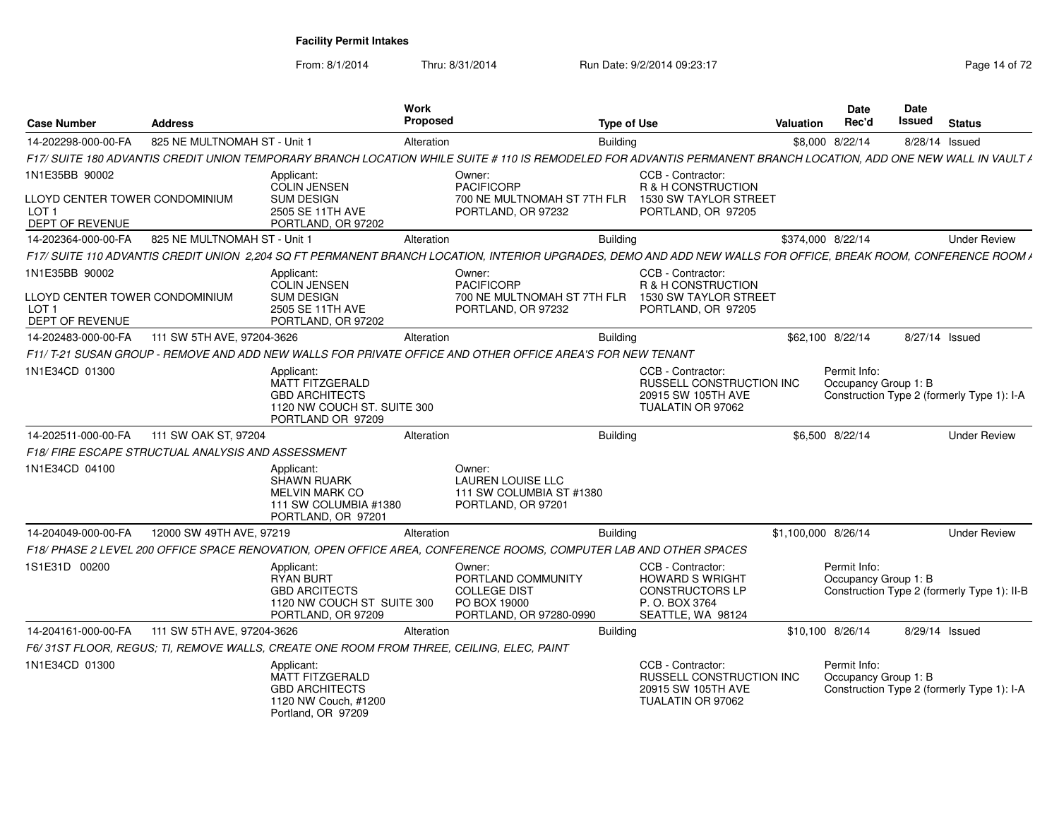From: 8/1/2014Thru: 8/31/2014 Run Date: 9/2/2014 09:23:17 Rege 14 of 72

| <b>Case Number</b>                                                                      | <b>Address</b>                                     | Work<br>Proposed                                                                                                                                                  |                                                                                                | <b>Type of Use</b> |                                                                                                             | Valuation           | Date<br>Rec'd                        | Date<br>Issued | <b>Status</b>                               |
|-----------------------------------------------------------------------------------------|----------------------------------------------------|-------------------------------------------------------------------------------------------------------------------------------------------------------------------|------------------------------------------------------------------------------------------------|--------------------|-------------------------------------------------------------------------------------------------------------|---------------------|--------------------------------------|----------------|---------------------------------------------|
| 14-202298-000-00-FA                                                                     | 825 NE MULTNOMAH ST - Unit 1                       | Alteration                                                                                                                                                        |                                                                                                | <b>Building</b>    |                                                                                                             |                     | \$8,000 8/22/14                      | 8/28/14 Issued |                                             |
|                                                                                         |                                                    | F17/ SUITE 180 ADVANTIS CREDIT UNION TEMPORARY BRANCH LOCATION WHILE SUITE # 110 IS REMODELED FOR ADVANTIS PERMANENT BRANCH LOCATION, ADD ONE NEW WALL IN VAULT / |                                                                                                |                    |                                                                                                             |                     |                                      |                |                                             |
| 1N1E35BB 90002<br>LLOYD CENTER TOWER CONDOMINIUM<br>LOT <sub>1</sub><br>DEPT OF REVENUE |                                                    | Applicant:<br><b>COLIN JENSEN</b><br><b>SUM DESIGN</b><br>2505 SE 11TH AVE<br>PORTLAND, OR 97202                                                                  | Owner:<br><b>PACIFICORP</b><br>700 NE MULTNOMAH ST 7TH FLR<br>PORTLAND, OR 97232               |                    | CCB - Contractor:<br>R & H CONSTRUCTION<br>1530 SW TAYLOR STREET<br>PORTLAND, OR 97205                      |                     |                                      |                |                                             |
| 14-202364-000-00-FA                                                                     | 825 NE MULTNOMAH ST - Unit 1                       | Alteration                                                                                                                                                        |                                                                                                | Building           |                                                                                                             | \$374,000 8/22/14   |                                      |                | <b>Under Review</b>                         |
|                                                                                         |                                                    | F17/ SUITE 110 ADVANTIS CREDIT UNION 2,204 SQ FT PERMANENT BRANCH LOCATION, INTERIOR UPGRADES, DEMO AND ADD NEW WALLS FOR OFFICE, BREAK ROOM, CONFERENCE ROOM A   |                                                                                                |                    |                                                                                                             |                     |                                      |                |                                             |
| 1N1E35BB 90002<br>LLOYD CENTER TOWER CONDOMINIUM<br>LOT <sub>1</sub><br>DEPT OF REVENUE |                                                    | Applicant:<br><b>COLIN JENSEN</b><br><b>SUM DESIGN</b><br>2505 SE 11TH AVE<br>PORTLAND, OR 97202                                                                  | Owner:<br><b>PACIFICORP</b><br>700 NE MULTNOMAH ST 7TH FLR<br>PORTLAND, OR 97232               |                    | CCB - Contractor:<br>R & H CONSTRUCTION<br>1530 SW TAYLOR STREET<br>PORTLAND, OR 97205                      |                     |                                      |                |                                             |
| 14-202483-000-00-FA                                                                     | 111 SW 5TH AVE, 97204-3626                         | Alteration                                                                                                                                                        |                                                                                                | <b>Building</b>    |                                                                                                             |                     | \$62,100 8/22/14                     | 8/27/14 Issued |                                             |
|                                                                                         |                                                    | F11/ T-21 SUSAN GROUP - REMOVE AND ADD NEW WALLS FOR PRIVATE OFFICE AND OTHER OFFICE AREA'S FOR NEW TENANT                                                        |                                                                                                |                    |                                                                                                             |                     |                                      |                |                                             |
| 1N1E34CD 01300                                                                          |                                                    | Applicant:<br><b>MATT FITZGERALD</b><br><b>GBD ARCHITECTS</b><br>1120 NW COUCH ST. SUITE 300<br>PORTLAND OR 97209                                                 |                                                                                                |                    | CCB - Contractor:<br><b>RUSSELL CONSTRUCTION INC</b><br>20915 SW 105TH AVE<br>TUALATIN OR 97062             |                     | Permit Info:<br>Occupancy Group 1: B |                | Construction Type 2 (formerly Type 1): I-A  |
| 14-202511-000-00-FA                                                                     | 111 SW OAK ST, 97204                               | Alteration                                                                                                                                                        |                                                                                                | <b>Building</b>    |                                                                                                             |                     | \$6,500 8/22/14                      |                | <b>Under Review</b>                         |
|                                                                                         | F18/ FIRE ESCAPE STRUCTUAL ANALYSIS AND ASSESSMENT |                                                                                                                                                                   |                                                                                                |                    |                                                                                                             |                     |                                      |                |                                             |
| 1N1E34CD 04100                                                                          |                                                    | Applicant:<br><b>SHAWN RUARK</b><br><b>MELVIN MARK CO</b><br>111 SW COLUMBIA #1380<br>PORTLAND, OR 97201                                                          | Owner:<br><b>LAUREN LOUISE LLC</b><br>111 SW COLUMBIA ST #1380<br>PORTLAND, OR 97201           |                    |                                                                                                             |                     |                                      |                |                                             |
| 14-204049-000-00-FA                                                                     | 12000 SW 49TH AVE, 97219                           | Alteration                                                                                                                                                        |                                                                                                | Building           |                                                                                                             | \$1,100,000 8/26/14 |                                      |                | <b>Under Review</b>                         |
|                                                                                         |                                                    | F18/ PHASE 2 LEVEL 200 OFFICE SPACE RENOVATION, OPEN OFFICE AREA, CONFERENCE ROOMS, COMPUTER LAB AND OTHER SPACES                                                 |                                                                                                |                    |                                                                                                             |                     |                                      |                |                                             |
| 1S1E31D 00200                                                                           |                                                    | Applicant:<br><b>RYAN BURT</b><br><b>GBD ARCITECTS</b><br>1120 NW COUCH ST SUITE 300<br>PORTLAND, OR 97209                                                        | Owner:<br>PORTLAND COMMUNITY<br><b>COLLEGE DIST</b><br>PO BOX 19000<br>PORTLAND, OR 97280-0990 |                    | CCB - Contractor:<br><b>HOWARD S WRIGHT</b><br><b>CONSTRUCTORS LP</b><br>P.O. BOX 3764<br>SEATTLE, WA 98124 |                     | Permit Info:<br>Occupancy Group 1: B |                | Construction Type 2 (formerly Type 1): II-B |
| 14-204161-000-00-FA                                                                     | 111 SW 5TH AVE, 97204-3626                         | Alteration                                                                                                                                                        |                                                                                                | Building           |                                                                                                             | \$10,100 8/26/14    |                                      | 8/29/14 Issued |                                             |
|                                                                                         |                                                    | F6/31ST FLOOR, REGUS; TI, REMOVE WALLS, CREATE ONE ROOM FROM THREE, CEILING, ELEC, PAINT                                                                          |                                                                                                |                    |                                                                                                             |                     |                                      |                |                                             |
| 1N1E34CD 01300                                                                          |                                                    | Applicant:<br>MATT FITZGERALD<br><b>GBD ARCHITECTS</b><br>1120 NW Couch, #1200<br>Portland, OR 97209                                                              |                                                                                                |                    | CCB - Contractor:<br>RUSSELL CONSTRUCTION INC<br>20915 SW 105TH AVE<br>TUALATIN OR 97062                    |                     | Permit Info:<br>Occupancy Group 1: B |                | Construction Type 2 (formerly Type 1): I-A  |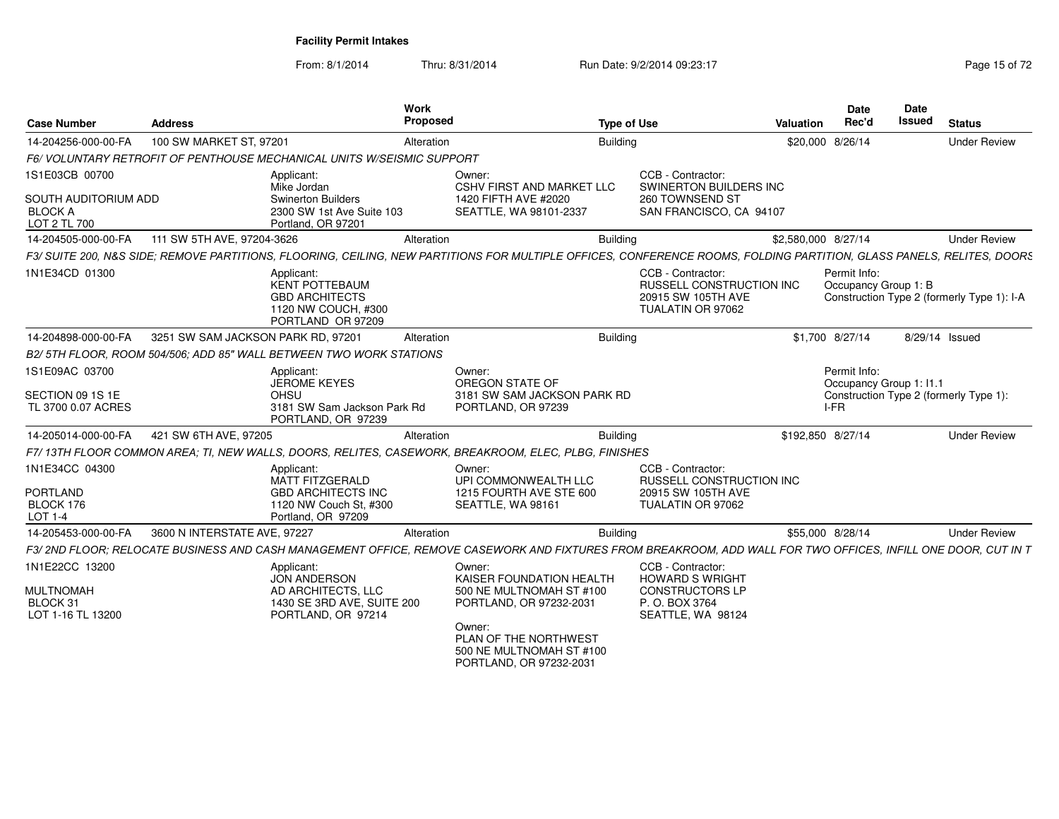From: 8/1/2014Thru: 8/31/2014 Run Date: 9/2/2014 09:23:17 Rege 15 of 72

| <b>Case Number</b>                                       | <b>Address</b>                     |                                                                                                          | Work<br><b>Proposed</b> |                                                                                                                                                                      | <b>Type of Use</b> |                                                                                          | Valuation           | <b>Date</b><br>Rec'd                              | Date<br><b>Issued</b> | <b>Status</b>                              |
|----------------------------------------------------------|------------------------------------|----------------------------------------------------------------------------------------------------------|-------------------------|----------------------------------------------------------------------------------------------------------------------------------------------------------------------|--------------------|------------------------------------------------------------------------------------------|---------------------|---------------------------------------------------|-----------------------|--------------------------------------------|
| 14-204256-000-00-FA                                      | 100 SW MARKET ST, 97201            |                                                                                                          | Alteration              |                                                                                                                                                                      | <b>Building</b>    |                                                                                          | \$20,000 8/26/14    |                                                   |                       | <b>Under Review</b>                        |
|                                                          |                                    | F6/VOLUNTARY RETROFIT OF PENTHOUSE MECHANICAL UNITS W/SEISMIC SUPPORT                                    |                         |                                                                                                                                                                      |                    |                                                                                          |                     |                                                   |                       |                                            |
| 1S1E03CB 00700                                           |                                    | Applicant:<br>Mike Jordan                                                                                |                         | Owner:<br><b>CSHV FIRST AND MARKET LLC</b>                                                                                                                           |                    | CCB - Contractor:<br>SWINERTON BUILDERS INC                                              |                     |                                                   |                       |                                            |
| SOUTH AUDITORIUM ADD<br><b>BLOCK A</b><br>LOT 2 TL 700   |                                    | <b>Swinerton Builders</b><br>2300 SW 1st Ave Suite 103<br>Portland, OR 97201                             |                         | 1420 FIFTH AVE #2020<br>SEATTLE, WA 98101-2337                                                                                                                       |                    | 260 TOWNSEND ST<br>SAN FRANCISCO, CA 94107                                               |                     |                                                   |                       |                                            |
| 14-204505-000-00-FA                                      | 111 SW 5TH AVE, 97204-3626         |                                                                                                          | Alteration              |                                                                                                                                                                      | Building           |                                                                                          | \$2,580,000 8/27/14 |                                                   |                       | <b>Under Review</b>                        |
|                                                          |                                    |                                                                                                          |                         | F3/SUITE 200, N&S SIDE; REMOVE PARTITIONS, FLOORING, CEILING, NEW PARTITIONS FOR MULTIPLE OFFICES, CONFERENCE ROOMS, FOLDING PARTITION, GLASS PANELS, RELITES, DOORS |                    |                                                                                          |                     |                                                   |                       |                                            |
| 1N1E34CD 01300                                           |                                    | Applicant:<br><b>KENT POTTEBAUM</b><br><b>GBD ARCHITECTS</b><br>1120 NW COUCH, #300<br>PORTLAND OR 97209 |                         |                                                                                                                                                                      |                    | CCB - Contractor:<br>RUSSELL CONSTRUCTION INC<br>20915 SW 105TH AVE<br>TUALATIN OR 97062 |                     | Permit Info:<br>Occupancy Group 1: B              |                       | Construction Type 2 (formerly Type 1): I-A |
| 14-204898-000-00-FA                                      | 3251 SW SAM JACKSON PARK RD, 97201 |                                                                                                          | Alteration              |                                                                                                                                                                      | <b>Building</b>    |                                                                                          |                     | \$1,700 8/27/14                                   |                       | 8/29/14 Issued                             |
|                                                          |                                    | B2/5TH FLOOR, ROOM 504/506; ADD 85" WALL BETWEEN TWO WORK STATIONS                                       |                         |                                                                                                                                                                      |                    |                                                                                          |                     |                                                   |                       |                                            |
| 1S1E09AC 03700<br>SECTION 09 1S 1E<br>TL 3700 0.07 ACRES |                                    | Applicant:<br><b>JEROME KEYES</b><br>OHSU<br>3181 SW Sam Jackson Park Rd<br>PORTLAND, OR 97239           |                         | Owner:<br>OREGON STATE OF<br>3181 SW SAM JACKSON PARK RD<br>PORTLAND, OR 97239                                                                                       |                    |                                                                                          |                     | Permit Info:<br>Occupancy Group 1: I1.1<br>$I-FR$ |                       | Construction Type 2 (formerly Type 1):     |
| 14-205014-000-00-FA                                      | 421 SW 6TH AVE, 97205              |                                                                                                          | Alteration              |                                                                                                                                                                      | <b>Building</b>    |                                                                                          | \$192,850 8/27/14   |                                                   |                       | <b>Under Review</b>                        |
|                                                          |                                    |                                                                                                          |                         | F7/13TH FLOOR COMMON AREA: TI, NEW WALLS, DOORS, RELITES, CASEWORK, BREAKROOM, ELEC, PLBG, FINISHES                                                                  |                    |                                                                                          |                     |                                                   |                       |                                            |
| 1N1E34CC 04300                                           |                                    | Applicant:<br>MATT FITZGERALD                                                                            |                         | Owner:<br>UPI COMMONWEALTH LLC                                                                                                                                       |                    | CCB - Contractor:<br>RUSSELL CONSTRUCTION INC                                            |                     |                                                   |                       |                                            |
| <b>PORTLAND</b>                                          |                                    | <b>GBD ARCHITECTS INC</b>                                                                                |                         | 1215 FOURTH AVE STE 600                                                                                                                                              |                    | 20915 SW 105TH AVE                                                                       |                     |                                                   |                       |                                            |
| BLOCK 176<br><b>LOT 1-4</b>                              |                                    | 1120 NW Couch St, #300<br>Portland, OR 97209                                                             |                         | SEATTLE, WA 98161                                                                                                                                                    |                    | TUALATIN OR 97062                                                                        |                     |                                                   |                       |                                            |
| 14-205453-000-00-FA                                      | 3600 N INTERSTATE AVE, 97227       |                                                                                                          | Alteration              |                                                                                                                                                                      | <b>Building</b>    |                                                                                          | \$55,000 8/28/14    |                                                   |                       | <b>Under Review</b>                        |
|                                                          |                                    |                                                                                                          |                         | F3/ 2ND FLOOR: RELOCATE BUSINESS AND CASH MANAGEMENT OFFICE. REMOVE CASEWORK AND FIXTURES FROM BREAKROOM. ADD WALL FOR TWO OFFICES. INFILL ONE DOOR, CUT IN T        |                    |                                                                                          |                     |                                                   |                       |                                            |
| 1N1E22CC 13200                                           |                                    | Applicant:<br><b>JON ANDERSON</b>                                                                        |                         | Owner:<br>KAISER FOUNDATION HEALTH                                                                                                                                   |                    | CCB - Contractor:<br><b>HOWARD S WRIGHT</b>                                              |                     |                                                   |                       |                                            |
| <b>MULTNOMAH</b><br>BLOCK 31<br>LOT 1-16 TL 13200        |                                    | AD ARCHITECTS, LLC<br>1430 SE 3RD AVE, SUITE 200<br>PORTLAND, OR 97214                                   |                         | 500 NE MULTNOMAH ST #100<br>PORTLAND, OR 97232-2031                                                                                                                  |                    | <b>CONSTRUCTORS LP</b><br>P. O. BOX 3764<br>SEATTLE, WA 98124                            |                     |                                                   |                       |                                            |
|                                                          |                                    |                                                                                                          |                         | Owner:<br>PLAN OF THE NORTHWEST<br>500 NE MULTNOMAH ST #100<br>PORTLAND, OR 97232-2031                                                                               |                    |                                                                                          |                     |                                                   |                       |                                            |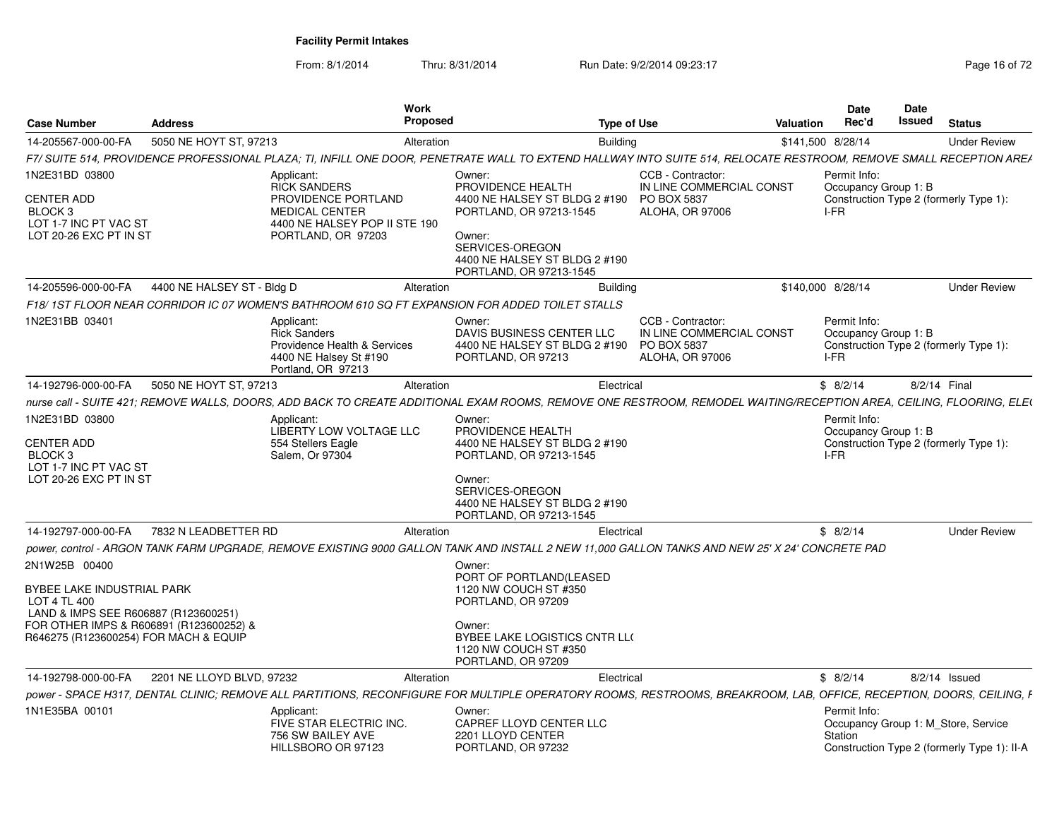From: 8/1/2014Thru: 8/31/2014 Run Date: 9/2/2014 09:23:17 Rege 16 of 72

| <b>Case Number</b>                                                                         | <b>Address</b>             | Work<br>Proposed                                                                                                  | <b>Type of Use</b>                                                                                                                                                  |                                                                                               | Valuation | <b>Date</b><br>Rec'd                         | Date<br>Issued | <b>Status</b>                                                                      |
|--------------------------------------------------------------------------------------------|----------------------------|-------------------------------------------------------------------------------------------------------------------|---------------------------------------------------------------------------------------------------------------------------------------------------------------------|-----------------------------------------------------------------------------------------------|-----------|----------------------------------------------|----------------|------------------------------------------------------------------------------------|
| 14-205567-000-00-FA                                                                        | 5050 NE HOYT ST, 97213     | Alteration                                                                                                        | <b>Building</b>                                                                                                                                                     |                                                                                               |           | \$141,500 8/28/14                            |                | <b>Under Review</b>                                                                |
|                                                                                            |                            |                                                                                                                   | F7/ SUITE 514, PROVIDENCE PROFESSIONAL PLAZA; TI, INFILL ONE DOOR, PENETRATE WALL TO EXTEND HALLWAY INTO SUITE 514, RELOCATE RESTROOM, REMOVE SMALL RECEPTION AREA  |                                                                                               |           |                                              |                |                                                                                    |
| 1N2E31BD 03800                                                                             |                            | Applicant:<br><b>RICK SANDERS</b>                                                                                 | Owner:<br>PROVIDENCE HEALTH                                                                                                                                         | CCB - Contractor:<br>IN LINE COMMERCIAL CONST                                                 |           | Permit Info:<br>Occupancy Group 1: B         |                |                                                                                    |
| <b>CENTER ADD</b><br>BLOCK <sub>3</sub><br>LOT 1-7 INC PT VAC ST<br>LOT 20-26 EXC PT IN ST |                            | PROVIDENCE PORTLAND<br><b>MEDICAL CENTER</b><br>4400 NE HALSEY POP II STE 190<br>PORTLAND, OR 97203               | 4400 NE HALSEY ST BLDG 2 #190<br>PORTLAND, OR 97213-1545<br>Owner:<br>SERVICES-OREGON<br>4400 NE HALSEY ST BLDG 2 #190<br>PORTLAND, OR 97213-1545                   | PO BOX 5837<br><b>ALOHA, OR 97006</b>                                                         |           | I-FR                                         |                | Construction Type 2 (formerly Type 1):                                             |
| 14-205596-000-00-FA                                                                        | 4400 NE HALSEY ST - Bldg D | Alteration                                                                                                        | <b>Building</b>                                                                                                                                                     |                                                                                               |           | \$140,000 8/28/14                            |                | <b>Under Review</b>                                                                |
|                                                                                            |                            | F18/1ST FLOOR NEAR CORRIDOR IC 07 WOMEN'S BATHROOM 610 SQ FT EXPANSION FOR ADDED TOILET STALLS                    |                                                                                                                                                                     |                                                                                               |           |                                              |                |                                                                                    |
| 1N2E31BB 03401                                                                             |                            | Applicant:<br><b>Rick Sanders</b><br>Providence Health & Services<br>4400 NE Halsey St #190<br>Portland, OR 97213 | Owner:<br>DAVIS BUSINESS CENTER LLC<br>4400 NE HALSEY ST BLDG 2 #190<br>PORTLAND, OR 97213                                                                          | CCB - Contractor:<br>IN LINE COMMERCIAL CONST<br><b>PO BOX 5837</b><br><b>ALOHA, OR 97006</b> |           | Permit Info:<br>Occupancy Group 1: B<br>I-FR |                | Construction Type 2 (formerly Type 1):                                             |
| 14-192796-000-00-FA                                                                        | 5050 NE HOYT ST, 97213     | Alteration                                                                                                        | Electrical                                                                                                                                                          |                                                                                               |           | \$8/2/14                                     |                | 8/2/14 Final                                                                       |
|                                                                                            |                            |                                                                                                                   | nurse call - SUITE 421; REMOVE WALLS, DOORS, ADD BACK TO CREATE ADDITIONAL EXAM ROOMS, REMOVE ONE RESTROOM, REMODEL WAITING/RECEPTION AREA, CEILING, FLOORING, ELE( |                                                                                               |           |                                              |                |                                                                                    |
| 1N2E31BD 03800<br><b>CENTER ADD</b>                                                        |                            | Applicant:<br><b>LIBERTY LOW VOLTAGE LLC</b><br>554 Stellers Eagle                                                | Owner:<br>PROVIDENCE HEALTH<br>4400 NE HALSEY ST BLDG 2 #190                                                                                                        |                                                                                               |           | Permit Info:<br>Occupancy Group 1: B         |                | Construction Type 2 (formerly Type 1):                                             |
| BLOCK 3<br>LOT 1-7 INC PT VAC ST                                                           |                            | Salem. Or 97304                                                                                                   | PORTLAND, OR 97213-1545                                                                                                                                             |                                                                                               |           | I-FR                                         |                |                                                                                    |
| LOT 20-26 EXC PT IN ST                                                                     |                            |                                                                                                                   | Owner:<br>SERVICES-OREGON<br>4400 NE HALSEY ST BLDG 2 #190<br>PORTLAND, OR 97213-1545                                                                               |                                                                                               |           |                                              |                |                                                                                    |
| 14-192797-000-00-FA                                                                        | 7832 N LEADBETTER RD       | Alteration                                                                                                        | Electrical                                                                                                                                                          |                                                                                               |           | \$8/2/14                                     |                | <b>Under Review</b>                                                                |
|                                                                                            |                            |                                                                                                                   | 000 power, control - ARGON TANK FARM UPGRADE, REMOVE EXISTING 9000 GALLON TANK AND INSTALL 2 NEW 11.000 GALLON TANKS AND NEW 25' X 24' CONCRETE PAD                 |                                                                                               |           |                                              |                |                                                                                    |
| 2N1W25B 00400                                                                              |                            |                                                                                                                   | Owner:<br>PORT OF PORTLAND(LEASED                                                                                                                                   |                                                                                               |           |                                              |                |                                                                                    |
| BYBEE LAKE INDUSTRIAL PARK<br>LOT 4 TL 400<br>LAND & IMPS SEE R606887 (R123600251)         |                            |                                                                                                                   | 1120 NW COUCH ST #350<br>PORTLAND, OR 97209                                                                                                                         |                                                                                               |           |                                              |                |                                                                                    |
| FOR OTHER IMPS & R606891 (R123600252) &<br>R646275 (R123600254) FOR MACH & EQUIP           |                            |                                                                                                                   | Owner:<br>BYBEE LAKE LOGISTICS CNTR LL(<br>1120 NW COUCH ST #350<br>PORTLAND, OR 97209                                                                              |                                                                                               |           |                                              |                |                                                                                    |
| 14-192798-000-00-FA                                                                        | 2201 NE LLOYD BLVD, 97232  | Alteration                                                                                                        | Electrical                                                                                                                                                          |                                                                                               |           | \$8/2/14                                     |                | $8/2/14$ Issued                                                                    |
|                                                                                            |                            |                                                                                                                   | power - SPACE H317, DENTAL CLINIC; REMOVE ALL PARTITIONS, RECONFIGURE FOR MULTIPLE OPERATORY ROOMS, RESTROOMS, BREAKROOM, LAB, OFFICE, RECEPTION, DOORS, CEILING, F |                                                                                               |           |                                              |                |                                                                                    |
| 1N1E35BA 00101                                                                             |                            | Applicant:<br>FIVE STAR ELECTRIC INC.<br>756 SW BAILEY AVE<br>HILLSBORO OR 97123                                  | Owner:<br>CAPREF LLOYD CENTER LLC<br>2201 LLOYD CENTER<br>PORTLAND, OR 97232                                                                                        |                                                                                               |           | Permit Info:<br>Station                      |                | Occupancy Group 1: M Store, Service<br>Construction Type 2 (formerly Type 1): II-A |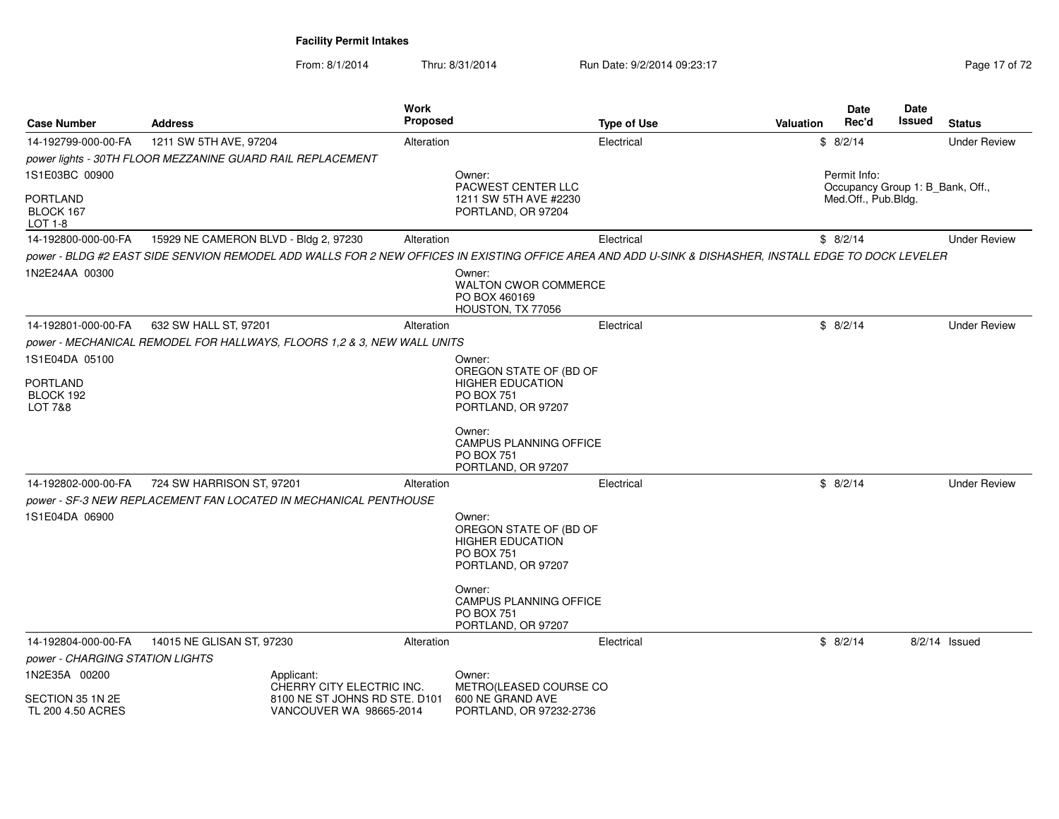From: 8/1/2014Thru: 8/31/2014 Run Date: 9/2/2014 09:23:17 Rege 17 of 72

| <b>Case Number</b>                           | <b>Address</b>                                                          | Work<br>Proposed              | <b>Type of Use</b>                                                                                                                                     | Date<br>Rec'd<br>Valuation | <b>Date</b><br>Issued<br><b>Status</b> |  |  |  |
|----------------------------------------------|-------------------------------------------------------------------------|-------------------------------|--------------------------------------------------------------------------------------------------------------------------------------------------------|----------------------------|----------------------------------------|--|--|--|
| 14-192799-000-00-FA                          | 1211 SW 5TH AVE, 97204                                                  | Alteration                    | Electrical                                                                                                                                             | \$8/2/14                   | <b>Under Review</b>                    |  |  |  |
|                                              | power lights - 30TH FLOOR MEZZANINE GUARD RAIL REPLACEMENT              |                               |                                                                                                                                                        |                            |                                        |  |  |  |
| 1S1E03BC 00900                               |                                                                         | Owner:                        | <b>PACWEST CENTER LLC</b>                                                                                                                              | Permit Info:               | Occupancy Group 1: B Bank, Off.,       |  |  |  |
| PORTLAND<br>BLOCK 167<br>LOT 1-8             |                                                                         |                               | 1211 SW 5TH AVE #2230<br>PORTLAND, OR 97204                                                                                                            | Med.Off., Pub.Bldg.        |                                        |  |  |  |
| 14-192800-000-00-FA                          | 15929 NE CAMERON BLVD - Bldg 2, 97230                                   | Alteration                    | Electrical                                                                                                                                             | \$8/2/14                   | <b>Under Review</b>                    |  |  |  |
|                                              |                                                                         |                               | power - BLDG #2 EAST SIDE SENVION REMODEL ADD WALLS FOR 2 NEW OFFICES IN EXISTING OFFICE AREA AND ADD U-SINK & DISHASHER, INSTALL EDGE TO DOCK LEVELER |                            |                                        |  |  |  |
| 1N2E24AA 00300                               |                                                                         | Owner:                        | <b>WALTON CWOR COMMERCE</b><br>PO BOX 460169<br>HOUSTON, TX 77056                                                                                      |                            |                                        |  |  |  |
| 14-192801-000-00-FA                          | 632 SW HALL ST, 97201                                                   | Alteration                    | Electrical                                                                                                                                             | \$8/2/14                   | <b>Under Review</b>                    |  |  |  |
|                                              | power - MECHANICAL REMODEL FOR HALLWAYS, FLOORS 1,2 & 3, NEW WALL UNITS |                               |                                                                                                                                                        |                            |                                        |  |  |  |
| 1S1E04DA 05100                               |                                                                         | Owner:                        |                                                                                                                                                        |                            |                                        |  |  |  |
| <b>PORTLAND</b>                              |                                                                         |                               | OREGON STATE OF (BD OF<br><b>HIGHER EDUCATION</b>                                                                                                      |                            |                                        |  |  |  |
| BLOCK 192                                    |                                                                         |                               | <b>PO BOX 751</b>                                                                                                                                      |                            |                                        |  |  |  |
| <b>LOT 7&amp;8</b>                           |                                                                         |                               | PORTLAND, OR 97207                                                                                                                                     |                            |                                        |  |  |  |
|                                              |                                                                         | Owner:                        | <b>CAMPUS PLANNING OFFICE</b><br><b>PO BOX 751</b><br>PORTLAND, OR 97207                                                                               |                            |                                        |  |  |  |
| 14-192802-000-00-FA                          | 724 SW HARRISON ST, 97201                                               | Alteration                    | Electrical                                                                                                                                             | \$8/2/14                   | <b>Under Review</b>                    |  |  |  |
|                                              | power - SF-3 NEW REPLACEMENT FAN LOCATED IN MECHANICAL PENTHOUSE        |                               |                                                                                                                                                        |                            |                                        |  |  |  |
| 1S1E04DA 06900                               |                                                                         | Owner:                        | OREGON STATE OF (BD OF<br><b>HIGHER EDUCATION</b><br><b>PO BOX 751</b><br>PORTLAND, OR 97207                                                           |                            |                                        |  |  |  |
|                                              |                                                                         | Owner:                        | <b>CAMPUS PLANNING OFFICE</b><br><b>PO BOX 751</b><br>PORTLAND, OR 97207                                                                               |                            |                                        |  |  |  |
| 14-192804-000-00-FA                          | 14015 NE GLISAN ST, 97230                                               | Alteration                    | Electrical                                                                                                                                             | \$8/2/14                   | 8/2/14 Issued                          |  |  |  |
| power - CHARGING STATION LIGHTS              |                                                                         |                               |                                                                                                                                                        |                            |                                        |  |  |  |
| 1N2E35A 00200                                | Applicant:                                                              | Owner:                        |                                                                                                                                                        |                            |                                        |  |  |  |
| SECTION 35 1N 2E<br><b>TL 200 4.50 ACRES</b> | CHERRY CITY ELECTRIC INC.<br>VANCOUVER WA 98665-2014                    | 8100 NE ST JOHNS RD STE, D101 | METRO(LEASED COURSE CO<br>600 NE GRAND AVE<br>PORTLAND, OR 97232-2736                                                                                  |                            |                                        |  |  |  |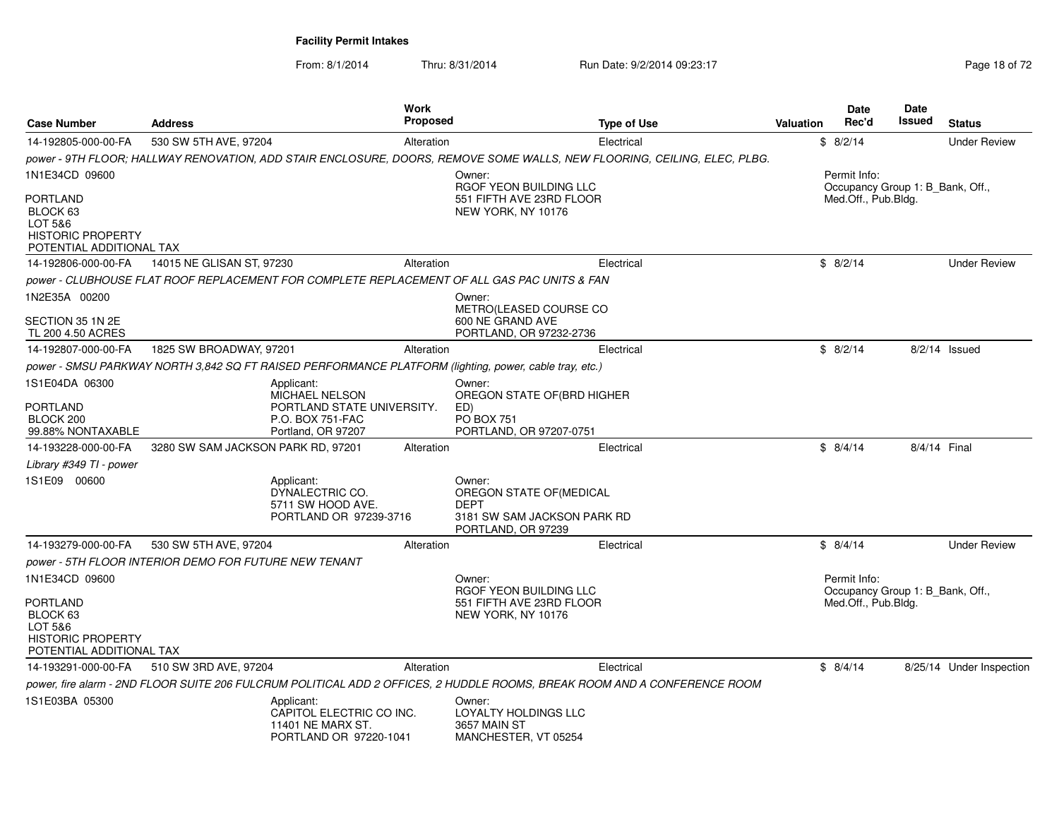From: 8/1/2014Thru: 8/31/2014 Run Date: 9/2/2014 09:23:17 Rege 18 of 72

| <b>Case Number</b>                                                                                 | <b>Address</b>                                                                                                            | Work<br>Proposed                                                                              |                                                                                                 | <b>Type of Use</b>                                                                                                       | <b>Valuation</b> | <b>Date</b><br>Rec'd                                    | <b>Date</b><br>Issued | <b>Status</b>            |
|----------------------------------------------------------------------------------------------------|---------------------------------------------------------------------------------------------------------------------------|-----------------------------------------------------------------------------------------------|-------------------------------------------------------------------------------------------------|--------------------------------------------------------------------------------------------------------------------------|------------------|---------------------------------------------------------|-----------------------|--------------------------|
| 14-192805-000-00-FA                                                                                | 530 SW 5TH AVE, 97204                                                                                                     | Alteration                                                                                    |                                                                                                 | Electrical                                                                                                               |                  | \$8/2/14                                                |                       | <b>Under Review</b>      |
|                                                                                                    |                                                                                                                           |                                                                                               |                                                                                                 | power - 9TH FLOOR; HALLWAY RENOVATION, ADD STAIR ENCLOSURE, DOORS, REMOVE SOME WALLS, NEW FLOORING, CEILING, ELEC, PLBG. |                  |                                                         |                       |                          |
| 1N1E34CD 09600                                                                                     |                                                                                                                           |                                                                                               | Owner:                                                                                          |                                                                                                                          |                  | Permit Info:                                            |                       |                          |
| PORTLAND<br>BLOCK 63<br>LOT 5&6<br><b>HISTORIC PROPERTY</b>                                        |                                                                                                                           |                                                                                               | RGOF YEON BUILDING LLC<br>551 FIFTH AVE 23RD FLOOR<br>NEW YORK, NY 10176                        |                                                                                                                          |                  | Occupancy Group 1: B Bank, Off.,<br>Med.Off., Pub.Bldg. |                       |                          |
| POTENTIAL ADDITIONAL TAX                                                                           |                                                                                                                           |                                                                                               |                                                                                                 |                                                                                                                          |                  |                                                         |                       |                          |
| 14-192806-000-00-FA                                                                                | 14015 NE GLISAN ST, 97230                                                                                                 | Alteration                                                                                    |                                                                                                 | Electrical                                                                                                               |                  | \$8/2/14                                                |                       | <b>Under Review</b>      |
|                                                                                                    | power - CLUBHOUSE FLAT ROOF REPLACEMENT FOR COMPLETE REPLACEMENT OF ALL GAS PAC UNITS & FAN                               |                                                                                               |                                                                                                 |                                                                                                                          |                  |                                                         |                       |                          |
| 1N2E35A 00200<br>SECTION 35 1N 2E<br>TL 200 4.50 ACRES                                             |                                                                                                                           |                                                                                               | Owner:<br>METRO(LEASED COURSE CO<br>600 NE GRAND AVE<br>PORTLAND, OR 97232-2736                 |                                                                                                                          |                  |                                                         |                       |                          |
| 14-192807-000-00-FA                                                                                | 1825 SW BROADWAY, 97201                                                                                                   | Alteration                                                                                    |                                                                                                 | Electrical                                                                                                               |                  | \$8/2/14                                                |                       | $8/2/14$ Issued          |
|                                                                                                    | power - SMSU PARKWAY NORTH 3,842 SQ FT RAISED PERFORMANCE PLATFORM (lighting, power, cable tray, etc.)                    |                                                                                               |                                                                                                 |                                                                                                                          |                  |                                                         |                       |                          |
| 1S1E04DA 06300                                                                                     | Applicant:                                                                                                                |                                                                                               | Owner:                                                                                          |                                                                                                                          |                  |                                                         |                       |                          |
| PORTLAND<br>BLOCK 200<br>99.88% NONTAXABLE                                                         |                                                                                                                           | <b>MICHAEL NELSON</b><br>PORTLAND STATE UNIVERSITY.<br>P.O. BOX 751-FAC<br>Portland, OR 97207 | OREGON STATE OF(BRD HIGHER<br>ED)<br><b>PO BOX 751</b><br>PORTLAND, OR 97207-0751               |                                                                                                                          |                  |                                                         |                       |                          |
| 14-193228-000-00-FA                                                                                | 3280 SW SAM JACKSON PARK RD, 97201                                                                                        | Alteration                                                                                    |                                                                                                 | Electrical                                                                                                               |                  | \$8/4/14                                                | 8/4/14 Final          |                          |
| Library #349 TI - power                                                                            |                                                                                                                           |                                                                                               |                                                                                                 |                                                                                                                          |                  |                                                         |                       |                          |
| 1S1E09 00600                                                                                       | Applicant:                                                                                                                | DYNALECTRIC CO.<br>5711 SW HOOD AVE.<br>PORTLAND OR 97239-3716                                | Owner:<br>OREGON STATE OF (MEDICAL<br>DEPT<br>3181 SW SAM JACKSON PARK RD<br>PORTLAND, OR 97239 |                                                                                                                          |                  |                                                         |                       |                          |
| 14-193279-000-00-FA                                                                                | 530 SW 5TH AVE, 97204                                                                                                     | Alteration                                                                                    |                                                                                                 | Electrical                                                                                                               |                  | \$8/4/14                                                |                       | <b>Under Review</b>      |
|                                                                                                    | power - 5TH FLOOR INTERIOR DEMO FOR FUTURE NEW TENANT                                                                     |                                                                                               |                                                                                                 |                                                                                                                          |                  |                                                         |                       |                          |
| 1N1E34CD 09600                                                                                     |                                                                                                                           |                                                                                               | Owner:                                                                                          |                                                                                                                          |                  | Permit Info:                                            |                       |                          |
| PORTLAND<br>BLOCK <sub>63</sub><br>LOT 5&6<br><b>HISTORIC PROPERTY</b><br>POTENTIAL ADDITIONAL TAX |                                                                                                                           |                                                                                               | RGOF YEON BUILDING LLC<br>551 FIFTH AVE 23RD FLOOR<br>NEW YORK, NY 10176                        |                                                                                                                          |                  | Occupancy Group 1: B Bank, Off.,<br>Med.Off., Pub.Bldg. |                       |                          |
| 14-193291-000-00-FA                                                                                | 510 SW 3RD AVE, 97204                                                                                                     | Alteration                                                                                    |                                                                                                 | Electrical                                                                                                               |                  | \$8/4/14                                                |                       | 8/25/14 Under Inspection |
|                                                                                                    | power, fire alarm - 2ND FLOOR SUITE 206 FULCRUM POLITICAL ADD 2 OFFICES, 2 HUDDLE ROOMS, BREAK ROOM AND A CONFERENCE ROOM |                                                                                               |                                                                                                 |                                                                                                                          |                  |                                                         |                       |                          |
| 1S1E03BA 05300                                                                                     | Applicant:                                                                                                                | CAPITOL ELECTRIC CO INC.<br>11401 NE MARX ST.<br>PORTLAND OR 97220-1041                       | Owner:<br>LOYALTY HOLDINGS LLC<br>3657 MAIN ST<br>MANCHESTER, VT 05254                          |                                                                                                                          |                  |                                                         |                       |                          |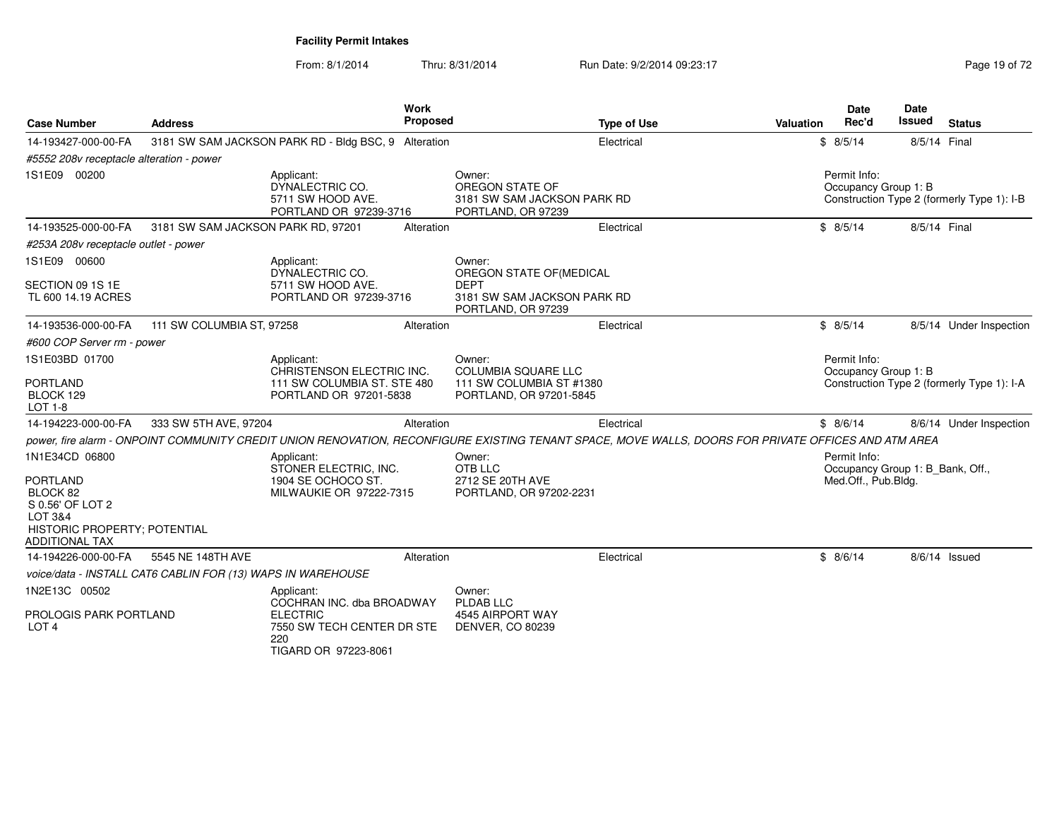From: 8/1/2014Thru: 8/31/2014 Run Date: 9/2/2014 09:23:17 Rege 19 of 72

| <b>Case Number</b>                                                                                                                    | <b>Address</b>                                              |                                                                                                                         | Work<br><b>Proposed</b> | <b>Type of Use</b>                                                                                                                                   | Valuation | <b>Date</b><br>Rec'd                                                    | <b>Date</b><br>Issued | <b>Status</b>                              |
|---------------------------------------------------------------------------------------------------------------------------------------|-------------------------------------------------------------|-------------------------------------------------------------------------------------------------------------------------|-------------------------|------------------------------------------------------------------------------------------------------------------------------------------------------|-----------|-------------------------------------------------------------------------|-----------------------|--------------------------------------------|
| 14-193427-000-00-FA                                                                                                                   |                                                             | 3181 SW SAM JACKSON PARK RD - Bldg BSC, 9 Alteration                                                                    |                         | Electrical                                                                                                                                           |           | \$8/5/14                                                                | 8/5/14 Final          |                                            |
| #5552 208v receptacle alteration - power                                                                                              |                                                             |                                                                                                                         |                         |                                                                                                                                                      |           |                                                                         |                       |                                            |
| 1S1E09 00200                                                                                                                          |                                                             | Applicant:<br>DYNALECTRIC CO.<br>5711 SW HOOD AVE.<br>PORTLAND OR 97239-3716                                            |                         | Owner:<br>OREGON STATE OF<br>3181 SW SAM JACKSON PARK RD<br>PORTLAND, OR 97239                                                                       |           | Permit Info:<br>Occupancy Group 1: B                                    |                       | Construction Type 2 (formerly Type 1): I-B |
| 14-193525-000-00-FA                                                                                                                   | 3181 SW SAM JACKSON PARK RD, 97201                          |                                                                                                                         | Alteration              | Electrical                                                                                                                                           |           | \$8/5/14                                                                | 8/5/14 Final          |                                            |
| #253A 208v receptacle outlet - power                                                                                                  |                                                             |                                                                                                                         |                         |                                                                                                                                                      |           |                                                                         |                       |                                            |
| 1S1E09 00600                                                                                                                          |                                                             | Applicant:<br>DYNALECTRIC CO.                                                                                           |                         | Owner:<br>OREGON STATE OF(MEDICAL                                                                                                                    |           |                                                                         |                       |                                            |
| SECTION 09 1S 1E<br>TL 600 14.19 ACRES                                                                                                |                                                             | 5711 SW HOOD AVE.<br>PORTLAND OR 97239-3716                                                                             |                         | <b>DEPT</b><br>3181 SW SAM JACKSON PARK RD<br>PORTLAND, OR 97239                                                                                     |           |                                                                         |                       |                                            |
| 14-193536-000-00-FA                                                                                                                   | 111 SW COLUMBIA ST, 97258                                   |                                                                                                                         | Alteration              | Electrical                                                                                                                                           |           | \$8/5/14                                                                |                       | 8/5/14 Under Inspection                    |
| #600 COP Server rm - power                                                                                                            |                                                             |                                                                                                                         |                         |                                                                                                                                                      |           |                                                                         |                       |                                            |
| 1S1E03BD 01700<br><b>PORTLAND</b><br>BLOCK 129<br><b>LOT 1-8</b>                                                                      |                                                             | Applicant:<br>CHRISTENSON ELECTRIC INC.<br>111 SW COLUMBIA ST. STE 480<br>PORTLAND OR 97201-5838                        |                         | Owner:<br><b>COLUMBIA SOUARE LLC</b><br>111 SW COLUMBIA ST #1380<br>PORTLAND, OR 97201-5845                                                          |           | Permit Info:<br>Occupancy Group 1: B                                    |                       | Construction Type 2 (formerly Type 1): I-A |
| 14-194223-000-00-FA                                                                                                                   | 333 SW 5TH AVE, 97204                                       |                                                                                                                         | Alteration              | Electrical                                                                                                                                           |           | \$8/6/14                                                                |                       | 8/6/14 Under Inspection                    |
|                                                                                                                                       |                                                             |                                                                                                                         |                         | power, fire alarm - ONPOINT COMMUNITY CREDIT UNION RENOVATION, RECONFIGURE EXISTING TENANT SPACE, MOVE WALLS, DOORS FOR PRIVATE OFFICES AND ATM AREA |           |                                                                         |                       |                                            |
| 1N1E34CD 06800<br><b>PORTLAND</b><br>BLOCK 82<br>S 0.56' OF LOT 2<br>LOT 3&4<br>HISTORIC PROPERTY; POTENTIAL<br><b>ADDITIONAL TAX</b> |                                                             | Applicant:<br>STONER ELECTRIC, INC.<br>1904 SE OCHOCO ST.<br>MILWAUKIE OR 97222-7315                                    |                         | Owner:<br>OTB LLC<br>2712 SE 20TH AVE<br>PORTLAND, OR 97202-2231                                                                                     |           | Permit Info:<br>Occupancy Group 1: B Bank, Off.,<br>Med.Off., Pub.Bldg. |                       |                                            |
| 14-194226-000-00-FA                                                                                                                   | 5545 NE 148TH AVE                                           |                                                                                                                         | Alteration              | Electrical                                                                                                                                           |           | \$8/6/14                                                                | 8/6/14 Issued         |                                            |
|                                                                                                                                       | voice/data - INSTALL CAT6 CABLIN FOR (13) WAPS IN WAREHOUSE |                                                                                                                         |                         |                                                                                                                                                      |           |                                                                         |                       |                                            |
| 1N2E13C 00502<br>PROLOGIS PARK PORTLAND<br>LOT <sub>4</sub>                                                                           |                                                             | Applicant:<br>COCHRAN INC. dba BROADWAY<br><b>ELECTRIC</b><br>7550 SW TECH CENTER DR STE<br>220<br>TIGARD OR 97223-8061 |                         | Owner:<br>PLDAB LLC<br>4545 AIRPORT WAY<br><b>DENVER, CO 80239</b>                                                                                   |           |                                                                         |                       |                                            |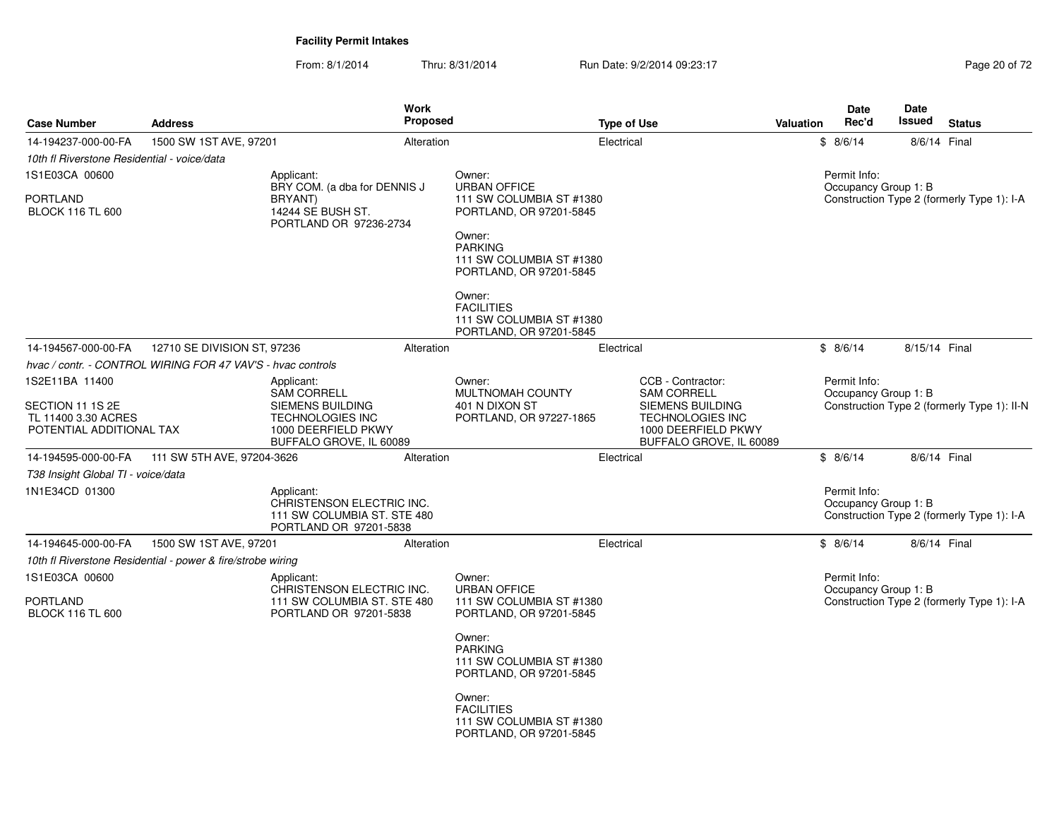From: 8/1/2014Thru: 8/31/2014 Run Date: 9/2/2014 09:23:17 Rege 20 of 72

| <b>Case Number</b>                                                  | <b>Address</b>                                              |                                                                                                  | <b>Work</b><br>Proposed |                                                                                                                                                                       | <b>Type of Use</b> |                                                                                                      | Valuation | <b>Date</b><br>Rec'd                 | <b>Date</b><br>Issued | <b>Status</b>                               |
|---------------------------------------------------------------------|-------------------------------------------------------------|--------------------------------------------------------------------------------------------------|-------------------------|-----------------------------------------------------------------------------------------------------------------------------------------------------------------------|--------------------|------------------------------------------------------------------------------------------------------|-----------|--------------------------------------|-----------------------|---------------------------------------------|
| 14-194237-000-00-FA                                                 | 1500 SW 1ST AVE, 97201                                      |                                                                                                  | Alteration              |                                                                                                                                                                       | Electrical         |                                                                                                      |           | \$8/6/14                             | 8/6/14 Final          |                                             |
| 10th fl Riverstone Residential - voice/data                         |                                                             |                                                                                                  |                         |                                                                                                                                                                       |                    |                                                                                                      |           |                                      |                       |                                             |
| 1S1E03CA 00600                                                      |                                                             | Applicant:<br>BRY COM. (a dba for DENNIS J                                                       |                         | Owner:<br><b>URBAN OFFICE</b>                                                                                                                                         |                    |                                                                                                      |           | Permit Info:<br>Occupancy Group 1: B |                       |                                             |
| <b>PORTLAND</b><br><b>BLOCK 116 TL 600</b>                          |                                                             | <b>BRYANT</b> )<br>14244 SE BUSH ST.<br>PORTLAND OR 97236-2734                                   |                         | 111 SW COLUMBIA ST #1380<br>PORTLAND, OR 97201-5845<br>Owner:<br><b>PARKING</b><br>111 SW COLUMBIA ST #1380<br>PORTLAND, OR 97201-5845<br>Owner:<br><b>FACILITIES</b> |                    |                                                                                                      |           |                                      |                       | Construction Type 2 (formerly Type 1): I-A  |
|                                                                     |                                                             |                                                                                                  |                         | 111 SW COLUMBIA ST #1380<br>PORTLAND, OR 97201-5845                                                                                                                   |                    |                                                                                                      |           |                                      |                       |                                             |
| 14-194567-000-00-FA                                                 | 12710 SE DIVISION ST, 97236                                 |                                                                                                  | Alteration              |                                                                                                                                                                       | Electrical         |                                                                                                      |           | \$8/6/14                             | 8/15/14 Final         |                                             |
|                                                                     | hvac / contr. - CONTROL WIRING FOR 47 VAV'S - hvac controls |                                                                                                  |                         |                                                                                                                                                                       |                    |                                                                                                      |           |                                      |                       |                                             |
| 1S2E11BA 11400                                                      |                                                             | Applicant:<br>SAM CORRELL                                                                        |                         | Owner:<br><b>MULTNOMAH COUNTY</b>                                                                                                                                     |                    | CCB - Contractor:<br><b>SAM CORRELL</b>                                                              |           | Permit Info:<br>Occupancy Group 1: B |                       |                                             |
| SECTION 11 1S 2E<br>TL 11400 3.30 ACRES<br>POTENTIAL ADDITIONAL TAX |                                                             | SIEMENS BUILDING<br><b>TECHNOLOGIES INC</b><br>1000 DEERFIELD PKWY<br>BUFFALO GROVE, IL 60089    |                         | 401 N DIXON ST<br>PORTLAND, OR 97227-1865                                                                                                                             |                    | <b>SIEMENS BUILDING</b><br><b>TECHNOLOGIES INC</b><br>1000 DEERFIELD PKWY<br>BUFFALO GROVE, IL 60089 |           |                                      |                       | Construction Type 2 (formerly Type 1): II-N |
| 14-194595-000-00-FA                                                 | 111 SW 5TH AVE, 97204-3626                                  |                                                                                                  | Alteration              |                                                                                                                                                                       | Electrical         |                                                                                                      |           | \$8/6/14                             | 8/6/14 Final          |                                             |
| T38 Insight Global TI - voice/data                                  |                                                             |                                                                                                  |                         |                                                                                                                                                                       |                    |                                                                                                      |           |                                      |                       |                                             |
| 1N1E34CD 01300                                                      |                                                             | Applicant:<br>CHRISTENSON ELECTRIC INC.<br>111 SW COLUMBIA ST. STE 480<br>PORTLAND OR 97201-5838 |                         |                                                                                                                                                                       |                    |                                                                                                      |           | Permit Info:<br>Occupancy Group 1: B |                       | Construction Type 2 (formerly Type 1): I-A  |
| 14-194645-000-00-FA                                                 | 1500 SW 1ST AVE, 97201                                      |                                                                                                  | Alteration              |                                                                                                                                                                       | Electrical         |                                                                                                      |           | \$8/6/14                             | 8/6/14 Final          |                                             |
|                                                                     | 10th fl Riverstone Residential - power & fire/strobe wiring |                                                                                                  |                         |                                                                                                                                                                       |                    |                                                                                                      |           |                                      |                       |                                             |
| 1S1E03CA 00600<br>PORTLAND<br><b>BLOCK 116 TL 600</b>               |                                                             | Applicant:<br>CHRISTENSON ELECTRIC INC.<br>111 SW COLUMBIA ST. STE 480<br>PORTLAND OR 97201-5838 |                         | Owner:<br><b>URBAN OFFICE</b><br>111 SW COLUMBIA ST #1380<br>PORTLAND, OR 97201-5845                                                                                  |                    |                                                                                                      |           | Permit Info:<br>Occupancy Group 1: B |                       | Construction Type 2 (formerly Type 1): I-A  |
|                                                                     |                                                             |                                                                                                  |                         | Owner:<br><b>PARKING</b><br>111 SW COLUMBIA ST #1380<br>PORTLAND, OR 97201-5845                                                                                       |                    |                                                                                                      |           |                                      |                       |                                             |
|                                                                     |                                                             |                                                                                                  |                         | Owner:<br><b>FACILITIES</b><br>111 SW COLUMBIA ST #1380<br>PORTLAND, OR 97201-5845                                                                                    |                    |                                                                                                      |           |                                      |                       |                                             |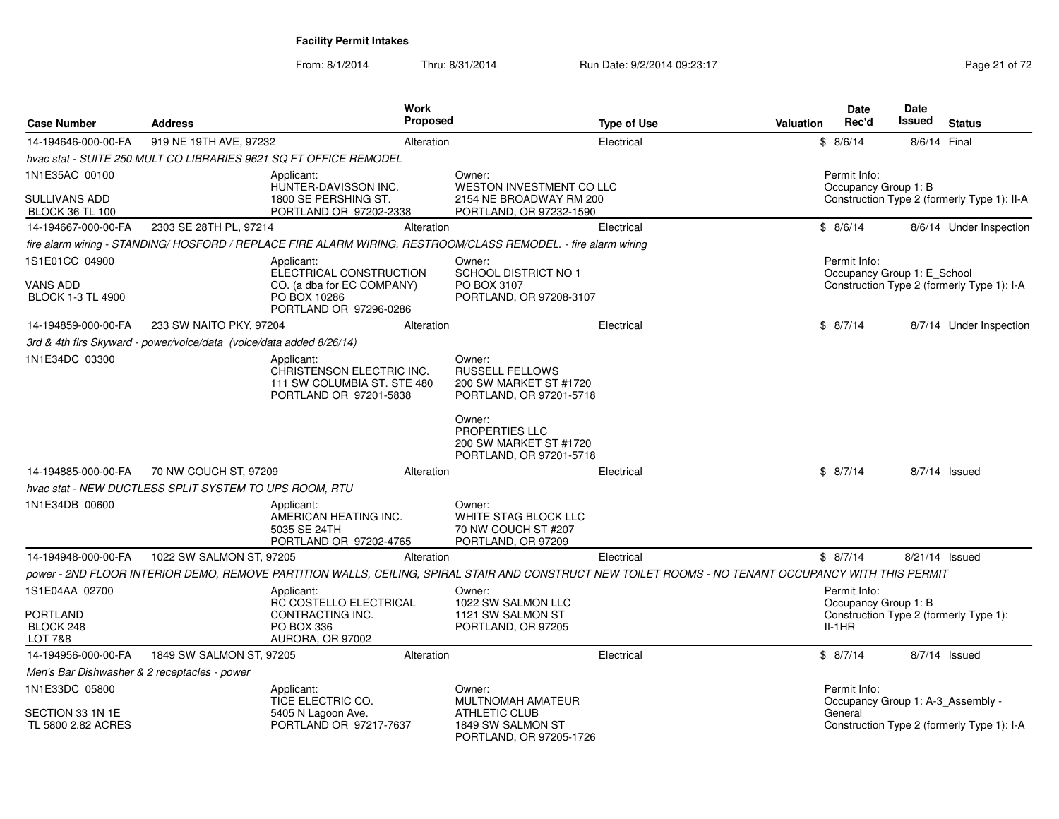From: 8/1/2014Thru: 8/31/2014 Run Date: 9/2/2014 09:23:17 Rege 21 of 72

| <b>Case Number</b>                             | <b>Address</b>                                                       |                                                                   | Work<br><b>Proposed</b> |                                                                                                                                                      |                    | <b>Valuation</b> | <b>Date</b><br>Rec'd | Date<br><b>Issued</b>       | <b>Status</b>                               |
|------------------------------------------------|----------------------------------------------------------------------|-------------------------------------------------------------------|-------------------------|------------------------------------------------------------------------------------------------------------------------------------------------------|--------------------|------------------|----------------------|-----------------------------|---------------------------------------------|
|                                                |                                                                      |                                                                   |                         |                                                                                                                                                      | <b>Type of Use</b> |                  |                      |                             |                                             |
| 14-194646-000-00-FA                            | 919 NE 19TH AVE, 97232                                               | hvac stat - SUITE 250 MULT CO LIBRARIES 9621 SQ FT OFFICE REMODEL | Alteration              |                                                                                                                                                      | Electrical         |                  | \$8/6/14             |                             | 8/6/14 Final                                |
| 1N1E35AC 00100                                 |                                                                      | Applicant:                                                        |                         | Owner:                                                                                                                                               |                    |                  | Permit Info:         |                             |                                             |
|                                                |                                                                      | HUNTER-DAVISSON INC.                                              |                         | WESTON INVESTMENT CO LLC                                                                                                                             |                    |                  |                      | Occupancy Group 1: B        |                                             |
| <b>SULLIVANS ADD</b><br><b>BLOCK 36 TL 100</b> |                                                                      | 1800 SE PERSHING ST.<br>PORTLAND OR 97202-2338                    |                         | 2154 NE BROADWAY RM 200<br>PORTLAND, OR 97232-1590                                                                                                   |                    |                  |                      |                             | Construction Type 2 (formerly Type 1): II-A |
| 14-194667-000-00-FA                            | 2303 SE 28TH PL, 97214                                               |                                                                   | Alteration              |                                                                                                                                                      | Electrical         |                  | \$8/6/14             |                             | 8/6/14 Under Inspection                     |
|                                                |                                                                      |                                                                   |                         | fire alarm wiring - STANDING/HOSFORD / REPLACE FIRE ALARM WIRING, RESTROOM/CLASS REMODEL. - fire alarm wiring                                        |                    |                  |                      |                             |                                             |
| 1S1E01CC 04900                                 |                                                                      | Applicant:                                                        |                         | Owner:                                                                                                                                               |                    |                  | Permit Info:         |                             |                                             |
|                                                |                                                                      | ELECTRICAL CONSTRUCTION                                           |                         | <b>SCHOOL DISTRICT NO 1</b>                                                                                                                          |                    |                  |                      | Occupancy Group 1: E_School |                                             |
| <b>VANS ADD</b><br><b>BLOCK 1-3 TL 4900</b>    |                                                                      | CO. (a dba for EC COMPANY)<br>PO BOX 10286                        |                         | PO BOX 3107<br>PORTLAND, OR 97208-3107                                                                                                               |                    |                  |                      |                             | Construction Type 2 (formerly Type 1): I-A  |
|                                                |                                                                      | PORTLAND OR 97296-0286                                            |                         |                                                                                                                                                      |                    |                  |                      |                             |                                             |
| 14-194859-000-00-FA                            | 233 SW NAITO PKY, 97204                                              |                                                                   | Alteration              |                                                                                                                                                      | Electrical         |                  | \$8/7/14             |                             | 8/7/14 Under Inspection                     |
|                                                | 3rd & 4th firs Skyward - power/voice/data (voice/data added 8/26/14) |                                                                   |                         |                                                                                                                                                      |                    |                  |                      |                             |                                             |
| 1N1E34DC 03300                                 |                                                                      | Applicant:<br>CHRISTENSON ELECTRIC INC.                           |                         | Owner:<br><b>RUSSELL FELLOWS</b>                                                                                                                     |                    |                  |                      |                             |                                             |
|                                                |                                                                      | 111 SW COLUMBIA ST. STE 480                                       |                         | 200 SW MARKET ST #1720                                                                                                                               |                    |                  |                      |                             |                                             |
|                                                |                                                                      | PORTLAND OR 97201-5838                                            |                         | PORTLAND, OR 97201-5718                                                                                                                              |                    |                  |                      |                             |                                             |
|                                                |                                                                      |                                                                   |                         | Owner:                                                                                                                                               |                    |                  |                      |                             |                                             |
|                                                |                                                                      |                                                                   |                         | PROPERTIES LLC                                                                                                                                       |                    |                  |                      |                             |                                             |
|                                                |                                                                      |                                                                   |                         | 200 SW MARKET ST #1720<br>PORTLAND, OR 97201-5718                                                                                                    |                    |                  |                      |                             |                                             |
| 14-194885-000-00-FA                            | 70 NW COUCH ST, 97209                                                |                                                                   | Alteration              |                                                                                                                                                      | Electrical         |                  | \$8/7/14             |                             | $8/7/14$ Issued                             |
|                                                | hvac stat - NEW DUCTLESS SPLIT SYSTEM TO UPS ROOM, RTU               |                                                                   |                         |                                                                                                                                                      |                    |                  |                      |                             |                                             |
| 1N1E34DB 00600                                 |                                                                      | Applicant:                                                        |                         | Owner:                                                                                                                                               |                    |                  |                      |                             |                                             |
|                                                |                                                                      | AMERICAN HEATING INC.<br>5035 SE 24TH                             |                         | WHITE STAG BLOCK LLC<br>70 NW COUCH ST #207                                                                                                          |                    |                  |                      |                             |                                             |
|                                                |                                                                      | PORTLAND OR 97202-4765                                            |                         | PORTLAND, OR 97209                                                                                                                                   |                    |                  |                      |                             |                                             |
| 14-194948-000-00-FA                            | 1022 SW SALMON ST, 97205                                             |                                                                   | Alteration              |                                                                                                                                                      | Electrical         |                  | \$8/7/14             |                             | 8/21/14 Issued                              |
|                                                |                                                                      |                                                                   |                         | power - 2ND FLOOR INTERIOR DEMO, REMOVE PARTITION WALLS, CEILING, SPIRAL STAIR AND CONSTRUCT NEW TOILET ROOMS - NO TENANT OCCUPANCY WITH THIS PERMIT |                    |                  |                      |                             |                                             |
| 1S1E04AA 02700                                 |                                                                      | Applicant:                                                        |                         | Owner:                                                                                                                                               |                    |                  | Permit Info:         |                             |                                             |
| <b>PORTLAND</b>                                |                                                                      | RC COSTELLO ELECTRICAL<br>CONTRACTING INC.                        |                         | 1022 SW SALMON LLC<br>1121 SW SALMON ST                                                                                                              |                    |                  | Occupancy Group 1: B |                             | Construction Type 2 (formerly Type 1):      |
| BLOCK 248                                      |                                                                      | PO BOX 336                                                        |                         | PORTLAND, OR 97205                                                                                                                                   |                    |                  | $II-1HR$             |                             |                                             |
| <b>LOT 7&amp;8</b>                             |                                                                      | AURORA, OR 97002                                                  |                         |                                                                                                                                                      |                    |                  |                      |                             |                                             |
| 14-194956-000-00-FA                            | 1849 SW SALMON ST, 97205                                             |                                                                   | Alteration              |                                                                                                                                                      | Electrical         |                  | \$8/7/14             |                             | 8/7/14 Issued                               |
| Men's Bar Dishwasher & 2 receptacles - power   |                                                                      |                                                                   |                         |                                                                                                                                                      |                    |                  |                      |                             |                                             |
| 1N1E33DC 05800                                 |                                                                      | Applicant:<br>TICE ELECTRIC CO.                                   |                         | Owner:<br>MULTNOMAH AMATEUR                                                                                                                          |                    |                  | Permit Info:         |                             | Occupancy Group 1: A-3 Assembly -           |
| SECTION 33 1N 1E                               |                                                                      | 5405 N Lagoon Ave.                                                |                         | <b>ATHLETIC CLUB</b>                                                                                                                                 |                    |                  | General              |                             |                                             |
| TL 5800 2.82 ACRES                             |                                                                      | PORTLAND OR 97217-7637                                            |                         | 1849 SW SALMON ST<br>PORTLAND, OR 97205-1726                                                                                                         |                    |                  |                      |                             | Construction Type 2 (formerly Type 1): I-A  |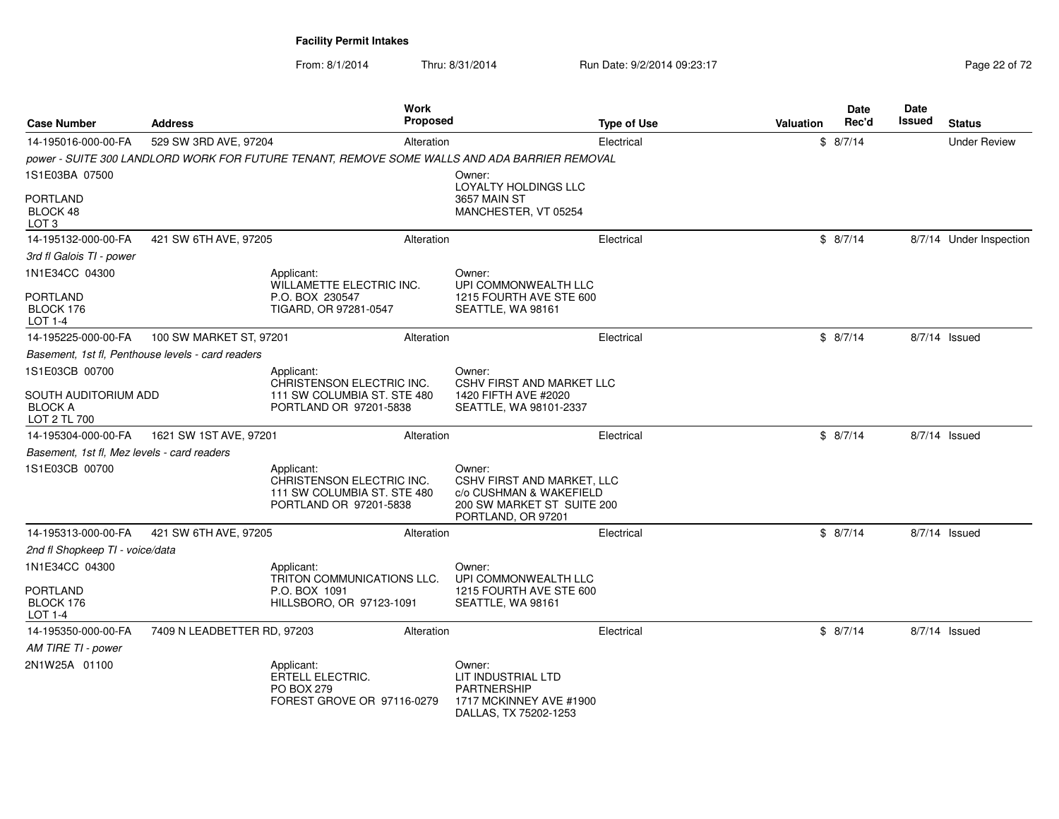From: 8/1/2014Thru: 8/31/2014 Run Date: 9/2/2014 09:23:17 Rege 22 of 72

| <b>Case Number</b>                                     | Address                                           | Work<br><b>Proposed</b>                                                                          |                                                    |                                                                                            | <b>Type of Use</b> | Valuation | <b>Date</b><br>Rec'd | Date<br>Issued | <b>Status</b>           |
|--------------------------------------------------------|---------------------------------------------------|--------------------------------------------------------------------------------------------------|----------------------------------------------------|--------------------------------------------------------------------------------------------|--------------------|-----------|----------------------|----------------|-------------------------|
| 14-195016-000-00-FA                                    | 529 SW 3RD AVE, 97204                             | Alteration                                                                                       |                                                    |                                                                                            | Electrical         |           | \$8/7/14             |                | <b>Under Review</b>     |
|                                                        |                                                   | power - SUITE 300 LANDLORD WORK FOR FUTURE TENANT, REMOVE SOME WALLS AND ADA BARRIER REMOVAL     |                                                    |                                                                                            |                    |           |                      |                |                         |
| 1S1E03BA 07500                                         |                                                   |                                                                                                  | Owner:                                             | <b>LOYALTY HOLDINGS LLC</b>                                                                |                    |           |                      |                |                         |
| <b>PORTLAND</b><br>BLOCK 48<br>LOT <sub>3</sub>        |                                                   |                                                                                                  | 3657 MAIN ST                                       | MANCHESTER, VT 05254                                                                       |                    |           |                      |                |                         |
| 14-195132-000-00-FA                                    | 421 SW 6TH AVE, 97205                             | Alteration                                                                                       |                                                    |                                                                                            | Electrical         |           | \$8/7/14             |                | 8/7/14 Under Inspection |
| 3rd fl Galois TI - power                               |                                                   |                                                                                                  |                                                    |                                                                                            |                    |           |                      |                |                         |
| 1N1E34CC 04300                                         |                                                   | Applicant:<br>WILLAMETTE ELECTRIC INC.                                                           | Owner:                                             | UPI COMMONWEALTH LLC                                                                       |                    |           |                      |                |                         |
| <b>PORTLAND</b><br>BLOCK 176<br>$LOT 1-4$              |                                                   | P.O. BOX 230547<br>TIGARD, OR 97281-0547                                                         | SEATTLE, WA 98161                                  | 1215 FOURTH AVE STE 600                                                                    |                    |           |                      |                |                         |
| 14-195225-000-00-FA                                    | 100 SW MARKET ST, 97201                           | Alteration                                                                                       |                                                    |                                                                                            | Electrical         |           | \$8/7/14             |                | 8/7/14 Issued           |
|                                                        | Basement, 1st fl, Penthouse levels - card readers |                                                                                                  |                                                    |                                                                                            |                    |           |                      |                |                         |
| 1S1E03CB 00700                                         |                                                   | Applicant:                                                                                       | Owner:                                             |                                                                                            |                    |           |                      |                |                         |
| SOUTH AUDITORIUM ADD<br><b>BLOCK A</b><br>LOT 2 TL 700 |                                                   | CHRISTENSON ELECTRIC INC.<br>111 SW COLUMBIA ST. STE 480<br>PORTLAND OR 97201-5838               | 1420 FIFTH AVE #2020                               | <b>CSHV FIRST AND MARKET LLC</b><br>SEATTLE, WA 98101-2337                                 |                    |           |                      |                |                         |
| 14-195304-000-00-FA                                    | 1621 SW 1ST AVE, 97201                            | Alteration                                                                                       |                                                    |                                                                                            | Electrical         |           | \$8/7/14             |                | 8/7/14 Issued           |
| Basement, 1st fl, Mez levels - card readers            |                                                   |                                                                                                  |                                                    |                                                                                            |                    |           |                      |                |                         |
| 1S1E03CB 00700                                         |                                                   | Applicant:<br>CHRISTENSON ELECTRIC INC.<br>111 SW COLUMBIA ST. STE 480<br>PORTLAND OR 97201-5838 | Owner:<br>PORTLAND, OR 97201                       | <b>CSHV FIRST AND MARKET, LLC</b><br>c/o CUSHMAN & WAKEFIELD<br>200 SW MARKET ST SUITE 200 |                    |           |                      |                |                         |
| 14-195313-000-00-FA                                    | 421 SW 6TH AVE, 97205                             | Alteration                                                                                       |                                                    |                                                                                            | Electrical         |           | \$8/7/14             |                | 8/7/14 Issued           |
| 2nd fl Shopkeep TI - voice/data                        |                                                   |                                                                                                  |                                                    |                                                                                            |                    |           |                      |                |                         |
| 1N1E34CC 04300                                         |                                                   | Applicant:<br>TRITON COMMUNICATIONS LLC.                                                         | Owner:                                             | UPI COMMONWEALTH LLC                                                                       |                    |           |                      |                |                         |
| <b>PORTLAND</b><br>BLOCK 176<br>LOT 1-4                |                                                   | P.O. BOX 1091<br>HILLSBORO, OR 97123-1091                                                        | SEATTLE, WA 98161                                  | 1215 FOURTH AVE STE 600                                                                    |                    |           |                      |                |                         |
| 14-195350-000-00-FA                                    | 7409 N LEADBETTER RD, 97203                       | Alteration                                                                                       |                                                    |                                                                                            | Electrical         |           | \$8/7/14             |                | 8/7/14 Issued           |
| AM TIRE TI - power                                     |                                                   |                                                                                                  |                                                    |                                                                                            |                    |           |                      |                |                         |
| 2N1W25A 01100                                          |                                                   | Applicant:<br><b>ERTELL ELECTRIC.</b><br><b>PO BOX 279</b><br>FOREST GROVE OR 97116-0279         | Owner:<br>LIT INDUSTRIAL LTD<br><b>PARTNERSHIP</b> | 1717 MCKINNEY AVE #1900<br>DALLAS, TX 75202-1253                                           |                    |           |                      |                |                         |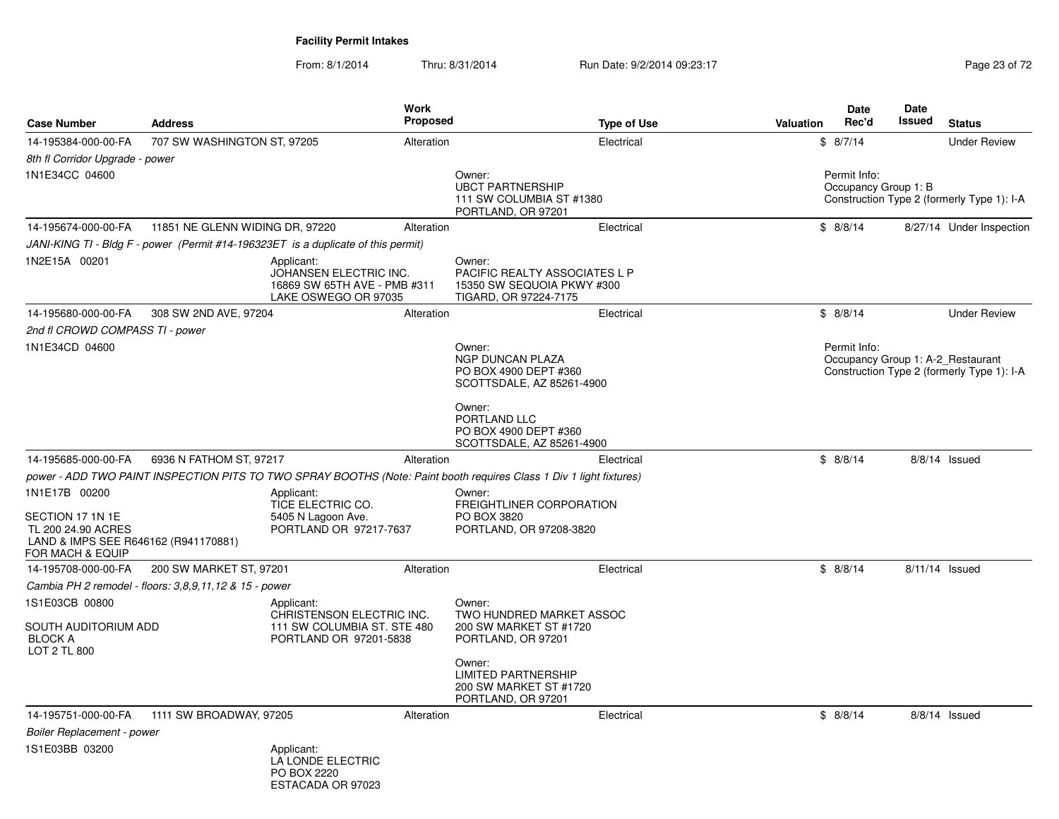From: 8/1/2014

Thru: 8/31/2014 Run Date: 9/2/2014 09:23:17 Rege 23 of 72

| <b>Case Number</b>                                                                                 | <b>Address</b>                                         |                                                                                              | Work<br><b>Proposed</b> |                                                                                                                     | <b>Type of Use</b> | Valuation | Date<br>Rec'd                        | Date<br>Issued | <b>Status</b>                                                                   |
|----------------------------------------------------------------------------------------------------|--------------------------------------------------------|----------------------------------------------------------------------------------------------|-------------------------|---------------------------------------------------------------------------------------------------------------------|--------------------|-----------|--------------------------------------|----------------|---------------------------------------------------------------------------------|
| 14-195384-000-00-FA                                                                                | 707 SW WASHINGTON ST, 97205                            |                                                                                              | Alteration              |                                                                                                                     | Electrical         |           | \$8/7/14                             |                | <b>Under Review</b>                                                             |
| 8th fl Corridor Upgrade - power                                                                    |                                                        |                                                                                              |                         |                                                                                                                     |                    |           |                                      |                |                                                                                 |
| 1N1E34CC 04600                                                                                     |                                                        |                                                                                              |                         | Owner:<br><b>UBCT PARTNERSHIP</b><br>111 SW COLUMBIA ST #1380<br>PORTLAND, OR 97201                                 |                    |           | Permit Info:<br>Occupancy Group 1: B |                | Construction Type 2 (formerly Type 1): I-A                                      |
| 14-195674-000-00-FA                                                                                | 11851 NE GLENN WIDING DR, 97220                        |                                                                                              | Alteration              |                                                                                                                     | Electrical         |           | \$8/8/14                             |                | 8/27/14 Under Inspection                                                        |
|                                                                                                    |                                                        | JANI-KING TI - Bldg F - power (Permit #14-196323ET is a duplicate of this permit)            |                         |                                                                                                                     |                    |           |                                      |                |                                                                                 |
| 1N2E15A 00201                                                                                      |                                                        | Applicant:<br>JOHANSEN ELECTRIC INC.<br>16869 SW 65TH AVE - PMB #311<br>LAKE OSWEGO OR 97035 |                         | Owner:<br>PACIFIC REALTY ASSOCIATES L P<br>15350 SW SEQUOIA PKWY #300<br>TIGARD, OR 97224-7175                      |                    |           |                                      |                |                                                                                 |
| 14-195680-000-00-FA                                                                                | 308 SW 2ND AVE, 97204                                  |                                                                                              | Alteration              |                                                                                                                     | Electrical         |           | \$8/8/14                             |                | <b>Under Review</b>                                                             |
| 2nd fl CROWD COMPASS TI - power                                                                    |                                                        |                                                                                              |                         |                                                                                                                     |                    |           |                                      |                |                                                                                 |
| 1N1E34CD 04600                                                                                     |                                                        |                                                                                              |                         | Owner:<br><b>NGP DUNCAN PLAZA</b><br>PO BOX 4900 DEPT #360<br>SCOTTSDALE, AZ 85261-4900                             |                    |           | Permit Info:                         |                | Occupancy Group 1: A-2 Restaurant<br>Construction Type 2 (formerly Type 1): I-A |
|                                                                                                    |                                                        |                                                                                              |                         | Owner:<br>PORTLAND LLC<br>PO BOX 4900 DEPT #360<br>SCOTTSDALE, AZ 85261-4900                                        |                    |           |                                      |                |                                                                                 |
| 14-195685-000-00-FA                                                                                | 6936 N FATHOM ST, 97217                                |                                                                                              | Alteration              |                                                                                                                     | Electrical         |           | \$8/8/14                             |                | 8/8/14 Issued                                                                   |
|                                                                                                    |                                                        |                                                                                              |                         | power - ADD TWO PAINT INSPECTION PITS TO TWO SPRAY BOOTHS (Note: Paint booth requires Class 1 Div 1 light fixtures) |                    |           |                                      |                |                                                                                 |
| 1N1E17B 00200                                                                                      |                                                        | Applicant:<br>TICE ELECTRIC CO.                                                              |                         | Owner:<br>FREIGHTLINER CORPORATION                                                                                  |                    |           |                                      |                |                                                                                 |
| SECTION 17 1N 1E<br>TL 200 24.90 ACRES<br>LAND & IMPS SEE R646162 (R941170881)<br>FOR MACH & EQUIP |                                                        | 5405 N Lagoon Ave.<br>PORTLAND OR 97217-7637                                                 |                         | PO BOX 3820<br>PORTLAND, OR 97208-3820                                                                              |                    |           |                                      |                |                                                                                 |
| 14-195708-000-00-FA                                                                                | 200 SW MARKET ST, 97201                                |                                                                                              | Alteration              |                                                                                                                     | Electrical         |           | \$8/8/14                             |                | $8/11/14$ Issued                                                                |
|                                                                                                    | Cambia PH 2 remodel - floors: 3,8,9,11,12 & 15 - power |                                                                                              |                         |                                                                                                                     |                    |           |                                      |                |                                                                                 |
| 1S1E03CB 00800                                                                                     |                                                        | Applicant:                                                                                   |                         | Owner:                                                                                                              |                    |           |                                      |                |                                                                                 |
| SOUTH AUDITORIUM ADD<br><b>BLOCK A</b><br>LOT 2 TL 800                                             |                                                        | CHRISTENSON ELECTRIC INC.<br>111 SW COLUMBIA ST. STE 480<br>PORTLAND OR 97201-5838           |                         | TWO HUNDRED MARKET ASSOC<br>200 SW MARKET ST #1720<br>PORTLAND, OR 97201                                            |                    |           |                                      |                |                                                                                 |
|                                                                                                    |                                                        |                                                                                              |                         | Owner:<br><b>LIMITED PARTNERSHIP</b><br>200 SW MARKET ST #1720<br>PORTLAND, OR 97201                                |                    |           |                                      |                |                                                                                 |
| 14-195751-000-00-FA                                                                                | 1111 SW BROADWAY, 97205                                |                                                                                              | Alteration              |                                                                                                                     | Electrical         |           | \$8/8/14                             |                | $8/8/14$ Issued                                                                 |
| <b>Boiler Replacement - power</b>                                                                  |                                                        |                                                                                              |                         |                                                                                                                     |                    |           |                                      |                |                                                                                 |
| 1S1E03BB 03200                                                                                     |                                                        | Applicant:<br>LA LONDE ELECTRIC<br>PO BOX 2220<br>ESTACADA OR 97023                          |                         |                                                                                                                     |                    |           |                                      |                |                                                                                 |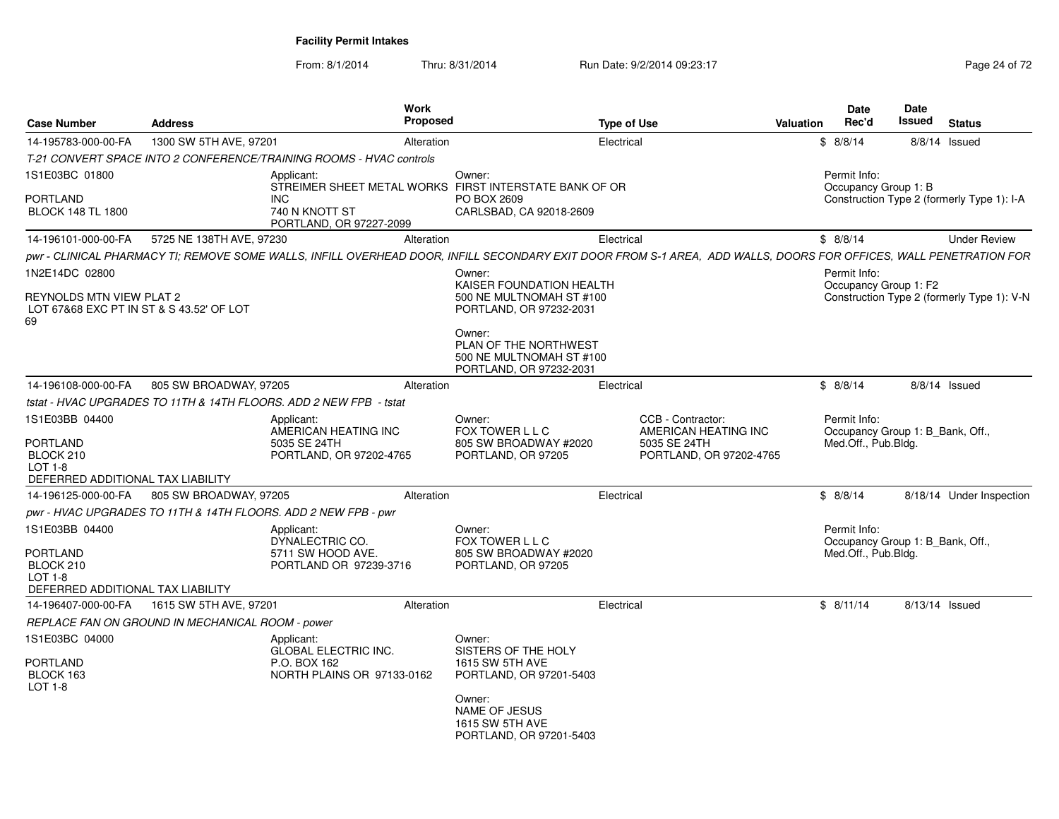From: 8/1/2014Thru: 8/31/2014 Run Date: 9/2/2014 09:23:17 Rege 24 of 72

| <b>Case Number</b>                                                         | <b>Address</b>                                   | <b>Work</b><br><b>Proposed</b>                                                                                                                                    |                                                                                        | Type of Use                                                                          | <b>Valuation</b> | Date<br>Rec'd                                                           | <b>Date</b><br>Issued | <b>Status</b>                              |
|----------------------------------------------------------------------------|--------------------------------------------------|-------------------------------------------------------------------------------------------------------------------------------------------------------------------|----------------------------------------------------------------------------------------|--------------------------------------------------------------------------------------|------------------|-------------------------------------------------------------------------|-----------------------|--------------------------------------------|
| 14-195783-000-00-FA                                                        | 1300 SW 5TH AVE, 97201                           | Alteration                                                                                                                                                        |                                                                                        | Electrical                                                                           |                  | \$8/8/14                                                                | 8/8/14 Issued         |                                            |
|                                                                            |                                                  | T-21 CONVERT SPACE INTO 2 CONFERENCE/TRAINING ROOMS - HVAC controls                                                                                               |                                                                                        |                                                                                      |                  |                                                                         |                       |                                            |
| 1S1E03BC 01800                                                             |                                                  | Applicant:<br>STREIMER SHEET METAL WORKS FIRST INTERSTATE BANK OF OR                                                                                              | Owner:                                                                                 |                                                                                      |                  | Permit Info:<br>Occupancy Group 1: B                                    |                       |                                            |
| PORTLAND<br><b>BLOCK 148 TL 1800</b>                                       |                                                  | <b>INC</b><br>740 N KNOTT ST<br>PORTLAND, OR 97227-2099                                                                                                           | PO BOX 2609<br>CARLSBAD, CA 92018-2609                                                 |                                                                                      |                  |                                                                         |                       | Construction Type 2 (formerly Type 1): I-A |
| 14-196101-000-00-FA                                                        | 5725 NE 138TH AVE, 97230                         | Alteration                                                                                                                                                        |                                                                                        | Electrical                                                                           |                  | \$8/8/14                                                                |                       | <b>Under Review</b>                        |
|                                                                            |                                                  | pwr - CLINICAL PHARMACY TI; REMOVE SOME WALLS, INFILL OVERHEAD DOOR, INFILL SECONDARY EXIT DOOR FROM S-1 AREA, ADD WALLS, DOORS FOR OFFICES, WALL PENETRATION FOR |                                                                                        |                                                                                      |                  |                                                                         |                       |                                            |
| 1N2E14DC 02800                                                             |                                                  |                                                                                                                                                                   | Owner:                                                                                 |                                                                                      |                  | Permit Info:                                                            |                       |                                            |
| REYNOLDS MTN VIEW PLAT 2<br>LOT 67&68 EXC PT IN ST & S 43.52' OF LOT<br>69 |                                                  |                                                                                                                                                                   | KAISER FOUNDATION HEALTH<br>500 NE MULTNOMAH ST #100<br>PORTLAND, OR 97232-2031        |                                                                                      |                  | Occupancy Group 1: F2                                                   |                       | Construction Type 2 (formerly Type 1): V-N |
|                                                                            |                                                  |                                                                                                                                                                   | Owner:<br>PLAN OF THE NORTHWEST<br>500 NE MULTNOMAH ST #100<br>PORTLAND, OR 97232-2031 |                                                                                      |                  |                                                                         |                       |                                            |
| 14-196108-000-00-FA                                                        | 805 SW BROADWAY, 97205                           | Alteration                                                                                                                                                        |                                                                                        | Electrical                                                                           |                  | \$8/8/14                                                                |                       | 8/8/14 Issued                              |
|                                                                            |                                                  | tstat - HVAC UPGRADES TO 11TH & 14TH FLOORS. ADD 2 NEW FPB - tstat                                                                                                |                                                                                        |                                                                                      |                  |                                                                         |                       |                                            |
| 1S1E03BB 04400<br>PORTLAND<br>BLOCK 210<br>$LOT 1-8$                       |                                                  | Applicant:<br>AMERICAN HEATING INC<br>5035 SE 24TH<br>PORTLAND, OR 97202-4765                                                                                     | Owner:<br>FOX TOWER L L C<br>805 SW BROADWAY #2020<br>PORTLAND, OR 97205               | CCB - Contractor:<br>AMERICAN HEATING INC<br>5035 SE 24TH<br>PORTLAND, OR 97202-4765 |                  | Permit Info:<br>Occupancy Group 1: B_Bank, Off.,<br>Med.Off., Pub.Bldg. |                       |                                            |
| DEFERRED ADDITIONAL TAX LIABILITY                                          |                                                  |                                                                                                                                                                   |                                                                                        |                                                                                      |                  |                                                                         |                       |                                            |
| 14-196125-000-00-FA                                                        | 805 SW BROADWAY, 97205                           | Alteration                                                                                                                                                        |                                                                                        | Electrical                                                                           |                  | \$8/8/14                                                                |                       | 8/18/14 Under Inspection                   |
|                                                                            |                                                  | pwr - HVAC UPGRADES TO 11TH & 14TH FLOORS. ADD 2 NEW FPB - pwr                                                                                                    |                                                                                        |                                                                                      |                  |                                                                         |                       |                                            |
| 1S1E03BB 04400                                                             |                                                  | Applicant:<br>DYNALECTRIC CO.                                                                                                                                     | Owner:<br>FOX TOWER L L C                                                              |                                                                                      |                  | Permit Info:<br>Occupancy Group 1: B Bank, Off.,                        |                       |                                            |
| PORTLAND<br>BLOCK 210<br>$LOT 1-8$<br>DEFERRED ADDITIONAL TAX LIABILITY    |                                                  | 5711 SW HOOD AVE.<br>PORTLAND OR 97239-3716                                                                                                                       | 805 SW BROADWAY #2020<br>PORTLAND, OR 97205                                            |                                                                                      |                  | Med.Off., Pub.Bldg.                                                     |                       |                                            |
| 14-196407-000-00-FA                                                        | 1615 SW 5TH AVE, 97201                           | Alteration                                                                                                                                                        |                                                                                        | Electrical                                                                           |                  | \$8/11/14                                                               | 8/13/14 Issued        |                                            |
|                                                                            | REPLACE FAN ON GROUND IN MECHANICAL ROOM - power |                                                                                                                                                                   |                                                                                        |                                                                                      |                  |                                                                         |                       |                                            |
| 1S1E03BC 04000<br>PORTLAND<br>BLOCK 163<br>LOT 1-8                         |                                                  | Applicant:<br><b>GLOBAL ELECTRIC INC.</b><br>P.O. BOX 162<br>NORTH PLAINS OR 97133-0162                                                                           | Owner:<br>SISTERS OF THE HOLY<br><b>1615 SW 5TH AVE</b><br>PORTLAND, OR 97201-5403     |                                                                                      |                  |                                                                         |                       |                                            |
|                                                                            |                                                  |                                                                                                                                                                   | Owner:<br>NAME OF JESUS<br>1615 SW 5TH AVE<br>PORTLAND, OR 97201-5403                  |                                                                                      |                  |                                                                         |                       |                                            |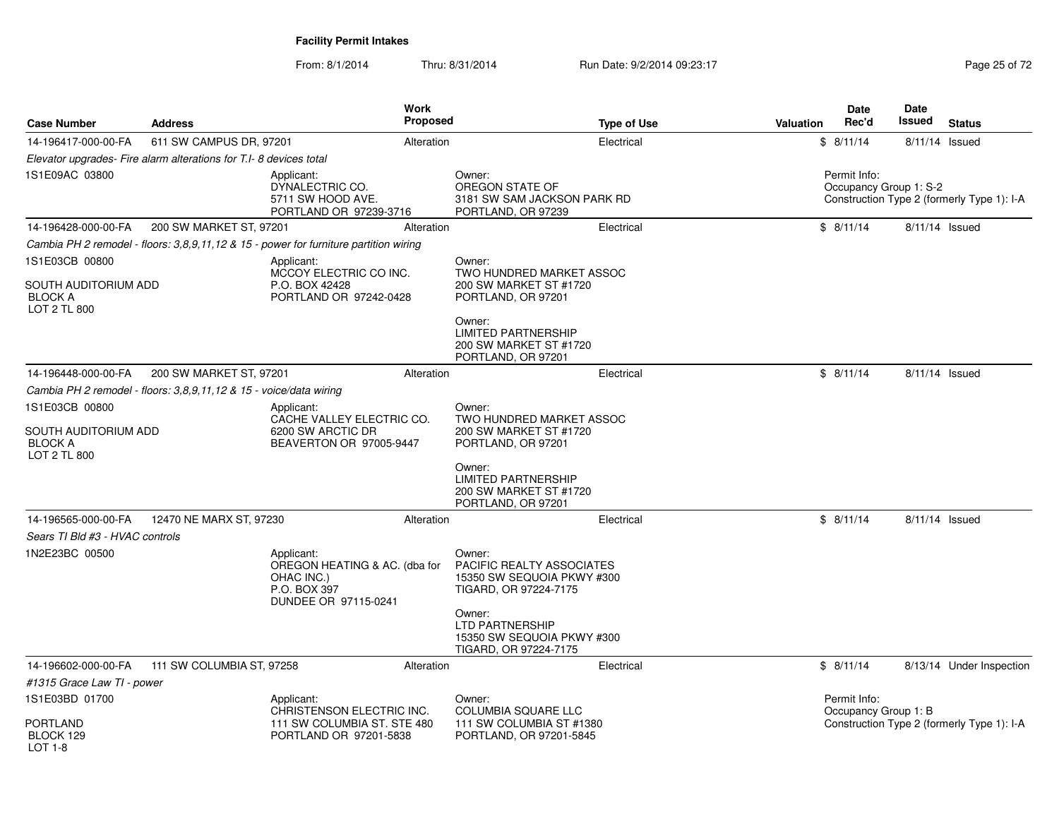From: 8/1/2014Thru: 8/31/2014 Run Date: 9/2/2014 09:23:17 Research 2010 12:00 Page 25 of 72

| <b>Case Number</b>                                            | <b>Address</b>                                                     |                                                                                                   | Work<br><b>Proposed</b> |                                                                                            | <b>Type of Use</b> | <b>Valuation</b> | Date<br>Rec'd                          | <b>Date</b><br>Issued | <b>Status</b>                              |
|---------------------------------------------------------------|--------------------------------------------------------------------|---------------------------------------------------------------------------------------------------|-------------------------|--------------------------------------------------------------------------------------------|--------------------|------------------|----------------------------------------|-----------------------|--------------------------------------------|
| 14-196417-000-00-FA                                           | 611 SW CAMPUS DR, 97201                                            |                                                                                                   | Alteration              |                                                                                            | Electrical         |                  | \$8/11/14                              | 8/11/14 Issued        |                                            |
|                                                               | Elevator upgrades- Fire alarm alterations for T.I-8 devices total  |                                                                                                   |                         |                                                                                            |                    |                  |                                        |                       |                                            |
| 1S1E09AC 03800                                                |                                                                    | Applicant:<br>DYNALECTRIC CO.<br>5711 SW HOOD AVE.<br>PORTLAND OR 97239-3716                      |                         | Owner:<br>OREGON STATE OF<br>3181 SW SAM JACKSON PARK RD<br>PORTLAND, OR 97239             |                    |                  | Permit Info:<br>Occupancy Group 1: S-2 |                       | Construction Type 2 (formerly Type 1): I-A |
| 14-196428-000-00-FA                                           | 200 SW MARKET ST, 97201                                            |                                                                                                   | Alteration              |                                                                                            | Electrical         |                  | \$8/11/14                              | 8/11/14 Issued        |                                            |
|                                                               |                                                                    | Cambia PH 2 remodel - floors: 3,8,9,11,12 & 15 - power for furniture partition wiring             |                         |                                                                                            |                    |                  |                                        |                       |                                            |
| 1S1E03CB 00800                                                |                                                                    | Applicant:<br>MCCOY ELECTRIC CO INC.                                                              |                         | Owner:<br>TWO HUNDRED MARKET ASSOC                                                         |                    |                  |                                        |                       |                                            |
| SOUTH AUDITORIUM ADD<br><b>BLOCK A</b><br><b>LOT 2 TL 800</b> |                                                                    | P.O. BOX 42428<br>PORTLAND OR 97242-0428                                                          |                         | 200 SW MARKET ST #1720<br>PORTLAND, OR 97201                                               |                    |                  |                                        |                       |                                            |
|                                                               |                                                                    |                                                                                                   |                         | Owner:<br><b>LIMITED PARTNERSHIP</b><br>200 SW MARKET ST #1720<br>PORTLAND, OR 97201       |                    |                  |                                        |                       |                                            |
| 14-196448-000-00-FA                                           | 200 SW MARKET ST, 97201                                            |                                                                                                   | Alteration              |                                                                                            | Electrical         |                  | \$8/11/14                              | 8/11/14 Issued        |                                            |
|                                                               | Cambia PH 2 remodel - floors: 3,8,9,11,12 & 15 - voice/data wiring |                                                                                                   |                         |                                                                                            |                    |                  |                                        |                       |                                            |
| 1S1E03CB 00800                                                |                                                                    | Applicant:<br>CACHE VALLEY ELECTRIC CO.                                                           |                         | Owner:<br>TWO HUNDRED MARKET ASSOC                                                         |                    |                  |                                        |                       |                                            |
| SOUTH AUDITORIUM ADD<br><b>BLOCK A</b><br><b>LOT 2 TL 800</b> |                                                                    | 6200 SW ARCTIC DR<br>BEAVERTON OR 97005-9447                                                      |                         | 200 SW MARKET ST #1720<br>PORTLAND, OR 97201                                               |                    |                  |                                        |                       |                                            |
|                                                               |                                                                    |                                                                                                   |                         | Owner:<br><b>LIMITED PARTNERSHIP</b><br>200 SW MARKET ST #1720<br>PORTLAND, OR 97201       |                    |                  |                                        |                       |                                            |
| 14-196565-000-00-FA                                           | 12470 NE MARX ST, 97230                                            |                                                                                                   | Alteration              |                                                                                            | Electrical         |                  | \$8/11/14                              | 8/11/14 Issued        |                                            |
| Sears TI Bld #3 - HVAC controls                               |                                                                    |                                                                                                   |                         |                                                                                            |                    |                  |                                        |                       |                                            |
| 1N2E23BC 00500                                                |                                                                    | Applicant:<br>OREGON HEATING & AC. (dba for<br>OHAC INC.)<br>P.O. BOX 397<br>DUNDEE OR 97115-0241 |                         | Owner:<br>PACIFIC REALTY ASSOCIATES<br>15350 SW SEQUOIA PKWY #300<br>TIGARD, OR 97224-7175 |                    |                  |                                        |                       |                                            |
|                                                               |                                                                    |                                                                                                   |                         | Owner:<br><b>LTD PARTNERSHIP</b><br>15350 SW SEQUOIA PKWY #300<br>TIGARD, OR 97224-7175    |                    |                  |                                        |                       |                                            |
| 14-196602-000-00-FA                                           | 111 SW COLUMBIA ST, 97258                                          |                                                                                                   | Alteration              |                                                                                            | Electrical         |                  | \$8/11/14                              |                       | 8/13/14 Under Inspection                   |
| #1315 Grace Law TI - power                                    |                                                                    |                                                                                                   |                         |                                                                                            |                    |                  |                                        |                       |                                            |
| 1S1E03BD 01700                                                |                                                                    | Applicant:<br>CHRISTENSON ELECTRIC INC.                                                           |                         | Owner:<br><b>COLUMBIA SQUARE LLC</b>                                                       |                    |                  | Permit Info:<br>Occupancy Group 1: B   |                       |                                            |
| <b>PORTLAND</b><br>BLOCK 129<br>$LOT 1-8$                     |                                                                    | 111 SW COLUMBIA ST. STE 480<br>PORTLAND OR 97201-5838                                             |                         | 111 SW COLUMBIA ST #1380<br>PORTLAND, OR 97201-5845                                        |                    |                  |                                        |                       | Construction Type 2 (formerly Type 1): I-A |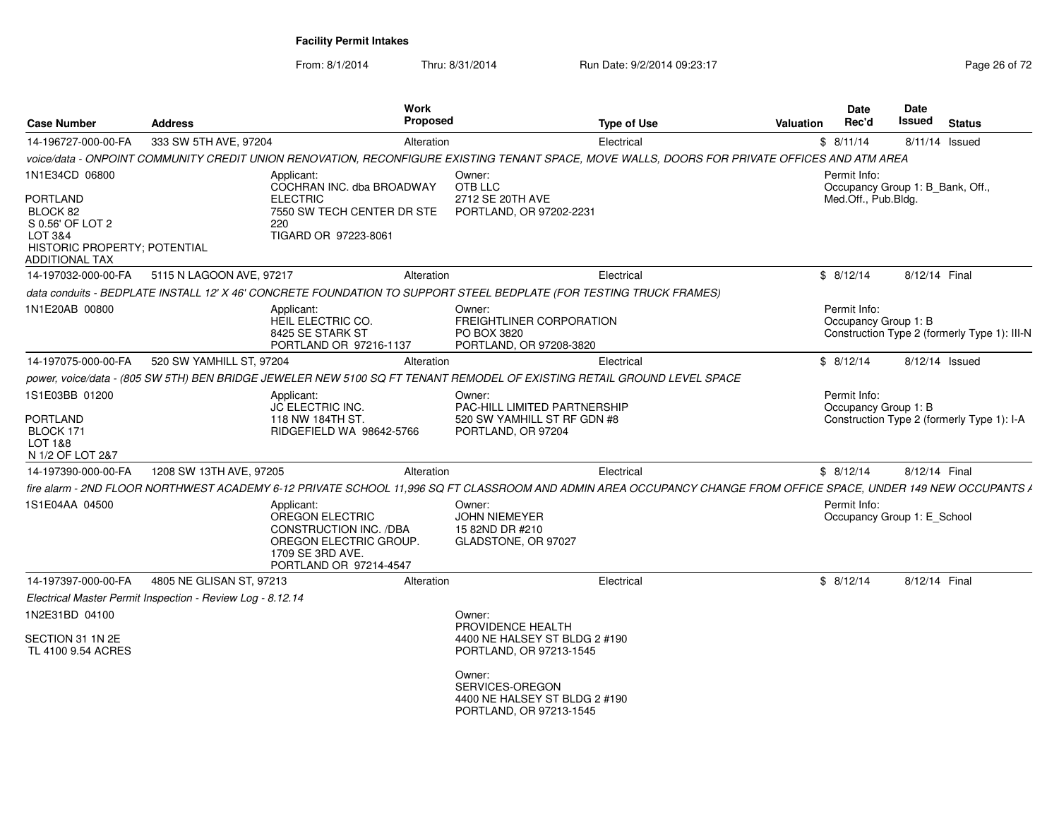From: 8/1/2014Thru: 8/31/2014 Run Date: 9/2/2014 09:23:17 Rege 26 of 72

| <b>Case Number</b>                                                                                           | <b>Address</b>                                                                                                                                                   | Work<br>Proposed                                                                                                                                       | <b>Type of Use</b>                                                 | Valuation | Date<br>Rec'd                                    | Date<br>Issued | <b>Status</b>                                |
|--------------------------------------------------------------------------------------------------------------|------------------------------------------------------------------------------------------------------------------------------------------------------------------|--------------------------------------------------------------------------------------------------------------------------------------------------------|--------------------------------------------------------------------|-----------|--------------------------------------------------|----------------|----------------------------------------------|
| 14-196727-000-00-FA                                                                                          | 333 SW 5TH AVE, 97204                                                                                                                                            | Alteration                                                                                                                                             | Electrical                                                         |           | \$8/11/14                                        | 8/11/14 Issued |                                              |
|                                                                                                              | voice/data - ONPOINT COMMUNITY CREDIT UNION RENOVATION, RECONFIGURE EXISTING TENANT SPACE, MOVE WALLS, DOORS FOR PRIVATE OFFICES AND ATM AREA                    |                                                                                                                                                        |                                                                    |           |                                                  |                |                                              |
| 1N1E34CD 06800                                                                                               | Applicant:                                                                                                                                                       | Owner:<br>COCHRAN INC. dba BROADWAY<br>OTB LLC                                                                                                         |                                                                    |           | Permit Info:<br>Occupancy Group 1: B_Bank, Off., |                |                                              |
| PORTLAND<br>BLOCK 82<br>S 0.56' OF LOT 2<br>LOT 3&4<br>HISTORIC PROPERTY; POTENTIAL<br><b>ADDITIONAL TAX</b> | <b>ELECTRIC</b><br>220<br>TIGARD OR 97223-8061                                                                                                                   | 2712 SE 20TH AVE<br>PORTLAND, OR 97202-2231<br>7550 SW TECH CENTER DR STE                                                                              |                                                                    |           | Med.Off., Pub.Bldg.                              |                |                                              |
| 14-197032-000-00-FA                                                                                          | 5115 N LAGOON AVE, 97217                                                                                                                                         | Alteration                                                                                                                                             | Electrical                                                         |           | \$8/12/14                                        | 8/12/14 Final  |                                              |
|                                                                                                              | data conduits - BEDPLATE INSTALL 12' X 46' CONCRETE FOUNDATION TO SUPPORT STEEL BEDPLATE (FOR TESTING TRUCK FRAMES)                                              |                                                                                                                                                        |                                                                    |           |                                                  |                |                                              |
| 1N1E20AB 00800                                                                                               | Applicant:<br>HEIL ELECTRIC CO.<br>8425 SE STARK ST                                                                                                              | Owner:<br>PO BOX 3820<br>PORTLAND OR 97216-1137<br>PORTLAND, OR 97208-3820                                                                             | <b>FREIGHTLINER CORPORATION</b>                                    |           | Permit Info:<br>Occupancy Group 1: B             |                | Construction Type 2 (formerly Type 1): III-N |
| 14-197075-000-00-FA                                                                                          | 520 SW YAMHILL ST, 97204                                                                                                                                         | Alteration                                                                                                                                             | Electrical                                                         |           | \$8/12/14                                        | 8/12/14 Issued |                                              |
|                                                                                                              | power, voice/data - (805 SW 5TH) BEN BRIDGE JEWELER NEW 5100 SQ FT TENANT REMODEL OF EXISTING RETAIL GROUND LEVEL SPACE                                          |                                                                                                                                                        |                                                                    |           |                                                  |                |                                              |
| 1S1E03BB 01200                                                                                               | Applicant:                                                                                                                                                       | Owner:                                                                                                                                                 |                                                                    |           | Permit Info:                                     |                |                                              |
| <b>PORTLAND</b><br>BLOCK 171<br>LOT 1&8<br>N 1/2 OF LOT 2&7                                                  | JC ELECTRIC INC.<br>118 NW 184TH ST.                                                                                                                             | RIDGEFIELD WA 98642-5766<br>PORTLAND, OR 97204                                                                                                         | <b>PAC-HILL LIMITED PARTNERSHIP</b><br>520 SW YAMHILL ST RF GDN #8 |           | Occupancy Group 1: B                             |                | Construction Type 2 (formerly Type 1): I-A   |
| 14-197390-000-00-FA                                                                                          | 1208 SW 13TH AVE, 97205                                                                                                                                          | Alteration                                                                                                                                             | Electrical                                                         |           | \$8/12/14                                        | 8/12/14 Final  |                                              |
|                                                                                                              | fire alarm - 2ND FLOOR NORTHWEST ACADEMY 6-12 PRIVATE SCHOOL 11,996 SQ FT CLASSROOM AND ADMIN AREA OCCUPANCY CHANGE FROM OFFICE SPACE, UNDER 149 NEW OCCUPANTS / |                                                                                                                                                        |                                                                    |           |                                                  |                |                                              |
| 1S1E04AA 04500                                                                                               | Applicant:<br>OREGON ELECTRIC<br>1709 SE 3RD AVE.                                                                                                                | Owner:<br><b>JOHN NIEMEYER</b><br>CONSTRUCTION INC. /DBA<br>15 82ND DR #210<br>OREGON ELECTRIC GROUP.<br>GLADSTONE, OR 97027<br>PORTLAND OR 97214-4547 |                                                                    |           | Permit Info:<br>Occupancy Group 1: E_School      |                |                                              |
| 14-197397-000-00-FA                                                                                          | 4805 NE GLISAN ST, 97213                                                                                                                                         | Alteration                                                                                                                                             | Electrical                                                         |           | \$8/12/14                                        | 8/12/14 Final  |                                              |
|                                                                                                              | Electrical Master Permit Inspection - Review Log - 8.12.14                                                                                                       |                                                                                                                                                        |                                                                    |           |                                                  |                |                                              |
| 1N2E31BD 04100                                                                                               |                                                                                                                                                                  | Owner:<br>PROVIDENCE HEALTH                                                                                                                            |                                                                    |           |                                                  |                |                                              |
| SECTION 31 1N 2E<br>TL 4100 9.54 ACRES                                                                       |                                                                                                                                                                  | PORTLAND, OR 97213-1545                                                                                                                                | 4400 NE HALSEY ST BLDG 2 #190                                      |           |                                                  |                |                                              |
|                                                                                                              |                                                                                                                                                                  | Owner:<br>SERVICES-OREGON<br>PORTLAND, OR 97213-1545                                                                                                   | 4400 NE HALSEY ST BLDG 2 #190                                      |           |                                                  |                |                                              |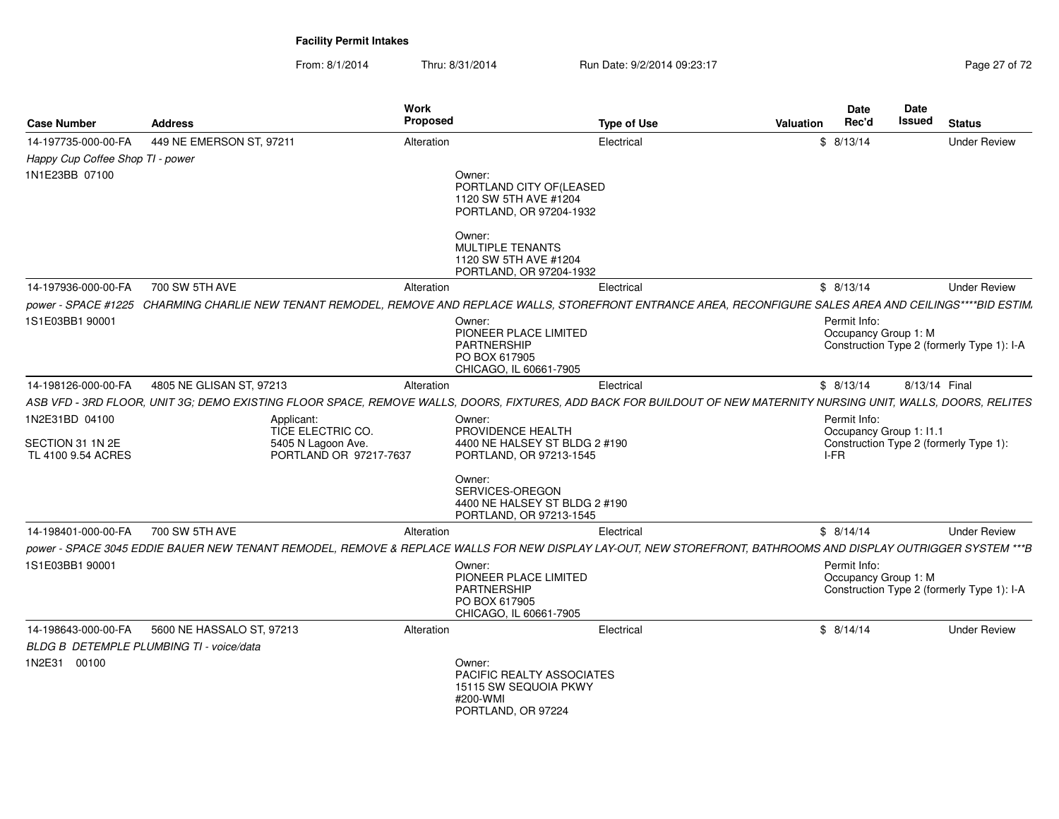From: 8/1/2014Thru: 8/31/2014 Run Date: 9/2/2014 09:23:17 Rege 27 of 72

| <b>Case Number</b>                                       | <b>Address</b>                           |                                                                                 | Work<br>Proposed                                                                                 | <b>Type of Use</b>                                                                                                                                                 | <b>Valuation</b> | Date<br>Rec'd                                   | Date<br>Issued | <b>Status</b>                              |
|----------------------------------------------------------|------------------------------------------|---------------------------------------------------------------------------------|--------------------------------------------------------------------------------------------------|--------------------------------------------------------------------------------------------------------------------------------------------------------------------|------------------|-------------------------------------------------|----------------|--------------------------------------------|
| 14-197735-000-00-FA                                      | 449 NE EMERSON ST, 97211                 |                                                                                 | Alteration                                                                                       | Electrical                                                                                                                                                         |                  | \$8/13/14                                       |                | <b>Under Review</b>                        |
| Happy Cup Coffee Shop TI - power                         |                                          |                                                                                 |                                                                                                  |                                                                                                                                                                    |                  |                                                 |                |                                            |
| 1N1E23BB 07100                                           |                                          |                                                                                 | Owner:<br>PORTLAND CITY OF(LEASED<br>1120 SW 5TH AVE #1204<br>PORTLAND, OR 97204-1932            |                                                                                                                                                                    |                  |                                                 |                |                                            |
|                                                          |                                          |                                                                                 | Owner:<br>MULTIPLE TENANTS<br>1120 SW 5TH AVE #1204<br>PORTLAND, OR 97204-1932                   |                                                                                                                                                                    |                  |                                                 |                |                                            |
| 14-197936-000-00-FA                                      | 700 SW 5TH AVE                           |                                                                                 | Alteration                                                                                       | Electrical                                                                                                                                                         |                  | \$8/13/14                                       |                | <b>Under Review</b>                        |
|                                                          |                                          |                                                                                 |                                                                                                  | power - SPACE #1225 CHARMING CHARLIE NEW TENANT REMODEL, REMOVE AND REPLACE WALLS, STOREFRONT ENTRANCE AREA, RECONFIGURE SALES AREA AND CEILINGS****BID ESTIM.     |                  |                                                 |                |                                            |
| 1S1E03BB1 90001                                          |                                          |                                                                                 | Owner:<br>PIONEER PLACE LIMITED<br><b>PARTNERSHIP</b><br>PO BOX 617905<br>CHICAGO, IL 60661-7905 |                                                                                                                                                                    |                  | Permit Info:<br>Occupancy Group 1: M            |                | Construction Type 2 (formerly Type 1): I-A |
| 14-198126-000-00-FA                                      | 4805 NE GLISAN ST, 97213                 |                                                                                 | Alteration                                                                                       | Electrical                                                                                                                                                         |                  | \$8/13/14                                       | 8/13/14 Final  |                                            |
|                                                          |                                          |                                                                                 |                                                                                                  | ASB VFD - 3RD FLOOR, UNIT 3G; DEMO EXISTING FLOOR SPACE, REMOVE WALLS, DOORS, FIXTURES, ADD BACK FOR BUILDOUT OF NEW MATERNITY NURSING UNIT, WALLS, DOORS, RELITES |                  |                                                 |                |                                            |
| 1N2E31BD 04100<br>SECTION 31 1N 2E<br>TL 4100 9.54 ACRES |                                          | Applicant:<br>TICE ELECTRIC CO.<br>5405 N Lagoon Ave.<br>PORTLAND OR 97217-7637 | Owner:<br>PROVIDENCE HEALTH<br>4400 NE HALSEY ST BLDG 2 #190<br>PORTLAND, OR 97213-1545          |                                                                                                                                                                    |                  | Permit Info:<br>Occupancy Group 1: I1.1<br>I-FR |                | Construction Type 2 (formerly Type 1):     |
|                                                          |                                          |                                                                                 | Owner:<br>SERVICES-OREGON<br>4400 NE HALSEY ST BLDG 2 #190<br>PORTLAND, OR 97213-1545            |                                                                                                                                                                    |                  |                                                 |                |                                            |
| 14-198401-000-00-FA                                      | 700 SW 5TH AVE                           |                                                                                 | Alteration                                                                                       | Electrical                                                                                                                                                         |                  | \$8/14/14                                       |                | <b>Under Review</b>                        |
|                                                          |                                          |                                                                                 |                                                                                                  | power - SPACE 3045 EDDIE BAUER NEW TENANT REMODEL, REMOVE & REPLACE WALLS FOR NEW DISPLAY LAY-OUT, NEW STOREFRONT, BATHROOMS AND DISPLAY OUTRIGGER SYSTEM ***B     |                  |                                                 |                |                                            |
| 1S1E03BB1 90001                                          |                                          |                                                                                 | Owner:<br>PIONEER PLACE LIMITED<br><b>PARTNERSHIP</b><br>PO BOX 617905<br>CHICAGO, IL 60661-7905 |                                                                                                                                                                    |                  | Permit Info:<br>Occupancy Group 1: M            |                | Construction Type 2 (formerly Type 1): I-A |
| 14-198643-000-00-FA                                      | 5600 NE HASSALO ST, 97213                |                                                                                 | Alteration                                                                                       | Electrical                                                                                                                                                         |                  | \$8/14/14                                       |                | <b>Under Review</b>                        |
|                                                          | BLDG B DETEMPLE PLUMBING TI - voice/data |                                                                                 |                                                                                                  |                                                                                                                                                                    |                  |                                                 |                |                                            |
| 1N2E31 00100                                             |                                          |                                                                                 | Owner:<br>PACIFIC REALTY ASSOCIATES<br>15115 SW SEQUOIA PKWY<br>#200-WMI<br>PORTLAND, OR 97224   |                                                                                                                                                                    |                  |                                                 |                |                                            |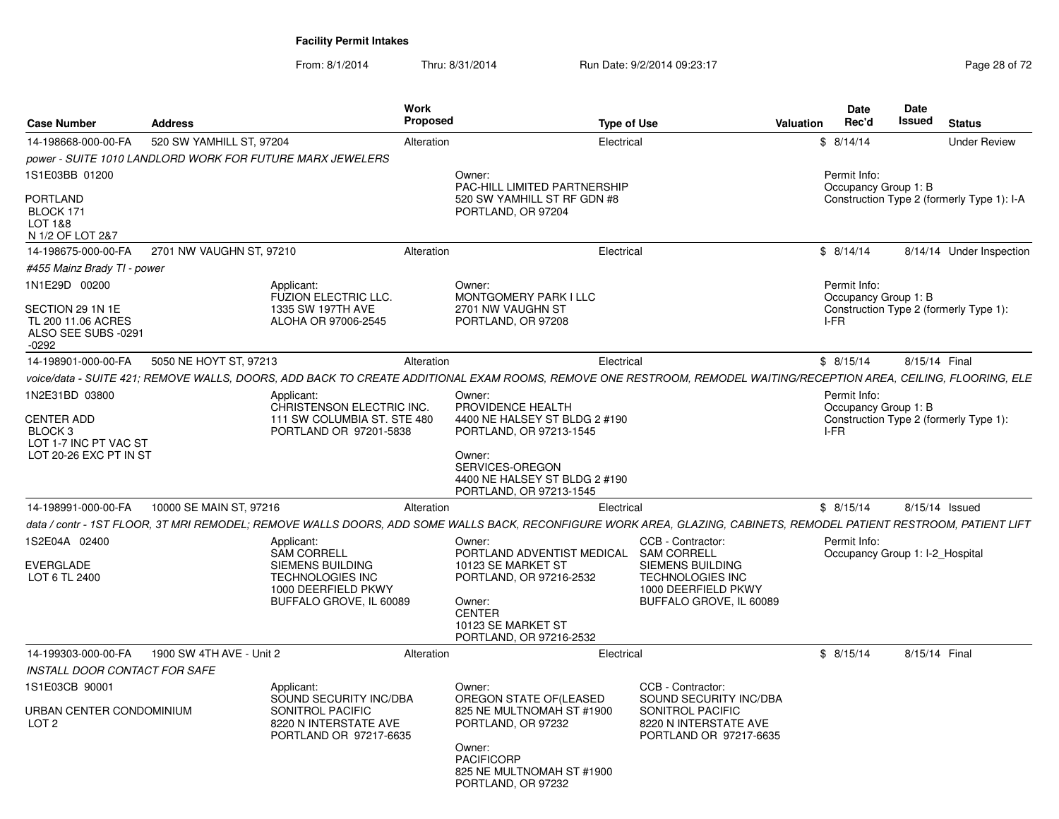From: 8/1/2014Thru: 8/31/2014 Run Date: 9/2/2014 09:23:17 Rege 28 of 72

| <b>Case Number</b>                                               | <b>Address</b>           |                                                                                               | <b>Work</b><br>Proposed |                                                                                                                                                                     | Type of Use |                                                                                               | <b>Valuation</b> | Date<br>Rec'd                                   | Date<br><b>Issued</b> | <b>Status</b>                              |
|------------------------------------------------------------------|--------------------------|-----------------------------------------------------------------------------------------------|-------------------------|---------------------------------------------------------------------------------------------------------------------------------------------------------------------|-------------|-----------------------------------------------------------------------------------------------|------------------|-------------------------------------------------|-----------------------|--------------------------------------------|
| 14-198668-000-00-FA                                              | 520 SW YAMHILL ST, 97204 |                                                                                               | Alteration              |                                                                                                                                                                     | Electrical  |                                                                                               |                  | \$8/14/14                                       |                       | <b>Under Review</b>                        |
|                                                                  |                          | power - SUITE 1010 LANDLORD WORK FOR FUTURE MARX JEWELERS                                     |                         |                                                                                                                                                                     |             |                                                                                               |                  |                                                 |                       |                                            |
| 1S1E03BB 01200                                                   |                          |                                                                                               |                         | Owner:<br>PAC-HILL LIMITED PARTNERSHIP                                                                                                                              |             |                                                                                               |                  | Permit Info:<br>Occupancy Group 1: B            |                       |                                            |
| <b>PORTLAND</b><br>BLOCK 171<br>LOT 1&8<br>N 1/2 OF LOT 2&7      |                          |                                                                                               |                         | 520 SW YAMHILL ST RF GDN #8<br>PORTLAND, OR 97204                                                                                                                   |             |                                                                                               |                  |                                                 |                       | Construction Type 2 (formerly Type 1): I-A |
| 14-198675-000-00-FA                                              | 2701 NW VAUGHN ST, 97210 |                                                                                               | Alteration              |                                                                                                                                                                     | Electrical  |                                                                                               |                  | \$8/14/14                                       |                       | 8/14/14 Under Inspection                   |
| #455 Mainz Brady TI - power                                      |                          |                                                                                               |                         |                                                                                                                                                                     |             |                                                                                               |                  |                                                 |                       |                                            |
| 1N1E29D 00200<br>SECTION 29 1N 1E<br>TL 200 11.06 ACRES          |                          | Applicant:<br>FUZION ELECTRIC LLC.<br>1335 SW 197TH AVE<br>ALOHA OR 97006-2545                |                         | Owner:<br>MONTGOMERY PARK I LLC<br>2701 NW VAUGHN ST<br>PORTLAND, OR 97208                                                                                          |             |                                                                                               |                  | Permit Info:<br>Occupancy Group 1: B<br>I-FR    |                       | Construction Type 2 (formerly Type 1):     |
| ALSO SEE SUBS -0291<br>$-0292$                                   |                          |                                                                                               |                         |                                                                                                                                                                     |             |                                                                                               |                  |                                                 |                       |                                            |
| 14-198901-000-00-FA                                              | 5050 NE HOYT ST, 97213   |                                                                                               | Alteration              |                                                                                                                                                                     | Electrical  |                                                                                               |                  | \$8/15/14                                       | 8/15/14 Final         |                                            |
|                                                                  |                          |                                                                                               |                         | voice/data - SUITE 421; REMOVE WALLS, DOORS, ADD BACK TO CREATE ADDITIONAL EXAM ROOMS, REMOVE ONE RESTROOM, REMODEL WAITING/RECEPTION AREA, CEILING, FLOORING, ELE  |             |                                                                                               |                  |                                                 |                       |                                            |
| 1N2E31BD 03800                                                   |                          | Applicant:<br>CHRISTENSON ELECTRIC INC.                                                       |                         | Owner:<br>PROVIDENCE HEALTH                                                                                                                                         |             |                                                                                               |                  | Permit Info:<br>Occupancy Group 1: B            |                       |                                            |
| <b>CENTER ADD</b><br>BLOCK <sub>3</sub><br>LOT 1-7 INC PT VAC ST |                          | 111 SW COLUMBIA ST. STE 480<br>PORTLAND OR 97201-5838                                         |                         | 4400 NE HALSEY ST BLDG 2 #190<br>PORTLAND, OR 97213-1545                                                                                                            |             |                                                                                               |                  | I-FR                                            |                       | Construction Type 2 (formerly Type 1):     |
| LOT 20-26 EXC PT IN ST                                           |                          |                                                                                               |                         | Owner:<br>SERVICES-OREGON<br>4400 NE HALSEY ST BLDG 2 #190<br>PORTLAND, OR 97213-1545                                                                               |             |                                                                                               |                  |                                                 |                       |                                            |
| 14-198991-000-00-FA                                              | 10000 SE MAIN ST, 97216  |                                                                                               | Alteration              |                                                                                                                                                                     | Electrical  |                                                                                               |                  | \$8/15/14                                       |                       | 8/15/14 Issued                             |
|                                                                  |                          |                                                                                               |                         | data / contr - 1ST FLOOR, 3T MRI REMODEL; REMOVE WALLS DOORS, ADD SOME WALLS BACK, RECONFIGURE WORK AREA, GLAZING, CABINETS, REMODEL PATIENT RESTROOM, PATIENT LIFT |             |                                                                                               |                  |                                                 |                       |                                            |
| 1S2E04A 02400<br>EVERGLADE                                       |                          | Applicant:<br><b>SAM CORRELL</b><br>SIEMENS BUILDING                                          |                         | Owner:<br>PORTLAND ADVENTIST MEDICAL<br>10123 SE MARKET ST                                                                                                          |             | CCB - Contractor:<br><b>SAM CORRELL</b><br>SIEMENS BUILDING                                   |                  | Permit Info:<br>Occupancy Group 1: I-2_Hospital |                       |                                            |
| LOT 6 TL 2400                                                    |                          | <b>TECHNOLOGIES INC</b><br>1000 DEERFIELD PKWY<br>BUFFALO GROVE, IL 60089                     |                         | PORTLAND, OR 97216-2532<br>Owner:<br><b>CENTER</b><br>10123 SE MARKET ST<br>PORTLAND, OR 97216-2532                                                                 |             | <b>TECHNOLOGIES INC</b><br>1000 DEERFIELD PKWY<br>BUFFALO GROVE, IL 60089                     |                  |                                                 |                       |                                            |
| 14-199303-000-00-FA                                              | 1900 SW 4TH AVE - Unit 2 |                                                                                               | Alteration              |                                                                                                                                                                     | Electrical  |                                                                                               |                  | \$8/15/14                                       | 8/15/14 Final         |                                            |
| INSTALL DOOR CONTACT FOR SAFE                                    |                          |                                                                                               |                         |                                                                                                                                                                     |             |                                                                                               |                  |                                                 |                       |                                            |
| 1S1E03CB 90001                                                   |                          | Applicant:                                                                                    |                         | Owner:                                                                                                                                                              |             | CCB - Contractor:                                                                             |                  |                                                 |                       |                                            |
| URBAN CENTER CONDOMINIUM<br>LOT <sub>2</sub>                     |                          | SOUND SECURITY INC/DBA<br>SONITROL PACIFIC<br>8220 N INTERSTATE AVE<br>PORTLAND OR 97217-6635 |                         | OREGON STATE OF(LEASED<br>825 NE MULTNOMAH ST #1900<br>PORTLAND, OR 97232<br>Owner:                                                                                 |             | SOUND SECURITY INC/DBA<br>SONITROL PACIFIC<br>8220 N INTERSTATE AVE<br>PORTLAND OR 97217-6635 |                  |                                                 |                       |                                            |
|                                                                  |                          |                                                                                               |                         | <b>PACIFICORP</b><br>825 NE MULTNOMAH ST #1900<br>PORTLAND, OR 97232                                                                                                |             |                                                                                               |                  |                                                 |                       |                                            |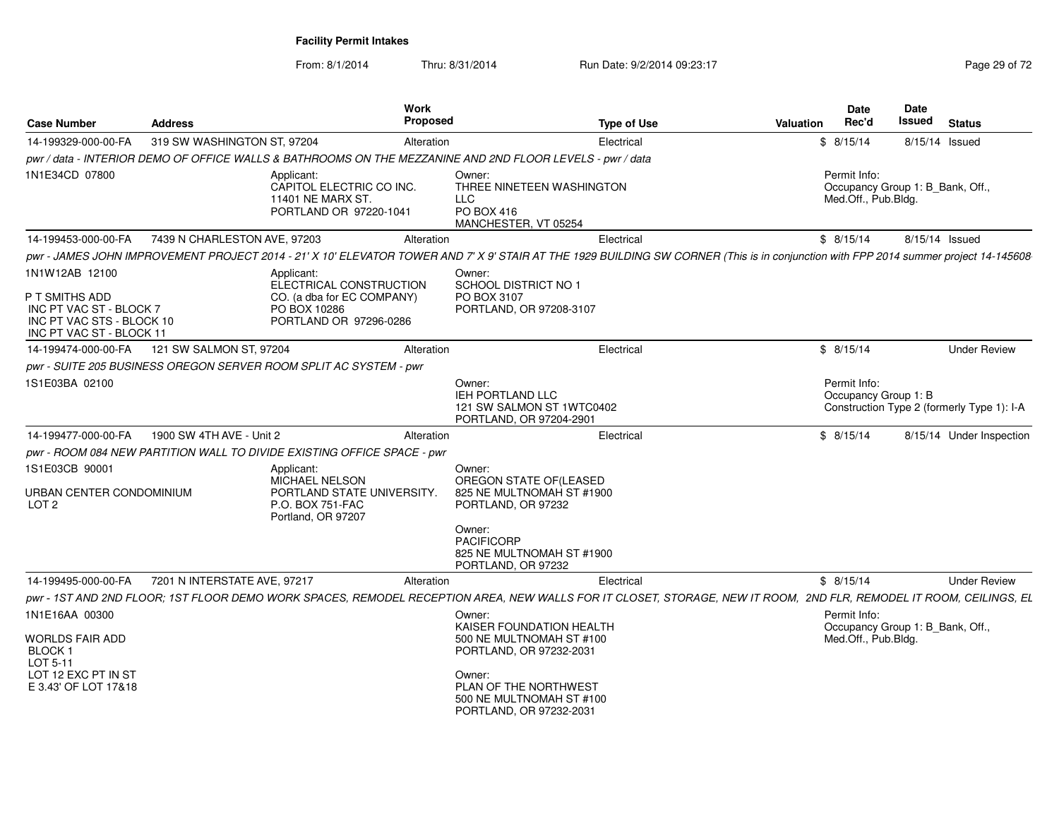From: 8/1/2014Thru: 8/31/2014 Run Date: 9/2/2014 09:23:17 Rege 29 of 72

| <b>Case Number</b>                                                                                                   | <b>Address</b>               | Work<br><b>Proposed</b>                                                                                       |                                                                                                                                                                                     | <b>Type of Use</b>                                                                                                                                                                   | <b>Valuation</b> | Date<br>Rec'd                                                           | <b>Date</b><br>Issued | <b>Status</b>                              |
|----------------------------------------------------------------------------------------------------------------------|------------------------------|---------------------------------------------------------------------------------------------------------------|-------------------------------------------------------------------------------------------------------------------------------------------------------------------------------------|--------------------------------------------------------------------------------------------------------------------------------------------------------------------------------------|------------------|-------------------------------------------------------------------------|-----------------------|--------------------------------------------|
| 14-199329-000-00-FA                                                                                                  | 319 SW WASHINGTON ST, 97204  | Alteration                                                                                                    |                                                                                                                                                                                     | Electrical                                                                                                                                                                           |                  | \$8/15/14                                                               | 8/15/14 Issued        |                                            |
|                                                                                                                      |                              | pwr / data - INTERIOR DEMO OF OFFICE WALLS & BATHROOMS ON THE MEZZANINE AND 2ND FLOOR LEVELS - pwr / data     |                                                                                                                                                                                     |                                                                                                                                                                                      |                  |                                                                         |                       |                                            |
| 1N1E34CD 07800                                                                                                       |                              | Applicant:<br>CAPITOL ELECTRIC CO INC.<br>11401 NE MARX ST.<br>PORTLAND OR 97220-1041                         | Owner:<br>THREE NINETEEN WASHINGTON<br><b>LLC</b><br>PO BOX 416<br>MANCHESTER, VT 05254                                                                                             |                                                                                                                                                                                      |                  | Permit Info:<br>Occupancy Group 1: B Bank, Off.,<br>Med.Off., Pub.Bldg. |                       |                                            |
| 14-199453-000-00-FA                                                                                                  | 7439 N CHARLESTON AVE, 97203 | Alteration                                                                                                    |                                                                                                                                                                                     | Electrical                                                                                                                                                                           |                  | \$8/15/14                                                               | 8/15/14 Issued        |                                            |
|                                                                                                                      |                              |                                                                                                               |                                                                                                                                                                                     | pwr - JAMES JOHN IMPROVEMENT PROJECT 2014 - 21' X 10' ELEVATOR TOWER AND 7' X 9' STAIR AT THE 1929 BUILDING SW CORNER (This is in conjunction with FPP 2014 summer project 14-145608 |                  |                                                                         |                       |                                            |
| 1N1W12AB 12100<br>P T SMITHS ADD<br>INC PT VAC ST - BLOCK 7<br>INC PT VAC STS - BLOCK 10<br>INC PT VAC ST - BLOCK 11 |                              | Applicant:<br>ELECTRICAL CONSTRUCTION<br>CO. (a dba for EC COMPANY)<br>PO BOX 10286<br>PORTLAND OR 97296-0286 | Owner:<br><b>SCHOOL DISTRICT NO 1</b><br>PO BOX 3107<br>PORTLAND, OR 97208-3107                                                                                                     |                                                                                                                                                                                      |                  |                                                                         |                       |                                            |
| 14-199474-000-00-FA                                                                                                  | 121 SW SALMON ST, 97204      | Alteration                                                                                                    |                                                                                                                                                                                     | Electrical                                                                                                                                                                           |                  | \$8/15/14                                                               |                       | <b>Under Review</b>                        |
|                                                                                                                      |                              | pwr - SUITE 205 BUSINESS OREGON SERVER ROOM SPLIT AC SYSTEM - pwr                                             |                                                                                                                                                                                     |                                                                                                                                                                                      |                  |                                                                         |                       |                                            |
| 1S1E03BA 02100                                                                                                       |                              |                                                                                                               | Owner:<br>IEH PORTLAND LLC<br>121 SW SALMON ST 1WTC0402<br>PORTLAND, OR 97204-2901                                                                                                  |                                                                                                                                                                                      |                  | Permit Info:<br>Occupancy Group 1: B                                    |                       | Construction Type 2 (formerly Type 1): I-A |
| 14-199477-000-00-FA                                                                                                  | 1900 SW 4TH AVE - Unit 2     | Alteration                                                                                                    |                                                                                                                                                                                     | Electrical                                                                                                                                                                           |                  | \$8/15/14                                                               |                       | 8/15/14 Under Inspection                   |
|                                                                                                                      |                              | pwr - ROOM 084 NEW PARTITION WALL TO DIVIDE EXISTING OFFICE SPACE - pwr                                       |                                                                                                                                                                                     |                                                                                                                                                                                      |                  |                                                                         |                       |                                            |
| 1S1E03CB 90001<br>URBAN CENTER CONDOMINIUM<br>LOT <sub>2</sub>                                                       |                              | Applicant:<br>MICHAEL NELSON<br>PORTLAND STATE UNIVERSITY.<br>P.O. BOX 751-FAC<br>Portland, OR 97207          | Owner:<br>OREGON STATE OF(LEASED<br>825 NE MULTNOMAH ST #1900<br>PORTLAND, OR 97232<br>Owner:<br><b>PACIFICORP</b><br>825 NE MULTNOMAH ST #1900<br>PORTLAND, OR 97232               |                                                                                                                                                                                      |                  |                                                                         |                       |                                            |
| 14-199495-000-00-FA                                                                                                  | 7201 N INTERSTATE AVE, 97217 | Alteration                                                                                                    |                                                                                                                                                                                     | Electrical                                                                                                                                                                           |                  | \$8/15/14                                                               |                       | <b>Under Review</b>                        |
|                                                                                                                      |                              |                                                                                                               |                                                                                                                                                                                     | pwr - 1ST AND 2ND FLOOR; 1ST FLOOR DEMO WORK SPACES, REMODEL RECEPTION AREA, NEW WALLS FOR IT CLOSET, STORAGE, NEW IT ROOM, 2ND FLR, REMODEL IT ROOM, CEILINGS, EL                   |                  |                                                                         |                       |                                            |
| 1N1E16AA 00300<br>WORLDS FAIR ADD<br>BLOCK <sub>1</sub><br>LOT 5-11<br>LOT 12 EXC PT IN ST<br>E 3.43' OF LOT 17&18   |                              |                                                                                                               | Owner:<br>KAISER FOUNDATION HEALTH<br>500 NE MULTNOMAH ST #100<br>PORTLAND, OR 97232-2031<br>Owner:<br>PLAN OF THE NORTHWEST<br>500 NE MULTNOMAH ST #100<br>PORTLAND, OR 97232-2031 |                                                                                                                                                                                      |                  | Permit Info:<br>Occupancy Group 1: B_Bank, Off.,<br>Med.Off., Pub.Bldg. |                       |                                            |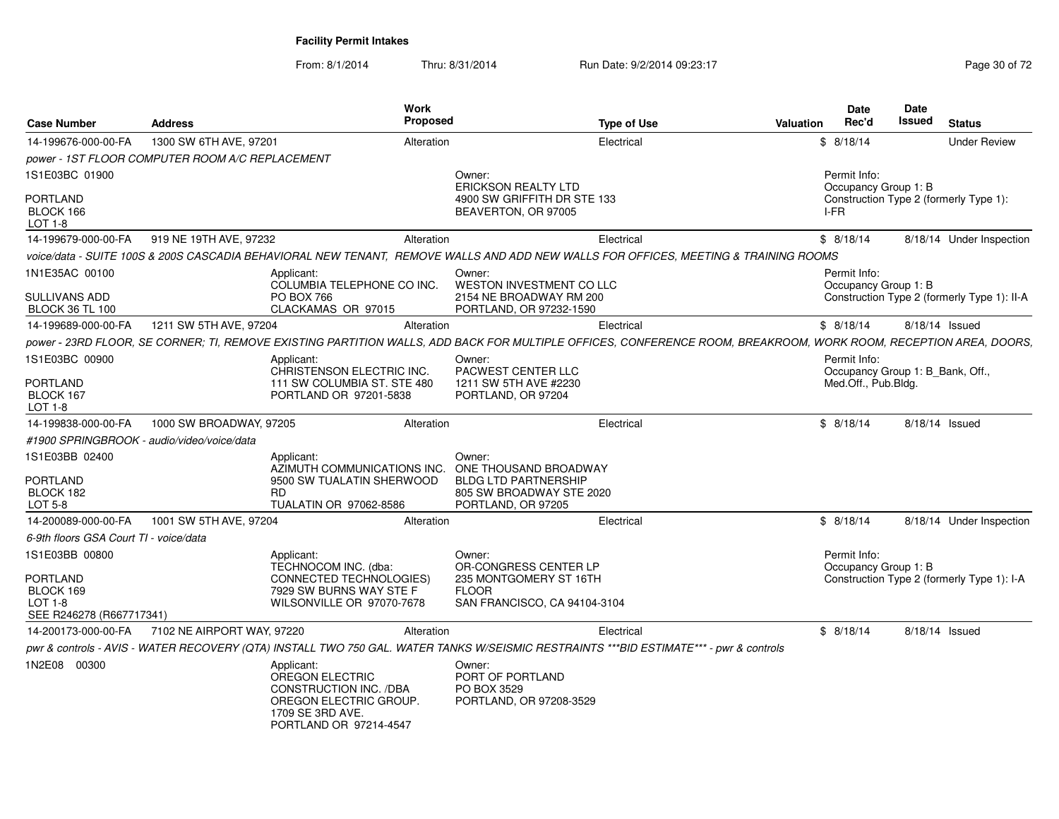From: 8/1/2014Thru: 8/31/2014 Run Date: 9/2/2014 09:23:17 Rege 30 of 72

| <b>Case Number</b>                                                                      | <b>Address</b>                                  | <b>Work</b><br><b>Proposed</b>                                                                                                                                   |                                                                                                                  | <b>Type of Use</b> | <b>Valuation</b> | Date<br>Rec'd                                           | Date<br>Issued | <b>Status</b>                               |
|-----------------------------------------------------------------------------------------|-------------------------------------------------|------------------------------------------------------------------------------------------------------------------------------------------------------------------|------------------------------------------------------------------------------------------------------------------|--------------------|------------------|---------------------------------------------------------|----------------|---------------------------------------------|
| 14-199676-000-00-FA                                                                     | 1300 SW 6TH AVE, 97201                          | Alteration                                                                                                                                                       |                                                                                                                  | Electrical         |                  | \$8/18/14                                               |                | <b>Under Review</b>                         |
|                                                                                         | power - 1ST FLOOR COMPUTER ROOM A/C REPLACEMENT |                                                                                                                                                                  |                                                                                                                  |                    |                  |                                                         |                |                                             |
| 1S1E03BC 01900                                                                          |                                                 |                                                                                                                                                                  | Owner:<br><b>ERICKSON REALTY LTD</b>                                                                             |                    |                  | Permit Info:<br>Occupancy Group 1: B                    |                |                                             |
| <b>PORTLAND</b><br>BLOCK 166<br>LOT 1-8                                                 |                                                 |                                                                                                                                                                  | 4900 SW GRIFFITH DR STE 133<br>BEAVERTON, OR 97005                                                               |                    |                  | I-FR                                                    |                | Construction Type 2 (formerly Type 1):      |
| 14-199679-000-00-FA                                                                     | 919 NE 19TH AVE, 97232                          | Alteration                                                                                                                                                       |                                                                                                                  | Electrical         |                  | \$8/18/14                                               |                | 8/18/14 Under Inspection                    |
|                                                                                         |                                                 | voice/data - SUITE 100S & 200S CASCADIA BEHAVIORAL NEW TENANT, REMOVE WALLS AND ADD NEW WALLS FOR OFFICES, MEETING & TRAINING ROOMS                              |                                                                                                                  |                    |                  |                                                         |                |                                             |
| 1N1E35AC 00100                                                                          |                                                 | Applicant:                                                                                                                                                       | Owner:                                                                                                           |                    |                  | Permit Info:                                            |                |                                             |
| <b>SULLIVANS ADD</b><br><b>BLOCK 36 TL 100</b>                                          |                                                 | COLUMBIA TELEPHONE CO INC.<br><b>PO BOX 766</b><br>CLACKAMAS OR 97015                                                                                            | WESTON INVESTMENT CO LLC<br>2154 NE BROADWAY RM 200<br>PORTLAND, OR 97232-1590                                   |                    |                  | Occupancy Group 1: B                                    |                | Construction Type 2 (formerly Type 1): II-A |
| 14-199689-000-00-FA                                                                     | 1211 SW 5TH AVE, 97204                          | Alteration                                                                                                                                                       |                                                                                                                  | Electrical         |                  | \$8/18/14                                               |                | 8/18/14 Issued                              |
|                                                                                         |                                                 | power - 23RD FLOOR, SE CORNER; TI, REMOVE EXISTING PARTITION WALLS, ADD BACK FOR MULTIPLE OFFICES, CONFERENCE ROOM, BREAKROOM, WORK ROOM, RECEPTION AREA, DOORS, |                                                                                                                  |                    |                  |                                                         |                |                                             |
| 1S1E03BC 00900                                                                          |                                                 | Applicant:                                                                                                                                                       | Owner:                                                                                                           |                    |                  | Permit Info:                                            |                |                                             |
| PORTLAND<br>BLOCK 167<br>LOT 1-8                                                        |                                                 | CHRISTENSON ELECTRIC INC.<br>111 SW COLUMBIA ST. STE 480<br>PORTLAND OR 97201-5838                                                                               | PACWEST CENTER LLC<br>1211 SW 5TH AVE #2230<br>PORTLAND, OR 97204                                                |                    |                  | Occupancy Group 1: B_Bank, Off.,<br>Med.Off., Pub.Bldg. |                |                                             |
| 14-199838-000-00-FA                                                                     | 1000 SW BROADWAY, 97205                         | Alteration                                                                                                                                                       |                                                                                                                  | Electrical         |                  | \$8/18/14                                               |                | 8/18/14 Issued                              |
|                                                                                         | #1900 SPRINGBROOK - audio/video/voice/data      |                                                                                                                                                                  |                                                                                                                  |                    |                  |                                                         |                |                                             |
| 1S1E03BB 02400<br><b>PORTLAND</b><br>BLOCK 182<br>LOT 5-8                               |                                                 | Applicant:<br>AZIMUTH COMMUNICATIONS INC.<br>9500 SW TUALATIN SHERWOOD<br><b>RD</b><br>TUALATIN OR 97062-8586                                                    | Owner:<br>ONE THOUSAND BROADWAY<br><b>BLDG LTD PARTNERSHIP</b><br>805 SW BROADWAY STE 2020<br>PORTLAND, OR 97205 |                    |                  |                                                         |                |                                             |
| 14-200089-000-00-FA                                                                     | 1001 SW 5TH AVE, 97204                          | Alteration                                                                                                                                                       |                                                                                                                  | Electrical         |                  | \$8/18/14                                               |                | 8/18/14 Under Inspection                    |
| 6-9th floors GSA Court TI - voice/data                                                  |                                                 |                                                                                                                                                                  |                                                                                                                  |                    |                  |                                                         |                |                                             |
| 1S1E03BB 00800<br><b>PORTLAND</b><br>BLOCK 169<br>$LOT 1-8$<br>SEE R246278 (R667717341) |                                                 | Applicant:<br>TECHNOCOM INC. (dba:<br>CONNECTED TECHNOLOGIES)<br>7929 SW BURNS WAY STE F<br>WILSONVILLE OR 97070-7678                                            | Owner:<br>OR-CONGRESS CENTER LP<br>235 MONTGOMERY ST 16TH<br><b>FLOOR</b><br>SAN FRANCISCO, CA 94104-3104        |                    |                  | Permit Info:<br>Occupancy Group 1: B                    |                | Construction Type 2 (formerly Type 1): I-A  |
| 14-200173-000-00-FA                                                                     | 7102 NE AIRPORT WAY, 97220                      | Alteration                                                                                                                                                       |                                                                                                                  | Electrical         |                  | \$8/18/14                                               |                | 8/18/14 Issued                              |
|                                                                                         |                                                 | pwr & controls - AVIS - WATER RECOVERY (QTA) INSTALL TWO 750 GAL. WATER TANKS W/SEISMIC RESTRAINTS ***BID ESTIMATE*** - pwr & controls                           |                                                                                                                  |                    |                  |                                                         |                |                                             |
| 1N2E08 00300                                                                            |                                                 | Applicant:<br><b>OREGON ELECTRIC</b><br>CONSTRUCTION INC. /DBA<br>OREGON ELECTRIC GROUP.<br>1709 SE 3RD AVE.<br>PORTLAND OR 97214-4547                           | Owner:<br>PORT OF PORTLAND<br>PO BOX 3529<br>PORTLAND, OR 97208-3529                                             |                    |                  |                                                         |                |                                             |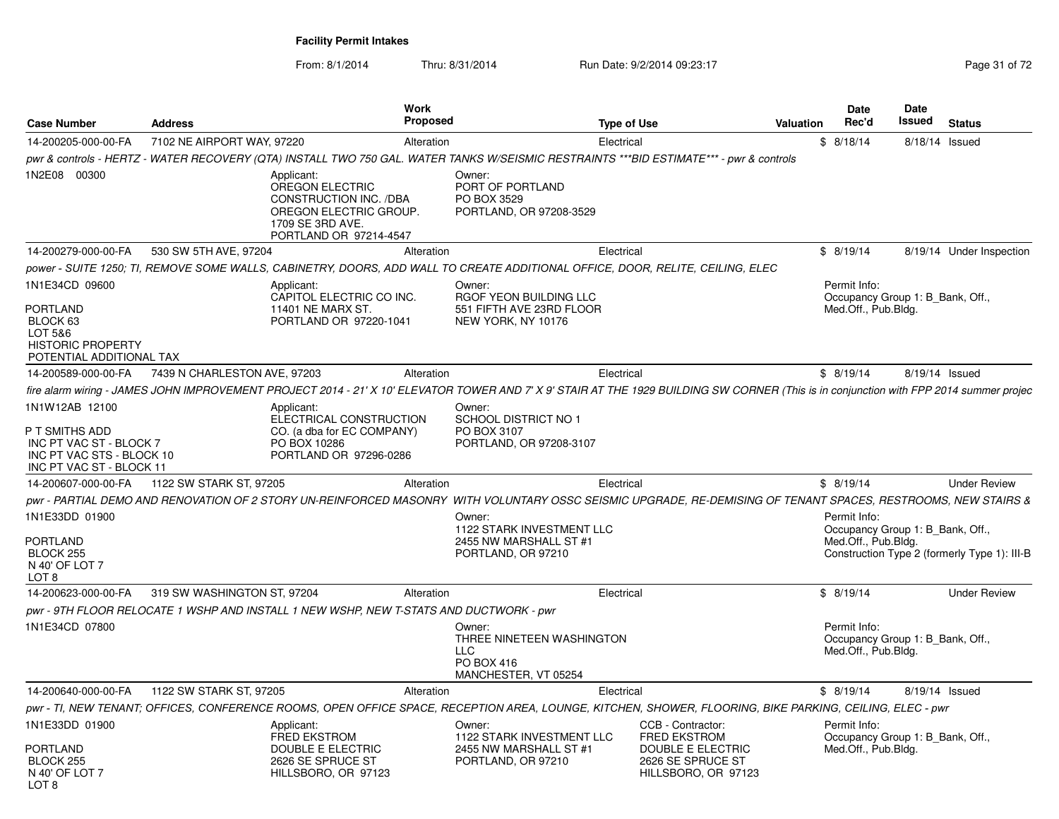From: 8/1/2014Thru: 8/31/2014 Run Date: 9/2/2014 09:23:17 Rege 31 of 72

| <b>Case Number</b>                                                                                                   | <b>Address</b>               | <b>Work</b>                                                                                                                     | <b>Proposed</b> | <b>Type of Use</b>                                                                                                                                                                      |                                                               | <b>Valuation</b> | <b>Date</b><br>Rec'd                                                    | Date<br><b>Issued</b> | <b>Status</b>                                |
|----------------------------------------------------------------------------------------------------------------------|------------------------------|---------------------------------------------------------------------------------------------------------------------------------|-----------------|-----------------------------------------------------------------------------------------------------------------------------------------------------------------------------------------|---------------------------------------------------------------|------------------|-------------------------------------------------------------------------|-----------------------|----------------------------------------------|
| 14-200205-000-00-FA                                                                                                  | 7102 NE AIRPORT WAY, 97220   |                                                                                                                                 | Alteration      | Electrical                                                                                                                                                                              |                                                               |                  | \$8/18/14                                                               | 8/18/14 Issued        |                                              |
|                                                                                                                      |                              |                                                                                                                                 |                 | pwr & controls - HERTZ - WATER RECOVERY (QTA) INSTALL TWO 750 GAL. WATER TANKS W/SEISMIC RESTRAINTS ***BID ESTIMATE*** - pwr & controls                                                 |                                                               |                  |                                                                         |                       |                                              |
| 1N2E08 00300                                                                                                         |                              | Applicant:<br>OREGON ELECTRIC<br>CONSTRUCTION INC. /DBA<br>OREGON ELECTRIC GROUP.<br>1709 SE 3RD AVE.<br>PORTLAND OR 97214-4547 |                 | Owner:<br>PORT OF PORTLAND<br>PO BOX 3529<br>PORTLAND, OR 97208-3529                                                                                                                    |                                                               |                  |                                                                         |                       |                                              |
| 14-200279-000-00-FA                                                                                                  | 530 SW 5TH AVE, 97204        |                                                                                                                                 | Alteration      | Electrical                                                                                                                                                                              |                                                               |                  | \$8/19/14                                                               |                       | 8/19/14 Under Inspection                     |
|                                                                                                                      |                              |                                                                                                                                 |                 | power - SUITE 1250; TI, REMOVE SOME WALLS, CABINETRY, DOORS, ADD WALL TO CREATE ADDITIONAL OFFICE, DOOR, RELITE, CEILING, ELEC                                                          |                                                               |                  |                                                                         |                       |                                              |
| 1N1E34CD 09600<br><b>PORTLAND</b><br>BLOCK 63<br>LOT 5&6<br><b>HISTORIC PROPERTY</b><br>POTENTIAL ADDITIONAL TAX     |                              | Applicant:<br>CAPITOL ELECTRIC CO INC.<br>11401 NE MARX ST.<br>PORTLAND OR 97220-1041                                           |                 | Owner:<br>RGOF YEON BUILDING LLC<br>551 FIFTH AVE 23RD FLOOR<br>NEW YORK, NY 10176                                                                                                      |                                                               |                  | Permit Info:<br>Occupancy Group 1: B Bank, Off.,<br>Med.Off., Pub.Bldg. |                       |                                              |
| 14-200589-000-00-FA                                                                                                  | 7439 N CHARLESTON AVE, 97203 |                                                                                                                                 | Alteration      | Electrical                                                                                                                                                                              |                                                               |                  | \$8/19/14                                                               | 8/19/14 Issued        |                                              |
|                                                                                                                      |                              |                                                                                                                                 |                 | fire alarm wiring - JAMES JOHN IMPROVEMENT PROJECT 2014 - 21' X 10' ELEVATOR TOWER AND 7' X 9' STAIR AT THE 1929 BUILDING SW CORNER (This is in conjunction with FPP 2014 summer projec |                                                               |                  |                                                                         |                       |                                              |
| 1N1W12AB 12100<br>P T SMITHS ADD<br>INC PT VAC ST - BLOCK 7<br>INC PT VAC STS - BLOCK 10<br>INC PT VAC ST - BLOCK 11 |                              | Applicant:<br>ELECTRICAL CONSTRUCTION<br>CO. (a dba for EC COMPANY)<br>PO BOX 10286<br>PORTLAND OR 97296-0286                   |                 | Owner:<br>SCHOOL DISTRICT NO 1<br>PO BOX 3107<br>PORTLAND, OR 97208-3107                                                                                                                |                                                               |                  |                                                                         |                       |                                              |
| 14-200607-000-00-FA                                                                                                  | 1122 SW STARK ST, 97205      |                                                                                                                                 | Alteration      | Electrical                                                                                                                                                                              |                                                               |                  | \$8/19/14                                                               |                       | <b>Under Review</b>                          |
|                                                                                                                      |                              |                                                                                                                                 |                 | pwr - PARTIAL DEMO AND RENOVATION OF 2 STORY UN-REINFORCED MASONRY WITH VOLUNTARY OSSC SEISMIC UPGRADE, RE-DEMISING OF TENANT SPACES, RESTROOMS, NEW STAIRS &                           |                                                               |                  |                                                                         |                       |                                              |
| 1N1E33DD 01900<br><b>PORTLAND</b><br>BLOCK 255<br>N 40' OF LOT 7<br>LOT 8                                            |                              |                                                                                                                                 |                 | Owner:<br>1122 STARK INVESTMENT LLC<br>2455 NW MARSHALL ST #1<br>PORTLAND, OR 97210                                                                                                     |                                                               |                  | Permit Info:<br>Occupancy Group 1: B Bank, Off.,<br>Med.Off., Pub.Bldg. |                       | Construction Type 2 (formerly Type 1): III-B |
| 14-200623-000-00-FA                                                                                                  | 319 SW WASHINGTON ST, 97204  |                                                                                                                                 | Alteration      | Electrical                                                                                                                                                                              |                                                               |                  | \$8/19/14                                                               |                       | <b>Under Review</b>                          |
|                                                                                                                      |                              | pwr - 9TH FLOOR RELOCATE 1 WSHP AND INSTALL 1 NEW WSHP, NEW T-STATS AND DUCTWORK - pwr                                          |                 |                                                                                                                                                                                         |                                                               |                  |                                                                         |                       |                                              |
| 1N1E34CD 07800                                                                                                       |                              |                                                                                                                                 | <b>LLC</b>      | Owner:<br>THREE NINETEEN WASHINGTON<br><b>PO BOX 416</b><br>MANCHESTER, VT 05254                                                                                                        |                                                               |                  | Permit Info:<br>Occupancy Group 1: B Bank, Off.,<br>Med.Off., Pub.Bldg. |                       |                                              |
| 14-200640-000-00-FA                                                                                                  | 1122 SW STARK ST, 97205      |                                                                                                                                 | Alteration      | Electrical                                                                                                                                                                              |                                                               |                  | \$8/19/14                                                               | 8/19/14 Issued        |                                              |
|                                                                                                                      |                              |                                                                                                                                 |                 | pwr - TI, NEW TENANT; OFFICES, CONFERENCE ROOMS, OPEN OFFICE SPACE, RECEPTION AREA, LOUNGE, KITCHEN, SHOWER, FLOORING, BIKE PARKING, CEILING, ELEC - pwr                                |                                                               |                  |                                                                         |                       |                                              |
| 1N1E33DD 01900                                                                                                       |                              | Applicant:<br><b>FRED EKSTROM</b>                                                                                               |                 | Owner:<br>1122 STARK INVESTMENT LLC                                                                                                                                                     | CCB - Contractor:<br><b>FRED EKSTROM</b>                      |                  | Permit Info:<br>Occupancy Group 1: B Bank, Off.,                        |                       |                                              |
| PORTLAND<br>BLOCK 255<br>N 40' OF LOT 7<br>LOT <sub>8</sub>                                                          |                              | DOUBLE E ELECTRIC<br>2626 SE SPRUCE ST<br>HILLSBORO, OR 97123                                                                   |                 | 2455 NW MARSHALL ST #1<br>PORTLAND, OR 97210                                                                                                                                            | DOUBLE E ELECTRIC<br>2626 SE SPRUCE ST<br>HILLSBORO, OR 97123 |                  | Med.Off., Pub.Bldg.                                                     |                       |                                              |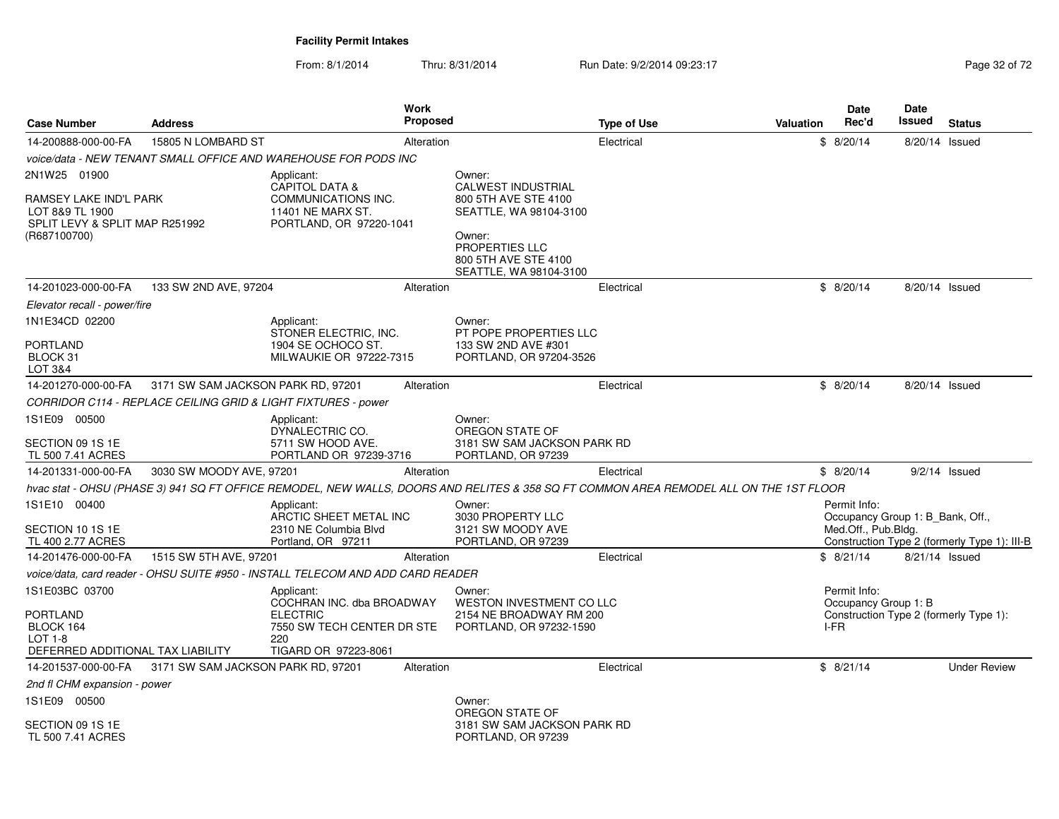From: 8/1/2014Thru: 8/31/2014 Run Date: 9/2/2014 09:23:17 Rege 32 of 72

| <b>Case Number</b>                                                                                          | <b>Address</b>                     | <b>Work</b><br><b>Proposed</b>                                                                                          |                                                                                                                                                                     | <b>Type of Use</b> | Valuation | Date<br>Rec'd                                                                          | <b>Date</b><br>Issued | <b>Status</b>                                |
|-------------------------------------------------------------------------------------------------------------|------------------------------------|-------------------------------------------------------------------------------------------------------------------------|---------------------------------------------------------------------------------------------------------------------------------------------------------------------|--------------------|-----------|----------------------------------------------------------------------------------------|-----------------------|----------------------------------------------|
| 14-200888-000-00-FA                                                                                         | 15805 N LOMBARD ST                 | Alteration                                                                                                              |                                                                                                                                                                     | Electrical         |           | \$8/20/14                                                                              | 8/20/14 Issued        |                                              |
|                                                                                                             |                                    | voice/data - NEW TENANT SMALL OFFICE AND WAREHOUSE FOR PODS INC                                                         |                                                                                                                                                                     |                    |           |                                                                                        |                       |                                              |
| 2N1W25 01900<br>RAMSEY LAKE IND'L PARK<br>LOT 8&9 TL 1900<br>SPLIT LEVY & SPLIT MAP R251992<br>(R687100700) |                                    | Applicant:<br><b>CAPITOL DATA &amp;</b><br><b>COMMUNICATIONS INC.</b><br>11401 NE MARX ST.<br>PORTLAND, OR 97220-1041   | Owner:<br><b>CALWEST INDUSTRIAL</b><br>800 5TH AVE STE 4100<br>SEATTLE, WA 98104-3100<br>Owner:<br>PROPERTIES LLC<br>800 5TH AVE STE 4100<br>SEATTLE, WA 98104-3100 |                    |           |                                                                                        |                       |                                              |
| 14-201023-000-00-FA                                                                                         | 133 SW 2ND AVE, 97204              | Alteration                                                                                                              |                                                                                                                                                                     | Electrical         |           | \$8/20/14                                                                              | 8/20/14 Issued        |                                              |
| Elevator recall - power/fire                                                                                |                                    |                                                                                                                         |                                                                                                                                                                     |                    |           |                                                                                        |                       |                                              |
| 1N1E34CD 02200<br>PORTLAND<br>BLOCK 31<br>LOT 3&4                                                           |                                    | Applicant:<br>STONER ELECTRIC, INC.<br>1904 SE OCHOCO ST.<br>MILWAUKIE OR 97222-7315                                    | Owner:<br>PT POPE PROPERTIES LLC<br>133 SW 2ND AVE #301<br>PORTLAND, OR 97204-3526                                                                                  |                    |           |                                                                                        |                       |                                              |
| 14-201270-000-00-FA                                                                                         | 3171 SW SAM JACKSON PARK RD, 97201 | Alteration                                                                                                              |                                                                                                                                                                     | Electrical         |           | \$8/20/14                                                                              | 8/20/14 Issued        |                                              |
|                                                                                                             |                                    | CORRIDOR C114 - REPLACE CEILING GRID & LIGHT FIXTURES - power                                                           |                                                                                                                                                                     |                    |           |                                                                                        |                       |                                              |
| 1S1E09 00500<br>SECTION 09 1S 1E<br>TL 500 7.41 ACRES                                                       |                                    | Applicant:<br>DYNALECTRIC CO.<br>5711 SW HOOD AVE.<br>PORTLAND OR 97239-3716                                            | Owner:<br>OREGON STATE OF<br>3181 SW SAM JACKSON PARK RD<br>PORTLAND, OR 97239                                                                                      |                    |           |                                                                                        |                       |                                              |
| 14-201331-000-00-FA                                                                                         | 3030 SW MOODY AVE, 97201           | Alteration                                                                                                              |                                                                                                                                                                     | Electrical         |           | \$8/20/14                                                                              | $9/2/14$ Issued       |                                              |
|                                                                                                             |                                    |                                                                                                                         | hvac stat - OHSU (PHASE 3) 941 SQ FT OFFICE REMODEL, NEW WALLS, DOORS AND RELITES & 358 SQ FT COMMON AREA REMODEL ALL ON THE 1ST FLOOR                              |                    |           |                                                                                        |                       |                                              |
| 1S1E10 00400<br>SECTION 10 1S 1E<br>TL 400 2.77 ACRES                                                       |                                    | Applicant:<br>ARCTIC SHEET METAL INC<br>2310 NE Columbia Blvd<br>Portland, OR 97211                                     | Owner:<br>3030 PROPERTY LLC<br>3121 SW MOODY AVE<br>PORTLAND, OR 97239                                                                                              |                    |           | Permit Info:<br>Occupancy Group 1: B Bank, Off.,<br>Med.Off., Pub.Bldg.                |                       | Construction Type 2 (formerly Type 1): III-B |
| 14-201476-000-00-FA                                                                                         | 1515 SW 5TH AVE, 97201             | Alteration                                                                                                              |                                                                                                                                                                     | Electrical         |           | \$8/21/14                                                                              | 8/21/14 Issued        |                                              |
|                                                                                                             |                                    | voice/data, card reader - OHSU SUITE #950 - INSTALL TELECOM AND ADD CARD READER                                         |                                                                                                                                                                     |                    |           |                                                                                        |                       |                                              |
| 1S1E03BC 03700<br>PORTLAND<br>BLOCK 164<br>$LOT 1-8$<br>DEFERRED ADDITIONAL TAX LIABILITY                   |                                    | Applicant:<br>COCHRAN INC. dba BROADWAY<br><b>ELECTRIC</b><br>7550 SW TECH CENTER DR STE<br>220<br>TIGARD OR 97223-8061 | Owner:<br>WESTON INVESTMENT CO LLC<br>2154 NE BROADWAY RM 200<br>PORTLAND, OR 97232-1590                                                                            |                    |           | Permit Info:<br>Occupancy Group 1: B<br>Construction Type 2 (formerly Type 1):<br>I-FR |                       |                                              |
| 14-201537-000-00-FA                                                                                         | 3171 SW SAM JACKSON PARK RD, 97201 | Alteration                                                                                                              |                                                                                                                                                                     | Electrical         |           | \$8/21/14                                                                              |                       | <b>Under Review</b>                          |
| 2nd fl CHM expansion - power                                                                                |                                    |                                                                                                                         |                                                                                                                                                                     |                    |           |                                                                                        |                       |                                              |
| 1S1E09 00500<br>SECTION 09 1S 1E<br>TL 500 7.41 ACRES                                                       |                                    |                                                                                                                         | Owner:<br>OREGON STATE OF<br>3181 SW SAM JACKSON PARK RD<br>PORTLAND, OR 97239                                                                                      |                    |           |                                                                                        |                       |                                              |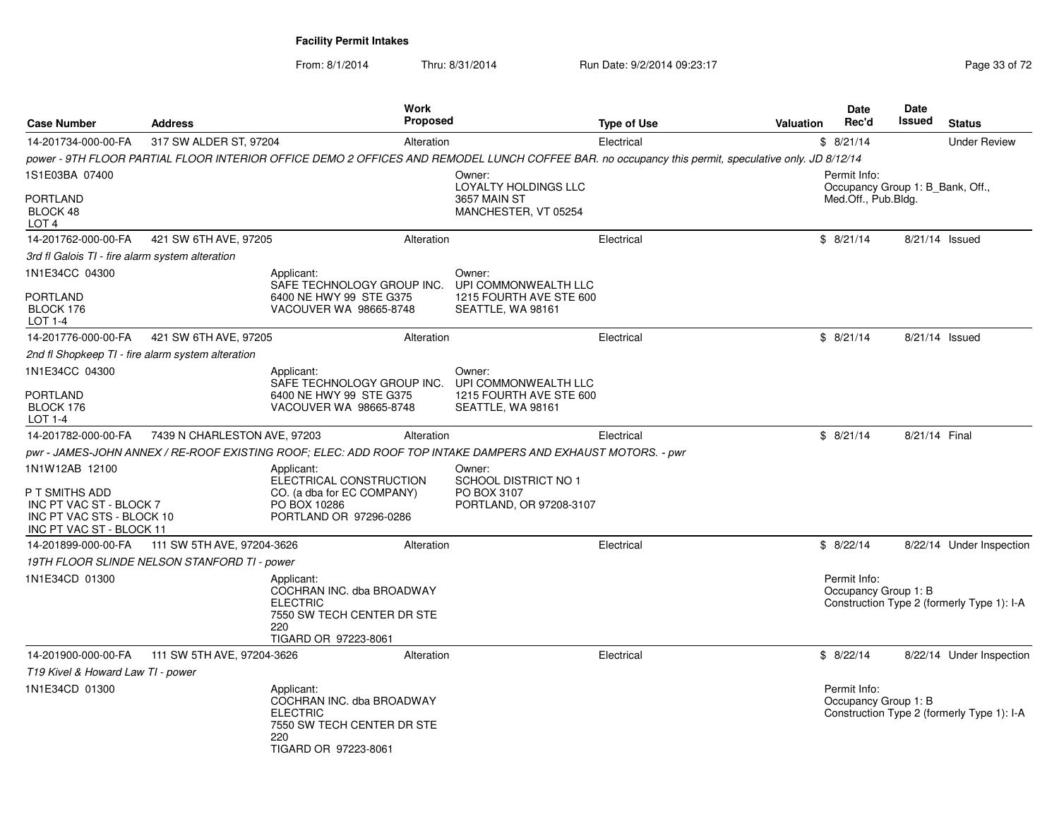From: 8/1/2014Thru: 8/31/2014 Run Date: 9/2/2014 09:23:17 Rege 33 of 72

| <b>Case Number</b>                                          | <b>Address</b>                               | <b>Work</b><br><b>Proposed</b>                                                                                                                      |                                                                                 | <b>Type of Use</b> | <b>Valuation</b> | <b>Date</b><br>Rec'd                             | <b>Date</b><br>Issued | <b>Status</b>                              |
|-------------------------------------------------------------|----------------------------------------------|-----------------------------------------------------------------------------------------------------------------------------------------------------|---------------------------------------------------------------------------------|--------------------|------------------|--------------------------------------------------|-----------------------|--------------------------------------------|
| 14-201734-000-00-FA                                         | 317 SW ALDER ST, 97204                       | Alteration                                                                                                                                          |                                                                                 | Electrical         |                  | \$8/21/14                                        |                       | <b>Under Review</b>                        |
|                                                             |                                              | power - 9TH FLOOR PARTIAL FLOOR INTERIOR OFFICE DEMO 2 OFFICES AND REMODEL LUNCH COFFEE BAR. no occupancy this permit, speculative only. JD 8/12/14 |                                                                                 |                    |                  |                                                  |                       |                                            |
| 1S1E03BA 07400                                              |                                              |                                                                                                                                                     | Owner:<br>LOYALTY HOLDINGS LLC                                                  |                    |                  | Permit Info:<br>Occupancy Group 1: B Bank, Off., |                       |                                            |
| <b>PORTLAND</b><br>BLOCK 48<br>LOT <sub>4</sub>             |                                              |                                                                                                                                                     | 3657 MAIN ST<br>MANCHESTER, VT 05254                                            |                    |                  | Med.Off., Pub.Bldg.                              |                       |                                            |
| 14-201762-000-00-FA                                         | 421 SW 6TH AVE, 97205                        | Alteration                                                                                                                                          |                                                                                 | Electrical         |                  | \$8/21/14                                        | 8/21/14 Issued        |                                            |
| 3rd fl Galois TI - fire alarm system alteration             |                                              |                                                                                                                                                     |                                                                                 |                    |                  |                                                  |                       |                                            |
| 1N1E34CC 04300                                              |                                              | Applicant:<br>SAFE TECHNOLOGY GROUP INC.                                                                                                            | Owner:<br>UPI COMMONWEALTH LLC                                                  |                    |                  |                                                  |                       |                                            |
| PORTLAND<br>BLOCK 176<br>LOT 1-4                            |                                              | 6400 NE HWY 99 STE G375<br>VACOUVER WA 98665-8748                                                                                                   | 1215 FOURTH AVE STE 600<br>SEATTLE, WA 98161                                    |                    |                  |                                                  |                       |                                            |
| 14-201776-000-00-FA                                         | 421 SW 6TH AVE, 97205                        | Alteration                                                                                                                                          |                                                                                 | Electrical         |                  | \$8/21/14                                        | 8/21/14 Issued        |                                            |
| 2nd fl Shopkeep TI - fire alarm system alteration           |                                              |                                                                                                                                                     |                                                                                 |                    |                  |                                                  |                       |                                            |
| 1N1E34CC 04300                                              |                                              | Applicant:<br>SAFE TECHNOLOGY GROUP INC.                                                                                                            | Owner:<br>UPI COMMONWEALTH LLC                                                  |                    |                  |                                                  |                       |                                            |
| <b>PORTLAND</b><br>BLOCK 176<br>LOT 1-4                     |                                              | 6400 NE HWY 99 STE G375<br>VACOUVER WA 98665-8748                                                                                                   | 1215 FOURTH AVE STE 600<br>SEATTLE, WA 98161                                    |                    |                  |                                                  |                       |                                            |
| 14-201782-000-00-FA                                         | 7439 N CHARLESTON AVE, 97203                 | Alteration                                                                                                                                          |                                                                                 | Electrical         |                  | \$8/21/14                                        | 8/21/14 Final         |                                            |
|                                                             |                                              | pwr - JAMES-JOHN ANNEX / RE-ROOF EXISTING ROOF; ELEC: ADD ROOF TOP INTAKE DAMPERS AND EXHAUST MOTORS. - pwr                                         |                                                                                 |                    |                  |                                                  |                       |                                            |
| 1N1W12AB 12100<br>P T SMITHS ADD<br>INC PT VAC ST - BLOCK 7 |                                              | Applicant:<br>ELECTRICAL CONSTRUCTION<br>CO. (a dba for EC COMPANY)<br>PO BOX 10286                                                                 | Owner:<br><b>SCHOOL DISTRICT NO 1</b><br>PO BOX 3107<br>PORTLAND, OR 97208-3107 |                    |                  |                                                  |                       |                                            |
| INC PT VAC STS - BLOCK 10<br>INC PT VAC ST - BLOCK 11       |                                              | PORTLAND OR 97296-0286                                                                                                                              |                                                                                 |                    |                  |                                                  |                       |                                            |
| 14-201899-000-00-FA                                         | 111 SW 5TH AVE, 97204-3626                   | Alteration                                                                                                                                          |                                                                                 | Electrical         |                  | \$8/22/14                                        |                       | 8/22/14 Under Inspection                   |
|                                                             | 19TH FLOOR SLINDE NELSON STANFORD TI - power |                                                                                                                                                     |                                                                                 |                    |                  |                                                  |                       |                                            |
| 1N1E34CD 01300                                              |                                              | Applicant:<br>COCHRAN INC. dba BROADWAY<br><b>ELECTRIC</b><br>7550 SW TECH CENTER DR STE<br>220<br>TIGARD OR 97223-8061                             |                                                                                 |                    |                  | Permit Info:<br>Occupancy Group 1: B             |                       | Construction Type 2 (formerly Type 1): I-A |
| 14-201900-000-00-FA                                         | 111 SW 5TH AVE, 97204-3626                   | Alteration                                                                                                                                          |                                                                                 | Electrical         |                  | \$8/22/14                                        |                       | 8/22/14 Under Inspection                   |
| T19 Kivel & Howard Law TI - power                           |                                              |                                                                                                                                                     |                                                                                 |                    |                  |                                                  |                       |                                            |
| 1N1E34CD 01300                                              |                                              | Applicant:<br>COCHRAN INC. dba BROADWAY<br><b>ELECTRIC</b><br>7550 SW TECH CENTER DR STE<br>220<br>TIGARD OR 97223-8061                             |                                                                                 |                    |                  | Permit Info:<br>Occupancy Group 1: B             |                       | Construction Type 2 (formerly Type 1): I-A |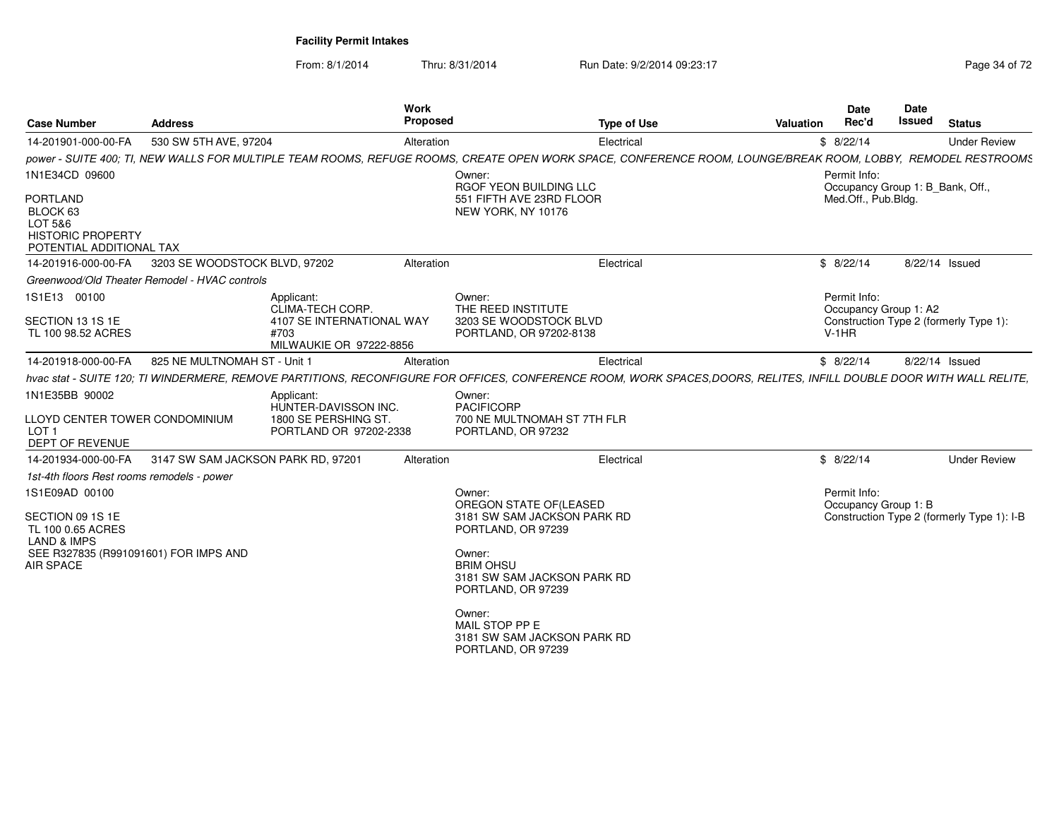From: 8/1/2014Thru: 8/31/2014 Run Date: 9/2/2014 09:23:17 Rege 34 of 72

| <b>Address</b>                                       |                                                                                      |                                                                                                                                                                                                          | <b>Valuation</b>                                                                                            | Rec'd                                                                                                                                                                   | Issued                                                                                                              | <b>Status</b>                                                                                                                                                                                                                                                                                                                                                                                                                                                                                                                                                             |
|------------------------------------------------------|--------------------------------------------------------------------------------------|----------------------------------------------------------------------------------------------------------------------------------------------------------------------------------------------------------|-------------------------------------------------------------------------------------------------------------|-------------------------------------------------------------------------------------------------------------------------------------------------------------------------|---------------------------------------------------------------------------------------------------------------------|---------------------------------------------------------------------------------------------------------------------------------------------------------------------------------------------------------------------------------------------------------------------------------------------------------------------------------------------------------------------------------------------------------------------------------------------------------------------------------------------------------------------------------------------------------------------------|
|                                                      |                                                                                      |                                                                                                                                                                                                          |                                                                                                             |                                                                                                                                                                         |                                                                                                                     | <b>Under Review</b>                                                                                                                                                                                                                                                                                                                                                                                                                                                                                                                                                       |
|                                                      |                                                                                      |                                                                                                                                                                                                          |                                                                                                             |                                                                                                                                                                         |                                                                                                                     |                                                                                                                                                                                                                                                                                                                                                                                                                                                                                                                                                                           |
|                                                      |                                                                                      | Owner:                                                                                                                                                                                                   |                                                                                                             |                                                                                                                                                                         |                                                                                                                     |                                                                                                                                                                                                                                                                                                                                                                                                                                                                                                                                                                           |
| <b>HISTORIC PROPERTY</b><br>POTENTIAL ADDITIONAL TAX |                                                                                      | 551 FIFTH AVE 23RD FLOOR<br>NEW YORK, NY 10176                                                                                                                                                           |                                                                                                             |                                                                                                                                                                         |                                                                                                                     |                                                                                                                                                                                                                                                                                                                                                                                                                                                                                                                                                                           |
|                                                      |                                                                                      |                                                                                                                                                                                                          |                                                                                                             |                                                                                                                                                                         | 8/22/14 Issued                                                                                                      |                                                                                                                                                                                                                                                                                                                                                                                                                                                                                                                                                                           |
|                                                      |                                                                                      |                                                                                                                                                                                                          |                                                                                                             |                                                                                                                                                                         |                                                                                                                     |                                                                                                                                                                                                                                                                                                                                                                                                                                                                                                                                                                           |
|                                                      | Applicant:<br>CLIMA-TECH CORP.<br>4107 SE INTERNATIONAL WAY<br>#703                  | Owner:<br>THE REED INSTITUTE<br>3203 SE WOODSTOCK BLVD<br>PORTLAND, OR 97202-8138                                                                                                                        |                                                                                                             |                                                                                                                                                                         |                                                                                                                     |                                                                                                                                                                                                                                                                                                                                                                                                                                                                                                                                                                           |
|                                                      |                                                                                      |                                                                                                                                                                                                          |                                                                                                             |                                                                                                                                                                         |                                                                                                                     |                                                                                                                                                                                                                                                                                                                                                                                                                                                                                                                                                                           |
|                                                      |                                                                                      |                                                                                                                                                                                                          |                                                                                                             |                                                                                                                                                                         |                                                                                                                     |                                                                                                                                                                                                                                                                                                                                                                                                                                                                                                                                                                           |
| LLOYD CENTER TOWER CONDOMINIUM                       | Applicant:<br>HUNTER-DAVISSON INC.<br>1800 SE PERSHING ST.<br>PORTLAND OR 97202-2338 | Owner:<br><b>PACIFICORP</b><br>700 NE MULTNOMAH ST 7TH FLR<br>PORTLAND, OR 97232                                                                                                                         |                                                                                                             |                                                                                                                                                                         |                                                                                                                     |                                                                                                                                                                                                                                                                                                                                                                                                                                                                                                                                                                           |
|                                                      |                                                                                      |                                                                                                                                                                                                          |                                                                                                             |                                                                                                                                                                         |                                                                                                                     | <b>Under Review</b>                                                                                                                                                                                                                                                                                                                                                                                                                                                                                                                                                       |
| 1st-4th floors Rest rooms remodels - power           |                                                                                      |                                                                                                                                                                                                          |                                                                                                             |                                                                                                                                                                         |                                                                                                                     |                                                                                                                                                                                                                                                                                                                                                                                                                                                                                                                                                                           |
| SEE R327835 (R991091601) FOR IMPS AND                |                                                                                      | OREGON STATE OF (LEASED<br>PORTLAND, OR 97239<br>Owner:<br><b>BRIM OHSU</b><br>PORTLAND, OR 97239<br>Owner:<br>MAIL STOP PP E<br>PORTLAND, OR 97239                                                      |                                                                                                             |                                                                                                                                                                         |                                                                                                                     |                                                                                                                                                                                                                                                                                                                                                                                                                                                                                                                                                                           |
|                                                      |                                                                                      | 530 SW 5TH AVE, 97204<br>3203 SE WOODSTOCK BLVD, 97202<br>Greenwood/Old Theater Remodel - HVAC controls<br>MILWAUKIE OR 97222-8856<br>825 NE MULTNOMAH ST - Unit 1<br>3147 SW SAM JACKSON PARK RD, 97201 | <b>Proposed</b><br>Alteration<br>RGOF YEON BUILDING LLC<br>Alteration<br>Alteration<br>Alteration<br>Owner: | <b>Type of Use</b><br>Electrical<br>Electrical<br>Electrical<br>Electrical<br>3181 SW SAM JACKSON PARK RD<br>3181 SW SAM JACKSON PARK RD<br>3181 SW SAM JACKSON PARK RD | Date<br>\$8/22/14<br>Permit Info:<br>\$8/22/14<br>Permit Info:<br>$V-1HR$<br>\$8/22/14<br>\$8/22/14<br>Permit Info: | Work<br>Date<br>power - SUITE 400; TI, NEW WALLS FOR MULTIPLE TEAM ROOMS, REFUGE ROOMS, CREATE OPEN WORK SPACE, CONFERENCE ROOM, LOUNGE/BREAK ROOM, LOBBY, REMODEL RESTROOMS<br>Occupancy Group 1: B_Bank, Off.,<br>Med.Off., Pub.Bldg.<br>Occupancy Group 1: A2<br>Construction Type 2 (formerly Type 1):<br>8/22/14 Issued<br>hvac stat - SUITE 120; TI WINDERMERE, REMOVE PARTITIONS, RECONFIGURE FOR OFFICES, CONFERENCE ROOM, WORK SPACES,DOORS, RELITES, INFILL DOUBLE DOOR WITH WALL RELITE,<br>Occupancy Group 1: B<br>Construction Type 2 (formerly Type 1): I-B |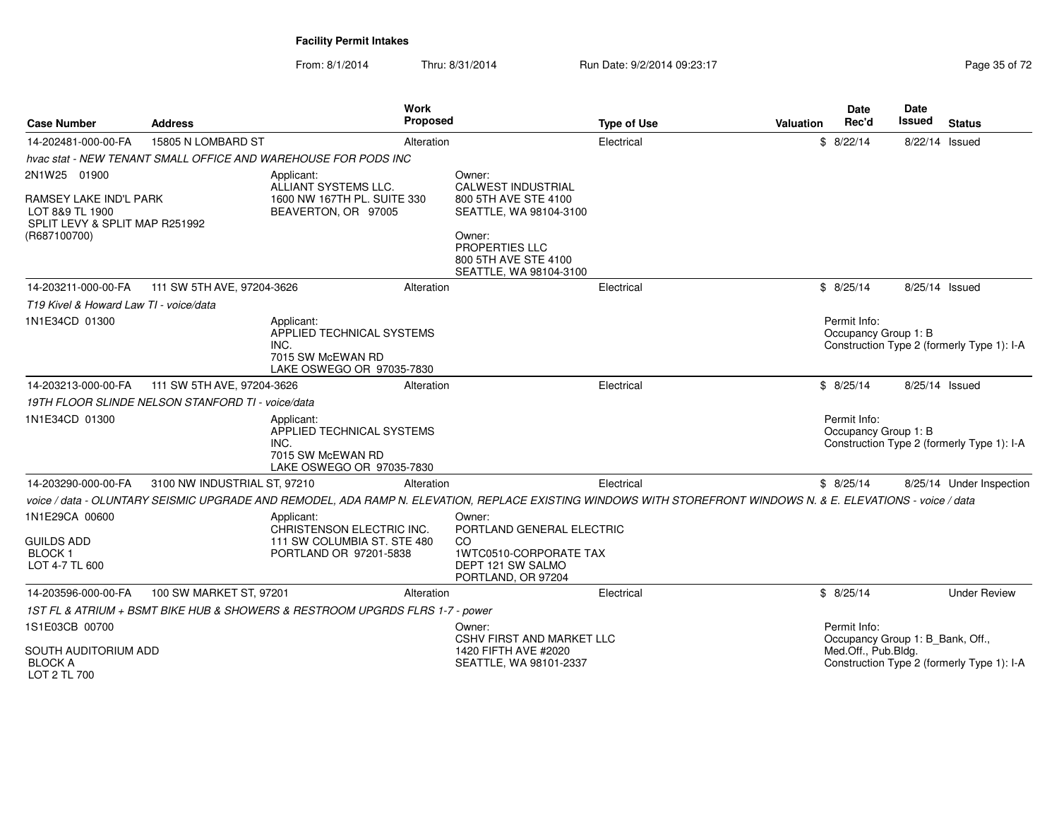From: 8/1/2014Thru: 8/31/2014 Run Date: 9/2/2014 09:23:17 Rege 35 of 72

| <b>Case Number</b>                                                | <b>Address</b>                                                                                   | <b>Work</b>                                                                                       | <b>Proposed</b>                                                         | <b>Type of Use</b>                                                                                                                                             | <b>Valuation</b> | <b>Date</b><br>Rec'd                                              | <b>Date</b><br>Issued | <b>Status</b>                              |  |
|-------------------------------------------------------------------|--------------------------------------------------------------------------------------------------|---------------------------------------------------------------------------------------------------|-------------------------------------------------------------------------|----------------------------------------------------------------------------------------------------------------------------------------------------------------|------------------|-------------------------------------------------------------------|-----------------------|--------------------------------------------|--|
| 14-202481-000-00-FA                                               | 15805 N LOMBARD ST                                                                               | Alteration                                                                                        |                                                                         | Electrical                                                                                                                                                     |                  | \$8/22/14                                                         | 8/22/14 Issued        |                                            |  |
|                                                                   | hvac stat - NEW TENANT SMALL OFFICE AND WAREHOUSE FOR PODS INC                                   |                                                                                                   |                                                                         |                                                                                                                                                                |                  |                                                                   |                       |                                            |  |
| 2N1W25<br>01900<br>RAMSEY LAKE IND'L PARK                         |                                                                                                  | Applicant:<br>ALLIANT SYSTEMS LLC.<br>1600 NW 167TH PL. SUITE 330                                 | Owner:<br><b>CALWEST INDUSTRIAL</b><br>800 5TH AVE STE 4100             |                                                                                                                                                                |                  |                                                                   |                       |                                            |  |
| LOT 8&9 TL 1900<br>SPLIT LEVY & SPLIT MAP R251992<br>(R687100700) |                                                                                                  | BEAVERTON, OR 97005                                                                               | SEATTLE, WA 98104-3100<br>Owner:                                        |                                                                                                                                                                |                  |                                                                   |                       |                                            |  |
|                                                                   |                                                                                                  |                                                                                                   | <b>PROPERTIES LLC</b><br>800 5TH AVE STE 4100<br>SEATTLE, WA 98104-3100 |                                                                                                                                                                |                  |                                                                   |                       |                                            |  |
| 14-203211-000-00-FA                                               | 111 SW 5TH AVE, 97204-3626                                                                       | Alteration                                                                                        |                                                                         | Electrical                                                                                                                                                     |                  | \$8/25/14                                                         | 8/25/14 Issued        |                                            |  |
| T19 Kivel & Howard Law TI - voice/data                            |                                                                                                  |                                                                                                   |                                                                         |                                                                                                                                                                |                  |                                                                   |                       |                                            |  |
| 1N1E34CD 01300                                                    |                                                                                                  | Applicant:<br>APPLIED TECHNICAL SYSTEMS<br>INC.<br>7015 SW McEWAN RD<br>LAKE OSWEGO OR 97035-7830 |                                                                         |                                                                                                                                                                |                  | Permit Info:<br>Occupancy Group 1: B                              |                       | Construction Type 2 (formerly Type 1): I-A |  |
| 14-203213-000-00-FA                                               | 111 SW 5TH AVE, 97204-3626                                                                       | Alteration                                                                                        |                                                                         | Electrical                                                                                                                                                     |                  | \$8/25/14                                                         | 8/25/14 Issued        |                                            |  |
|                                                                   | 19TH FLOOR SLINDE NELSON STANFORD TI - voice/data                                                |                                                                                                   |                                                                         |                                                                                                                                                                |                  |                                                                   |                       |                                            |  |
| 1N1E34CD 01300                                                    |                                                                                                  | Applicant:<br>APPLIED TECHNICAL SYSTEMS<br>INC.<br>7015 SW McEWAN RD<br>LAKE OSWEGO OR 97035-7830 |                                                                         |                                                                                                                                                                |                  | Permit Info:<br>Occupancy Group 1: B                              |                       | Construction Type 2 (formerly Type 1): I-A |  |
| 14-203290-000-00-FA                                               | 3100 NW INDUSTRIAL ST, 97210                                                                     | Alteration                                                                                        |                                                                         | Electrical                                                                                                                                                     |                  | \$8/25/14                                                         |                       | 8/25/14 Under Inspection                   |  |
|                                                                   |                                                                                                  |                                                                                                   |                                                                         | voice / data - OLUNTARY SEISMIC UPGRADE AND REMODEL, ADA RAMP N. ELEVATION, REPLACE EXISTING WINDOWS WITH STOREFRONT WINDOWS N. & E. ELEVATIONS - voice / data |                  |                                                                   |                       |                                            |  |
| 1N1E29CA 00600                                                    | Applicant:<br>CHRISTENSON ELECTRIC INC.<br>111 SW COLUMBIA ST. STE 480<br>PORTLAND OR 97201-5838 |                                                                                                   | Owner:                                                                  | PORTLAND GENERAL ELECTRIC<br>CO.<br>1WTC0510-CORPORATE TAX<br>DEPT 121 SW SALMO<br>PORTLAND, OR 97204                                                          |                  |                                                                   |                       |                                            |  |
| <b>GUILDS ADD</b><br><b>BLOCK1</b><br>LOT 4-7 TL 600              |                                                                                                  |                                                                                                   |                                                                         |                                                                                                                                                                |                  |                                                                   |                       |                                            |  |
| 14-203596-000-00-FA                                               | 100 SW MARKET ST, 97201                                                                          | Alteration                                                                                        |                                                                         | Electrical                                                                                                                                                     |                  | \$8/25/14                                                         |                       | <b>Under Review</b>                        |  |
|                                                                   |                                                                                                  | 1ST FL & ATRIUM + BSMT BIKE HUB & SHOWERS & RESTROOM UPGRDS FLRS 1-7 - power                      |                                                                         |                                                                                                                                                                |                  |                                                                   |                       |                                            |  |
| 1S1E03CB 00700                                                    |                                                                                                  |                                                                                                   | Owner:<br><b>CSHV FIRST AND MARKET LLC</b>                              |                                                                                                                                                                |                  | Permit Info:<br>Occupancy Group 1: B_Bank, Off.,                  |                       |                                            |  |
| <b>SOUTH AUDITORIUM ADD</b><br><b>BLOCK A</b><br>LOT 2 TL 700     |                                                                                                  | 1420 FIFTH AVE #2020<br>SEATTLE, WA 98101-2337                                                    |                                                                         |                                                                                                                                                                |                  | Med.Off., Pub.Bldg.<br>Construction Type 2 (formerly Type 1): I-A |                       |                                            |  |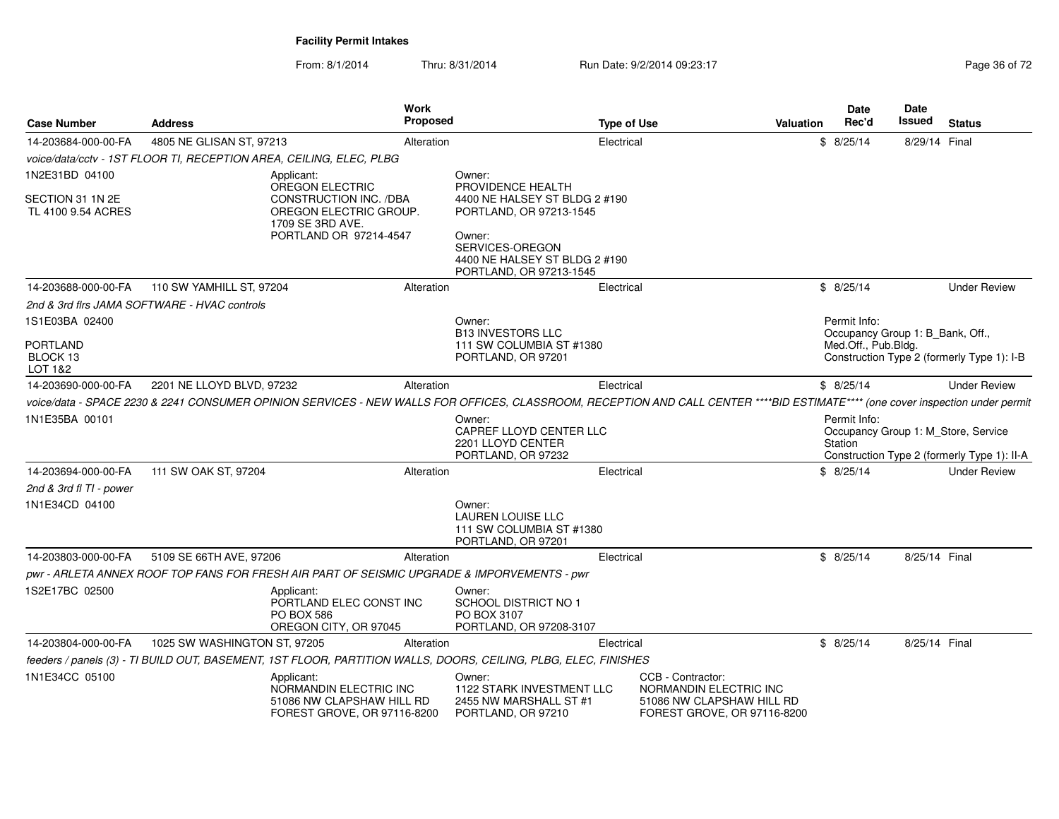From: 8/1/2014Thru: 8/31/2014 Run Date: 9/2/2014 09:23:17 Rege 36 of 72

| <b>Case Number</b>                     | <b>Address</b>                               | Work<br><b>Proposed</b>                                                                                                                                                        |                                                                                       | <b>Type of Use</b>                          | <b>Valuation</b>                                         | <b>Date</b><br>Rec'd                             | <b>Date</b><br>Issued | <b>Status</b>                                                                      |
|----------------------------------------|----------------------------------------------|--------------------------------------------------------------------------------------------------------------------------------------------------------------------------------|---------------------------------------------------------------------------------------|---------------------------------------------|----------------------------------------------------------|--------------------------------------------------|-----------------------|------------------------------------------------------------------------------------|
| 14-203684-000-00-FA                    | 4805 NE GLISAN ST, 97213                     | Alteration                                                                                                                                                                     |                                                                                       | Electrical                                  |                                                          | \$8/25/14                                        | 8/29/14 Final         |                                                                                    |
|                                        |                                              | voice/data/cctv - 1ST FLOOR TI, RECEPTION AREA, CEILING, ELEC, PLBG                                                                                                            |                                                                                       |                                             |                                                          |                                                  |                       |                                                                                    |
| 1N2E31BD 04100                         |                                              | Applicant:                                                                                                                                                                     | Owner:                                                                                |                                             |                                                          |                                                  |                       |                                                                                    |
| SECTION 31 1N 2E<br>TL 4100 9.54 ACRES |                                              | <b>OREGON ELECTRIC</b><br>CONSTRUCTION INC. /DBA<br>OREGON ELECTRIC GROUP.<br>1709 SE 3RD AVE.                                                                                 | PROVIDENCE HEALTH<br>4400 NE HALSEY ST BLDG 2 #190<br>PORTLAND, OR 97213-1545         |                                             |                                                          |                                                  |                       |                                                                                    |
|                                        |                                              | PORTLAND OR 97214-4547                                                                                                                                                         | Owner:<br>SERVICES-OREGON<br>4400 NE HALSEY ST BLDG 2 #190<br>PORTLAND, OR 97213-1545 |                                             |                                                          |                                                  |                       |                                                                                    |
| 14-203688-000-00-FA                    | 110 SW YAMHILL ST, 97204                     | Alteration                                                                                                                                                                     |                                                                                       | Electrical                                  |                                                          | \$8/25/14                                        |                       | <b>Under Review</b>                                                                |
|                                        | 2nd & 3rd firs JAMA SOFTWARE - HVAC controls |                                                                                                                                                                                |                                                                                       |                                             |                                                          |                                                  |                       |                                                                                    |
| 1S1E03BA 02400                         |                                              |                                                                                                                                                                                | Owner:<br><b>B13 INVESTORS LLC</b>                                                    |                                             |                                                          | Permit Info:<br>Occupancy Group 1: B_Bank, Off., |                       |                                                                                    |
| <b>PORTLAND</b><br>BLOCK 13<br>LOT 1&2 |                                              |                                                                                                                                                                                | 111 SW COLUMBIA ST #1380<br>PORTLAND, OR 97201                                        |                                             |                                                          | Med.Off., Pub.Bldg.                              |                       | Construction Type 2 (formerly Type 1): I-B                                         |
| 14-203690-000-00-FA                    | 2201 NE LLOYD BLVD, 97232                    | Alteration                                                                                                                                                                     |                                                                                       | Electrical                                  |                                                          | \$8/25/14                                        |                       | <b>Under Review</b>                                                                |
|                                        |                                              | voice/data - SPACE 2230 & 2241 CONSUMER OPINION SERVICES - NEW WALLS FOR OFFICES, CLASSROOM, RECEPTION AND CALL CENTER ****BID ESTIMATE**** (one cover inspection under permit |                                                                                       |                                             |                                                          |                                                  |                       |                                                                                    |
| 1N1E35BA 00101                         |                                              |                                                                                                                                                                                | Owner:<br><b>CAPREF LLOYD CENTER LLC</b><br>2201 LLOYD CENTER<br>PORTLAND, OR 97232   |                                             |                                                          | Permit Info:<br>Station                          |                       | Occupancy Group 1: M_Store, Service<br>Construction Type 2 (formerly Type 1): II-A |
| 14-203694-000-00-FA                    | 111 SW OAK ST, 97204                         | Alteration                                                                                                                                                                     |                                                                                       | Electrical                                  |                                                          | \$8/25/14                                        |                       | <b>Under Review</b>                                                                |
| 2nd & 3rd fl TI - power                |                                              |                                                                                                                                                                                |                                                                                       |                                             |                                                          |                                                  |                       |                                                                                    |
| 1N1E34CD 04100                         |                                              |                                                                                                                                                                                | Owner:<br>LAUREN LOUISE LLC<br>111 SW COLUMBIA ST #1380<br>PORTLAND, OR 97201         |                                             |                                                          |                                                  |                       |                                                                                    |
| 14-203803-000-00-FA                    | 5109 SE 66TH AVE, 97206                      | Alteration                                                                                                                                                                     |                                                                                       | Electrical                                  |                                                          | \$8/25/14                                        | 8/25/14 Final         |                                                                                    |
|                                        |                                              | pwr - ARLETA ANNEX ROOF TOP FANS FOR FRESH AIR PART OF SEISMIC UPGRADE & IMPORVEMENTS - pwr                                                                                    |                                                                                       |                                             |                                                          |                                                  |                       |                                                                                    |
| 1S2E17BC 02500                         |                                              | Applicant:<br>PORTLAND ELEC CONST INC<br>PO BOX 586<br>OREGON CITY, OR 97045                                                                                                   | Owner:<br><b>SCHOOL DISTRICT NO 1</b><br>PO BOX 3107<br>PORTLAND, OR 97208-3107       |                                             |                                                          |                                                  |                       |                                                                                    |
| 14-203804-000-00-FA                    | 1025 SW WASHINGTON ST, 97205                 | Alteration                                                                                                                                                                     |                                                                                       | Electrical                                  |                                                          | \$8/25/14                                        | 8/25/14 Final         |                                                                                    |
|                                        |                                              | feeders / panels (3) - TI BUILD OUT, BASEMENT, 1ST FLOOR, PARTITION WALLS, DOORS, CEILING, PLBG, ELEC, FINISHES                                                                |                                                                                       |                                             |                                                          |                                                  |                       |                                                                                    |
| 1N1E34CC 05100                         |                                              | Applicant:<br>NORMANDIN ELECTRIC INC<br>51086 NW CLAPSHAW HILL RD<br>FOREST GROVE, OR 97116-8200                                                                               | Owner:<br>1122 STARK INVESTMENT LLC<br>2455 NW MARSHALL ST #1<br>PORTLAND, OR 97210   | CCB - Contractor:<br>NORMANDIN ELECTRIC INC | 51086 NW CLAPSHAW HILL RD<br>FOREST GROVE, OR 97116-8200 |                                                  |                       |                                                                                    |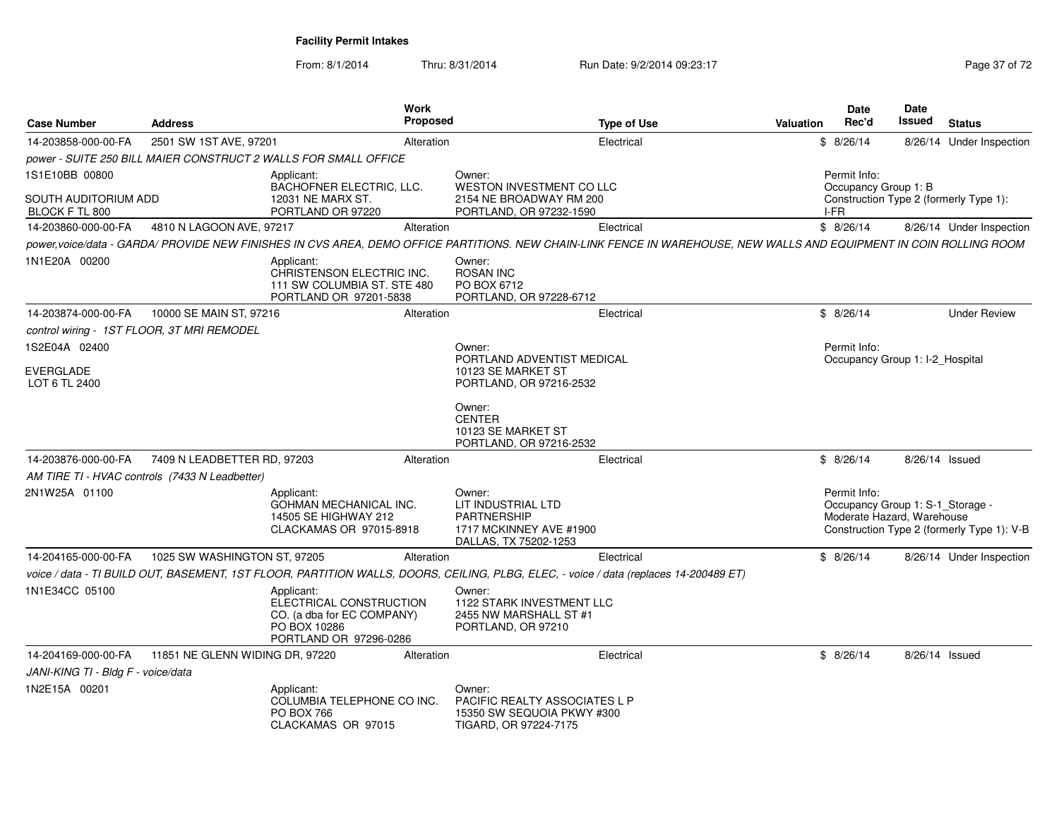From: 8/1/2014Thru: 8/31/2014 Run Date: 9/2/2014 09:23:17 Rege 37 of 72

| <b>Case Number</b>                     | <b>Address</b>                                 |                                                                                                               | <b>Work</b><br>Proposed |                                                                                                                                                                     | <b>Type of Use</b> | <b>Valuation</b> | <b>Date</b><br>Rec'd                                                           | Date<br>Issued | <b>Status</b>                              |
|----------------------------------------|------------------------------------------------|---------------------------------------------------------------------------------------------------------------|-------------------------|---------------------------------------------------------------------------------------------------------------------------------------------------------------------|--------------------|------------------|--------------------------------------------------------------------------------|----------------|--------------------------------------------|
| 14-203858-000-00-FA                    | 2501 SW 1ST AVE, 97201                         |                                                                                                               | Alteration              |                                                                                                                                                                     | Electrical         |                  | \$8/26/14                                                                      |                | 8/26/14 Under Inspection                   |
|                                        |                                                | power - SUITE 250 BILL MAIER CONSTRUCT 2 WALLS FOR SMALL OFFICE                                               |                         |                                                                                                                                                                     |                    |                  |                                                                                |                |                                            |
| 1S1E10BB 00800                         |                                                | Applicant:                                                                                                    |                         | Owner:                                                                                                                                                              |                    |                  | Permit Info:                                                                   |                |                                            |
| SOUTH AUDITORIUM ADD<br>BLOCK F TL 800 |                                                | BACHOFNER ELECTRIC, LLC.<br>12031 NE MARX ST.<br>PORTLAND OR 97220                                            |                         | WESTON INVESTMENT CO LLC<br>2154 NE BROADWAY RM 200<br>PORTLAND, OR 97232-1590                                                                                      |                    |                  | Occupancy Group 1: B<br>I-FR                                                   |                | Construction Type 2 (formerly Type 1):     |
| 14-203860-000-00-FA                    | 4810 N LAGOON AVE, 97217                       |                                                                                                               | Alteration              |                                                                                                                                                                     | Electrical         |                  | \$8/26/14                                                                      |                | 8/26/14 Under Inspection                   |
|                                        |                                                |                                                                                                               |                         | power,voice/data - GARDA/ PROVIDE NEW FINISHES IN CVS AREA, DEMO OFFICE PARTITIONS. NEW CHAIN-LINK FENCE IN WAREHOUSE, NEW WALLS AND EQUIPMENT IN COIN ROLLING ROOM |                    |                  |                                                                                |                |                                            |
| 1N1E20A 00200                          |                                                | Applicant:<br>CHRISTENSON ELECTRIC INC.<br>111 SW COLUMBIA ST. STE 480<br>PORTLAND OR 97201-5838              |                         | Owner:<br><b>ROSAN INC</b><br>PO BOX 6712<br>PORTLAND, OR 97228-6712                                                                                                |                    |                  |                                                                                |                |                                            |
| 14-203874-000-00-FA                    | 10000 SE MAIN ST, 97216                        |                                                                                                               | Alteration              |                                                                                                                                                                     | Electrical         |                  | \$8/26/14                                                                      |                | <b>Under Review</b>                        |
|                                        | control wiring - 1ST FLOOR, 3T MRI REMODEL     |                                                                                                               |                         |                                                                                                                                                                     |                    |                  |                                                                                |                |                                            |
| 1S2E04A 02400                          |                                                |                                                                                                               |                         | Owner:                                                                                                                                                              |                    |                  | Permit Info:                                                                   |                |                                            |
| EVERGLADE<br>LOT 6 TL 2400             |                                                |                                                                                                               |                         | PORTLAND ADVENTIST MEDICAL<br>10123 SE MARKET ST<br>PORTLAND, OR 97216-2532                                                                                         |                    |                  | Occupancy Group 1: I-2_Hospital                                                |                |                                            |
|                                        |                                                |                                                                                                               |                         | Owner:<br><b>CENTER</b><br>10123 SE MARKET ST<br>PORTLAND, OR 97216-2532                                                                                            |                    |                  |                                                                                |                |                                            |
| 14-203876-000-00-FA                    | 7409 N LEADBETTER RD, 97203                    |                                                                                                               | Alteration              |                                                                                                                                                                     | Electrical         |                  | \$8/26/14                                                                      |                | 8/26/14 Issued                             |
|                                        | AM TIRE TI - HVAC controls (7433 N Leadbetter) |                                                                                                               |                         |                                                                                                                                                                     |                    |                  |                                                                                |                |                                            |
| 2N1W25A 01100                          |                                                | Applicant:<br><b>GOHMAN MECHANICAL INC.</b><br>14505 SE HIGHWAY 212<br>CLACKAMAS OR 97015-8918                |                         | Owner:<br>LIT INDUSTRIAL LTD<br><b>PARTNERSHIP</b><br>1717 MCKINNEY AVE #1900<br>DALLAS, TX 75202-1253                                                              |                    |                  | Permit Info:<br>Occupancy Group 1: S-1_Storage -<br>Moderate Hazard, Warehouse |                | Construction Type 2 (formerly Type 1): V-B |
| 14-204165-000-00-FA                    | 1025 SW WASHINGTON ST, 97205                   |                                                                                                               | Alteration              |                                                                                                                                                                     | Electrical         |                  | \$8/26/14                                                                      |                | 8/26/14 Under Inspection                   |
|                                        |                                                |                                                                                                               |                         | voice / data - TI BUILD OUT, BASEMENT, 1ST FLOOR, PARTITION WALLS, DOORS, CEILING, PLBG, ELEC, - voice / data (replaces 14-200489 ET)                               |                    |                  |                                                                                |                |                                            |
| 1N1E34CC 05100                         |                                                | Applicant:<br>ELECTRICAL CONSTRUCTION<br>CO. (a dba for EC COMPANY)<br>PO BOX 10286<br>PORTLAND OR 97296-0286 |                         | Owner:<br>1122 STARK INVESTMENT LLC<br>2455 NW MARSHALL ST #1<br>PORTLAND, OR 97210                                                                                 |                    |                  |                                                                                |                |                                            |
| 14-204169-000-00-FA                    | 11851 NE GLENN WIDING DR, 97220                |                                                                                                               | Alteration              |                                                                                                                                                                     | Electrical         |                  | \$8/26/14                                                                      | 8/26/14 Issued |                                            |
| JANI-KING TI - Bldg F - voice/data     |                                                |                                                                                                               |                         |                                                                                                                                                                     |                    |                  |                                                                                |                |                                            |
| 1N2E15A 00201                          |                                                | Applicant:<br>COLUMBIA TELEPHONE CO INC.<br><b>PO BOX 766</b><br>CLACKAMAS OR 97015                           |                         | Owner:<br>PACIFIC REALTY ASSOCIATES L P<br>15350 SW SEQUOIA PKWY #300<br>TIGARD, OR 97224-7175                                                                      |                    |                  |                                                                                |                |                                            |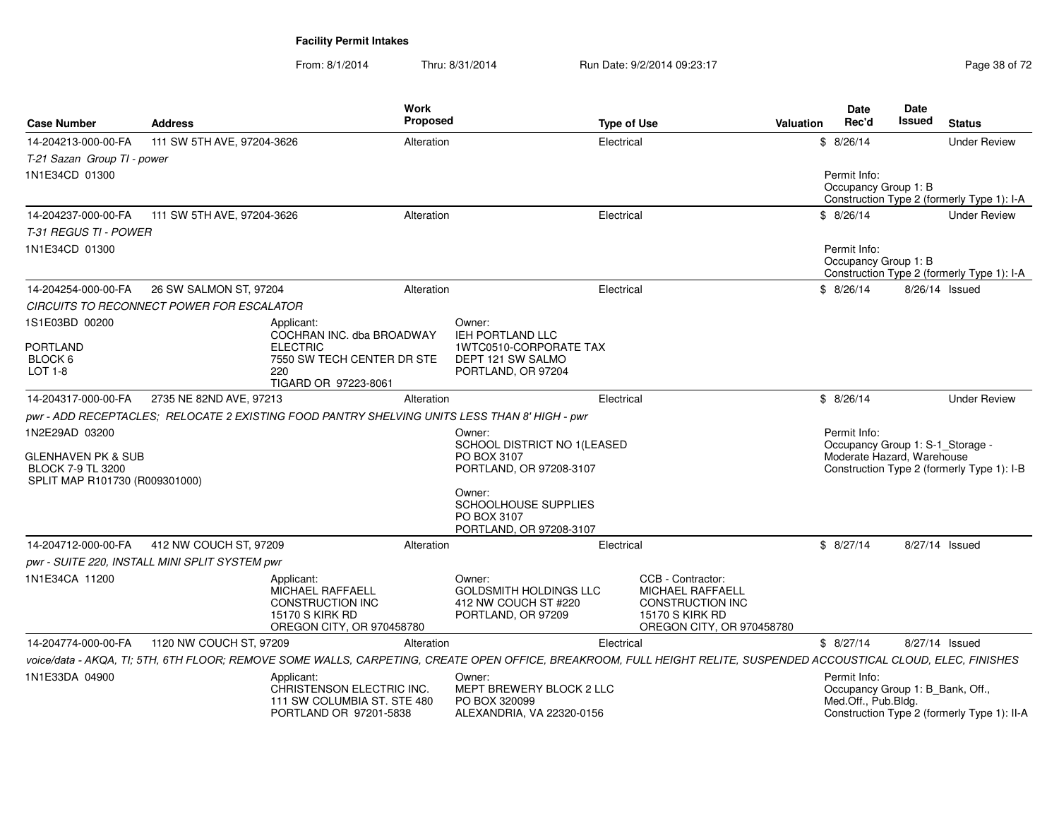From: 8/1/2014Thru: 8/31/2014 Run Date: 9/2/2014 09:23:17 Rege 38 of 72

| <b>Case Number</b>                                                                                            | <b>Address</b>                                 |                                                                                                                         | Work<br><b>Proposed</b> |                                                                                                 | <b>Type of Use</b> |                                                                                                                                                                     | Valuation | Date<br>Rec'd                                                                  | Date<br>Issued | <b>Status</b>                               |
|---------------------------------------------------------------------------------------------------------------|------------------------------------------------|-------------------------------------------------------------------------------------------------------------------------|-------------------------|-------------------------------------------------------------------------------------------------|--------------------|---------------------------------------------------------------------------------------------------------------------------------------------------------------------|-----------|--------------------------------------------------------------------------------|----------------|---------------------------------------------|
| 14-204213-000-00-FA                                                                                           | 111 SW 5TH AVE, 97204-3626                     |                                                                                                                         | Alteration              |                                                                                                 | Electrical         |                                                                                                                                                                     |           | \$8/26/14                                                                      |                | <b>Under Review</b>                         |
| T-21 Sazan Group TI - power<br>1N1E34CD 01300                                                                 |                                                |                                                                                                                         |                         |                                                                                                 |                    |                                                                                                                                                                     |           | Permit Info:<br>Occupancy Group 1: B                                           |                | Construction Type 2 (formerly Type 1): I-A  |
| 14-204237-000-00-FA<br>T-31 REGUS TI - POWER                                                                  | 111 SW 5TH AVE, 97204-3626                     |                                                                                                                         | Alteration              |                                                                                                 | Electrical         |                                                                                                                                                                     |           | \$8/26/14                                                                      |                | <b>Under Review</b>                         |
| 1N1E34CD 01300                                                                                                |                                                |                                                                                                                         |                         |                                                                                                 |                    |                                                                                                                                                                     |           | Permit Info:<br>Occupancy Group 1: B                                           |                | Construction Type 2 (formerly Type 1): I-A  |
| 14-204254-000-00-FA                                                                                           | 26 SW SALMON ST, 97204                         |                                                                                                                         | Alteration              |                                                                                                 | Electrical         |                                                                                                                                                                     |           | \$8/26/14                                                                      |                | 8/26/14 Issued                              |
|                                                                                                               | CIRCUITS TO RECONNECT POWER FOR ESCALATOR      |                                                                                                                         |                         |                                                                                                 |                    |                                                                                                                                                                     |           |                                                                                |                |                                             |
| 1S1E03BD 00200<br><b>PORTLAND</b><br>BLOCK 6<br>LOT 1-8                                                       |                                                | Applicant:<br>COCHRAN INC. dba BROADWAY<br><b>ELECTRIC</b><br>7550 SW TECH CENTER DR STE<br>220<br>TIGARD OR 97223-8061 |                         | Owner:<br>IEH PORTLAND LLC<br>1WTC0510-CORPORATE TAX<br>DEPT 121 SW SALMO<br>PORTLAND, OR 97204 |                    |                                                                                                                                                                     |           |                                                                                |                |                                             |
| 14-204317-000-00-FA                                                                                           | 2735 NE 82ND AVE, 97213                        |                                                                                                                         | Alteration              |                                                                                                 | Electrical         |                                                                                                                                                                     |           | \$8/26/14                                                                      |                | <b>Under Review</b>                         |
|                                                                                                               |                                                |                                                                                                                         |                         | pwr - ADD RECEPTACLES; RELOCATE 2 EXISTING FOOD PANTRY SHELVING UNITS LESS THAN 8' HIGH - pwr   |                    |                                                                                                                                                                     |           |                                                                                |                |                                             |
| 1N2E29AD 03200<br><b>GLENHAVEN PK &amp; SUB</b><br><b>BLOCK 7-9 TL 3200</b><br>SPLIT MAP R101730 (R009301000) |                                                |                                                                                                                         |                         | Owner:<br>SCHOOL DISTRICT NO 1(LEASED<br>PO BOX 3107<br>PORTLAND, OR 97208-3107                 |                    |                                                                                                                                                                     |           | Permit Info:<br>Occupancy Group 1: S-1_Storage -<br>Moderate Hazard, Warehouse |                | Construction Type 2 (formerly Type 1): I-B  |
|                                                                                                               |                                                |                                                                                                                         |                         | Owner:<br>SCHOOLHOUSE SUPPLIES<br>PO BOX 3107<br>PORTLAND, OR 97208-3107                        |                    |                                                                                                                                                                     |           |                                                                                |                |                                             |
| 14-204712-000-00-FA                                                                                           | 412 NW COUCH ST, 97209                         |                                                                                                                         | Alteration              |                                                                                                 | Electrical         |                                                                                                                                                                     |           | \$8/27/14                                                                      |                | 8/27/14 Issued                              |
|                                                                                                               | pwr - SUITE 220, INSTALL MINI SPLIT SYSTEM pwr |                                                                                                                         |                         |                                                                                                 |                    |                                                                                                                                                                     |           |                                                                                |                |                                             |
| 1N1E34CA 11200                                                                                                |                                                | Applicant:<br>MICHAEL RAFFAELL<br><b>CONSTRUCTION INC</b><br><b>15170 S KIRK RD</b><br>OREGON CITY, OR 970458780        |                         | Owner:<br><b>GOLDSMITH HOLDINGS LLC</b><br>412 NW COUCH ST #220<br>PORTLAND, OR 97209           |                    | CCB - Contractor:<br>MICHAEL RAFFAELL<br><b>CONSTRUCTION INC</b><br><b>15170 S KIRK RD</b><br>OREGON CITY, OR 970458780                                             |           |                                                                                |                |                                             |
| 14-204774-000-00-FA                                                                                           | 1120 NW COUCH ST, 97209                        |                                                                                                                         | Alteration              |                                                                                                 | Electrical         |                                                                                                                                                                     |           | \$8/27/14                                                                      |                | 8/27/14 Issued                              |
|                                                                                                               |                                                |                                                                                                                         |                         |                                                                                                 |                    | voice/data - AKQA, TI; 5TH, 6TH FLOOR; REMOVE SOME WALLS, CARPETING, CREATE OPEN OFFICE, BREAKROOM, FULL HEIGHT RELITE, SUSPENDED ACCOUSTICAL CLOUD, ELEC, FINISHES |           |                                                                                |                |                                             |
| 1N1E33DA 04900                                                                                                |                                                | Applicant:<br>CHRISTENSON ELECTRIC INC.<br>111 SW COLUMBIA ST. STE 480<br>PORTLAND OR 97201-5838                        |                         | Owner:<br>MEPT BREWERY BLOCK 2 LLC<br>PO BOX 320099<br>ALEXANDRIA, VA 22320-0156                |                    |                                                                                                                                                                     |           | Permit Info:<br>Occupancy Group 1: B_Bank, Off.,<br>Med.Off., Pub.Bldg.        |                | Construction Type 2 (formerly Type 1): II-A |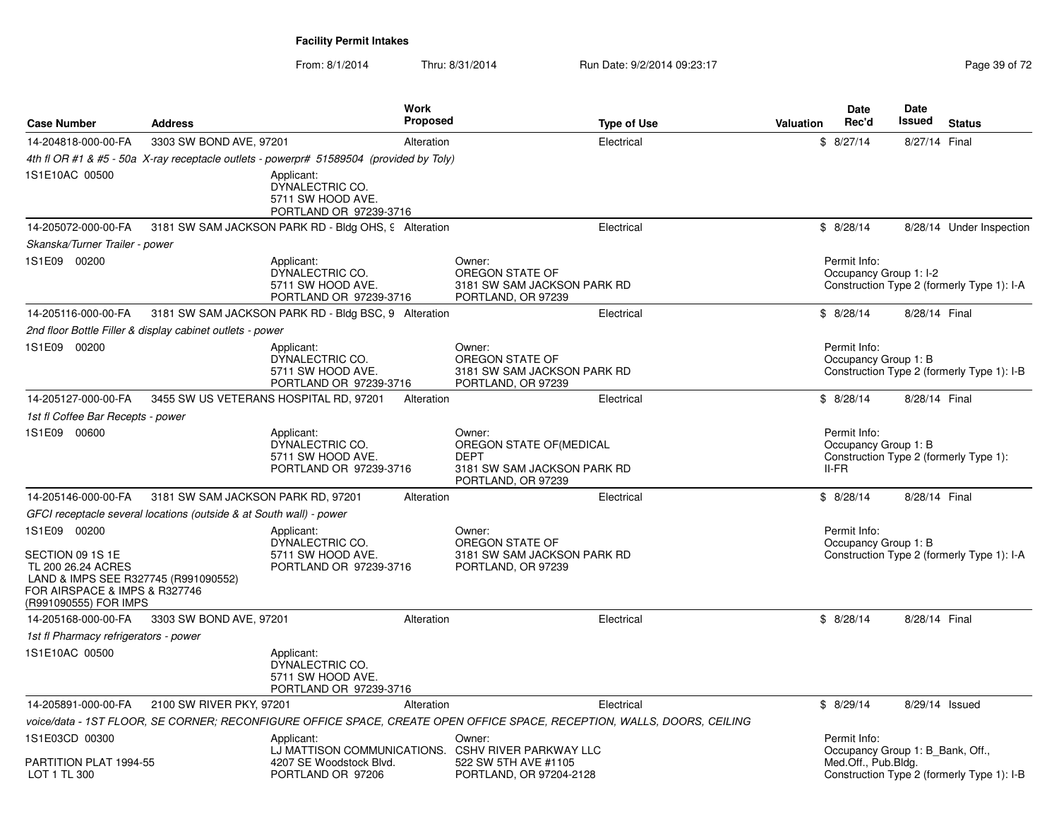From: 8/1/2014Thru: 8/31/2014 Run Date: 9/2/2014 09:23:17 Rege 39 of 72

| <b>Case Number</b>                                                                                                                                       | <b>Address</b>                                                      |                                                                                                                         | Work<br><b>Proposed</b> |                                                                                                                 | <b>Type of Use</b> | <b>Valuation</b> | <b>Date</b><br>Rec'd                                                    | <b>Date</b><br>Issued | <b>Status</b>                              |
|----------------------------------------------------------------------------------------------------------------------------------------------------------|---------------------------------------------------------------------|-------------------------------------------------------------------------------------------------------------------------|-------------------------|-----------------------------------------------------------------------------------------------------------------|--------------------|------------------|-------------------------------------------------------------------------|-----------------------|--------------------------------------------|
| 14-204818-000-00-FA                                                                                                                                      | 3303 SW BOND AVE, 97201                                             |                                                                                                                         | Alteration              |                                                                                                                 | Electrical         |                  | \$8/27/14                                                               | 8/27/14 Final         |                                            |
|                                                                                                                                                          |                                                                     | 4th fl OR #1 & #5 - 50a X-ray receptacle outlets - powerpr# 51589504 (provided by Toly)                                 |                         |                                                                                                                 |                    |                  |                                                                         |                       |                                            |
| 1S1E10AC 00500                                                                                                                                           |                                                                     | Applicant:<br>DYNALECTRIC CO.<br>5711 SW HOOD AVE.<br>PORTLAND OR 97239-3716                                            |                         |                                                                                                                 |                    |                  |                                                                         |                       |                                            |
| 14-205072-000-00-FA                                                                                                                                      |                                                                     | 3181 SW SAM JACKSON PARK RD - Bldg OHS, 9 Alteration                                                                    |                         |                                                                                                                 | Electrical         |                  | \$8/28/14                                                               |                       | 8/28/14 Under Inspection                   |
| Skanska/Turner Trailer - power                                                                                                                           |                                                                     |                                                                                                                         |                         |                                                                                                                 |                    |                  |                                                                         |                       |                                            |
| 1S1E09 00200                                                                                                                                             |                                                                     | Applicant:<br>DYNALECTRIC CO.<br>5711 SW HOOD AVE.<br>PORTLAND OR 97239-3716                                            |                         | Owner:<br>OREGON STATE OF<br>3181 SW SAM JACKSON PARK RD<br>PORTLAND, OR 97239                                  |                    |                  | Permit Info:<br>Occupancy Group 1: I-2                                  |                       | Construction Type 2 (formerly Type 1): I-A |
| 14-205116-000-00-FA                                                                                                                                      |                                                                     | 3181 SW SAM JACKSON PARK RD - Bldg BSC, 9 Alteration                                                                    |                         |                                                                                                                 | Electrical         |                  | \$8/28/14                                                               | 8/28/14 Final         |                                            |
|                                                                                                                                                          | 2nd floor Bottle Filler & display cabinet outlets - power           |                                                                                                                         |                         |                                                                                                                 |                    |                  |                                                                         |                       |                                            |
| 1S1E09 00200                                                                                                                                             |                                                                     | Applicant:<br>DYNALECTRIC CO.<br>5711 SW HOOD AVE.<br>PORTLAND OR 97239-3716                                            |                         | Owner:<br>OREGON STATE OF<br>3181 SW SAM JACKSON PARK RD<br>PORTLAND, OR 97239                                  |                    |                  | Permit Info:<br>Occupancy Group 1: B                                    |                       | Construction Type 2 (formerly Type 1): I-B |
| 14-205127-000-00-FA                                                                                                                                      |                                                                     | 3455 SW US VETERANS HOSPITAL RD, 97201                                                                                  | Alteration              |                                                                                                                 | Electrical         |                  | \$8/28/14                                                               | 8/28/14 Final         |                                            |
| 1st fl Coffee Bar Recepts - power                                                                                                                        |                                                                     |                                                                                                                         |                         |                                                                                                                 |                    |                  |                                                                         |                       |                                            |
| 1S1E09 00600                                                                                                                                             |                                                                     | Applicant:<br>DYNALECTRIC CO.<br>5711 SW HOOD AVE.<br>PORTLAND OR 97239-3716                                            |                         | Owner:<br>OREGON STATE OF(MEDICAL<br><b>DEPT</b><br>3181 SW SAM JACKSON PARK RD<br>PORTLAND, OR 97239           |                    |                  | Permit Info:<br>Occupancy Group 1: B<br>II-FR                           |                       | Construction Type 2 (formerly Type 1):     |
| 14-205146-000-00-FA                                                                                                                                      | 3181 SW SAM JACKSON PARK RD, 97201                                  |                                                                                                                         | Alteration              |                                                                                                                 | Electrical         |                  | \$8/28/14                                                               | 8/28/14 Final         |                                            |
|                                                                                                                                                          | GFCI receptacle several locations (outside & at South wall) - power |                                                                                                                         |                         |                                                                                                                 |                    |                  |                                                                         |                       |                                            |
| 1S1E09 00200<br>SECTION 09 1S 1E<br>TL 200 26.24 ACRES<br>LAND & IMPS SEE R327745 (R991090552)<br>FOR AIRSPACE & IMPS & R327746<br>(R991090555) FOR IMPS |                                                                     | Applicant:<br>DYNALECTRIC CO.<br>5711 SW HOOD AVE.<br>PORTLAND OR 97239-3716                                            |                         | Owner:<br>OREGON STATE OF<br>3181 SW SAM JACKSON PARK RD<br>PORTLAND, OR 97239                                  |                    |                  | Permit Info:<br>Occupancy Group 1: B                                    |                       | Construction Type 2 (formerly Type 1): I-A |
| 14-205168-000-00-FA                                                                                                                                      | 3303 SW BOND AVE, 97201                                             |                                                                                                                         | Alteration              |                                                                                                                 | Electrical         |                  | \$8/28/14                                                               | 8/28/14 Final         |                                            |
| 1st fl Pharmacy refrigerators - power                                                                                                                    |                                                                     |                                                                                                                         |                         |                                                                                                                 |                    |                  |                                                                         |                       |                                            |
| 1S1E10AC 00500                                                                                                                                           |                                                                     | Applicant:<br>DYNALECTRIC CO.<br>5711 SW HOOD AVE.<br>PORTLAND OR 97239-3716                                            |                         |                                                                                                                 |                    |                  |                                                                         |                       |                                            |
| 14-205891-000-00-FA                                                                                                                                      | 2100 SW RIVER PKY, 97201                                            |                                                                                                                         | Alteration              |                                                                                                                 | Electrical         |                  | \$8/29/14                                                               | 8/29/14 Issued        |                                            |
|                                                                                                                                                          |                                                                     | voice/data - 1ST FLOOR, SE CORNER; RECONFIGURE OFFICE SPACE, CREATE OPEN OFFICE SPACE, RECEPTION, WALLS, DOORS, CEILING |                         |                                                                                                                 |                    |                  |                                                                         |                       |                                            |
| 1S1E03CD 00300<br>PARTITION PLAT 1994-55<br>LOT 1 TL 300                                                                                                 |                                                                     | Applicant:<br>4207 SE Woodstock Blvd.<br>PORTLAND OR 97206                                                              |                         | Owner:<br>LJ MATTISON COMMUNICATIONS. CSHV RIVER PARKWAY LLC<br>522 SW 5TH AVE #1105<br>PORTLAND, OR 97204-2128 |                    |                  | Permit Info:<br>Occupancy Group 1: B Bank, Off.,<br>Med.Off., Pub.Bldg. |                       | Construction Type 2 (formerly Type 1): I-B |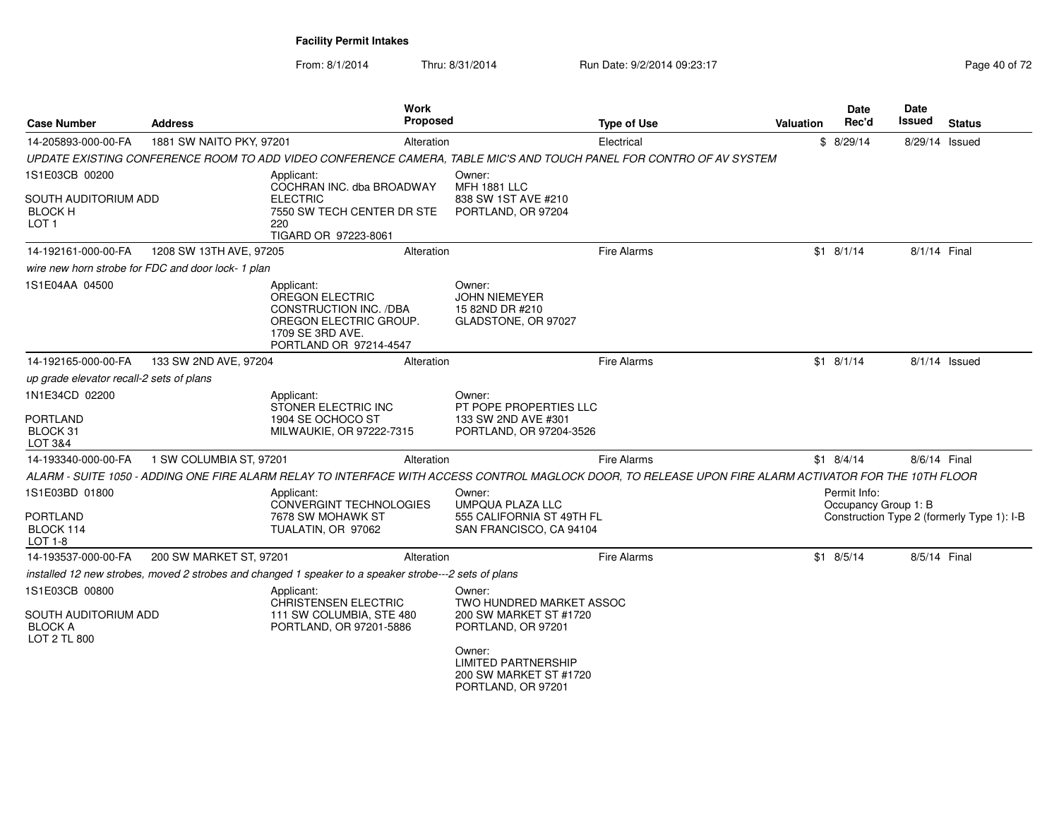From: 8/1/2014Thru: 8/31/2014 Run Date: 9/2/2014 09:23:17 Rege 40 of 72

| <b>Case Number</b>                                                       | <b>Address</b>                                    | <b>Work</b><br><b>Proposed</b>                                                                                                                          |                                                                                      | <b>Type of Use</b> | <b>Valuation</b> | Date<br>Rec'd                        | Date<br>Issued | <b>Status</b>                              |
|--------------------------------------------------------------------------|---------------------------------------------------|---------------------------------------------------------------------------------------------------------------------------------------------------------|--------------------------------------------------------------------------------------|--------------------|------------------|--------------------------------------|----------------|--------------------------------------------|
| 14-205893-000-00-FA                                                      | 1881 SW NAITO PKY, 97201                          | Alteration                                                                                                                                              |                                                                                      | Electrical         |                  | \$8/29/14                            | 8/29/14 Issued |                                            |
|                                                                          |                                                   | UPDATE EXISTING CONFERENCE ROOM TO ADD VIDEO CONFERENCE CAMERA, TABLE MIC'S AND TOUCH PANEL FOR CONTRO OF AV SYSTEM                                     |                                                                                      |                    |                  |                                      |                |                                            |
| 1S1E03CB 00200                                                           |                                                   | Applicant:                                                                                                                                              | Owner:                                                                               |                    |                  |                                      |                |                                            |
| SOUTH AUDITORIUM ADD<br><b>BLOCK H</b><br>LOT <sub>1</sub>               |                                                   | COCHRAN INC. dba BROADWAY<br><b>ELECTRIC</b><br>7550 SW TECH CENTER DR STE<br>220<br>TIGARD OR 97223-8061                                               | <b>MFH 1881 LLC</b><br>838 SW 1ST AVE #210<br>PORTLAND, OR 97204                     |                    |                  |                                      |                |                                            |
| 14-192161-000-00-FA                                                      | 1208 SW 13TH AVE, 97205                           | Alteration                                                                                                                                              |                                                                                      | <b>Fire Alarms</b> |                  | $$1 \t8/1/14$                        | 8/1/14 Final   |                                            |
|                                                                          | wire new horn strobe for FDC and door lock-1 plan |                                                                                                                                                         |                                                                                      |                    |                  |                                      |                |                                            |
| 1S1E04AA 04500                                                           |                                                   | Applicant:<br>OREGON ELECTRIC<br>CONSTRUCTION INC. /DBA<br>OREGON ELECTRIC GROUP.<br>1709 SE 3RD AVE.<br>PORTLAND OR 97214-4547                         | Owner:<br><b>JOHN NIEMEYER</b><br>15 82ND DR #210<br>GLADSTONE, OR 97027             |                    |                  |                                      |                |                                            |
| 14-192165-000-00-FA                                                      | 133 SW 2ND AVE, 97204                             | Alteration                                                                                                                                              |                                                                                      | <b>Fire Alarms</b> |                  | $$1$ 8/1/14                          |                | $8/1/14$ Issued                            |
| up grade elevator recall-2 sets of plans                                 |                                                   |                                                                                                                                                         |                                                                                      |                    |                  |                                      |                |                                            |
| 1N1E34CD 02200<br><b>PORTLAND</b><br>BLOCK 31                            |                                                   | Applicant:<br>STONER ELECTRIC INC<br>1904 SE OCHOCO ST<br>MILWAUKIE, OR 97222-7315                                                                      | Owner:<br>PT POPE PROPERTIES LLC<br>133 SW 2ND AVE #301<br>PORTLAND, OR 97204-3526   |                    |                  |                                      |                |                                            |
| LOT 3&4                                                                  |                                                   |                                                                                                                                                         |                                                                                      |                    |                  |                                      |                |                                            |
| 14-193340-000-00-FA                                                      | 1 SW COLUMBIA ST, 97201                           | Alteration                                                                                                                                              |                                                                                      | <b>Fire Alarms</b> |                  | $$1 \quad 8/4/14$                    | 8/6/14 Final   |                                            |
|                                                                          |                                                   | ALARM - SUITE 1050 - ADDING ONE FIRE ALARM RELAY TO INTERFACE WITH ACCESS CONTROL MAGLOCK DOOR. TO RELEASE UPON FIRE ALARM ACTIVATOR FOR THE 10TH FLOOR |                                                                                      |                    |                  |                                      |                |                                            |
| 1S1E03BD 01800<br><b>PORTLAND</b><br>BLOCK 114                           |                                                   | Applicant:<br>CONVERGINT TECHNOLOGIES<br>7678 SW MOHAWK ST<br>TUALATIN, OR 97062                                                                        | Owner:<br>UMPQUA PLAZA LLC<br>555 CALIFORNIA ST 49TH FL<br>SAN FRANCISCO, CA 94104   |                    |                  | Permit Info:<br>Occupancy Group 1: B |                | Construction Type 2 (formerly Type 1): I-B |
| LOT 1-8                                                                  |                                                   |                                                                                                                                                         |                                                                                      |                    |                  |                                      |                |                                            |
| 14-193537-000-00-FA                                                      | 200 SW MARKET ST, 97201                           | Alteration                                                                                                                                              |                                                                                      | <b>Fire Alarms</b> |                  | $$1$ 8/5/14                          | 8/5/14 Final   |                                            |
|                                                                          |                                                   | installed 12 new strobes, moved 2 strobes and changed 1 speaker to a speaker strobe---2 sets of plans                                                   |                                                                                      |                    |                  |                                      |                |                                            |
| 1S1E03CB 00800<br>SOUTH AUDITORIUM ADD<br><b>BLOCK A</b><br>LOT 2 TL 800 |                                                   | Applicant:<br><b>CHRISTENSEN ELECTRIC</b><br>111 SW COLUMBIA, STE 480<br>PORTLAND, OR 97201-5886                                                        | Owner:<br>TWO HUNDRED MARKET ASSOC<br>200 SW MARKET ST #1720<br>PORTLAND, OR 97201   |                    |                  |                                      |                |                                            |
|                                                                          |                                                   |                                                                                                                                                         | Owner:<br><b>LIMITED PARTNERSHIP</b><br>200 SW MARKET ST #1720<br>PORTLAND, OR 97201 |                    |                  |                                      |                |                                            |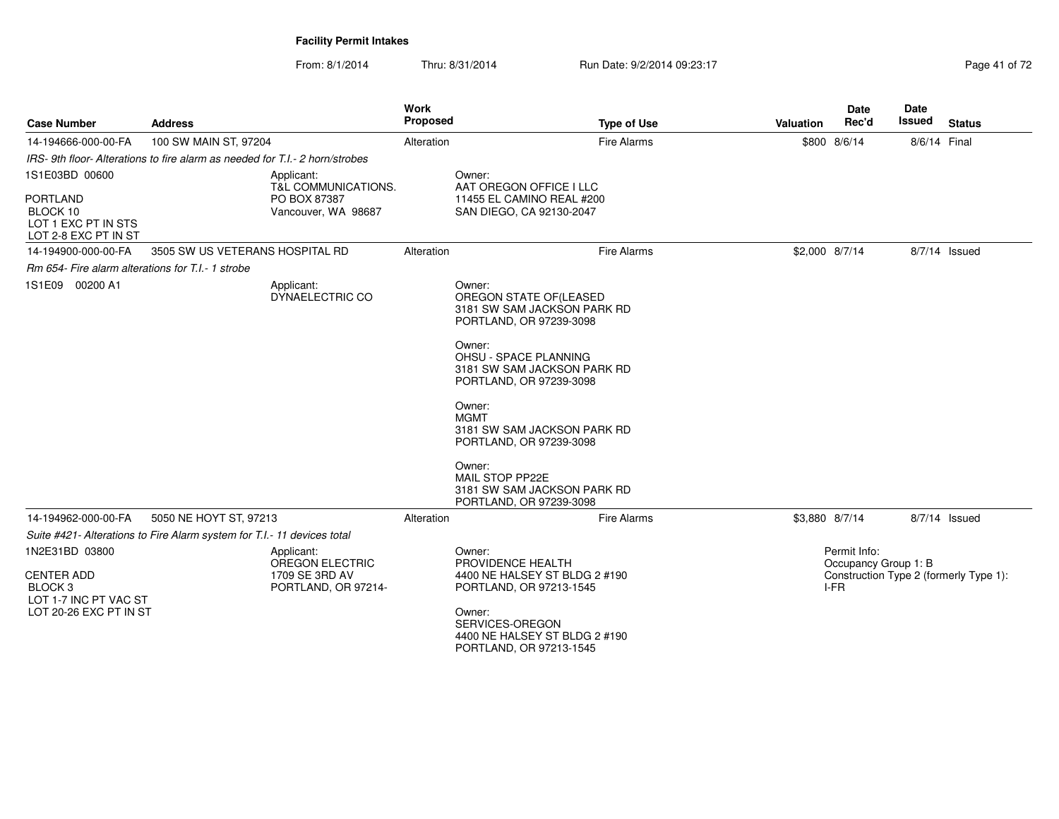From: 8/1/2014Thru: 8/31/2014 Run Date: 9/2/2014 09:23:17 Rege 41 of 72

| <b>Case Number</b>                                                                                | <b>Address</b>                                                            |                                                                               | <b>Work</b><br>Proposed | <b>Type of Use</b>                                                                                                                                                                                                                                                                                                                                                | Valuation      | <b>Date</b><br>Rec'd                         | Date<br><b>Issued</b> | <b>Status</b>                          |
|---------------------------------------------------------------------------------------------------|---------------------------------------------------------------------------|-------------------------------------------------------------------------------|-------------------------|-------------------------------------------------------------------------------------------------------------------------------------------------------------------------------------------------------------------------------------------------------------------------------------------------------------------------------------------------------------------|----------------|----------------------------------------------|-----------------------|----------------------------------------|
| 14-194666-000-00-FA                                                                               | 100 SW MAIN ST, 97204                                                     |                                                                               | Alteration              | Fire Alarms                                                                                                                                                                                                                                                                                                                                                       |                | \$800 8/6/14                                 | 8/6/14 Final          |                                        |
|                                                                                                   | IRS-9th floor-Alterations to fire alarm as needed for T.I.-2 horn/strobes |                                                                               |                         |                                                                                                                                                                                                                                                                                                                                                                   |                |                                              |                       |                                        |
| 1S1E03BD 00600<br><b>PORTLAND</b><br>BLOCK 10<br>LOT 1 EXC PT IN STS<br>LOT 2-8 EXC PT IN ST      |                                                                           | Applicant:<br>T&L COMMUNICATIONS.<br>PO BOX 87387<br>Vancouver, WA 98687      |                         | Owner:<br>AAT OREGON OFFICE I LLC<br>11455 EL CAMINO REAL #200<br>SAN DIEGO, CA 92130-2047                                                                                                                                                                                                                                                                        |                |                                              |                       |                                        |
| 14-194900-000-00-FA                                                                               | 3505 SW US VETERANS HOSPITAL RD                                           |                                                                               | Alteration              | Fire Alarms                                                                                                                                                                                                                                                                                                                                                       | \$2,000 8/7/14 |                                              |                       | 8/7/14 Issued                          |
| Rm 654- Fire alarm alterations for T.I.- 1 strobe                                                 |                                                                           |                                                                               |                         |                                                                                                                                                                                                                                                                                                                                                                   |                |                                              |                       |                                        |
| 1S1E09 00200 A1                                                                                   |                                                                           | Applicant:<br>DYNAELECTRIC CO                                                 |                         | Owner:<br>OREGON STATE OF(LEASED<br>3181 SW SAM JACKSON PARK RD<br>PORTLAND, OR 97239-3098<br>Owner:<br>OHSU - SPACE PLANNING<br>3181 SW SAM JACKSON PARK RD<br>PORTLAND, OR 97239-3098<br>Owner:<br><b>MGMT</b><br>3181 SW SAM JACKSON PARK RD<br>PORTLAND, OR 97239-3098<br>Owner:<br>MAIL STOP PP22E<br>3181 SW SAM JACKSON PARK RD<br>PORTLAND, OR 97239-3098 |                |                                              |                       |                                        |
| 14-194962-000-00-FA                                                                               | 5050 NE HOYT ST, 97213                                                    |                                                                               | Alteration              | Fire Alarms                                                                                                                                                                                                                                                                                                                                                       | \$3,880 8/7/14 |                                              |                       | 8/7/14 Issued                          |
|                                                                                                   | Suite #421- Alterations to Fire Alarm system for T.I.- 11 devices total   |                                                                               |                         |                                                                                                                                                                                                                                                                                                                                                                   |                |                                              |                       |                                        |
| 1N2E31BD 03800<br><b>CENTER ADD</b><br>BLOCK 3<br>LOT 1-7 INC PT VAC ST<br>LOT 20-26 EXC PT IN ST |                                                                           | Applicant:<br><b>OREGON ELECTRIC</b><br>1709 SE 3RD AV<br>PORTLAND, OR 97214- |                         | Owner:<br>PROVIDENCE HEALTH<br>4400 NE HALSEY ST BLDG 2 #190<br>PORTLAND, OR 97213-1545<br>Owner:<br>SERVICES-OREGON<br>4400 NE HALSEY ST BLDG 2 #190<br>PORTLAND, OR 97213-1545                                                                                                                                                                                  |                | Permit Info:<br>Occupancy Group 1: B<br>I-FR |                       | Construction Type 2 (formerly Type 1): |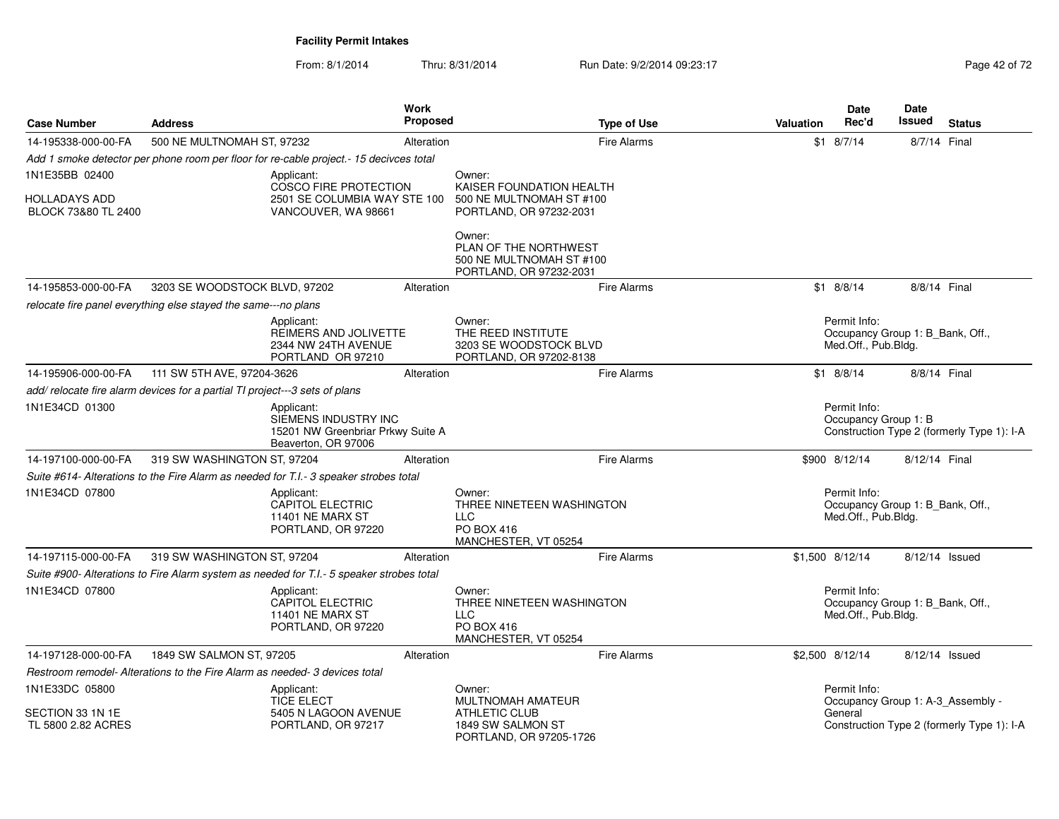From: 8/1/2014Thru: 8/31/2014 Run Date: 9/2/2014 09:23:17 Rege 42 of 72

| <b>Case Number</b>                          | <b>Address</b>                                                             |                                                                                                | Work<br><b>Proposed</b> |                                                                                         | <b>Type of Use</b> | Valuation | <b>Date</b><br>Rec'd                                                    | <b>Date</b><br>Issued | <b>Status</b>                              |
|---------------------------------------------|----------------------------------------------------------------------------|------------------------------------------------------------------------------------------------|-------------------------|-----------------------------------------------------------------------------------------|--------------------|-----------|-------------------------------------------------------------------------|-----------------------|--------------------------------------------|
| 14-195338-000-00-FA                         | 500 NE MULTNOMAH ST, 97232                                                 |                                                                                                | Alteration              |                                                                                         | <b>Fire Alarms</b> |           | $$1 \quad 8/7/14$                                                       | 8/7/14 Final          |                                            |
|                                             |                                                                            | Add 1 smoke detector per phone room per floor for re-cable project.-15 decivces total          |                         |                                                                                         |                    |           |                                                                         |                       |                                            |
| 1N1E35BB 02400                              |                                                                            | Applicant:                                                                                     |                         | Owner:                                                                                  |                    |           |                                                                         |                       |                                            |
| <b>HOLLADAYS ADD</b><br>BLOCK 73&80 TL 2400 |                                                                            | COSCO FIRE PROTECTION<br>2501 SE COLUMBIA WAY STE 100<br>VANCOUVER, WA 98661                   |                         | KAISER FOUNDATION HEALTH<br>500 NE MULTNOMAH ST #100<br>PORTLAND, OR 97232-2031         |                    |           |                                                                         |                       |                                            |
|                                             |                                                                            |                                                                                                |                         | Owner:<br>PLAN OF THE NORTHWEST<br>500 NE MULTNOMAH ST #100<br>PORTLAND, OR 97232-2031  |                    |           |                                                                         |                       |                                            |
| 14-195853-000-00-FA                         | 3203 SE WOODSTOCK BLVD, 97202                                              |                                                                                                | Alteration              |                                                                                         | <b>Fire Alarms</b> |           | $$1$ 8/8/14                                                             | 8/8/14 Final          |                                            |
|                                             | relocate fire panel everything else stayed the same---no plans             |                                                                                                |                         |                                                                                         |                    |           |                                                                         |                       |                                            |
|                                             |                                                                            | Applicant:<br>REIMERS AND JOLIVETTE<br>2344 NW 24TH AVENUE<br>PORTLAND OR 97210                |                         | Owner:<br>THE REED INSTITUTE<br>3203 SE WOODSTOCK BLVD<br>PORTLAND, OR 97202-8138       |                    |           | Permit Info:<br>Occupancy Group 1: B_Bank, Off.,<br>Med.Off., Pub.Bldg. |                       |                                            |
| 14-195906-000-00-FA                         | 111 SW 5TH AVE, 97204-3626                                                 |                                                                                                | Alteration              |                                                                                         | Fire Alarms        |           | $$1$ 8/8/14                                                             | 8/8/14 Final          |                                            |
|                                             | add/relocate fire alarm devices for a partial TI project---3 sets of plans |                                                                                                |                         |                                                                                         |                    |           |                                                                         |                       |                                            |
| 1N1E34CD 01300                              |                                                                            | Applicant:<br>SIEMENS INDUSTRY INC<br>15201 NW Greenbriar Prkwy Suite A<br>Beaverton, OR 97006 |                         |                                                                                         |                    |           | Permit Info:<br>Occupancy Group 1: B                                    |                       | Construction Type 2 (formerly Type 1): I-A |
| 14-197100-000-00-FA                         | 319 SW WASHINGTON ST, 97204                                                |                                                                                                | Alteration              |                                                                                         | <b>Fire Alarms</b> |           | \$900 8/12/14                                                           | 8/12/14 Final         |                                            |
|                                             |                                                                            | Suite #614- Alterations to the Fire Alarm as needed for T.I.- 3 speaker strobes total          |                         |                                                                                         |                    |           |                                                                         |                       |                                            |
| 1N1E34CD 07800                              |                                                                            | Applicant:<br><b>CAPITOL ELECTRIC</b><br>11401 NE MARX ST<br>PORTLAND, OR 97220                |                         | Owner:<br>THREE NINETEEN WASHINGTON<br>LLC<br><b>PO BOX 416</b><br>MANCHESTER, VT 05254 |                    |           | Permit Info:<br>Occupancy Group 1: B_Bank, Off.,<br>Med.Off., Pub.Bldg. |                       |                                            |
| 14-197115-000-00-FA                         | 319 SW WASHINGTON ST, 97204                                                |                                                                                                | Alteration              |                                                                                         | <b>Fire Alarms</b> |           | \$1,500 8/12/14                                                         | 8/12/14 Issued        |                                            |
|                                             |                                                                            | Suite #900- Alterations to Fire Alarm system as needed for T.I.- 5 speaker strobes total       |                         |                                                                                         |                    |           |                                                                         |                       |                                            |
| 1N1E34CD 07800                              |                                                                            | Applicant:<br>CAPITOL ELECTRIC<br>11401 NE MARX ST<br>PORTLAND, OR 97220                       |                         | Owner:<br>THREE NINETEEN WASHINGTON<br>LLC<br>PO BOX 416<br>MANCHESTER, VT 05254        |                    |           | Permit Info:<br>Occupancy Group 1: B_Bank, Off.,<br>Med.Off., Pub.Bldg. |                       |                                            |
| 14-197128-000-00-FA                         | 1849 SW SALMON ST, 97205                                                   |                                                                                                | Alteration              |                                                                                         | <b>Fire Alarms</b> |           | \$2,500 8/12/14                                                         | 8/12/14 Issued        |                                            |
|                                             | Restroom remodel- Alterations to the Fire Alarm as needed- 3 devices total |                                                                                                |                         |                                                                                         |                    |           |                                                                         |                       |                                            |
| 1N1E33DC 05800                              |                                                                            | Applicant:<br><b>TICE ELECT</b>                                                                |                         | Owner:<br><b>MULTNOMAH AMATEUR</b>                                                      |                    |           | Permit Info:<br>Occupancy Group 1: A-3_Assembly -                       |                       |                                            |
| SECTION 33 1N 1E<br>TL 5800 2.82 ACRES      |                                                                            | 5405 N LAGOON AVENUE<br>PORTLAND, OR 97217                                                     |                         | <b>ATHLETIC CLUB</b><br>1849 SW SALMON ST<br>PORTLAND, OR 97205-1726                    |                    |           | General                                                                 |                       | Construction Type 2 (formerly Type 1): I-A |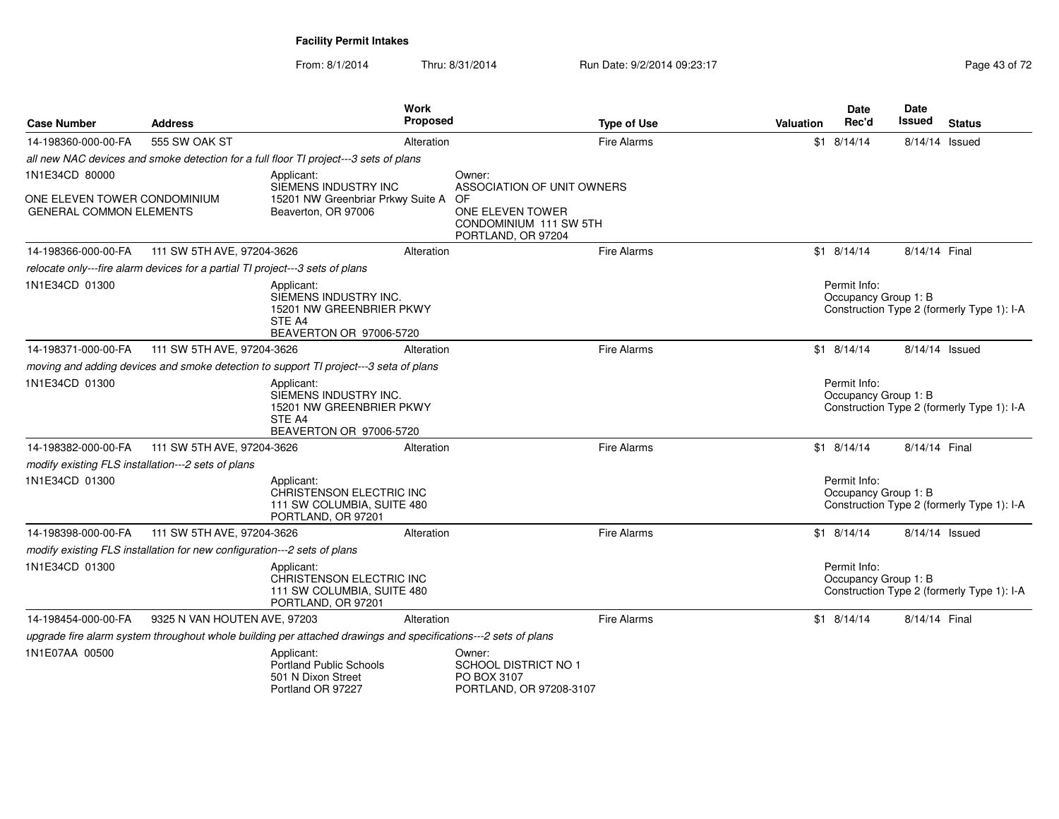From: 8/1/2014Thru: 8/31/2014 Run Date: 9/2/2014 09:23:17 Rege 43 of 72

| <b>Case Number</b>                                                            | <b>Address</b>               | Work                                                                                                           | <b>Proposed</b> |                                                                          | <b>Type of Use</b> | Valuation | Date<br>Rec'd                        | <b>Date</b><br>Issued | <b>Status</b>                              |
|-------------------------------------------------------------------------------|------------------------------|----------------------------------------------------------------------------------------------------------------|-----------------|--------------------------------------------------------------------------|--------------------|-----------|--------------------------------------|-----------------------|--------------------------------------------|
| 14-198360-000-00-FA                                                           | 555 SW OAK ST                |                                                                                                                | Alteration      |                                                                          | <b>Fire Alarms</b> | \$1       | 8/14/14                              | 8/14/14 Issued        |                                            |
|                                                                               |                              | all new NAC devices and smoke detection for a full floor TI project---3 sets of plans                          |                 |                                                                          |                    |           |                                      |                       |                                            |
| 1N1E34CD 80000                                                                |                              | Applicant:<br>SIEMENS INDUSTRY INC                                                                             |                 | Owner:<br>ASSOCIATION OF UNIT OWNERS                                     |                    |           |                                      |                       |                                            |
| ONE ELEVEN TOWER CONDOMINIUM<br><b>GENERAL COMMON ELEMENTS</b>                |                              | 15201 NW Greenbriar Prkwy Suite A<br>Beaverton, OR 97006                                                       |                 | OF<br>ONE ELEVEN TOWER<br>CONDOMINIUM 111 SW 5TH<br>PORTLAND, OR 97204   |                    |           |                                      |                       |                                            |
| 14-198366-000-00-FA                                                           | 111 SW 5TH AVE, 97204-3626   |                                                                                                                | Alteration      |                                                                          | <b>Fire Alarms</b> |           | $$1 \quad 8/14/14$                   | 8/14/14 Final         |                                            |
| relocate only---fire alarm devices for a partial TI project---3 sets of plans |                              |                                                                                                                |                 |                                                                          |                    |           |                                      |                       |                                            |
| 1N1E34CD 01300                                                                |                              | Applicant:<br>SIEMENS INDUSTRY INC.<br>15201 NW GREENBRIER PKWY<br>STE A4<br>BEAVERTON OR 97006-5720           |                 |                                                                          |                    |           | Permit Info:<br>Occupancy Group 1: B |                       | Construction Type 2 (formerly Type 1): I-A |
| 14-198371-000-00-FA                                                           | 111 SW 5TH AVE, 97204-3626   |                                                                                                                | Alteration      |                                                                          | <b>Fire Alarms</b> |           | $$1$ 8/14/14                         | 8/14/14 Issued        |                                            |
|                                                                               |                              | moving and adding devices and smoke detection to support TI project---3 seta of plans                          |                 |                                                                          |                    |           |                                      |                       |                                            |
| 1N1E34CD 01300                                                                |                              | Applicant:<br>SIEMENS INDUSTRY INC.<br>15201 NW GREENBRIER PKWY<br>STE A4<br>BEAVERTON OR 97006-5720           |                 |                                                                          |                    |           | Permit Info:<br>Occupancy Group 1: B |                       | Construction Type 2 (formerly Type 1): I-A |
| 14-198382-000-00-FA                                                           | 111 SW 5TH AVE, 97204-3626   |                                                                                                                | Alteration      |                                                                          | <b>Fire Alarms</b> |           | $$1$ 8/14/14                         | 8/14/14 Final         |                                            |
| modify existing FLS installation---2 sets of plans                            |                              |                                                                                                                |                 |                                                                          |                    |           |                                      |                       |                                            |
| 1N1E34CD 01300                                                                |                              | Applicant:<br>CHRISTENSON ELECTRIC INC<br>111 SW COLUMBIA, SUITE 480<br>PORTLAND, OR 97201                     |                 |                                                                          |                    |           | Permit Info:<br>Occupancy Group 1: B |                       | Construction Type 2 (formerly Type 1): I-A |
| 14-198398-000-00-FA                                                           | 111 SW 5TH AVE, 97204-3626   |                                                                                                                | Alteration      |                                                                          | <b>Fire Alarms</b> |           | $$1$ 8/14/14                         | 8/14/14 Issued        |                                            |
| modify existing FLS installation for new configuration---2 sets of plans      |                              |                                                                                                                |                 |                                                                          |                    |           |                                      |                       |                                            |
| 1N1E34CD 01300                                                                |                              | Applicant:<br>CHRISTENSON ELECTRIC INC<br>111 SW COLUMBIA, SUITE 480<br>PORTLAND, OR 97201                     |                 |                                                                          |                    |           | Permit Info:<br>Occupancy Group 1: B |                       | Construction Type 2 (formerly Type 1): I-A |
| 14-198454-000-00-FA                                                           | 9325 N VAN HOUTEN AVE, 97203 |                                                                                                                | Alteration      |                                                                          | <b>Fire Alarms</b> |           | $$1 \quad 8/14/14$                   | 8/14/14 Final         |                                            |
|                                                                               |                              | upgrade fire alarm system throughout whole building per attached drawings and specifications---2 sets of plans |                 |                                                                          |                    |           |                                      |                       |                                            |
| 1N1E07AA 00500                                                                |                              | Applicant:<br>Portland Public Schools<br>501 N Dixon Street<br>Portland OR 97227                               |                 | Owner:<br>SCHOOL DISTRICT NO 1<br>PO BOX 3107<br>PORTLAND, OR 97208-3107 |                    |           |                                      |                       |                                            |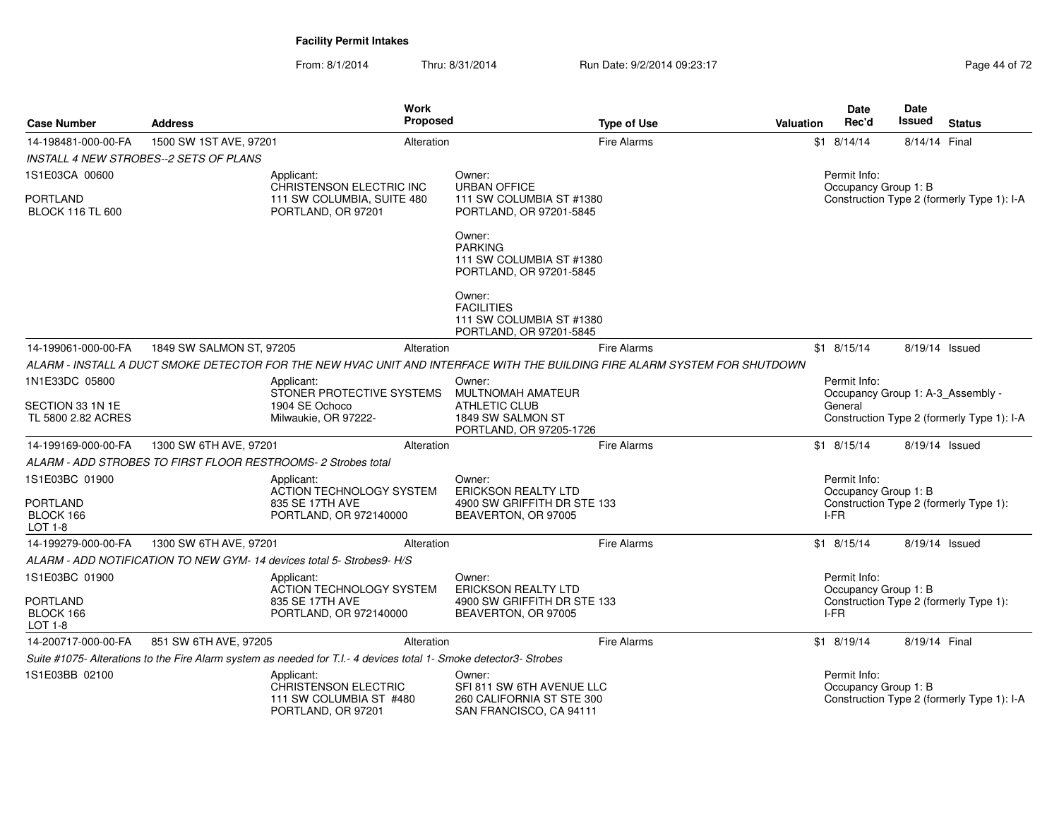From: 8/1/2014Thru: 8/31/2014 Run Date: 9/2/2014 09:23:17 Page 44 of 72

| <b>Case Number</b>                         | <b>Address</b>                                                                                                    | Work<br>Proposed                                                             | <b>Type of Use</b>                                                                                                         | Valuation | <b>Date</b><br>Rec'd                 | <b>Date</b><br><b>Issued</b> | <b>Status</b>                              |
|--------------------------------------------|-------------------------------------------------------------------------------------------------------------------|------------------------------------------------------------------------------|----------------------------------------------------------------------------------------------------------------------------|-----------|--------------------------------------|------------------------------|--------------------------------------------|
| 14-198481-000-00-FA                        | 1500 SW 1ST AVE, 97201                                                                                            | Alteration                                                                   | <b>Fire Alarms</b>                                                                                                         |           | $$1$ 8/14/14                         | 8/14/14 Final                |                                            |
|                                            | INSTALL 4 NEW STROBES--2 SETS OF PLANS                                                                            |                                                                              |                                                                                                                            |           |                                      |                              |                                            |
| 1S1E03CA 00600                             | Applicant:                                                                                                        | CHRISTENSON ELECTRIC INC                                                     | Owner:<br><b>URBAN OFFICE</b>                                                                                              |           | Permit Info:<br>Occupancy Group 1: B |                              |                                            |
| <b>PORTLAND</b><br><b>BLOCK 116 TL 600</b> |                                                                                                                   | 111 SW COLUMBIA, SUITE 480<br>PORTLAND, OR 97201                             | 111 SW COLUMBIA ST #1380<br>PORTLAND, OR 97201-5845                                                                        |           |                                      |                              | Construction Type 2 (formerly Type 1): I-A |
|                                            |                                                                                                                   |                                                                              | Owner:<br><b>PARKING</b><br>111 SW COLUMBIA ST #1380<br>PORTLAND, OR 97201-5845                                            |           |                                      |                              |                                            |
|                                            |                                                                                                                   |                                                                              | Owner:<br><b>FACILITIES</b><br>111 SW COLUMBIA ST #1380<br>PORTLAND, OR 97201-5845                                         |           |                                      |                              |                                            |
| 14-199061-000-00-FA                        | 1849 SW SALMON ST, 97205                                                                                          | Alteration                                                                   | <b>Fire Alarms</b>                                                                                                         |           | $$1$ 8/15/14                         |                              | 8/19/14 Issued                             |
|                                            |                                                                                                                   |                                                                              | ALARM - INSTALL A DUCT SMOKE DETECTOR FOR THE NEW HVAC UNIT AND INTERFACE WITH THE BUILDING FIRE ALARM SYSTEM FOR SHUTDOWN |           |                                      |                              |                                            |
| 1N1E33DC 05800                             | Applicant:                                                                                                        | STONER PROTECTIVE SYSTEMS                                                    | Owner:<br>MULTNOMAH AMATEUR                                                                                                |           | Permit Info:                         |                              | Occupancy Group 1: A-3 Assembly -          |
| SECTION 33 1N 1E<br>TL 5800 2.82 ACRES     |                                                                                                                   | 1904 SE Ochoco<br>Milwaukie, OR 97222-                                       | <b>ATHLETIC CLUB</b><br>1849 SW SALMON ST<br>PORTLAND, OR 97205-1726                                                       |           | General                              |                              | Construction Type 2 (formerly Type 1): I-A |
| 14-199169-000-00-FA                        | 1300 SW 6TH AVE, 97201                                                                                            | Alteration                                                                   | <b>Fire Alarms</b>                                                                                                         |           | $$1$ 8/15/14                         |                              | 8/19/14 Issued                             |
|                                            | ALARM - ADD STROBES TO FIRST FLOOR RESTROOMS-2 Strobes total                                                      |                                                                              |                                                                                                                            |           |                                      |                              |                                            |
| 1S1E03BC 01900                             | Applicant:                                                                                                        | ACTION TECHNOLOGY SYSTEM                                                     | Owner:<br><b>ERICKSON REALTY LTD</b>                                                                                       |           | Permit Info:<br>Occupancy Group 1: B |                              |                                            |
| <b>PORTLAND</b><br>BLOCK 166<br>LOT 1-8    |                                                                                                                   | 835 SE 17TH AVE<br>PORTLAND, OR 972140000                                    | 4900 SW GRIFFITH DR STE 133<br>BEAVERTON, OR 97005                                                                         |           | I-FR                                 |                              | Construction Type 2 (formerly Type 1):     |
| 14-199279-000-00-FA                        | 1300 SW 6TH AVE, 97201                                                                                            | Alteration                                                                   | <b>Fire Alarms</b>                                                                                                         |           | $$1$ 8/15/14                         |                              | 8/19/14 Issued                             |
|                                            | ALARM - ADD NOTIFICATION TO NEW GYM-14 devices total 5- Strobes9-H/S                                              |                                                                              |                                                                                                                            |           |                                      |                              |                                            |
| 1S1E03BC 01900                             | Applicant:                                                                                                        | <b>ACTION TECHNOLOGY SYSTEM</b>                                              | Owner:<br><b>ERICKSON REALTY LTD</b>                                                                                       |           | Permit Info:<br>Occupancy Group 1: B |                              |                                            |
| <b>PORTLAND</b><br>BLOCK 166<br>LOT 1-8    |                                                                                                                   | 835 SE 17TH AVE<br>PORTLAND, OR 972140000                                    | 4900 SW GRIFFITH DR STE 133<br>BEAVERTON, OR 97005                                                                         |           | I-FR                                 |                              | Construction Type 2 (formerly Type 1):     |
| 14-200717-000-00-FA                        | 851 SW 6TH AVE, 97205                                                                                             | Alteration                                                                   | <b>Fire Alarms</b>                                                                                                         |           | $$1$ 8/19/14                         | 8/19/14 Final                |                                            |
|                                            | Suite #1075- Alterations to the Fire Alarm system as needed for T.I.- 4 devices total 1- Smoke detector3- Strobes |                                                                              |                                                                                                                            |           |                                      |                              |                                            |
| 1S1E03BB 02100                             | Applicant:                                                                                                        | <b>CHRISTENSON ELECTRIC</b><br>111 SW COLUMBIA ST #480<br>PORTLAND, OR 97201 | Owner:<br>SFI 811 SW 6TH AVENUE LLC<br>260 CALIFORNIA ST STE 300<br>SAN FRANCISCO, CA 94111                                |           | Permit Info:<br>Occupancy Group 1: B |                              | Construction Type 2 (formerly Type 1): I-A |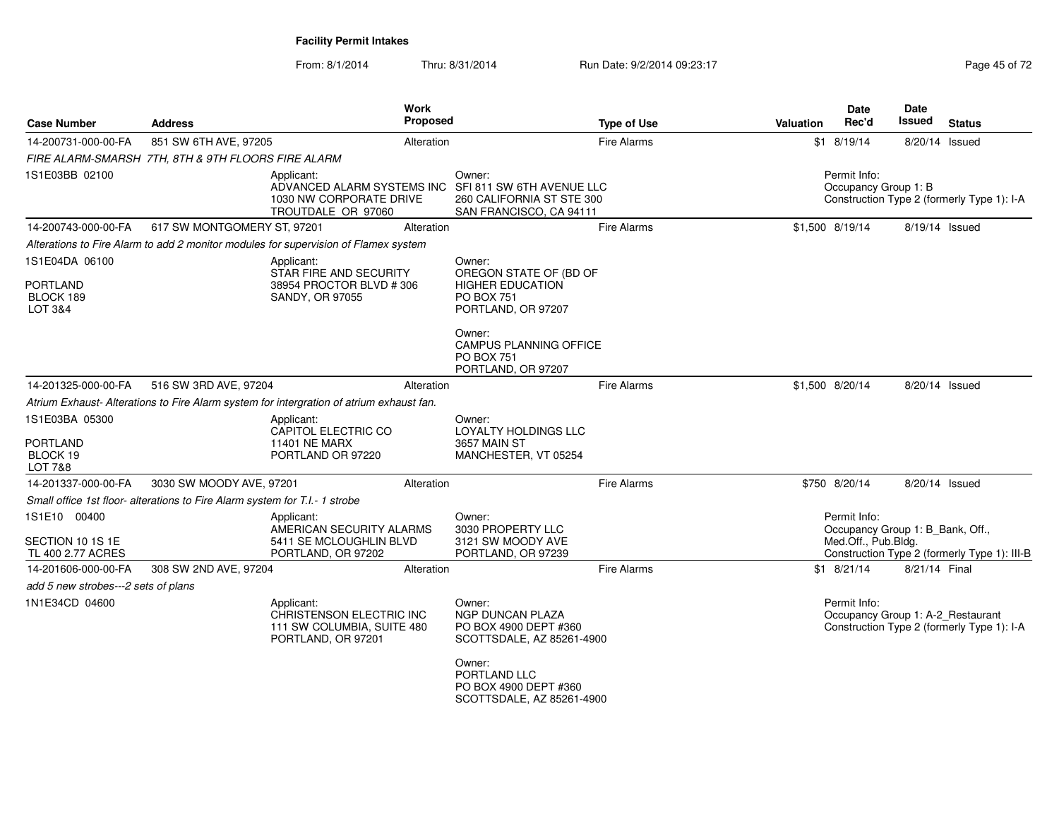From: 8/1/2014Thru: 8/31/2014 Run Date: 9/2/2014 09:23:17 Rege 45 of 72

| <b>Case Number</b>                                       | <b>Address</b>                                                              | Work<br>Proposed                                                                                                    |                                                                                              | <b>Type of Use</b> | <b>Valuation</b> | Date<br>Rec'd                                                           | Date<br>Issued | <b>Status</b>                                |
|----------------------------------------------------------|-----------------------------------------------------------------------------|---------------------------------------------------------------------------------------------------------------------|----------------------------------------------------------------------------------------------|--------------------|------------------|-------------------------------------------------------------------------|----------------|----------------------------------------------|
| 14-200731-000-00-FA                                      | 851 SW 6TH AVE, 97205                                                       | Alteration                                                                                                          |                                                                                              | Fire Alarms        |                  | $$1$ 8/19/14                                                            | 8/20/14 Issued |                                              |
|                                                          | FIRE ALARM-SMARSH 7TH, 8TH & 9TH FLOORS FIRE ALARM                          |                                                                                                                     |                                                                                              |                    |                  |                                                                         |                |                                              |
| 1S1E03BB 02100                                           |                                                                             | Applicant:<br>ADVANCED ALARM SYSTEMS INC SFI 811 SW 6TH AVENUE LLC<br>1030 NW CORPORATE DRIVE<br>TROUTDALE OR 97060 | Owner:<br>260 CALIFORNIA ST STE 300<br>SAN FRANCISCO, CA 94111                               |                    |                  | Permit Info:<br>Occupancy Group 1: B                                    |                | Construction Type 2 (formerly Type 1): I-A   |
| 14-200743-000-00-FA                                      | 617 SW MONTGOMERY ST, 97201                                                 | Alteration                                                                                                          |                                                                                              | Fire Alarms        |                  | \$1,500 8/19/14                                                         | 8/19/14 Issued |                                              |
|                                                          |                                                                             | Alterations to Fire Alarm to add 2 monitor modules for supervision of Flamex system                                 |                                                                                              |                    |                  |                                                                         |                |                                              |
| 1S1E04DA 06100                                           |                                                                             | Applicant:                                                                                                          | Owner:                                                                                       |                    |                  |                                                                         |                |                                              |
| <b>PORTLAND</b><br>BLOCK 189<br>LOT 3&4                  |                                                                             | STAR FIRE AND SECURITY<br>38954 PROCTOR BLVD #306<br><b>SANDY, OR 97055</b>                                         | OREGON STATE OF (BD OF<br><b>HIGHER EDUCATION</b><br><b>PO BOX 751</b><br>PORTLAND, OR 97207 |                    |                  |                                                                         |                |                                              |
|                                                          |                                                                             |                                                                                                                     | Owner:<br><b>CAMPUS PLANNING OFFICE</b><br><b>PO BOX 751</b><br>PORTLAND, OR 97207           |                    |                  |                                                                         |                |                                              |
| 14-201325-000-00-FA                                      | 516 SW 3RD AVE, 97204                                                       | Alteration                                                                                                          |                                                                                              | <b>Fire Alarms</b> |                  | \$1,500 8/20/14                                                         | 8/20/14 Issued |                                              |
|                                                          |                                                                             | Atrium Exhaust-Alterations to Fire Alarm system for intergration of atrium exhaust fan.                             |                                                                                              |                    |                  |                                                                         |                |                                              |
| 1S1E03BA 05300<br><b>PORTLAND</b><br>BLOCK 19<br>LOT 7&8 |                                                                             | Applicant:<br>CAPITOL ELECTRIC CO<br><b>11401 NE MARX</b><br>PORTLAND OR 97220                                      | Owner:<br>LOYALTY HOLDINGS LLC<br><b>3657 MAIN ST</b><br>MANCHESTER, VT 05254                |                    |                  |                                                                         |                |                                              |
| 14-201337-000-00-FA                                      | 3030 SW MOODY AVE, 97201                                                    | Alteration                                                                                                          |                                                                                              | Fire Alarms        |                  | \$750 8/20/14                                                           | 8/20/14 Issued |                                              |
|                                                          | Small office 1st floor- alterations to Fire Alarm system for T.I.- 1 strobe |                                                                                                                     |                                                                                              |                    |                  |                                                                         |                |                                              |
| 1S1E10 00400<br>SECTION 10 1S 1E<br>TL 400 2.77 ACRES    |                                                                             | Applicant:<br>AMERICAN SECURITY ALARMS<br>5411 SE MCLOUGHLIN BLVD<br>PORTLAND, OR 97202                             | Owner:<br>3030 PROPERTY LLC<br>3121 SW MOODY AVE<br>PORTLAND, OR 97239                       |                    |                  | Permit Info:<br>Occupancy Group 1: B Bank, Off.,<br>Med.Off., Pub.Bldg. |                | Construction Type 2 (formerly Type 1): III-B |
| 14-201606-000-00-FA                                      | 308 SW 2ND AVE, 97204                                                       | Alteration                                                                                                          |                                                                                              | Fire Alarms        |                  | $$1$ 8/21/14                                                            | 8/21/14 Final  |                                              |
| add 5 new strobes---2 sets of plans                      |                                                                             |                                                                                                                     |                                                                                              |                    |                  |                                                                         |                |                                              |
| 1N1E34CD 04600                                           |                                                                             | Applicant:<br>CHRISTENSON ELECTRIC INC<br>111 SW COLUMBIA, SUITE 480<br>PORTLAND, OR 97201                          | Owner:<br><b>NGP DUNCAN PLAZA</b><br>PO BOX 4900 DEPT #360<br>SCOTTSDALE, AZ 85261-4900      |                    |                  | Permit Info:<br>Occupancy Group 1: A-2_Restaurant                       |                | Construction Type 2 (formerly Type 1): I-A   |
|                                                          |                                                                             |                                                                                                                     | Owner:<br>PORTLAND LLC<br>PO BOX 4900 DEPT #360<br>SCOTTSDALE, AZ 85261-4900                 |                    |                  |                                                                         |                |                                              |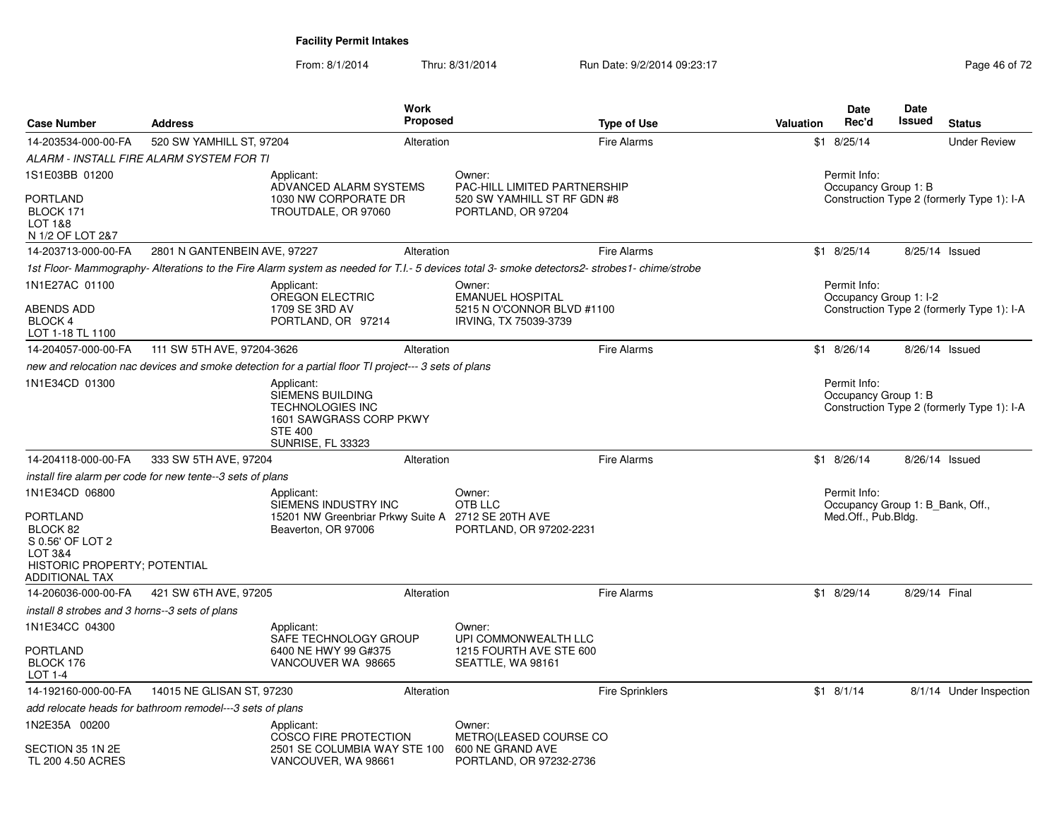From: 8/1/2014Thru: 8/31/2014 Run Date: 9/2/2014 09:23:17 Rege 46 of 72

| <b>Case Number</b>                                                                                                                 | <b>Address</b>                                             |                                                                                                                                    | Work<br><b>Proposed</b> |                                                                                                                                            | <b>Type of Use</b>     | Valuation | Date<br>Rec'd                                                           | Date<br>Issued | <b>Status</b>                              |
|------------------------------------------------------------------------------------------------------------------------------------|------------------------------------------------------------|------------------------------------------------------------------------------------------------------------------------------------|-------------------------|--------------------------------------------------------------------------------------------------------------------------------------------|------------------------|-----------|-------------------------------------------------------------------------|----------------|--------------------------------------------|
| 14-203534-000-00-FA                                                                                                                | 520 SW YAMHILL ST, 97204                                   |                                                                                                                                    | Alteration              |                                                                                                                                            | <b>Fire Alarms</b>     |           | $$1$ 8/25/14                                                            |                | <b>Under Review</b>                        |
|                                                                                                                                    | ALARM - INSTALL FIRE ALARM SYSTEM FOR TI                   |                                                                                                                                    |                         |                                                                                                                                            |                        |           |                                                                         |                |                                            |
| 1S1E03BB 01200                                                                                                                     |                                                            | Applicant:<br>ADVANCED ALARM SYSTEMS                                                                                               |                         | Owner:<br>PAC-HILL LIMITED PARTNERSHIP                                                                                                     |                        |           | Permit Info:<br>Occupancy Group 1: B                                    |                |                                            |
| <b>PORTLAND</b><br>BLOCK 171<br>LOT 1&8<br>N 1/2 OF LOT 2&7                                                                        |                                                            | 1030 NW CORPORATE DR<br>TROUTDALE, OR 97060                                                                                        |                         | 520 SW YAMHILL ST RF GDN #8<br>PORTLAND, OR 97204                                                                                          |                        |           |                                                                         |                | Construction Type 2 (formerly Type 1): I-A |
| 14-203713-000-00-FA                                                                                                                | 2801 N GANTENBEIN AVE, 97227                               |                                                                                                                                    | Alteration              |                                                                                                                                            | <b>Fire Alarms</b>     |           | $$1$ 8/25/14                                                            |                | 8/25/14 Issued                             |
|                                                                                                                                    |                                                            |                                                                                                                                    |                         | 1st Floor-Mammography-Alterations to the Fire Alarm system as needed for T.I.- 5 devices total 3- smoke detectors2- strobes1- chime/strobe |                        |           |                                                                         |                |                                            |
| 1N1E27AC 01100                                                                                                                     |                                                            | Applicant:                                                                                                                         |                         | Owner:                                                                                                                                     |                        |           | Permit Info:                                                            |                |                                            |
| <b>ABENDS ADD</b><br>BLOCK 4<br>LOT 1-18 TL 1100                                                                                   |                                                            | <b>OREGON ELECTRIC</b><br>1709 SE 3RD AV<br>PORTLAND, OR 97214                                                                     |                         | <b>EMANUEL HOSPITAL</b><br>5215 N O'CONNOR BLVD #1100<br>IRVING, TX 75039-3739                                                             |                        |           | Occupancy Group 1: I-2                                                  |                | Construction Type 2 (formerly Type 1): I-A |
| 14-204057-000-00-FA                                                                                                                | 111 SW 5TH AVE, 97204-3626                                 |                                                                                                                                    | Alteration              |                                                                                                                                            | <b>Fire Alarms</b>     |           | \$1 8/26/14                                                             |                | 8/26/14 Issued                             |
|                                                                                                                                    |                                                            | new and relocation nac devices and smoke detection for a partial floor TI project--- 3 sets of plans                               |                         |                                                                                                                                            |                        |           |                                                                         |                |                                            |
| 1N1E34CD 01300                                                                                                                     |                                                            | Applicant:<br>SIEMENS BUILDING<br><b>TECHNOLOGIES INC</b><br>1601 SAWGRASS CORP PKWY<br><b>STE 400</b><br><b>SUNRISE, FL 33323</b> |                         |                                                                                                                                            |                        |           | Permit Info:<br>Occupancy Group 1: B                                    |                | Construction Type 2 (formerly Type 1): I-A |
| 14-204118-000-00-FA                                                                                                                | 333 SW 5TH AVE, 97204                                      |                                                                                                                                    | Alteration              |                                                                                                                                            | <b>Fire Alarms</b>     |           | $$1$ 8/26/14                                                            |                | 8/26/14 Issued                             |
|                                                                                                                                    | install fire alarm per code for new tente--3 sets of plans |                                                                                                                                    |                         |                                                                                                                                            |                        |           |                                                                         |                |                                            |
| 1N1E34CD 06800<br>PORTLAND<br>BLOCK 82<br>S 0.56' OF LOT 2<br><b>LOT 3&amp;4</b><br>HISTORIC PROPERTY; POTENTIAL<br>ADDITIONAL TAX |                                                            | Applicant:<br>SIEMENS INDUSTRY INC<br>15201 NW Greenbriar Prkwy Suite A 2712 SE 20TH AVE<br>Beaverton, OR 97006                    |                         | Owner:<br>OTB LLC<br>PORTLAND, OR 97202-2231                                                                                               |                        |           | Permit Info:<br>Occupancy Group 1: B_Bank, Off.,<br>Med.Off., Pub.Bldg. |                |                                            |
| 14-206036-000-00-FA                                                                                                                | 421 SW 6TH AVE, 97205                                      |                                                                                                                                    | Alteration              |                                                                                                                                            | <b>Fire Alarms</b>     |           | \$1 8/29/14                                                             | 8/29/14 Final  |                                            |
| install 8 strobes and 3 horns--3 sets of plans                                                                                     |                                                            |                                                                                                                                    |                         |                                                                                                                                            |                        |           |                                                                         |                |                                            |
| 1N1E34CC 04300                                                                                                                     |                                                            | Applicant:                                                                                                                         |                         | Owner:                                                                                                                                     |                        |           |                                                                         |                |                                            |
| <b>PORTLAND</b><br>BLOCK 176<br>LOT 1-4                                                                                            |                                                            | SAFE TECHNOLOGY GROUP<br>6400 NE HWY 99 G#375<br>VANCOUVER WA 98665                                                                |                         | UPI COMMONWEALTH LLC<br>1215 FOURTH AVE STE 600<br>SEATTLE, WA 98161                                                                       |                        |           |                                                                         |                |                                            |
| 14-192160-000-00-FA                                                                                                                | 14015 NE GLISAN ST, 97230                                  |                                                                                                                                    | Alteration              |                                                                                                                                            | <b>Fire Sprinklers</b> |           | $$1$ 8/1/14                                                             |                | 8/1/14 Under Inspection                    |
|                                                                                                                                    | add relocate heads for bathroom remodel---3 sets of plans  |                                                                                                                                    |                         |                                                                                                                                            |                        |           |                                                                         |                |                                            |
| 1N2E35A 00200<br>SECTION 35 1N 2E<br>TL 200 4.50 ACRES                                                                             |                                                            | Applicant:<br><b>COSCO FIRE PROTECTION</b><br>2501 SE COLUMBIA WAY STE 100<br>VANCOUVER, WA 98661                                  |                         | Owner:<br>METRO(LEASED COURSE CO<br>600 NE GRAND AVE<br>PORTLAND, OR 97232-2736                                                            |                        |           |                                                                         |                |                                            |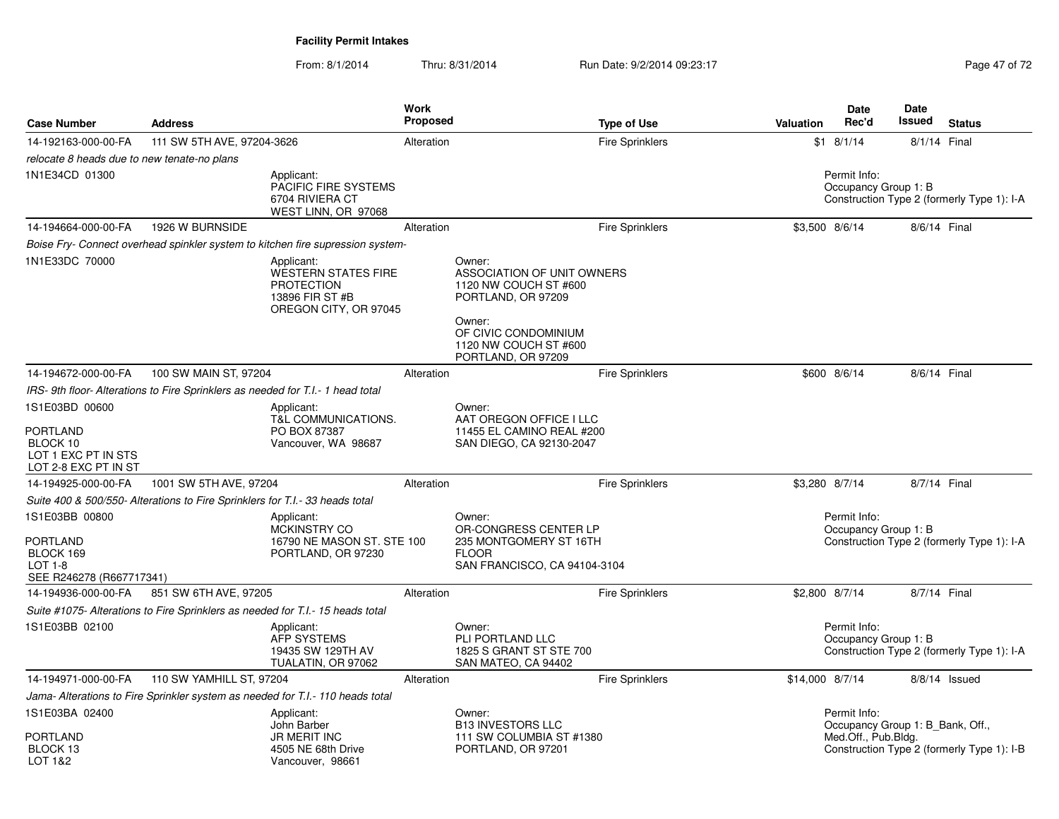From: 8/1/2014Thru: 8/31/2014 Run Date: 9/2/2014 09:23:17 Rege 47 of 72

| <b>Case Number</b>                                                             | <b>Address</b>                                                               |                                                                                                    | <b>Work</b><br><b>Proposed</b> |                                                                                                                                                | <b>Type of Use</b>     | Valuation       | Date<br>Rec'd                                                           | Date<br>Issued | <b>Status</b>                              |
|--------------------------------------------------------------------------------|------------------------------------------------------------------------------|----------------------------------------------------------------------------------------------------|--------------------------------|------------------------------------------------------------------------------------------------------------------------------------------------|------------------------|-----------------|-------------------------------------------------------------------------|----------------|--------------------------------------------|
| 14-192163-000-00-FA                                                            | 111 SW 5TH AVE, 97204-3626                                                   |                                                                                                    | Alteration                     |                                                                                                                                                | <b>Fire Sprinklers</b> |                 | $$1$ 8/1/14                                                             | 8/1/14 Final   |                                            |
| relocate 8 heads due to new tenate-no plans                                    |                                                                              |                                                                                                    |                                |                                                                                                                                                |                        |                 |                                                                         |                |                                            |
| 1N1E34CD 01300                                                                 |                                                                              | Applicant:<br>PACIFIC FIRE SYSTEMS<br>6704 RIVIERA CT<br>WEST LINN, OR 97068                       |                                |                                                                                                                                                |                        |                 | Permit Info:<br>Occupancy Group 1: B                                    |                | Construction Type 2 (formerly Type 1): I-A |
| 14-194664-000-00-FA                                                            | 1926 W BURNSIDE                                                              |                                                                                                    | Alteration                     |                                                                                                                                                | Fire Sprinklers        | \$3,500 8/6/14  |                                                                         | 8/6/14 Final   |                                            |
|                                                                                |                                                                              | Boise Fry- Connect overhead spinkler system to kitchen fire supression system-                     |                                |                                                                                                                                                |                        |                 |                                                                         |                |                                            |
| 1N1E33DC 70000                                                                 |                                                                              | Applicant:<br>WESTERN STATES FIRE<br><b>PROTECTION</b><br>13896 FIR ST #B<br>OREGON CITY, OR 97045 |                                | Owner:<br>ASSOCIATION OF UNIT OWNERS<br>1120 NW COUCH ST #600<br>PORTLAND, OR 97209<br>Owner:<br>OF CIVIC CONDOMINIUM<br>1120 NW COUCH ST #600 |                        |                 |                                                                         |                |                                            |
| 14-194672-000-00-FA                                                            | 100 SW MAIN ST, 97204                                                        |                                                                                                    | Alteration                     | PORTLAND, OR 97209                                                                                                                             | <b>Fire Sprinklers</b> |                 | \$600 8/6/14                                                            | 8/6/14 Final   |                                            |
|                                                                                |                                                                              | IRS-9th floor-Alterations to Fire Sprinklers as needed for T.I.-1 head total                       |                                |                                                                                                                                                |                        |                 |                                                                         |                |                                            |
| 1S1E03BD 00600                                                                 |                                                                              | Applicant:                                                                                         |                                | Owner:                                                                                                                                         |                        |                 |                                                                         |                |                                            |
| PORTLAND<br>BLOCK 10<br>LOT 1 EXC PT IN STS<br>LOT 2-8 EXC PT IN ST            |                                                                              | T&L COMMUNICATIONS.<br>PO BOX 87387<br>Vancouver, WA 98687                                         |                                | AAT OREGON OFFICE I LLC<br>11455 EL CAMINO REAL #200<br>SAN DIEGO, CA 92130-2047                                                               |                        |                 |                                                                         |                |                                            |
| 14-194925-000-00-FA                                                            | 1001 SW 5TH AVE, 97204                                                       |                                                                                                    | Alteration                     |                                                                                                                                                | Fire Sprinklers        | \$3,280 8/7/14  |                                                                         | 8/7/14 Final   |                                            |
|                                                                                | Suite 400 & 500/550- Alterations to Fire Sprinklers for T.I.- 33 heads total |                                                                                                    |                                |                                                                                                                                                |                        |                 |                                                                         |                |                                            |
| 1S1E03BB 00800<br>PORTLAND<br>BLOCK 169<br>LOT 1-8<br>SEE R246278 (R667717341) |                                                                              | Applicant:<br>MCKINSTRY CO<br>16790 NE MASON ST. STE 100<br>PORTLAND, OR 97230                     |                                | Owner:<br>OR-CONGRESS CENTER LP<br>235 MONTGOMERY ST 16TH<br><b>FLOOR</b><br>SAN FRANCISCO, CA 94104-3104                                      |                        |                 | Permit Info:<br>Occupancy Group 1: B                                    |                | Construction Type 2 (formerly Type 1): I-A |
| 14-194936-000-00-FA                                                            | 851 SW 6TH AVE, 97205                                                        |                                                                                                    | Alteration                     |                                                                                                                                                | <b>Fire Sprinklers</b> | \$2,800 8/7/14  |                                                                         | 8/7/14 Final   |                                            |
|                                                                                |                                                                              | Suite #1075- Alterations to Fire Sprinklers as needed for T.I.- 15 heads total                     |                                |                                                                                                                                                |                        |                 |                                                                         |                |                                            |
| 1S1E03BB 02100                                                                 |                                                                              | Applicant:<br><b>AFP SYSTEMS</b><br>19435 SW 129TH AV<br>TUALATIN, OR 97062                        |                                | Owner:<br>PLI PORTLAND LLC<br>1825 S GRANT ST STE 700<br>SAN MATEO, CA 94402                                                                   |                        |                 | Permit Info:<br>Occupancy Group 1: B                                    |                | Construction Type 2 (formerly Type 1): I-A |
| 14-194971-000-00-FA                                                            | 110 SW YAMHILL ST, 97204                                                     |                                                                                                    | Alteration                     |                                                                                                                                                | Fire Sprinklers        | \$14,000 8/7/14 |                                                                         |                | 8/8/14 Issued                              |
|                                                                                |                                                                              | Jama- Alterations to Fire Sprinkler system as needed for T.I.- 110 heads total                     |                                |                                                                                                                                                |                        |                 |                                                                         |                |                                            |
| 1S1E03BA 02400<br>PORTLAND<br>BLOCK 13<br>LOT 1&2                              |                                                                              | Applicant:<br>John Barber<br><b>JR MERIT INC</b><br>4505 NE 68th Drive<br>Vancouver, 98661         |                                | Owner:<br><b>B13 INVESTORS LLC</b><br>111 SW COLUMBIA ST #1380<br>PORTLAND, OR 97201                                                           |                        |                 | Permit Info:<br>Occupancy Group 1: B_Bank, Off.,<br>Med.Off., Pub.Bldg. |                | Construction Type 2 (formerly Type 1): I-B |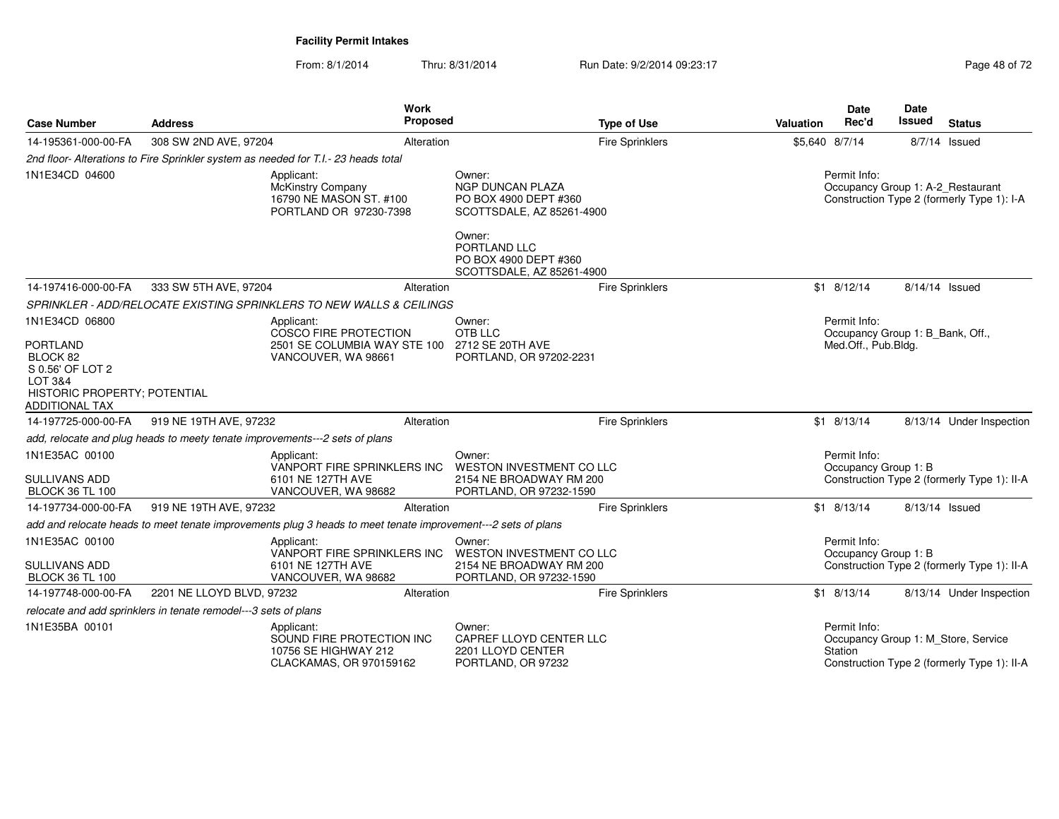From: 8/1/2014Thru: 8/31/2014 Run Date: 9/2/2014 09:23:17 Rege 48 of 72

| <b>Case Number</b>                                                                                                  | <b>Address</b>                                                  | Work<br>Proposed                                                                                             |                                                                                                 | <b>Type of Use</b>     | <b>Valuation</b> | Date<br>Rec'd                                    | Date<br>Issued | <b>Status</b>                                                                      |
|---------------------------------------------------------------------------------------------------------------------|-----------------------------------------------------------------|--------------------------------------------------------------------------------------------------------------|-------------------------------------------------------------------------------------------------|------------------------|------------------|--------------------------------------------------|----------------|------------------------------------------------------------------------------------|
| 14-195361-000-00-FA                                                                                                 | 308 SW 2ND AVE, 97204                                           | Alteration                                                                                                   |                                                                                                 | <b>Fire Sprinklers</b> | \$5,640 8/7/14   |                                                  |                | $8/7/14$ Issued                                                                    |
|                                                                                                                     |                                                                 | 2nd floor-Alterations to Fire Sprinkler system as needed for T.I.-23 heads total                             |                                                                                                 |                        |                  |                                                  |                |                                                                                    |
| 1N1E34CD 04600                                                                                                      |                                                                 | Applicant:<br>McKinstry Company<br>16790 NE MASON ST. #100<br>PORTLAND OR 97230-7398                         | Owner:<br>NGP DUNCAN PLAZA<br>PO BOX 4900 DEPT #360<br>SCOTTSDALE, AZ 85261-4900                |                        |                  | Permit Info:                                     |                | Occupancy Group 1: A-2_Restaurant<br>Construction Type 2 (formerly Type 1): I-A    |
|                                                                                                                     |                                                                 |                                                                                                              | Owner:<br>PORTLAND LLC<br>PO BOX 4900 DEPT #360<br>SCOTTSDALE, AZ 85261-4900                    |                        |                  |                                                  |                |                                                                                    |
| 14-197416-000-00-FA                                                                                                 | 333 SW 5TH AVE, 97204                                           | Alteration                                                                                                   |                                                                                                 | <b>Fire Sprinklers</b> |                  | $$1$ 8/12/14                                     | 8/14/14 Issued |                                                                                    |
|                                                                                                                     |                                                                 | SPRINKLER - ADD/RELOCATE EXISTING SPRINKLERS TO NEW WALLS & CEILINGS                                         |                                                                                                 |                        |                  |                                                  |                |                                                                                    |
| 1N1E34CD 06800                                                                                                      |                                                                 | Applicant:<br>COSCO FIRE PROTECTION                                                                          | Owner:<br>OTB LLC                                                                               |                        |                  | Permit Info:<br>Occupancy Group 1: B_Bank, Off., |                |                                                                                    |
| <b>PORTLAND</b><br>BLOCK 82<br>S 0.56' OF LOT 2<br>LOT 3&4<br>HISTORIC PROPERTY; POTENTIAL<br><b>ADDITIONAL TAX</b> |                                                                 | 2501 SE COLUMBIA WAY STE 100<br>VANCOUVER, WA 98661                                                          | 2712 SE 20TH AVE<br>PORTLAND, OR 97202-2231                                                     |                        |                  | Med.Off., Pub.Bldg.                              |                |                                                                                    |
| 14-197725-000-00-FA                                                                                                 | 919 NE 19TH AVE, 97232                                          | Alteration                                                                                                   |                                                                                                 | Fire Sprinklers        |                  | $$1$ 8/13/14                                     |                | 8/13/14 Under Inspection                                                           |
|                                                                                                                     |                                                                 | add, relocate and plug heads to meety tenate improvements---2 sets of plans                                  |                                                                                                 |                        |                  |                                                  |                |                                                                                    |
| 1N1E35AC 00100<br><b>SULLIVANS ADD</b><br><b>BLOCK 36 TL 100</b>                                                    |                                                                 | Applicant:<br>VANPORT FIRE SPRINKLERS INC<br>6101 NE 127TH AVE<br>VANCOUVER, WA 98682                        | Owner:<br><b>WESTON INVESTMENT CO LLC</b><br>2154 NE BROADWAY RM 200<br>PORTLAND, OR 97232-1590 |                        |                  | Permit Info:<br>Occupancy Group 1: B             |                | Construction Type 2 (formerly Type 1): II-A                                        |
| 14-197734-000-00-FA                                                                                                 | 919 NE 19TH AVE, 97232                                          | Alteration                                                                                                   |                                                                                                 | <b>Fire Sprinklers</b> |                  | $$1$ 8/13/14                                     | 8/13/14 Issued |                                                                                    |
|                                                                                                                     |                                                                 | add and relocate heads to meet tenate improvements plug 3 heads to meet tenate improvement---2 sets of plans |                                                                                                 |                        |                  |                                                  |                |                                                                                    |
| 1N1E35AC 00100<br><b>SULLIVANS ADD</b>                                                                              |                                                                 | Applicant:<br>VANPORT FIRE SPRINKLERS INC<br>6101 NE 127TH AVE                                               | Owner:<br><b>WESTON INVESTMENT CO LLC</b><br>2154 NE BROADWAY RM 200                            |                        |                  | Permit Info:<br>Occupancy Group 1: B             |                | Construction Type 2 (formerly Type 1): II-A                                        |
| <b>BLOCK 36 TL 100</b>                                                                                              |                                                                 | VANCOUVER, WA 98682                                                                                          | PORTLAND, OR 97232-1590                                                                         |                        |                  |                                                  |                |                                                                                    |
| 14-197748-000-00-FA                                                                                                 | 2201 NE LLOYD BLVD, 97232                                       | Alteration                                                                                                   |                                                                                                 | <b>Fire Sprinklers</b> |                  | $$1$ 8/13/14                                     |                | 8/13/14 Under Inspection                                                           |
|                                                                                                                     | relocate and add sprinklers in tenate remodel---3 sets of plans |                                                                                                              |                                                                                                 |                        |                  |                                                  |                |                                                                                    |
| 1N1E35BA 00101                                                                                                      |                                                                 | Applicant:<br>SOUND FIRE PROTECTION INC<br>10756 SE HIGHWAY 212<br>CLACKAMAS, OR 970159162                   | Owner:<br>CAPREF LLOYD CENTER LLC<br>2201 LLOYD CENTER<br>PORTLAND, OR 97232                    |                        |                  | Permit Info:<br>Station                          |                | Occupancy Group 1: M Store, Service<br>Construction Type 2 (formerly Type 1): II-A |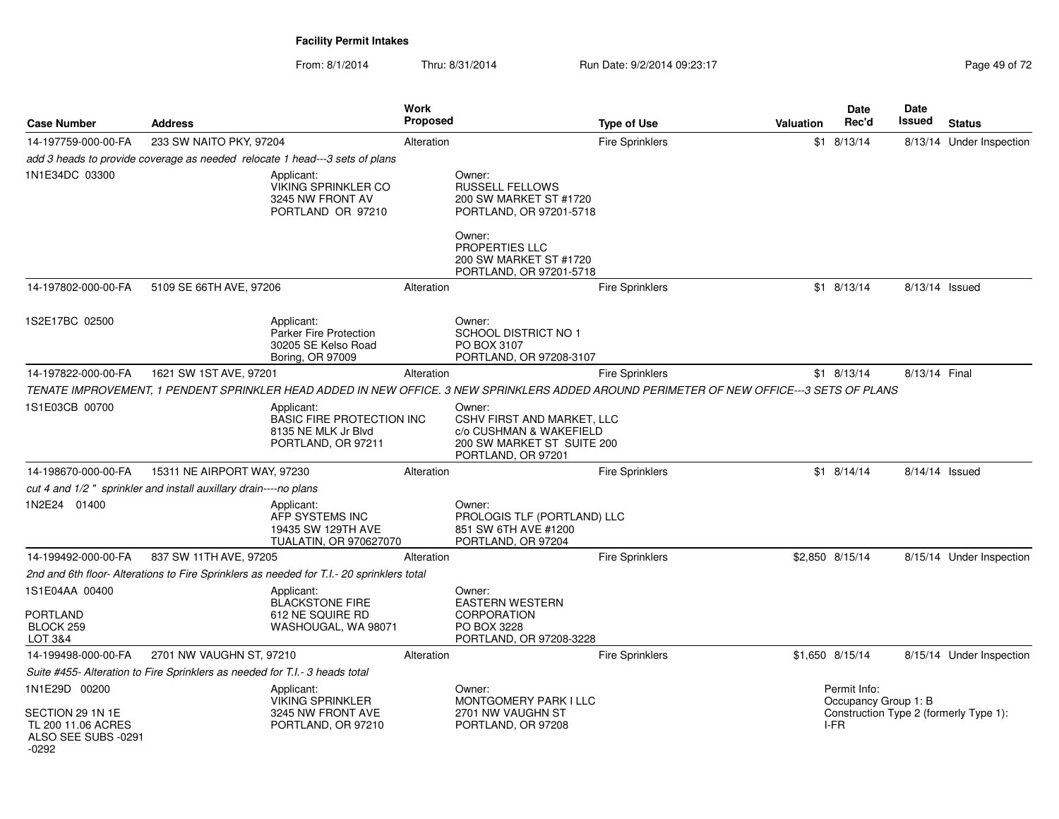From: 8/1/2014Thru: 8/31/2014 Run Date: 9/2/2014 09:23:17 Rege 49 of 72

| <b>Case Number</b>                                                             | <b>Address</b>                                                                                                                            | <b>Work</b><br><b>Proposed</b>                                                |                                                                                                                     | <b>Type of Use</b>     | Valuation | Date<br>Rec'd                                | Date<br>Issued | <b>Status</b>                          |
|--------------------------------------------------------------------------------|-------------------------------------------------------------------------------------------------------------------------------------------|-------------------------------------------------------------------------------|---------------------------------------------------------------------------------------------------------------------|------------------------|-----------|----------------------------------------------|----------------|----------------------------------------|
| 14-197759-000-00-FA                                                            | 233 SW NAITO PKY, 97204                                                                                                                   | Alteration                                                                    |                                                                                                                     | <b>Fire Sprinklers</b> |           | $$1$ 8/13/14                                 |                | 8/13/14 Under Inspection               |
|                                                                                | add 3 heads to provide coverage as needed relocate 1 head---3 sets of plans                                                               |                                                                               |                                                                                                                     |                        |           |                                              |                |                                        |
| 1N1E34DC 03300                                                                 | Applicant:                                                                                                                                | <b>VIKING SPRINKLER CO</b><br>3245 NW FRONT AV<br>PORTLAND OR 97210           | Owner:<br><b>RUSSELL FELLOWS</b><br>200 SW MARKET ST #1720<br>PORTLAND, OR 97201-5718<br>Owner:                     |                        |           |                                              |                |                                        |
|                                                                                |                                                                                                                                           |                                                                               | PROPERTIES LLC<br>200 SW MARKET ST #1720<br>PORTLAND, OR 97201-5718                                                 |                        |           |                                              |                |                                        |
| 14-197802-000-00-FA                                                            | 5109 SE 66TH AVE, 97206                                                                                                                   | Alteration                                                                    |                                                                                                                     | <b>Fire Sprinklers</b> |           | $$1$ 8/13/14                                 | 8/13/14 Issued |                                        |
| 1S2E17BC 02500                                                                 | Applicant:                                                                                                                                | <b>Parker Fire Protection</b><br>30205 SE Kelso Road<br>Boring, OR 97009      | Owner:<br>SCHOOL DISTRICT NO 1<br>PO BOX 3107<br>PORTLAND, OR 97208-3107                                            |                        |           |                                              |                |                                        |
| 14-197822-000-00-FA                                                            | 1621 SW 1ST AVE, 97201                                                                                                                    | Alteration                                                                    |                                                                                                                     | <b>Fire Sprinklers</b> |           | $$1$ 8/13/14                                 | 8/13/14 Final  |                                        |
|                                                                                | TENATE IMPROVEMENT, 1 PENDENT SPRINKLER HEAD ADDED IN NEW OFFICE. 3 NEW SPRINKLERS ADDED AROUND PERIMETER OF NEW OFFICE---3 SETS OF PLANS |                                                                               |                                                                                                                     |                        |           |                                              |                |                                        |
| 1S1E03CB 00700                                                                 | Applicant:                                                                                                                                | <b>BASIC FIRE PROTECTION INC</b><br>8135 NE MLK Jr Blvd<br>PORTLAND, OR 97211 | Owner:<br>CSHV FIRST AND MARKET, LLC<br>c/o CUSHMAN & WAKEFIELD<br>200 SW MARKET ST SUITE 200<br>PORTLAND, OR 97201 |                        |           |                                              |                |                                        |
| 14-198670-000-00-FA                                                            | 15311 NE AIRPORT WAY, 97230                                                                                                               | Alteration                                                                    |                                                                                                                     | <b>Fire Sprinklers</b> |           | $$1$ 8/14/14                                 | 8/14/14 Issued |                                        |
|                                                                                | cut 4 and 1/2" sprinkler and install auxillary drain----no plans                                                                          |                                                                               |                                                                                                                     |                        |           |                                              |                |                                        |
| 1N2E24 01400                                                                   | Applicant:                                                                                                                                | AFP SYSTEMS INC<br>19435 SW 129TH AVE<br>TUALATIN, OR 970627070               | Owner:<br>PROLOGIS TLF (PORTLAND) LLC<br>851 SW 6TH AVE #1200<br>PORTLAND, OR 97204                                 |                        |           |                                              |                |                                        |
| 14-199492-000-00-FA                                                            | 837 SW 11TH AVE, 97205                                                                                                                    | Alteration                                                                    |                                                                                                                     | <b>Fire Sprinklers</b> |           | \$2,850 8/15/14                              |                | 8/15/14 Under Inspection               |
|                                                                                | 2nd and 6th floor- Alterations to Fire Sprinklers as needed for T.I.- 20 sprinklers total                                                 |                                                                               |                                                                                                                     |                        |           |                                              |                |                                        |
| 1S1E04AA 00400                                                                 | Applicant:                                                                                                                                | <b>BLACKSTONE FIRE</b>                                                        | Owner:<br><b>EASTERN WESTERN</b>                                                                                    |                        |           |                                              |                |                                        |
| PORTLAND<br>BLOCK 259<br>LOT 3&4                                               |                                                                                                                                           | 612 NE SQUIRE RD<br>WASHOUGAL, WA 98071                                       | <b>CORPORATION</b><br>PO BOX 3228<br>PORTLAND, OR 97208-3228                                                        |                        |           |                                              |                |                                        |
| 14-199498-000-00-FA                                                            | 2701 NW VAUGHN ST, 97210                                                                                                                  | Alteration                                                                    |                                                                                                                     | <b>Fire Sprinklers</b> |           | \$1,650 8/15/14                              |                | 8/15/14 Under Inspection               |
|                                                                                | Suite #455- Alteration to Fire Sprinklers as needed for T.I.- 3 heads total                                                               |                                                                               |                                                                                                                     |                        |           |                                              |                |                                        |
| 1N1E29D 00200<br>SECTION 29 1N 1E<br>TL 200 11.06 ACRES<br>ALSO SEE SUBS -0291 | Applicant:                                                                                                                                | <b>VIKING SPRINKLER</b><br>3245 NW FRONT AVE<br>PORTLAND, OR 97210            | Owner:<br>MONTGOMERY PARK I LLC<br>2701 NW VAUGHN ST<br>PORTLAND, OR 97208                                          |                        |           | Permit Info:<br>Occupancy Group 1: B<br>I-FR |                | Construction Type 2 (formerly Type 1): |
| $-0292$                                                                        |                                                                                                                                           |                                                                               |                                                                                                                     |                        |           |                                              |                |                                        |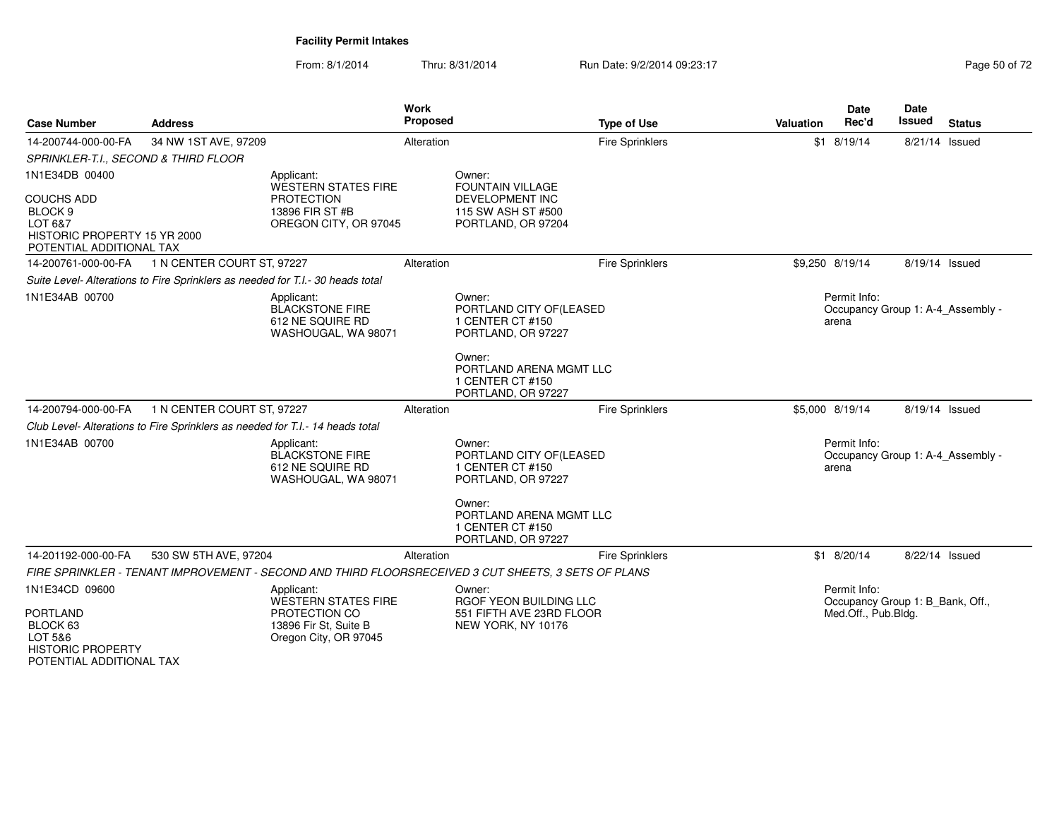From: 8/1/2014Thru: 8/31/2014 Run Date: 9/2/2014 09:23:17 Research 2010 12

| <b>Case Number</b>                                                                                                               | <b>Address</b>                                                                 |                                                                                                             | <b>Work</b><br>Proposed | <b>Type of Use</b>                                                                                                                                          | <b>Valuation</b> | <b>Date</b><br>Rec'd                                                    | Date<br>Issued | <b>Status</b> |
|----------------------------------------------------------------------------------------------------------------------------------|--------------------------------------------------------------------------------|-------------------------------------------------------------------------------------------------------------|-------------------------|-------------------------------------------------------------------------------------------------------------------------------------------------------------|------------------|-------------------------------------------------------------------------|----------------|---------------|
| 14-200744-000-00-FA                                                                                                              | 34 NW 1ST AVE, 97209                                                           |                                                                                                             | Alteration              | <b>Fire Sprinklers</b>                                                                                                                                      |                  | $$1$ 8/19/14                                                            | 8/21/14 Issued |               |
| SPRINKLER-T.I., SECOND & THIRD FLOOR                                                                                             |                                                                                |                                                                                                             |                         |                                                                                                                                                             |                  |                                                                         |                |               |
| 1N1E34DB 00400<br><b>COUCHS ADD</b><br>BLOCK <sub>9</sub><br>LOT 6&7<br>HISTORIC PROPERTY 15 YR 2000<br>POTENTIAL ADDITIONAL TAX |                                                                                | Applicant:<br><b>WESTERN STATES FIRE</b><br><b>PROTECTION</b><br>13896 FIR ST #B<br>OREGON CITY, OR 97045   |                         | Owner:<br>FOUNTAIN VILLAGE<br><b>DEVELOPMENT INC</b><br>115 SW ASH ST #500<br>PORTLAND, OR 97204                                                            |                  |                                                                         |                |               |
| 14-200761-000-00-FA                                                                                                              | 1 N CENTER COURT ST, 97227                                                     |                                                                                                             | Alteration              | <b>Fire Sprinklers</b>                                                                                                                                      |                  | \$9,250 8/19/14                                                         | 8/19/14 Issued |               |
|                                                                                                                                  | Suite Level- Alterations to Fire Sprinklers as needed for T.I.- 30 heads total |                                                                                                             |                         |                                                                                                                                                             |                  |                                                                         |                |               |
| 1N1E34AB 00700                                                                                                                   |                                                                                | Applicant:<br><b>BLACKSTONE FIRE</b><br>612 NE SQUIRE RD<br>WASHOUGAL, WA 98071                             |                         | Owner:<br>PORTLAND CITY OF(LEASED<br>1 CENTER CT #150<br>PORTLAND, OR 97227                                                                                 |                  | Permit Info:<br>Occupancy Group 1: A-4 Assembly -<br>arena              |                |               |
|                                                                                                                                  |                                                                                |                                                                                                             |                         | Owner:<br>PORTLAND ARENA MGMT LLC<br>1 CENTER CT #150<br>PORTLAND, OR 97227                                                                                 |                  |                                                                         |                |               |
| 14-200794-000-00-FA                                                                                                              | 1 N CENTER COURT ST, 97227                                                     |                                                                                                             | Alteration              | <b>Fire Sprinklers</b>                                                                                                                                      |                  | \$5,000 8/19/14                                                         | 8/19/14 Issued |               |
|                                                                                                                                  | Club Level- Alterations to Fire Sprinklers as needed for T.I.- 14 heads total  |                                                                                                             |                         |                                                                                                                                                             |                  |                                                                         |                |               |
| 1N1E34AB 00700                                                                                                                   |                                                                                | Applicant:<br><b>BLACKSTONE FIRE</b><br>612 NE SQUIRE RD<br>WASHOUGAL, WA 98071                             |                         | Owner:<br>PORTLAND CITY OF (LEASED<br>1 CENTER CT #150<br>PORTLAND, OR 97227<br>Owner:<br>PORTLAND ARENA MGMT LLC<br>1 CENTER CT #150<br>PORTLAND, OR 97227 |                  | Permit Info:<br>Occupancy Group 1: A-4 Assembly -<br>arena              |                |               |
| 14-201192-000-00-FA                                                                                                              | 530 SW 5TH AVE, 97204                                                          |                                                                                                             | Alteration              | <b>Fire Sprinklers</b>                                                                                                                                      |                  | $$1$ 8/20/14                                                            | 8/22/14 Issued |               |
|                                                                                                                                  |                                                                                |                                                                                                             |                         | FIRE SPRINKLER - TENANT IMPROVEMENT - SECOND AND THIRD FLOORSRECEIVED 3 CUT SHEETS, 3 SETS OF PLANS                                                         |                  |                                                                         |                |               |
| 1N1E34CD 09600<br><b>PORTLAND</b><br>BLOCK 63<br>LOT 5&6<br><b>HISTORIC PROPERTY</b><br>POTENTIAL ADDITIONAL TAX                 |                                                                                | Applicant:<br><b>WESTERN STATES FIRE</b><br>PROTECTION CO<br>13896 Fir St, Suite B<br>Oregon City, OR 97045 |                         | Owner:<br>RGOF YEON BUILDING LLC<br>551 FIFTH AVE 23RD FLOOR<br>NEW YORK, NY 10176                                                                          |                  | Permit Info:<br>Occupancy Group 1: B_Bank, Off.,<br>Med.Off., Pub.Bldg. |                |               |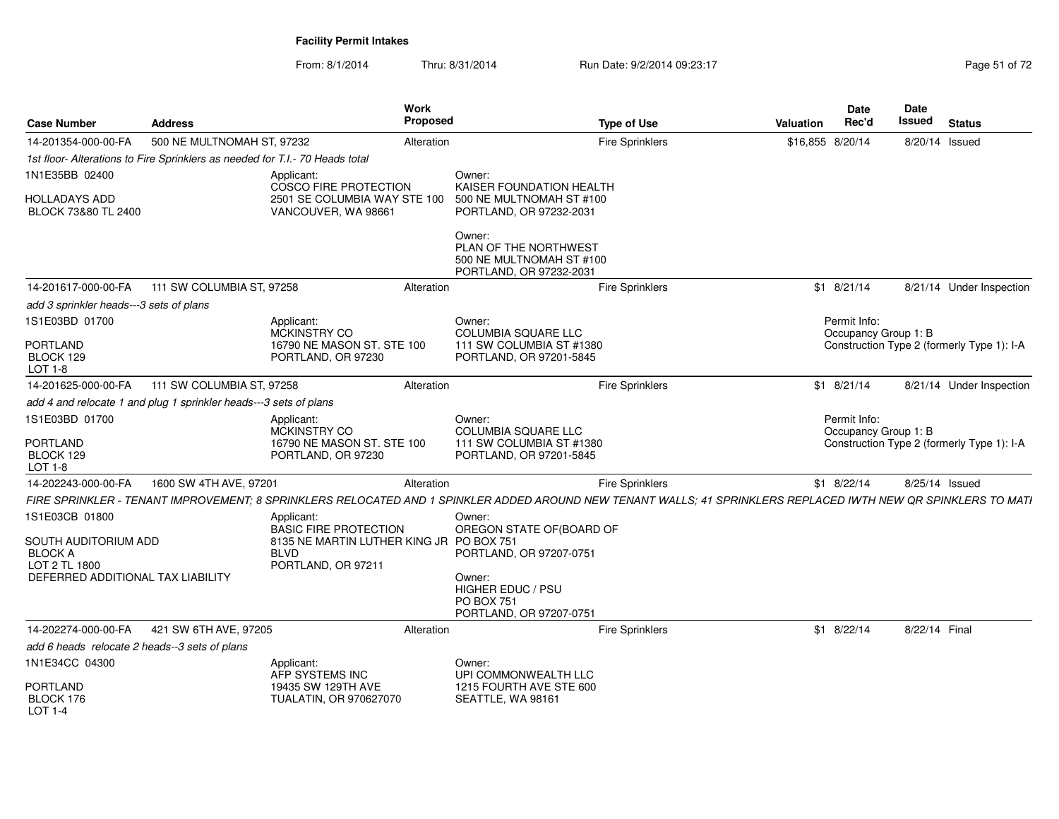From: 8/1/2014Thru: 8/31/2014 Run Date: 9/2/2014 09:23:17 Page 51 of 72

| <b>Case Number</b>                                                   | <b>Address</b>                                                               | Work<br><b>Proposed</b>                                                                                                                                        |                                                                                                               | <b>Type of Use</b>     | Valuation        | <b>Date</b><br>Rec'd                 | <b>Date</b><br><b>Issued</b><br><b>Status</b> |
|----------------------------------------------------------------------|------------------------------------------------------------------------------|----------------------------------------------------------------------------------------------------------------------------------------------------------------|---------------------------------------------------------------------------------------------------------------|------------------------|------------------|--------------------------------------|-----------------------------------------------|
| 14-201354-000-00-FA                                                  | 500 NE MULTNOMAH ST, 97232                                                   | Alteration                                                                                                                                                     |                                                                                                               | Fire Sprinklers        | \$16,855 8/20/14 |                                      | 8/20/14 Issued                                |
|                                                                      | 1st floor- Alterations to Fire Sprinklers as needed for T.I.- 70 Heads total |                                                                                                                                                                |                                                                                                               |                        |                  |                                      |                                               |
| 1N1E35BB 02400                                                       |                                                                              | Applicant:<br>COSCO FIRE PROTECTION                                                                                                                            | Owner:<br>KAISER FOUNDATION HEALTH                                                                            |                        |                  |                                      |                                               |
| <b>HOLLADAYS ADD</b><br>BLOCK 73&80 TL 2400                          |                                                                              | 2501 SE COLUMBIA WAY STE 100<br>VANCOUVER, WA 98661                                                                                                            | 500 NE MULTNOMAH ST #100<br>PORTLAND, OR 97232-2031                                                           |                        |                  |                                      |                                               |
|                                                                      |                                                                              |                                                                                                                                                                | Owner:<br>PLAN OF THE NORTHWEST<br>500 NE MULTNOMAH ST #100<br>PORTLAND, OR 97232-2031                        |                        |                  |                                      |                                               |
| 14-201617-000-00-FA                                                  | 111 SW COLUMBIA ST, 97258                                                    | Alteration                                                                                                                                                     |                                                                                                               | <b>Fire Sprinklers</b> |                  | $$1$ 8/21/14                         | 8/21/14 Under Inspection                      |
| add 3 sprinkler heads---3 sets of plans                              |                                                                              |                                                                                                                                                                |                                                                                                               |                        |                  |                                      |                                               |
| 1S1E03BD 01700                                                       |                                                                              | Applicant:<br>MCKINSTRY CO                                                                                                                                     | Owner:<br><b>COLUMBIA SQUARE LLC</b>                                                                          |                        |                  | Permit Info:<br>Occupancy Group 1: B |                                               |
| <b>PORTLAND</b><br>BLOCK 129<br>$LOT 1-8$                            |                                                                              | 16790 NE MASON ST. STE 100<br>PORTLAND, OR 97230                                                                                                               | 111 SW COLUMBIA ST #1380<br>PORTLAND, OR 97201-5845                                                           |                        |                  |                                      | Construction Type 2 (formerly Type 1): I-A    |
| 14-201625-000-00-FA                                                  | 111 SW COLUMBIA ST, 97258                                                    | Alteration                                                                                                                                                     |                                                                                                               | <b>Fire Sprinklers</b> |                  | $$1$ 8/21/14                         | 8/21/14 Under Inspection                      |
|                                                                      | add 4 and relocate 1 and plug 1 sprinkler heads---3 sets of plans            |                                                                                                                                                                |                                                                                                               |                        |                  |                                      |                                               |
| 1S1E03BD 01700<br><b>PORTLAND</b><br>BLOCK 129<br>LOT 1-8            |                                                                              | Applicant:<br><b>MCKINSTRY CO</b><br>16790 NE MASON ST, STE 100<br>PORTLAND, OR 97230                                                                          | Owner:<br><b>COLUMBIA SQUARE LLC</b><br>111 SW COLUMBIA ST #1380<br>PORTLAND, OR 97201-5845                   |                        |                  | Permit Info:<br>Occupancy Group 1: B | Construction Type 2 (formerly Type 1): I-A    |
| 14-202243-000-00-FA                                                  | 1600 SW 4TH AVE, 97201                                                       | Alteration                                                                                                                                                     |                                                                                                               | <b>Fire Sprinklers</b> |                  | $$1$ 8/22/14                         | 8/25/14 Issued                                |
|                                                                      |                                                                              | FIRE SPRINKLER - TENANT IMPROVEMENT; 8 SPRINKLERS RELOCATED AND 1 SPINKLER ADDED AROUND NEW TENANT WALLS; 41 SPRINKLERS REPLACED IWTH NEW QR SPINKLERS TO MATI |                                                                                                               |                        |                  |                                      |                                               |
| 1S1E03CB 01800<br>SOUTH AUDITORIUM ADD                               |                                                                              | Applicant:<br><b>BASIC FIRE PROTECTION</b><br>8135 NE MARTIN LUTHER KING JR PO BOX 751                                                                         | Owner:<br>OREGON STATE OF (BOARD OF                                                                           |                        |                  |                                      |                                               |
| <b>BLOCK A</b><br>LOT 2 TL 1800<br>DEFERRED ADDITIONAL TAX LIABILITY |                                                                              | <b>BLVD</b><br>PORTLAND, OR 97211                                                                                                                              | PORTLAND, OR 97207-0751<br>Owner:<br><b>HIGHER EDUC / PSU</b><br><b>PO BOX 751</b><br>PORTLAND, OR 97207-0751 |                        |                  |                                      |                                               |
| 14-202274-000-00-FA                                                  | 421 SW 6TH AVE, 97205                                                        | Alteration                                                                                                                                                     |                                                                                                               | <b>Fire Sprinklers</b> |                  | $$1$ 8/22/14                         | 8/22/14 Final                                 |
| add 6 heads relocate 2 heads--3 sets of plans                        |                                                                              |                                                                                                                                                                |                                                                                                               |                        |                  |                                      |                                               |
| 1N1E34CC 04300                                                       |                                                                              | Applicant:<br>AFP SYSTEMS INC                                                                                                                                  | Owner:<br>UPI COMMONWEALTH LLC                                                                                |                        |                  |                                      |                                               |
| <b>PORTLAND</b><br>BLOCK 176<br>$LOT 1-4$                            |                                                                              | 19435 SW 129TH AVE<br>TUALATIN, OR 970627070                                                                                                                   | 1215 FOURTH AVE STE 600<br>SEATTLE, WA 98161                                                                  |                        |                  |                                      |                                               |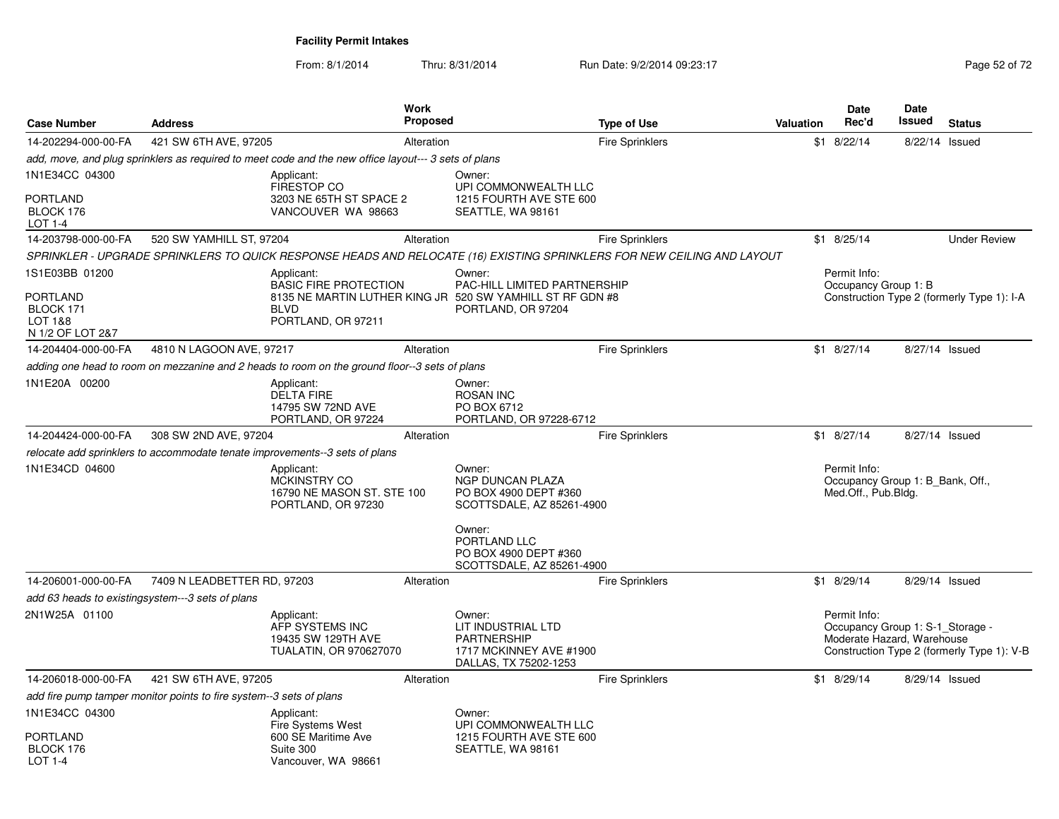From: 8/1/2014Thru: 8/31/2014 Run Date: 9/2/2014 09:23:17 Rege 52 of 72

| <b>Case Number</b>                                                      | <b>Address</b>                                                      |                                                                                                                                              | <b>Work</b><br><b>Proposed</b> |                                                                                                            | <b>Type of Use</b>                                                                                                      | <b>Valuation</b> | Date<br>Rec'd                                                                  | Date<br>Issued | <b>Status</b>                              |
|-------------------------------------------------------------------------|---------------------------------------------------------------------|----------------------------------------------------------------------------------------------------------------------------------------------|--------------------------------|------------------------------------------------------------------------------------------------------------|-------------------------------------------------------------------------------------------------------------------------|------------------|--------------------------------------------------------------------------------|----------------|--------------------------------------------|
| 14-202294-000-00-FA                                                     | 421 SW 6TH AVE, 97205                                               |                                                                                                                                              | Alteration                     |                                                                                                            | <b>Fire Sprinklers</b>                                                                                                  | \$1              | 8/22/14                                                                        | 8/22/14        | Issued                                     |
|                                                                         |                                                                     | add, move, and plug sprinklers as required to meet code and the new office layout--- 3 sets of plans                                         |                                |                                                                                                            |                                                                                                                         |                  |                                                                                |                |                                            |
| 1N1E34CC 04300<br>PORTLAND<br>BLOCK 176<br>LOT 1-4                      |                                                                     | Applicant:<br><b>FIRESTOP CO</b><br>3203 NE 65TH ST SPACE 2<br>VANCOUVER WA 98663                                                            |                                | Owner:<br>UPI COMMONWEALTH LLC<br>1215 FOURTH AVE STE 600<br>SEATTLE, WA 98161                             |                                                                                                                         |                  |                                                                                |                |                                            |
| 14-203798-000-00-FA                                                     | 520 SW YAMHILL ST, 97204                                            |                                                                                                                                              | Alteration                     |                                                                                                            | <b>Fire Sprinklers</b>                                                                                                  |                  | $$1$ 8/25/14                                                                   |                | <b>Under Review</b>                        |
|                                                                         |                                                                     |                                                                                                                                              |                                |                                                                                                            | SPRINKLER - UPGRADE SPRINKLERS TO QUICK RESPONSE HEADS AND RELOCATE (16) EXISTING SPRINKLERS FOR NEW CEILING AND LAYOUT |                  |                                                                                |                |                                            |
| 1S1E03BB 01200<br>PORTLAND<br>BLOCK 171<br>LOT 1&8<br>N 1/2 OF LOT 2&7  |                                                                     | Applicant:<br><b>BASIC FIRE PROTECTION</b><br>8135 NE MARTIN LUTHER KING JR 520 SW YAMHILL ST RF GDN #8<br><b>BLVD</b><br>PORTLAND, OR 97211 |                                | Owner:<br><b>PAC-HILL LIMITED PARTNERSHIP</b><br>PORTLAND, OR 97204                                        |                                                                                                                         |                  | Permit Info:<br>Occupancy Group 1: B                                           |                | Construction Type 2 (formerly Type 1): I-A |
| 14-204404-000-00-FA                                                     | 4810 N LAGOON AVE, 97217                                            |                                                                                                                                              | Alteration                     |                                                                                                            | <b>Fire Sprinklers</b>                                                                                                  |                  | $$1$ 8/27/14                                                                   | 8/27/14 Issued |                                            |
|                                                                         |                                                                     | adding one head to room on mezzanine and 2 heads to room on the ground floor--3 sets of plans                                                |                                |                                                                                                            |                                                                                                                         |                  |                                                                                |                |                                            |
| 1N1E20A 00200                                                           |                                                                     | Applicant:<br><b>DELTA FIRE</b><br>14795 SW 72ND AVE<br>PORTLAND, OR 97224                                                                   |                                | Owner:<br><b>ROSAN INC</b><br>PO BOX 6712<br>PORTLAND, OR 97228-6712                                       |                                                                                                                         |                  |                                                                                |                |                                            |
| 14-204424-000-00-FA                                                     | 308 SW 2ND AVE, 97204                                               |                                                                                                                                              | Alteration                     |                                                                                                            | <b>Fire Sprinklers</b>                                                                                                  |                  | $$1$ 8/27/14                                                                   | 8/27/14 Issued |                                            |
|                                                                         |                                                                     | relocate add sprinklers to accommodate tenate improvements--3 sets of plans                                                                  |                                |                                                                                                            |                                                                                                                         |                  |                                                                                |                |                                            |
| 1N1E34CD 04600                                                          |                                                                     | Applicant:<br>MCKINSTRY CO<br>16790 NE MASON ST. STE 100<br>PORTLAND, OR 97230                                                               |                                | Owner:<br>NGP DUNCAN PLAZA<br>PO BOX 4900 DEPT #360<br>SCOTTSDALE, AZ 85261-4900<br>Owner:<br>PORTLAND LLC |                                                                                                                         |                  | Permit Info:<br>Occupancy Group 1: B Bank, Off.,<br>Med.Off., Pub.Bldg.        |                |                                            |
|                                                                         |                                                                     |                                                                                                                                              |                                | PO BOX 4900 DEPT #360<br>SCOTTSDALE, AZ 85261-4900                                                         |                                                                                                                         |                  |                                                                                |                |                                            |
| 14-206001-000-00-FA<br>add 63 heads to existingsystem---3 sets of plans | 7409 N LEADBETTER RD, 97203                                         |                                                                                                                                              | Alteration                     |                                                                                                            | <b>Fire Sprinklers</b>                                                                                                  |                  | $$1$ 8/29/14                                                                   | 8/29/14 Issued |                                            |
| 2N1W25A 01100                                                           |                                                                     | Applicant:<br>AFP SYSTEMS INC<br>19435 SW 129TH AVE<br>TUALATIN, OR 970627070                                                                |                                | Owner:<br>LIT INDUSTRIAL LTD<br><b>PARTNERSHIP</b><br>1717 MCKINNEY AVE #1900<br>DALLAS, TX 75202-1253     |                                                                                                                         |                  | Permit Info:<br>Occupancy Group 1: S-1_Storage -<br>Moderate Hazard, Warehouse |                | Construction Type 2 (formerly Type 1): V-B |
| 14-206018-000-00-FA                                                     | 421 SW 6TH AVE, 97205                                               |                                                                                                                                              | Alteration                     |                                                                                                            | <b>Fire Sprinklers</b>                                                                                                  |                  | $$1$ 8/29/14                                                                   | 8/29/14 Issued |                                            |
|                                                                         | add fire pump tamper monitor points to fire system--3 sets of plans |                                                                                                                                              |                                |                                                                                                            |                                                                                                                         |                  |                                                                                |                |                                            |
| 1N1E34CC 04300                                                          |                                                                     | Applicant:<br>Fire Systems West                                                                                                              |                                | Owner:<br>UPI COMMONWEALTH LLC                                                                             |                                                                                                                         |                  |                                                                                |                |                                            |
| PORTLAND<br>BLOCK 176<br><b>LOT 1-4</b>                                 |                                                                     | 600 SE Maritime Ave<br>Suite 300<br>Vancouver, WA 98661                                                                                      |                                | 1215 FOURTH AVE STE 600<br>SEATTLE, WA 98161                                                               |                                                                                                                         |                  |                                                                                |                |                                            |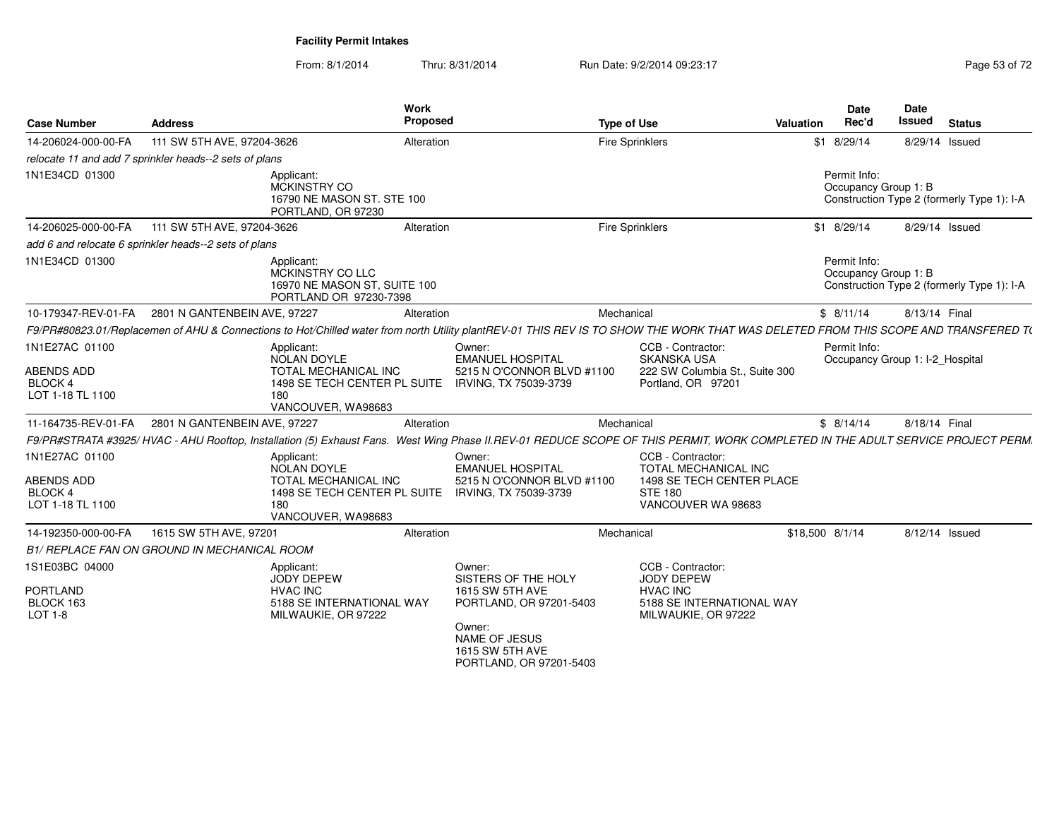From: 8/1/2014Thru: 8/31/2014 Run Date: 9/2/2014 09:23:17 Rege 53 of 72

| <b>Case Number</b>                                          | <b>Address</b>                                         |                                                                                                                                      | Work<br>Proposed |                                                                                                                                  | <b>Type of Use</b>     |                                                                                                                | Date<br>Rec'd<br>Valuation           | Date<br><b>Issued</b><br><b>Status</b>                                                                                                                                             |
|-------------------------------------------------------------|--------------------------------------------------------|--------------------------------------------------------------------------------------------------------------------------------------|------------------|----------------------------------------------------------------------------------------------------------------------------------|------------------------|----------------------------------------------------------------------------------------------------------------|--------------------------------------|------------------------------------------------------------------------------------------------------------------------------------------------------------------------------------|
| 14-206024-000-00-FA                                         | 111 SW 5TH AVE, 97204-3626                             |                                                                                                                                      | Alteration       |                                                                                                                                  | <b>Fire Sprinklers</b> |                                                                                                                | \$1 8/29/14                          | 8/29/14 Issued                                                                                                                                                                     |
|                                                             | relocate 11 and add 7 sprinkler heads--2 sets of plans |                                                                                                                                      |                  |                                                                                                                                  |                        |                                                                                                                |                                      |                                                                                                                                                                                    |
| 1N1E34CD 01300                                              |                                                        | Applicant:<br>MCKINSTRY CO<br>16790 NE MASON ST. STE 100<br>PORTLAND, OR 97230                                                       |                  |                                                                                                                                  |                        |                                                                                                                | Permit Info:<br>Occupancy Group 1: B | Construction Type 2 (formerly Type 1): I-A                                                                                                                                         |
|                                                             | 14-206025-000-00-FA 111 SW 5TH AVE, 97204-3626         |                                                                                                                                      | Alteration       |                                                                                                                                  | <b>Fire Sprinklers</b> |                                                                                                                | \$1 8/29/14                          | 8/29/14 Issued                                                                                                                                                                     |
|                                                             | add 6 and relocate 6 sprinkler heads--2 sets of plans  |                                                                                                                                      |                  |                                                                                                                                  |                        |                                                                                                                |                                      |                                                                                                                                                                                    |
| 1N1E34CD 01300                                              |                                                        | Applicant:<br>MCKINSTRY CO LLC<br>16970 NE MASON ST, SUITE 100<br>PORTLAND OR 97230-7398                                             |                  |                                                                                                                                  |                        |                                                                                                                | Permit Info:<br>Occupancy Group 1: B | Construction Type 2 (formerly Type 1): I-A                                                                                                                                         |
|                                                             | 10-179347-REV-01-FA 2801 N GANTENBEIN AVE, 97227       |                                                                                                                                      | Alteration       |                                                                                                                                  | Mechanical             |                                                                                                                | \$8/11/14                            | 8/13/14 Final                                                                                                                                                                      |
|                                                             |                                                        |                                                                                                                                      |                  |                                                                                                                                  |                        |                                                                                                                |                                      | F9/PR#80823.01/Replacemen of AHU & Connections to Hot/Chilled water from north Utility plantREV-01 THIS REV IS TO SHOW THE WORK THAT WAS DELETED FROM THIS SCOPE AND TRANSFERED T( |
| 1N1E27AC 01100<br>ABENDS ADD<br>BLOCK 4<br>LOT 1-18 TL 1100 |                                                        | Applicant:<br>NOLAN DOYLE<br>TOTAL MECHANICAL INC<br>1498 SE TECH CENTER PL SUITE IRVING, TX 75039-3739<br>180<br>VANCOUVER, WA98683 | Owner:           | <b>EMANUEL HOSPITAL</b><br>5215 N O'CONNOR BLVD #1100                                                                            |                        | CCB - Contractor:<br><b>SKANSKA USA</b><br>222 SW Columbia St., Suite 300<br>Portland, OR 97201                | Permit Info:                         | Occupancy Group 1: I-2_Hospital                                                                                                                                                    |
| 11-164735-REV-01-FA                                         | 2801 N GANTENBEIN AVE, 97227                           |                                                                                                                                      | Alteration       |                                                                                                                                  | Mechanical             |                                                                                                                | \$8/14/14                            | 8/18/14 Final                                                                                                                                                                      |
|                                                             |                                                        |                                                                                                                                      |                  |                                                                                                                                  |                        |                                                                                                                |                                      | F9/PR#STRATA #3925/HVAC - AHU Rooftop, Installation (5) Exhaust Fans. West Wing Phase II.REV-01 REDUCE SCOPE OF THIS PERMIT, WORK COMPLETED IN THE ADULT SERVICE PROJECT PERM.     |
| 1N1E27AC 01100<br>ABENDS ADD<br>BLOCK 4<br>LOT 1-18 TL 1100 |                                                        | Applicant:<br>NOLAN DOYLE<br>TOTAL MECHANICAL INC<br>1498 SE TECH CENTER PL SUITE<br>180<br>VANCOUVER, WA98683                       | Owner:           | <b>EMANUEL HOSPITAL</b><br>5215 N O'CONNOR BLVD #1100<br>IRVING, TX 75039-3739                                                   |                        | CCB - Contractor:<br>TOTAL MECHANICAL INC<br>1498 SE TECH CENTER PLACE<br><b>STE 180</b><br>VANCOUVER WA 98683 |                                      |                                                                                                                                                                                    |
| 14-192350-000-00-FA                                         | 1615 SW 5TH AVE, 97201                                 |                                                                                                                                      | Alteration       |                                                                                                                                  | Mechanical             |                                                                                                                | \$18,500 8/1/14                      | 8/12/14 Issued                                                                                                                                                                     |
|                                                             | B1/ REPLACE FAN ON GROUND IN MECHANICAL ROOM           |                                                                                                                                      |                  |                                                                                                                                  |                        |                                                                                                                |                                      |                                                                                                                                                                                    |
| 1S1E03BC 04000<br><b>PORTLAND</b><br>BLOCK 163<br>LOT 1-8   |                                                        | Applicant:<br>JODY DEPEW<br><b>HVAC INC</b><br>5188 SE INTERNATIONAL WAY<br>MILWAUKIE, OR 97222                                      | Owner:<br>Owner: | SISTERS OF THE HOLY<br>1615 SW 5TH AVE<br>PORTLAND, OR 97201-5403<br>NAME OF JESUS<br>1615 SW 5TH AVE<br>PORTLAND, OR 97201-5403 |                        | CCB - Contractor:<br>JODY DEPEW<br><b>HVAC INC</b><br>5188 SE INTERNATIONAL WAY<br>MILWAUKIE, OR 97222         |                                      |                                                                                                                                                                                    |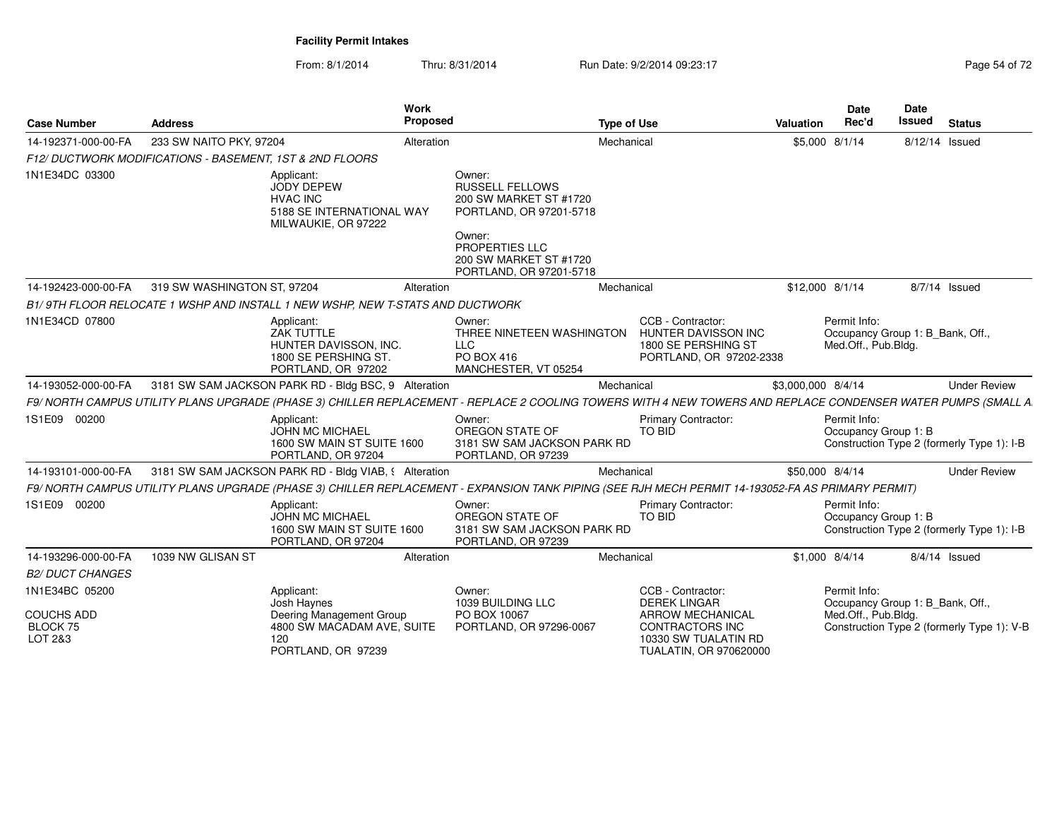From: 8/1/2014Thru: 8/31/2014 Run Date: 9/2/2014 09:23:17

| <b>Case Number</b>                                         | <b>Address</b>                                           | Work<br>Proposed                                                                                                                                             |                                                                                                                                                                        | <b>Type of Use</b> |                                                                                                                | Valuation          | <b>Date</b><br>Rec'd                                                    | <b>Date</b><br>Issued | <b>Status</b>                              |
|------------------------------------------------------------|----------------------------------------------------------|--------------------------------------------------------------------------------------------------------------------------------------------------------------|------------------------------------------------------------------------------------------------------------------------------------------------------------------------|--------------------|----------------------------------------------------------------------------------------------------------------|--------------------|-------------------------------------------------------------------------|-----------------------|--------------------------------------------|
| 14-192371-000-00-FA                                        | 233 SW NAITO PKY, 97204                                  | Alteration                                                                                                                                                   |                                                                                                                                                                        | Mechanical         |                                                                                                                | \$5,000 8/1/14     |                                                                         |                       | 8/12/14 Issued                             |
|                                                            | F12/ DUCTWORK MODIFICATIONS - BASEMENT, 1ST & 2ND FLOORS |                                                                                                                                                              |                                                                                                                                                                        |                    |                                                                                                                |                    |                                                                         |                       |                                            |
| 1N1E34DC 03300                                             |                                                          | Applicant:<br><b>JODY DEPEW</b><br><b>HVAC INC</b><br>5188 SE INTERNATIONAL WAY<br>MILWAUKIE, OR 97222                                                       | Owner:<br><b>RUSSELL FELLOWS</b><br>200 SW MARKET ST #1720<br>PORTLAND, OR 97201-5718<br>Owner:<br>PROPERTIES LLC<br>200 SW MARKET ST #1720<br>PORTLAND, OR 97201-5718 |                    |                                                                                                                |                    |                                                                         |                       |                                            |
| 14-192423-000-00-FA                                        | 319 SW WASHINGTON ST, 97204                              | Alteration                                                                                                                                                   |                                                                                                                                                                        | Mechanical         |                                                                                                                | \$12,000 8/1/14    |                                                                         |                       | 8/7/14 Issued                              |
|                                                            |                                                          | B1/9TH FLOOR RELOCATE 1 WSHP AND INSTALL 1 NEW WSHP, NEW T-STATS AND DUCTWORK                                                                                |                                                                                                                                                                        |                    |                                                                                                                |                    |                                                                         |                       |                                            |
| 1N1E34CD 07800                                             |                                                          | Applicant:<br><b>ZAK TUTTLE</b><br>HUNTER DAVISSON, INC.<br>1800 SE PERSHING ST.<br>PORTLAND, OR 97202                                                       | Owner:<br>THREE NINETEEN WASHINGTON<br><b>LLC</b><br>PO BOX 416<br>MANCHESTER, VT 05254                                                                                |                    | CCB - Contractor:<br>HUNTER DAVISSON INC<br>1800 SE PERSHING ST<br>PORTLAND, OR 97202-2338                     |                    | Permit Info:<br>Occupancy Group 1: B_Bank, Off.,<br>Med.Off., Pub.Bldg. |                       |                                            |
| 14-193052-000-00-FA                                        |                                                          | 3181 SW SAM JACKSON PARK RD - Bldg BSC, 9 Alteration                                                                                                         |                                                                                                                                                                        | Mechanical         |                                                                                                                | \$3,000,000 8/4/14 |                                                                         |                       | <b>Under Review</b>                        |
|                                                            |                                                          | F9/ NORTH CAMPUS UTILITY PLANS UPGRADE (PHASE 3) CHILLER REPLACEMENT - REPLACE 2 COOLING TOWERS WITH 4 NEW TOWERS AND REPLACE CONDENSER WATER PUMPS (SMALL A |                                                                                                                                                                        |                    |                                                                                                                |                    |                                                                         |                       |                                            |
| 1S1E09 00200                                               |                                                          | Applicant:<br><b>JOHN MC MICHAEL</b><br>1600 SW MAIN ST SUITE 1600<br>PORTLAND, OR 97204                                                                     | Owner:<br>OREGON STATE OF<br>3181 SW SAM JACKSON PARK RD<br>PORTLAND, OR 97239                                                                                         |                    | <b>Primary Contractor:</b><br>TO BID                                                                           |                    | Permit Info:<br>Occupancy Group 1: B                                    |                       | Construction Type 2 (formerly Type 1): I-B |
| 14-193101-000-00-FA                                        |                                                          | 3181 SW SAM JACKSON PARK RD - Bldg VIAB, § Alteration                                                                                                        |                                                                                                                                                                        | Mechanical         |                                                                                                                | \$50,000 8/4/14    |                                                                         |                       | <b>Under Review</b>                        |
|                                                            |                                                          | F9/ NORTH CAMPUS UTILITY PLANS UPGRADE (PHASE 3) CHILLER REPLACEMENT - EXPANSION TANK PIPING (SEE RJH MECH PERMIT 14-193052-FA AS PRIMARY PERMIT)            |                                                                                                                                                                        |                    |                                                                                                                |                    |                                                                         |                       |                                            |
| 1S1E09 00200                                               |                                                          | Applicant:<br><b>JOHN MC MICHAEL</b><br>1600 SW MAIN ST SUITE 1600<br>PORTLAND, OR 97204                                                                     | Owner:<br>OREGON STATE OF<br>3181 SW SAM JACKSON PARK RD<br>PORTLAND, OR 97239                                                                                         |                    | <b>Primary Contractor:</b><br><b>TO BID</b>                                                                    |                    | Permit Info:<br>Occupancy Group 1: B                                    |                       | Construction Type 2 (formerly Type 1): I-B |
| 14-193296-000-00-FA                                        | 1039 NW GLISAN ST                                        | Alteration                                                                                                                                                   |                                                                                                                                                                        | Mechanical         |                                                                                                                | \$1,000 8/4/14     |                                                                         |                       | $8/4/14$ Issued                            |
| <b>B2/ DUCT CHANGES</b>                                    |                                                          |                                                                                                                                                              |                                                                                                                                                                        |                    |                                                                                                                |                    |                                                                         |                       |                                            |
| 1N1E34BC 05200<br><b>COUCHS ADD</b><br>BLOCK 75<br>LOT 2&3 |                                                          | Applicant:<br>Josh Haynes<br>Deering Management Group<br>4800 SW MACADAM AVE, SUITE<br>120                                                                   | Owner:<br>1039 BUILDING LLC<br>PO BOX 10067<br>PORTLAND, OR 97296-0067                                                                                                 |                    | CCB - Contractor:<br><b>DEREK LINGAR</b><br><b>ARROW MECHANICAL</b><br>CONTRACTORS INC<br>10330 SW TUALATIN RD |                    | Permit Info:<br>Occupancy Group 1: B_Bank, Off.,<br>Med.Off., Pub.Bldg. |                       | Construction Type 2 (formerly Type 1): V-B |
|                                                            |                                                          | PORTLAND, OR 97239                                                                                                                                           |                                                                                                                                                                        |                    | TUALATIN, OR 970620000                                                                                         |                    |                                                                         |                       |                                            |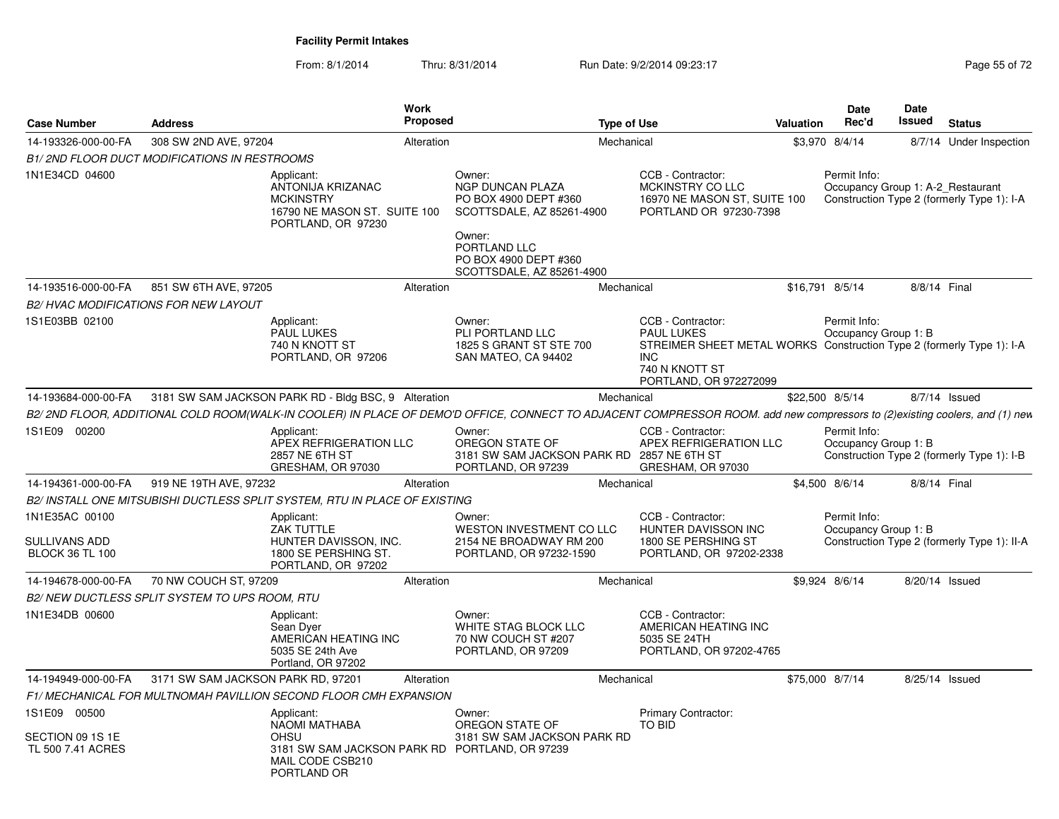From: 8/1/2014Thru: 8/31/2014 Run Date: 9/2/2014 09:23:17 Rege 55 of 72

| <b>Case Number</b><br><b>Address</b>                      |                                                     | <b>Work</b><br><b>Proposed</b>                                                                                                                                              |                                                                                                                                                                  | <b>Type of Use</b>                                                                                                                                                        | Valuation | <b>Date</b><br>Rec'd                              | <b>Date</b><br>Issued | <b>Status</b>                               |
|-----------------------------------------------------------|-----------------------------------------------------|-----------------------------------------------------------------------------------------------------------------------------------------------------------------------------|------------------------------------------------------------------------------------------------------------------------------------------------------------------|---------------------------------------------------------------------------------------------------------------------------------------------------------------------------|-----------|---------------------------------------------------|-----------------------|---------------------------------------------|
| 14-193326-000-00-FA                                       | 308 SW 2ND AVE, 97204                               | Alteration                                                                                                                                                                  |                                                                                                                                                                  | Mechanical                                                                                                                                                                |           | \$3,970 8/4/14                                    |                       | 8/7/14 Under Inspection                     |
|                                                           | <b>B1/2ND FLOOR DUCT MODIFICATIONS IN RESTROOMS</b> |                                                                                                                                                                             |                                                                                                                                                                  |                                                                                                                                                                           |           |                                                   |                       |                                             |
| 1N1E34CD 04600                                            |                                                     | Applicant:<br>ANTONIJA KRIZANAC<br><b>MCKINSTRY</b><br>16790 NE MASON ST. SUITE 100<br>PORTLAND, OR 97230                                                                   | Owner:<br>NGP DUNCAN PLAZA<br>PO BOX 4900 DEPT #360<br>SCOTTSDALE, AZ 85261-4900<br>Owner:<br>PORTLAND LLC<br>PO BOX 4900 DEPT #360<br>SCOTTSDALE, AZ 85261-4900 | CCB - Contractor:<br>MCKINSTRY CO LLC<br>16970 NE MASON ST, SUITE 100<br>PORTLAND OR 97230-7398                                                                           |           | Permit Info:<br>Occupancy Group 1: A-2_Restaurant |                       | Construction Type 2 (formerly Type 1): I-A  |
| 14-193516-000-00-FA                                       | 851 SW 6TH AVE, 97205                               | Alteration                                                                                                                                                                  |                                                                                                                                                                  | Mechanical                                                                                                                                                                |           | \$16,791 8/5/14                                   | 8/8/14 Final          |                                             |
|                                                           | <b>B2/ HVAC MODIFICATIONS FOR NEW LAYOUT</b>        |                                                                                                                                                                             |                                                                                                                                                                  |                                                                                                                                                                           |           |                                                   |                       |                                             |
| 1S1E03BB 02100                                            |                                                     | Applicant:<br><b>PAUL LUKES</b><br>740 N KNOTT ST<br>PORTLAND, OR 97206                                                                                                     | Owner:<br>PLI PORTLAND LLC<br>1825 S GRANT ST STE 700<br>SAN MATEO, CA 94402                                                                                     | CCB - Contractor:<br><b>PAUL LUKES</b><br>STREIMER SHEET METAL WORKS Construction Type 2 (formerly Type 1): I-A<br><b>INC</b><br>740 N KNOTT ST<br>PORTLAND, OR 972272099 |           | Permit Info:<br>Occupancy Group 1: B              |                       |                                             |
| 14-193684-000-00-FA                                       |                                                     | 3181 SW SAM JACKSON PARK RD - Bldg BSC, 9 Alteration                                                                                                                        |                                                                                                                                                                  | Mechanical                                                                                                                                                                |           | \$22,500 8/5/14                                   |                       | 8/7/14 Issued                               |
|                                                           |                                                     | B2/ 2ND FLOOR, ADDITIONAL COLD ROOM(WALK-IN COOLER) IN PLACE OF DEMO'D OFFICE, CONNECT TO ADJACENT COMPRESSOR ROOM. add new compressors to (2)existing coolers, and (1) new |                                                                                                                                                                  |                                                                                                                                                                           |           |                                                   |                       |                                             |
| 1S1E09 00200                                              |                                                     | Applicant:<br>APEX REFRIGERATION LLC<br>2857 NE 6TH ST<br>GRESHAM, OR 97030                                                                                                 | Owner:<br>OREGON STATE OF<br>3181 SW SAM JACKSON PARK RD 2857 NE 6TH ST<br>PORTLAND, OR 97239                                                                    | CCB - Contractor:<br>APEX REFRIGERATION LLC<br>GRESHAM, OR 97030                                                                                                          |           | Permit Info:<br>Occupancy Group 1: B              |                       | Construction Type 2 (formerly Type 1): I-B  |
| 14-194361-000-00-FA                                       | 919 NE 19TH AVE, 97232                              | Alteration                                                                                                                                                                  |                                                                                                                                                                  | Mechanical                                                                                                                                                                |           | \$4,500 8/6/14                                    | 8/8/14 Final          |                                             |
|                                                           |                                                     | B2/ INSTALL ONE MITSUBISHI DUCTLESS SPLIT SYSTEM, RTU IN PLACE OF EXISTING                                                                                                  |                                                                                                                                                                  |                                                                                                                                                                           |           |                                                   |                       |                                             |
| 1N1E35AC 00100<br>SULLIVANS ADD<br><b>BLOCK 36 TL 100</b> |                                                     | Applicant:<br>ZAK TUTTLE<br>HUNTER DAVISSON, INC.<br>1800 SE PERSHING ST.<br>PORTLAND, OR 97202                                                                             | Owner:<br>WESTON INVESTMENT CO LLC<br>2154 NE BROADWAY RM 200<br>PORTLAND, OR 97232-1590                                                                         | CCB - Contractor:<br>HUNTER DAVISSON INC<br>1800 SE PERSHING ST<br>PORTLAND, OR 97202-2338                                                                                |           | Permit Info:<br>Occupancy Group 1: B              |                       | Construction Type 2 (formerly Type 1): II-A |
| 14-194678-000-00-FA                                       | 70 NW COUCH ST, 97209                               | Alteration                                                                                                                                                                  |                                                                                                                                                                  | Mechanical                                                                                                                                                                |           | \$9.924 8/6/14                                    | 8/20/14 Issued        |                                             |
|                                                           | B2/NEW DUCTLESS SPLIT SYSTEM TO UPS ROOM, RTU       |                                                                                                                                                                             |                                                                                                                                                                  |                                                                                                                                                                           |           |                                                   |                       |                                             |
| 1N1E34DB 00600                                            |                                                     | Applicant:<br>Sean Dyer<br>AMERICAN HEATING INC<br>5035 SE 24th Ave<br>Portland, OR 97202                                                                                   | Owner:<br>WHITE STAG BLOCK LLC<br>70 NW COUCH ST #207<br>PORTLAND, OR 97209                                                                                      | CCB - Contractor:<br>AMERICAN HEATING INC<br>5035 SE 24TH<br>PORTLAND, OR 97202-4765                                                                                      |           |                                                   |                       |                                             |
| 14-194949-000-00-FA                                       | 3171 SW SAM JACKSON PARK RD, 97201                  | Alteration                                                                                                                                                                  |                                                                                                                                                                  | Mechanical                                                                                                                                                                |           | \$75,000 8/7/14                                   | 8/25/14 Issued        |                                             |
|                                                           |                                                     | F1/ MECHANICAL FOR MULTNOMAH PAVILLION SECOND FLOOR CMH EXPANSION                                                                                                           |                                                                                                                                                                  |                                                                                                                                                                           |           |                                                   |                       |                                             |
| 1S1E09 00500                                              |                                                     | Applicant:<br>NAOMI MATHABA                                                                                                                                                 | Owner:<br>OREGON STATE OF                                                                                                                                        | <b>Primary Contractor:</b><br>TO BID                                                                                                                                      |           |                                                   |                       |                                             |
| SECTION 09 1S 1E<br>TL 500 7.41 ACRES                     |                                                     | <b>OHSU</b><br>3181 SW SAM JACKSON PARK RD PORTLAND, OR 97239<br>MAIL CODE CSB210<br>PORTLAND OR                                                                            | 3181 SW SAM JACKSON PARK RD                                                                                                                                      |                                                                                                                                                                           |           |                                                   |                       |                                             |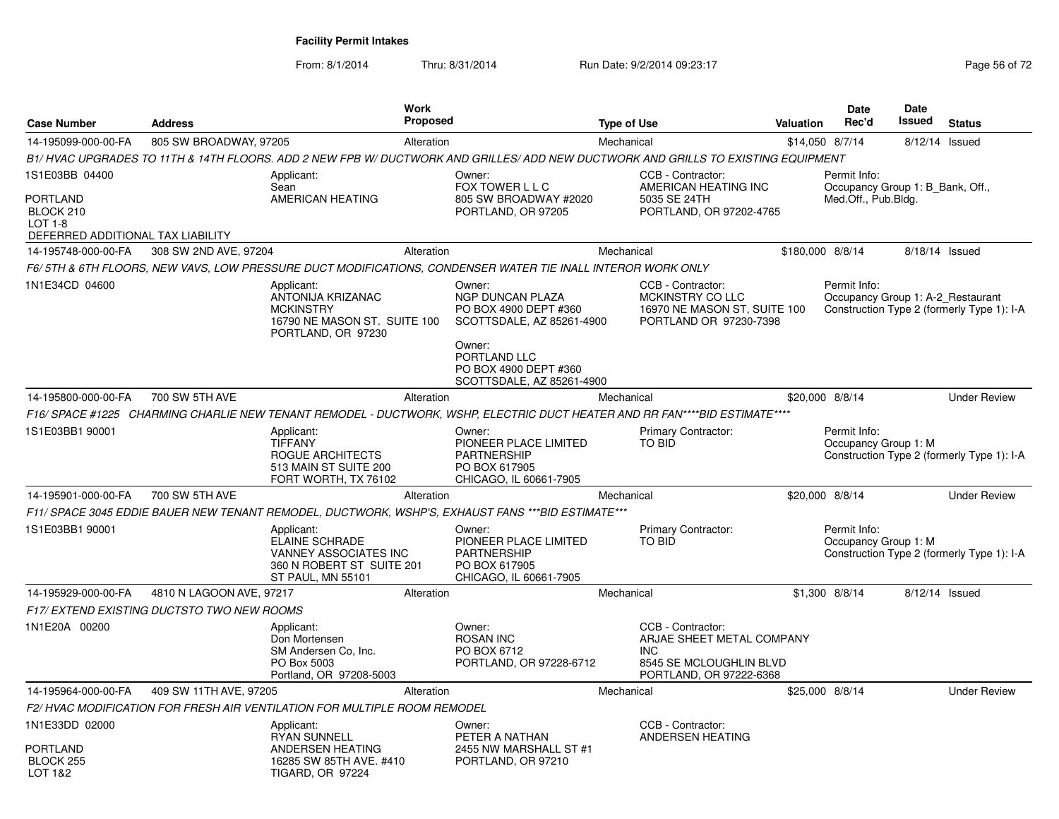From: 8/1/2014Thru: 8/31/2014 Run Date: 9/2/2014 09:23:17 Rege 56 of 72

| <b>Case Number</b>                                                                                    | <b>Address</b>                             |                                                                                                                       | <b>Work</b><br><b>Proposed</b> |                                                                                                                                                                         | <b>Type of Use</b> |                                                                                                              | Valuation        | <b>Date</b><br>Rec'd                                                    | Date<br>Issued | <b>Status</b>                              |
|-------------------------------------------------------------------------------------------------------|--------------------------------------------|-----------------------------------------------------------------------------------------------------------------------|--------------------------------|-------------------------------------------------------------------------------------------------------------------------------------------------------------------------|--------------------|--------------------------------------------------------------------------------------------------------------|------------------|-------------------------------------------------------------------------|----------------|--------------------------------------------|
| 14-195099-000-00-FA                                                                                   | 805 SW BROADWAY, 97205                     |                                                                                                                       | Alteration                     |                                                                                                                                                                         | Mechanical         |                                                                                                              |                  | \$14,050 8/7/14                                                         |                | 8/12/14 Issued                             |
|                                                                                                       |                                            |                                                                                                                       |                                | B1/HVAC UPGRADES TO 11TH & 14TH FLOORS. ADD 2 NEW FPB W/ DUCTWORK AND GRILLES/ADD NEW DUCTWORK AND GRILLS TO EXISTING EQUIPMENT                                         |                    |                                                                                                              |                  |                                                                         |                |                                            |
| 1S1E03BB 04400<br><b>PORTLAND</b><br>BLOCK 210<br><b>LOT 1-8</b><br>DEFERRED ADDITIONAL TAX LIABILITY |                                            | Applicant:<br>Sean<br>AMERICAN HEATING                                                                                |                                | Owner:<br>FOX TOWER L L C<br>805 SW BROADWAY #2020<br>PORTLAND, OR 97205                                                                                                |                    | CCB - Contractor:<br>AMERICAN HEATING INC<br>5035 SE 24TH<br>PORTLAND, OR 97202-4765                         |                  | Permit Info:<br>Occupancy Group 1: B Bank, Off.,<br>Med.Off., Pub.Bldg. |                |                                            |
| 14-195748-000-00-FA                                                                                   | 308 SW 2ND AVE, 97204                      |                                                                                                                       | Alteration                     |                                                                                                                                                                         | Mechanical         |                                                                                                              | \$180,000 8/8/14 |                                                                         |                | 8/18/14 Issued                             |
|                                                                                                       |                                            |                                                                                                                       |                                | F6/ 5TH & 6TH FLOORS. NEW VAVS. LOW PRESSURE DUCT MODIFICATIONS. CONDENSER WATER TIE INALL INTEROR WORK ONLY                                                            |                    |                                                                                                              |                  |                                                                         |                |                                            |
| 1N1E34CD 04600                                                                                        |                                            | Applicant:<br>ANTONIJA KRIZANAC<br><b>MCKINSTRY</b><br>16790 NE MASON ST. SUITE 100<br>PORTLAND, OR 97230             |                                | Owner:<br><b>NGP DUNCAN PLAZA</b><br>PO BOX 4900 DEPT #360<br>SCOTTSDALE, AZ 85261-4900<br>Owner:<br>PORTLAND LLC<br>PO BOX 4900 DEPT #360<br>SCOTTSDALE, AZ 85261-4900 |                    | CCB - Contractor:<br>MCKINSTRY CO LLC<br>16970 NE MASON ST, SUITE 100<br>PORTLAND OR 97230-7398              |                  | Permit Info:<br>Occupancy Group 1: A-2_Restaurant                       |                | Construction Type 2 (formerly Type 1): I-A |
| 14-195800-000-00-FA                                                                                   | 700 SW 5TH AVE                             |                                                                                                                       | Alteration                     |                                                                                                                                                                         | Mechanical         |                                                                                                              |                  | \$20,000 8/8/14                                                         |                | <b>Under Review</b>                        |
|                                                                                                       |                                            |                                                                                                                       |                                | F16/ SPACE #1225 CHARMING CHARLIE NEW TENANT REMODEL - DUCTWORK, WSHP, ELECTRIC DUCT HEATER AND RR FAN****BID ESTIMATE****                                              |                    |                                                                                                              |                  |                                                                         |                |                                            |
| 1S1E03BB1 90001                                                                                       |                                            | Applicant:<br><b>TIFFANY</b><br>ROGUE ARCHITECTS<br>513 MAIN ST SUITE 200<br>FORT WORTH, TX 76102                     |                                | Owner:<br>PIONEER PLACE LIMITED<br><b>PARTNERSHIP</b><br>PO BOX 617905<br>CHICAGO, IL 60661-7905                                                                        |                    | Primary Contractor:<br><b>TO BID</b>                                                                         |                  | Permit Info:<br>Occupancy Group 1: M                                    |                | Construction Type 2 (formerly Type 1): I-A |
| 14-195901-000-00-FA                                                                                   | 700 SW 5TH AVE                             |                                                                                                                       | Alteration                     |                                                                                                                                                                         | Mechanical         |                                                                                                              |                  | \$20,000 8/8/14                                                         |                | <b>Under Review</b>                        |
|                                                                                                       |                                            |                                                                                                                       |                                | F11/ SPACE 3045 EDDIE BAUER NEW TENANT REMODEL, DUCTWORK, WSHP'S, EXHAUST FANS *** BID ESTIMATE ***                                                                     |                    |                                                                                                              |                  |                                                                         |                |                                            |
| 1S1E03BB1 90001                                                                                       |                                            | Applicant:<br><b>ELAINE SCHRADE</b><br><b>VANNEY ASSOCIATES INC</b><br>360 N ROBERT ST SUITE 201<br>ST PAUL, MN 55101 |                                | Owner:<br>PIONEER PLACE LIMITED<br><b>PARTNERSHIP</b><br>PO BOX 617905<br>CHICAGO, IL 60661-7905                                                                        |                    | <b>Primary Contractor:</b><br><b>TO BID</b>                                                                  |                  | Permit Info:<br>Occupancy Group 1: M                                    |                | Construction Type 2 (formerly Type 1): I-A |
| 14-195929-000-00-FA                                                                                   | 4810 N LAGOON AVE, 97217                   |                                                                                                                       | Alteration                     |                                                                                                                                                                         | Mechanical         |                                                                                                              |                  | \$1,300 8/8/14                                                          |                | 8/12/14 Issued                             |
|                                                                                                       | F17/ EXTEND EXISTING DUCTSTO TWO NEW ROOMS |                                                                                                                       |                                |                                                                                                                                                                         |                    |                                                                                                              |                  |                                                                         |                |                                            |
| 1N1E20A 00200                                                                                         |                                            | Applicant:<br>Don Mortensen<br>SM Andersen Co. Inc.<br>PO Box 5003<br>Portland, OR 97208-5003                         |                                | Owner:<br><b>ROSAN INC</b><br>PO BOX 6712<br>PORTLAND, OR 97228-6712                                                                                                    |                    | CCB - Contractor:<br>ARJAE SHEET METAL COMPANY<br>INC.<br>8545 SE MCLOUGHLIN BLVD<br>PORTLAND, OR 97222-6368 |                  |                                                                         |                |                                            |
| 14-195964-000-00-FA                                                                                   | 409 SW 11TH AVE, 97205                     |                                                                                                                       | Alteration                     |                                                                                                                                                                         | Mechanical         |                                                                                                              |                  | \$25,000 8/8/14                                                         |                | <b>Under Review</b>                        |
|                                                                                                       |                                            | F2/ HVAC MODIFICATION FOR FRESH AIR VENTILATION FOR MULTIPLE ROOM REMODEL                                             |                                |                                                                                                                                                                         |                    |                                                                                                              |                  |                                                                         |                |                                            |
| 1N1E33DD 02000                                                                                        |                                            | Applicant:<br><b>RYAN SUNNELL</b>                                                                                     |                                | Owner:<br>PETER A NATHAN                                                                                                                                                |                    | CCB - Contractor:<br>ANDERSEN HEATING                                                                        |                  |                                                                         |                |                                            |
| PORTLAND<br>BLOCK 255<br>LOT 1&2                                                                      |                                            | ANDERSEN HEATING<br>16285 SW 85TH AVE, #410<br>TIGARD, OR 97224                                                       |                                | 2455 NW MARSHALL ST #1<br>PORTLAND, OR 97210                                                                                                                            |                    |                                                                                                              |                  |                                                                         |                |                                            |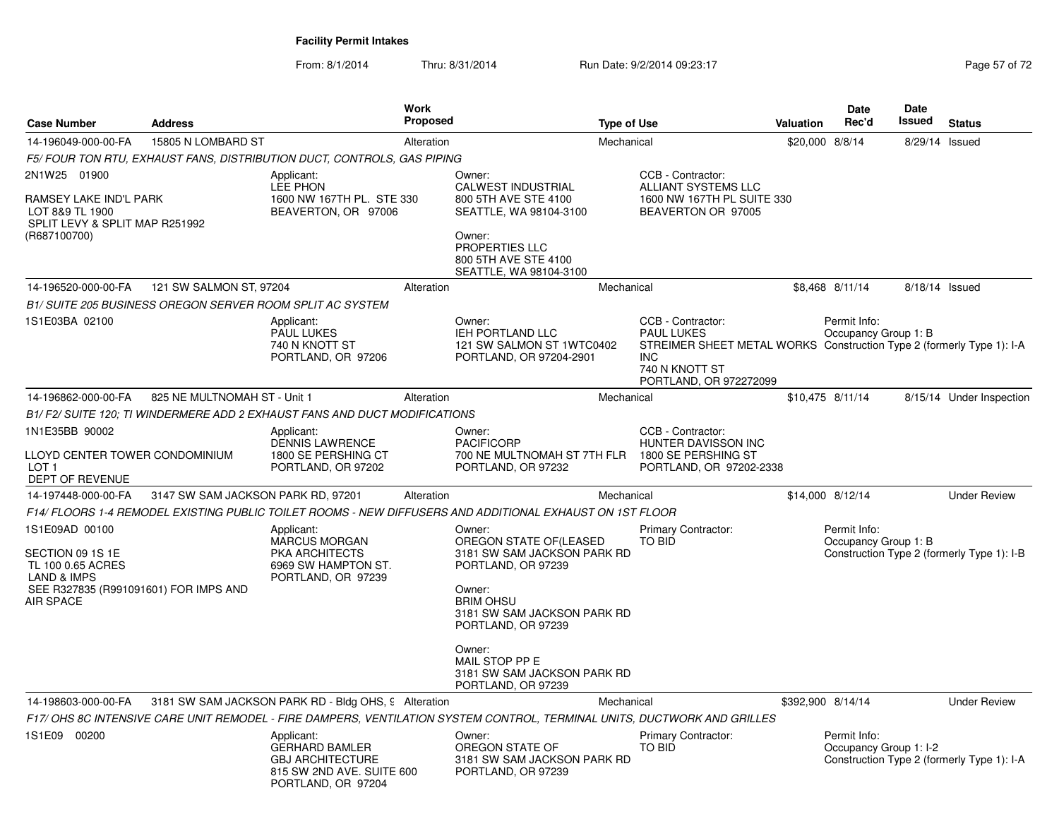From: 8/1/2014Thru: 8/31/2014 Run Date: 9/2/2014 09:23:17 Rege 57 of 72

| <b>Case Number</b>                                                                                                                             | <b>Address</b>                     |                                                                                                                   | <b>Work</b><br><b>Proposed</b> |                                                                                                                                                                                                       | <b>Type of Use</b> |                                                                                                                                                                           | <b>Valuation</b>  | Date<br>Rec'd                          | Date<br>Issued | <b>Status</b>                              |
|------------------------------------------------------------------------------------------------------------------------------------------------|------------------------------------|-------------------------------------------------------------------------------------------------------------------|--------------------------------|-------------------------------------------------------------------------------------------------------------------------------------------------------------------------------------------------------|--------------------|---------------------------------------------------------------------------------------------------------------------------------------------------------------------------|-------------------|----------------------------------------|----------------|--------------------------------------------|
| 14-196049-000-00-FA                                                                                                                            | 15805 N LOMBARD ST                 |                                                                                                                   | Alteration                     |                                                                                                                                                                                                       | Mechanical         |                                                                                                                                                                           | \$20,000 8/8/14   |                                        | 8/29/14 Issued |                                            |
|                                                                                                                                                |                                    | F5/ FOUR TON RTU, EXHAUST FANS, DISTRIBUTION DUCT, CONTROLS, GAS PIPING                                           |                                |                                                                                                                                                                                                       |                    |                                                                                                                                                                           |                   |                                        |                |                                            |
| 2N1W25 01900                                                                                                                                   |                                    | Applicant:                                                                                                        |                                | Owner:                                                                                                                                                                                                |                    | CCB - Contractor:                                                                                                                                                         |                   |                                        |                |                                            |
| RAMSEY LAKE IND'L PARK<br>LOT 8&9 TL 1900<br>SPLIT LEVY & SPLIT MAP R251992<br>(R687100700)                                                    |                                    | LEE PHON<br>1600 NW 167TH PL. STE 330<br>BEAVERTON, OR 97006                                                      |                                | <b>CALWEST INDUSTRIAL</b><br>800 5TH AVE STE 4100<br>SEATTLE, WA 98104-3100<br>Owner:<br><b>PROPERTIES LLC</b><br>800 5TH AVE STE 4100<br>SEATTLE, WA 98104-3100                                      |                    | ALLIANT SYSTEMS LLC<br>1600 NW 167TH PL SUITE 330<br>BEAVERTON OR 97005                                                                                                   |                   |                                        |                |                                            |
| 14-196520-000-00-FA                                                                                                                            | 121 SW SALMON ST, 97204            |                                                                                                                   | Alteration                     |                                                                                                                                                                                                       | Mechanical         |                                                                                                                                                                           |                   | \$8,468 8/11/14                        | 8/18/14 Issued |                                            |
|                                                                                                                                                |                                    | B1/ SUITE 205 BUSINESS OREGON SERVER ROOM SPLIT AC SYSTEM                                                         |                                |                                                                                                                                                                                                       |                    |                                                                                                                                                                           |                   |                                        |                |                                            |
| 1S1E03BA 02100                                                                                                                                 |                                    | Applicant:<br>PAUL LUKES<br>740 N KNOTT ST<br>PORTLAND, OR 97206                                                  |                                | Owner:<br>IEH PORTLAND LLC<br>121 SW SALMON ST 1WTC0402<br>PORTLAND, OR 97204-2901                                                                                                                    |                    | CCB - Contractor:<br><b>PAUL LUKES</b><br>STREIMER SHEET METAL WORKS Construction Type 2 (formerly Type 1): I-A<br><b>INC</b><br>740 N KNOTT ST<br>PORTLAND, OR 972272099 |                   | Permit Info:<br>Occupancy Group 1: B   |                |                                            |
| 14-196862-000-00-FA                                                                                                                            | 825 NE MULTNOMAH ST - Unit 1       |                                                                                                                   | Alteration                     |                                                                                                                                                                                                       | Mechanical         |                                                                                                                                                                           |                   | \$10,475 8/11/14                       |                | 8/15/14 Under Inspection                   |
|                                                                                                                                                |                                    | B1/F2/SUITE 120; TI WINDERMERE ADD 2 EXHAUST FANS AND DUCT MODIFICATIONS                                          |                                |                                                                                                                                                                                                       |                    |                                                                                                                                                                           |                   |                                        |                |                                            |
| 1N1E35BB 90002<br>LLOYD CENTER TOWER CONDOMINIUM<br>LOT <sub>1</sub><br>DEPT OF REVENUE                                                        |                                    | Applicant:<br><b>DENNIS LAWRENCE</b><br>1800 SE PERSHING CT<br>PORTLAND, OR 97202                                 |                                | Owner:<br><b>PACIFICORP</b><br>700 NE MULTNOMAH ST 7TH FLR<br>PORTLAND, OR 97232                                                                                                                      |                    | CCB - Contractor:<br><b>HUNTER DAVISSON INC</b><br>1800 SE PERSHING ST<br>PORTLAND, OR 97202-2338                                                                         |                   |                                        |                |                                            |
| 14-197448-000-00-FA                                                                                                                            | 3147 SW SAM JACKSON PARK RD, 97201 |                                                                                                                   | Alteration                     |                                                                                                                                                                                                       | Mechanical         |                                                                                                                                                                           |                   | \$14,000 8/12/14                       |                | <b>Under Review</b>                        |
|                                                                                                                                                |                                    |                                                                                                                   |                                | F14/ FLOORS 1-4 REMODEL EXISTING PUBLIC TOILET ROOMS - NEW DIFFUSERS AND ADDITIONAL EXHAUST ON 1ST FLOOR                                                                                              |                    |                                                                                                                                                                           |                   |                                        |                |                                            |
| 1S1E09AD 00100<br>SECTION 09 1S 1E<br>TL 100 0.65 ACRES<br><b>LAND &amp; IMPS</b><br>SEE R327835 (R991091601) FOR IMPS AND<br><b>AIR SPACE</b> |                                    | Applicant:<br><b>MARCUS MORGAN</b><br><b>PKA ARCHITECTS</b><br>6969 SW HAMPTON ST.<br>PORTLAND, OR 97239          |                                | Owner:<br>OREGON STATE OF (LEASED<br>3181 SW SAM JACKSON PARK RD<br>PORTLAND, OR 97239<br>Owner:<br><b>BRIM OHSU</b><br>3181 SW SAM JACKSON PARK RD<br>PORTLAND, OR 97239<br>Owner:<br>MAIL STOP PP E |                    | Primary Contractor:<br>TO BID                                                                                                                                             |                   | Permit Info:<br>Occupancy Group 1: B   |                | Construction Type 2 (formerly Type 1): I-B |
|                                                                                                                                                |                                    |                                                                                                                   |                                | 3181 SW SAM JACKSON PARK RD<br>PORTLAND, OR 97239                                                                                                                                                     |                    |                                                                                                                                                                           |                   |                                        |                |                                            |
| 14-198603-000-00-FA                                                                                                                            |                                    | 3181 SW SAM JACKSON PARK RD - Bldg OHS, 9 Alteration                                                              |                                |                                                                                                                                                                                                       | Mechanical         |                                                                                                                                                                           | \$392,900 8/14/14 |                                        |                | <b>Under Review</b>                        |
|                                                                                                                                                |                                    |                                                                                                                   |                                | F17/ OHS 8C INTENSIVE CARE UNIT REMODEL - FIRE DAMPERS, VENTILATION SYSTEM CONTROL, TERMINAL UNITS, DUCTWORK AND GRILLES                                                                              |                    |                                                                                                                                                                           |                   |                                        |                |                                            |
| 1S1E09 00200                                                                                                                                   |                                    | Applicant:<br><b>GERHARD BAMLER</b><br><b>GBJ ARCHITECTURE</b><br>815 SW 2ND AVE. SUITE 600<br>PORTLAND, OR 97204 |                                | Owner:<br>OREGON STATE OF<br>3181 SW SAM JACKSON PARK RD<br>PORTLAND, OR 97239                                                                                                                        |                    | <b>Primary Contractor:</b><br><b>TO BID</b>                                                                                                                               |                   | Permit Info:<br>Occupancy Group 1: I-2 |                | Construction Type 2 (formerly Type 1): I-A |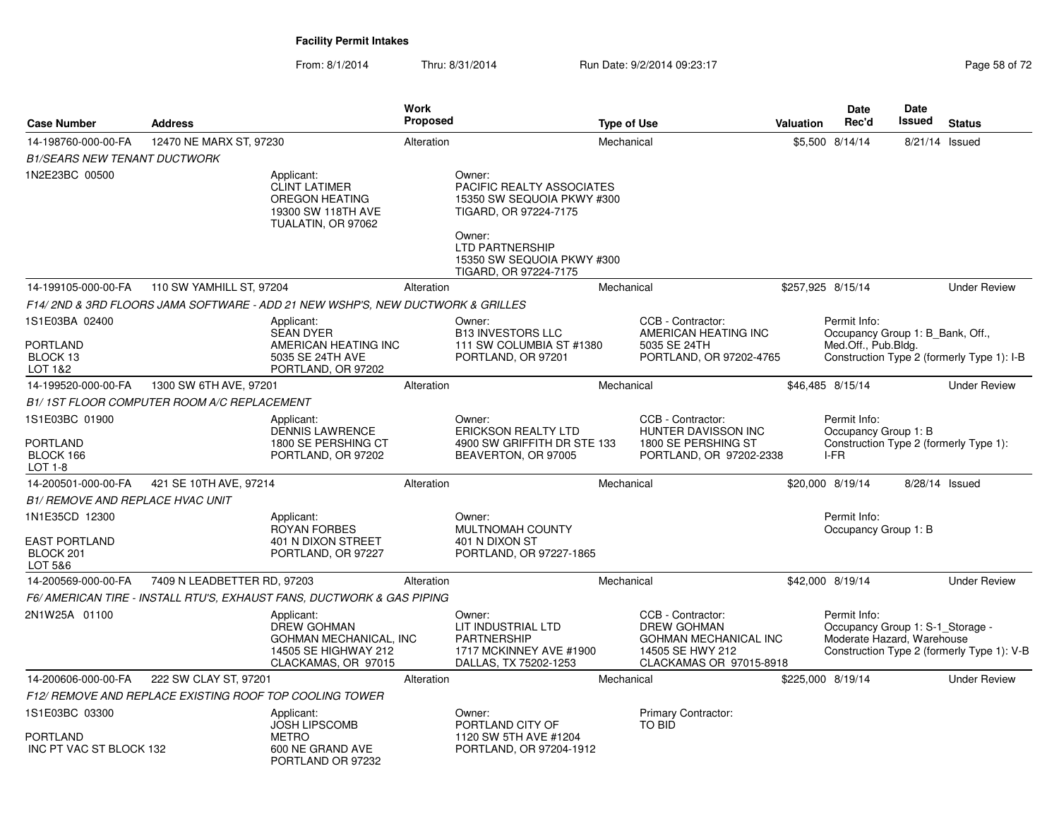From: 8/1/2014Thru: 8/31/2014 Run Date: 9/2/2014 09:23:17 Rege 58 of 72

| <b>Case Number</b>                                             | <b>Address</b>                             |                                                                                                         |            | Work<br><b>Proposed</b><br><b>Type of Use</b>                                                                                  |            |                                                                                                                        | Valuation | <b>Date</b><br>Rec'd                                                           | <b>Date</b><br><b>Issued</b> | <b>Status</b>                              |
|----------------------------------------------------------------|--------------------------------------------|---------------------------------------------------------------------------------------------------------|------------|--------------------------------------------------------------------------------------------------------------------------------|------------|------------------------------------------------------------------------------------------------------------------------|-----------|--------------------------------------------------------------------------------|------------------------------|--------------------------------------------|
| 14-198760-000-00-FA                                            | 12470 NE MARX ST, 97230                    |                                                                                                         | Alteration |                                                                                                                                | Mechanical |                                                                                                                        |           | \$5,500 8/14/14                                                                | 8/21/14 Issued               |                                            |
| <b>B1/SEARS NEW TENANT DUCTWORK</b>                            |                                            |                                                                                                         |            |                                                                                                                                |            |                                                                                                                        |           |                                                                                |                              |                                            |
| 1N2E23BC 00500                                                 |                                            | Applicant:<br><b>CLINT LATIMER</b><br><b>OREGON HEATING</b><br>19300 SW 118TH AVE<br>TUALATIN, OR 97062 |            | Owner:<br>PACIFIC REALTY ASSOCIATES<br>15350 SW SEQUOIA PKWY #300<br>TIGARD, OR 97224-7175<br>Owner:<br><b>LTD PARTNERSHIP</b> |            |                                                                                                                        |           |                                                                                |                              |                                            |
|                                                                |                                            |                                                                                                         |            | 15350 SW SEQUOIA PKWY #300<br>TIGARD, OR 97224-7175                                                                            |            |                                                                                                                        |           |                                                                                |                              |                                            |
| 14-199105-000-00-FA                                            | 110 SW YAMHILL ST, 97204                   |                                                                                                         | Alteration |                                                                                                                                | Mechanical |                                                                                                                        |           | \$257,925 8/15/14                                                              |                              | <b>Under Review</b>                        |
|                                                                |                                            | F14/2ND & 3RD FLOORS JAMA SOFTWARE - ADD 21 NEW WSHP'S, NEW DUCTWORK & GRILLES                          |            |                                                                                                                                |            |                                                                                                                        |           |                                                                                |                              |                                            |
| 1S1E03BA 02400<br><b>PORTLAND</b>                              |                                            | Applicant:<br><b>SEAN DYER</b>                                                                          |            | Owner:<br><b>B13 INVESTORS LLC</b>                                                                                             |            | CCB - Contractor:<br>AMERICAN HEATING INC                                                                              |           | Permit Info:<br>Occupancy Group 1: B Bank, Off.,                               |                              |                                            |
| BLOCK 13<br>LOT 1&2                                            |                                            | AMERICAN HEATING INC<br>5035 SE 24TH AVE<br>PORTLAND, OR 97202                                          |            | 111 SW COLUMBIA ST #1380<br>PORTLAND, OR 97201                                                                                 |            | 5035 SE 24TH<br>PORTLAND, OR 97202-4765                                                                                |           | Med.Off., Pub.Bldg.                                                            |                              | Construction Type 2 (formerly Type 1): I-B |
| 14-199520-000-00-FA                                            | 1300 SW 6TH AVE, 97201                     |                                                                                                         | Alteration |                                                                                                                                | Mechanical |                                                                                                                        |           | \$46,485 8/15/14                                                               |                              | <b>Under Review</b>                        |
|                                                                | B1/1ST FLOOR COMPUTER ROOM A/C REPLACEMENT |                                                                                                         |            |                                                                                                                                |            |                                                                                                                        |           |                                                                                |                              |                                            |
| 1S1E03BC 01900<br>PORTLAND<br>BLOCK 166<br>LOT 1-8             |                                            | Applicant:<br><b>DENNIS LAWRENCE</b><br>1800 SE PERSHING CT<br>PORTLAND, OR 97202                       |            | Owner:<br><b>ERICKSON REALTY LTD</b><br>4900 SW GRIFFITH DR STE 133<br>BEAVERTON, OR 97005                                     |            | CCB - Contractor:<br>HUNTER DAVISSON INC<br>1800 SE PERSHING ST<br>PORTLAND, OR 97202-2338                             |           | Permit Info:<br>Occupancy Group 1: B<br>I-FR                                   |                              | Construction Type 2 (formerly Type 1):     |
| 14-200501-000-00-FA                                            | 421 SE 10TH AVE, 97214                     |                                                                                                         | Alteration |                                                                                                                                | Mechanical |                                                                                                                        |           | \$20,000 8/19/14                                                               | 8/28/14 Issued               |                                            |
| <b>B1/ REMOVE AND REPLACE HVAC UNIT</b>                        |                                            |                                                                                                         |            |                                                                                                                                |            |                                                                                                                        |           |                                                                                |                              |                                            |
| 1N1E35CD 12300<br><b>EAST PORTLAND</b><br>BLOCK 201<br>LOT 5&6 |                                            | Applicant:<br><b>ROYAN FORBES</b><br>401 N DIXON STREET<br>PORTLAND, OR 97227                           |            | Owner:<br>MULTNOMAH COUNTY<br>401 N DIXON ST<br>PORTLAND, OR 97227-1865                                                        |            |                                                                                                                        |           | Permit Info:<br>Occupancy Group 1: B                                           |                              |                                            |
| 14-200569-000-00-FA                                            | 7409 N LEADBETTER RD, 97203                |                                                                                                         | Alteration |                                                                                                                                | Mechanical |                                                                                                                        |           | \$42,000 8/19/14                                                               |                              | <b>Under Review</b>                        |
|                                                                |                                            | F6/ AMERICAN TIRE - INSTALL RTU'S, EXHAUST FANS, DUCTWORK & GAS PIPING                                  |            |                                                                                                                                |            |                                                                                                                        |           |                                                                                |                              |                                            |
| 2N1W25A 01100                                                  |                                            | Applicant:<br>DREW GOHMAN<br>GOHMAN MECHANICAL, INC<br>14505 SE HIGHWAY 212<br>CLACKAMAS, OR 97015      |            | Owner:<br>LIT INDUSTRIAL LTD<br>PARTNERSHIP<br>1717 MCKINNEY AVE #1900<br>DALLAS, TX 75202-1253                                |            | CCB - Contractor:<br><b>DREW GOHMAN</b><br><b>GOHMAN MECHANICAL INC</b><br>14505 SE HWY 212<br>CLACKAMAS OR 97015-8918 |           | Permit Info:<br>Occupancy Group 1: S-1_Storage -<br>Moderate Hazard, Warehouse |                              | Construction Type 2 (formerly Type 1): V-B |
| 14-200606-000-00-FA                                            | 222 SW CLAY ST, 97201                      |                                                                                                         | Alteration |                                                                                                                                | Mechanical |                                                                                                                        |           | \$225,000 8/19/14                                                              |                              | <b>Under Review</b>                        |
|                                                                |                                            | F12/ REMOVE AND REPLACE EXISTING ROOF TOP COOLING TOWER                                                 |            |                                                                                                                                |            |                                                                                                                        |           |                                                                                |                              |                                            |
| 1S1E03BC 03300<br>PORTLAND<br>INC PT VAC ST BLOCK 132          |                                            | Applicant:<br><b>JOSH LIPSCOMB</b><br><b>METRO</b><br>600 NE GRAND AVE<br>PORTLAND OR 97232             |            | Owner:<br>PORTLAND CITY OF<br>1120 SW 5TH AVE #1204<br>PORTLAND, OR 97204-1912                                                 |            | Primary Contractor:<br><b>TO BID</b>                                                                                   |           |                                                                                |                              |                                            |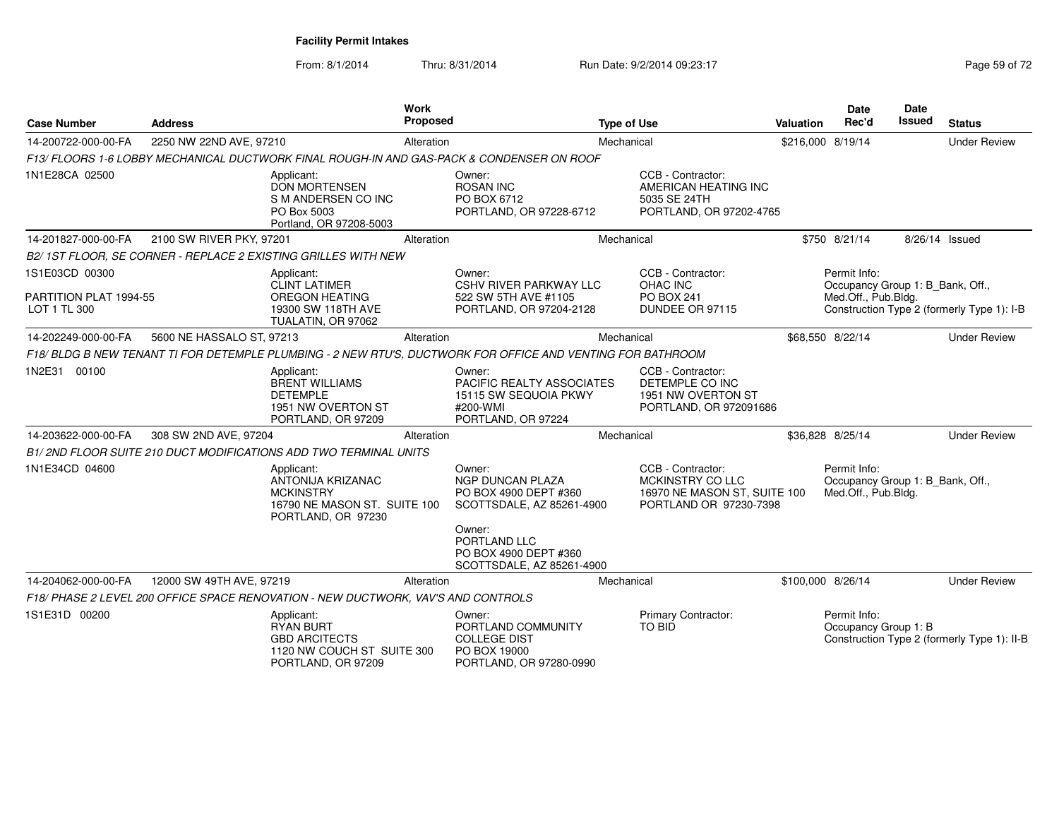From: 8/1/2014Thru: 8/31/2014 Run Date: 9/2/2014 09:23:17 Rege 59 of 72

| <b>Case Number</b>                                       | <b>Address</b>            |                                                                                                           | <b>Work</b><br><b>Proposed</b><br><b>Type of Use</b> |                                                                                                                                            |            |                                                                                                 | <b>Valuation</b> | Date<br>Rec'd                                                           | <b>Date</b><br><b>Issued</b> | <b>Status</b>                               |
|----------------------------------------------------------|---------------------------|-----------------------------------------------------------------------------------------------------------|------------------------------------------------------|--------------------------------------------------------------------------------------------------------------------------------------------|------------|-------------------------------------------------------------------------------------------------|------------------|-------------------------------------------------------------------------|------------------------------|---------------------------------------------|
| 14-200722-000-00-FA                                      | 2250 NW 22ND AVE, 97210   |                                                                                                           | Alteration                                           |                                                                                                                                            | Mechanical |                                                                                                 |                  | \$216,000 8/19/14                                                       |                              | <b>Under Review</b>                         |
|                                                          |                           |                                                                                                           |                                                      | F13/ FLOORS 1-6 LOBBY MECHANICAL DUCTWORK FINAL ROUGH-IN AND GAS-PACK & CONDENSER ON ROOF                                                  |            |                                                                                                 |                  |                                                                         |                              |                                             |
| 1N1E28CA 02500                                           |                           | Applicant:<br><b>DON MORTENSEN</b><br>S M ANDERSEN CO INC<br>PO Box 5003<br>Portland, OR 97208-5003       |                                                      | Owner:<br><b>ROSAN INC</b><br>PO BOX 6712<br>PORTLAND, OR 97228-6712                                                                       |            | CCB - Contractor:<br>AMERICAN HEATING INC<br>5035 SE 24TH<br>PORTLAND, OR 97202-4765            |                  |                                                                         |                              |                                             |
| 14-201827-000-00-FA                                      | 2100 SW RIVER PKY, 97201  |                                                                                                           | Alteration                                           |                                                                                                                                            | Mechanical |                                                                                                 |                  | \$750 8/21/14                                                           |                              | 8/26/14 Issued                              |
|                                                          |                           | B2/1ST FLOOR, SE CORNER - REPLACE 2 EXISTING GRILLES WITH NEW                                             |                                                      |                                                                                                                                            |            |                                                                                                 |                  |                                                                         |                              |                                             |
| 1S1E03CD 00300<br>PARTITION PLAT 1994-55<br>LOT 1 TL 300 |                           | Applicant:<br><b>CLINT LATIMER</b><br>OREGON HEATING<br>19300 SW 118TH AVE<br>TUALATIN, OR 97062          |                                                      | Owner:<br><b>CSHV RIVER PARKWAY LLC</b><br>522 SW 5TH AVE #1105<br>PORTLAND, OR 97204-2128                                                 |            | CCB - Contractor:<br>OHAC INC<br><b>PO BOX 241</b><br>DUNDEE OR 97115                           |                  | Permit Info:<br>Occupancy Group 1: B_Bank, Off.,<br>Med.Off., Pub.Bldg. |                              | Construction Type 2 (formerly Type 1): I-B  |
| 14-202249-000-00-FA                                      | 5600 NE HASSALO ST, 97213 |                                                                                                           | Alteration                                           |                                                                                                                                            | Mechanical |                                                                                                 |                  | \$68,550 8/22/14                                                        |                              | <b>Under Review</b>                         |
|                                                          |                           |                                                                                                           |                                                      | F18/BLDG B NEW TENANT TI FOR DETEMPLE PLUMBING - 2 NEW RTU'S, DUCTWORK FOR OFFICE AND VENTING FOR BATHROOM                                 |            |                                                                                                 |                  |                                                                         |                              |                                             |
| 1N2E31 00100                                             |                           | Applicant:<br><b>BRENT WILLIAMS</b><br><b>DETEMPLE</b><br>1951 NW OVERTON ST<br>PORTLAND, OR 97209        |                                                      | Owner:<br>PACIFIC REALTY ASSOCIATES<br>15115 SW SEQUOIA PKWY<br>#200-WMI<br>PORTLAND, OR 97224                                             |            | CCB - Contractor:<br>DETEMPLE CO INC<br>1951 NW OVERTON ST<br>PORTLAND, OR 972091686            |                  |                                                                         |                              |                                             |
| 14-203622-000-00-FA                                      | 308 SW 2ND AVE, 97204     |                                                                                                           | Alteration                                           |                                                                                                                                            | Mechanical |                                                                                                 |                  | \$36,828 8/25/14                                                        |                              | <b>Under Review</b>                         |
|                                                          |                           | B1/2ND FLOOR SUITE 210 DUCT MODIFICATIONS ADD TWO TERMINAL UNITS                                          |                                                      |                                                                                                                                            |            |                                                                                                 |                  |                                                                         |                              |                                             |
| 1N1E34CD 04600                                           |                           | Applicant:<br>ANTONIJA KRIZANAC<br><b>MCKINSTRY</b><br>16790 NE MASON ST. SUITE 100<br>PORTLAND, OR 97230 |                                                      | Owner:<br><b>NGP DUNCAN PLAZA</b><br>PO BOX 4900 DEPT #360<br>SCOTTSDALE, AZ 85261-4900<br>Owner:<br>PORTLAND LLC<br>PO BOX 4900 DEPT #360 |            | CCB - Contractor:<br>MCKINSTRY CO LLC<br>16970 NE MASON ST, SUITE 100<br>PORTLAND OR 97230-7398 |                  | Permit Info:<br>Occupancy Group 1: B_Bank, Off.,<br>Med.Off., Pub.Bldg. |                              |                                             |
| 14-204062-000-00-FA                                      | 12000 SW 49TH AVE, 97219  |                                                                                                           | Alteration                                           | SCOTTSDALE, AZ 85261-4900                                                                                                                  | Mechanical |                                                                                                 |                  | \$100,000 8/26/14                                                       |                              | <b>Under Review</b>                         |
|                                                          |                           | F18/ PHASE 2 LEVEL 200 OFFICE SPACE RENOVATION - NEW DUCTWORK, VAV'S AND CONTROLS                         |                                                      |                                                                                                                                            |            |                                                                                                 |                  |                                                                         |                              |                                             |
| 1S1E31D 00200                                            |                           | Applicant:                                                                                                |                                                      | Owner:                                                                                                                                     |            | Primary Contractor:                                                                             |                  | Permit Info:                                                            |                              |                                             |
|                                                          |                           | <b>RYAN BURT</b><br><b>GBD ARCITECTS</b><br>1120 NW COUCH ST SUITE 300<br>PORTLAND, OR 97209              |                                                      | PORTLAND COMMUNITY<br><b>COLLEGE DIST</b><br>PO BOX 19000<br>PORTLAND, OR 97280-0990                                                       |            | TO BID                                                                                          |                  | Occupancy Group 1: B                                                    |                              | Construction Type 2 (formerly Type 1): II-B |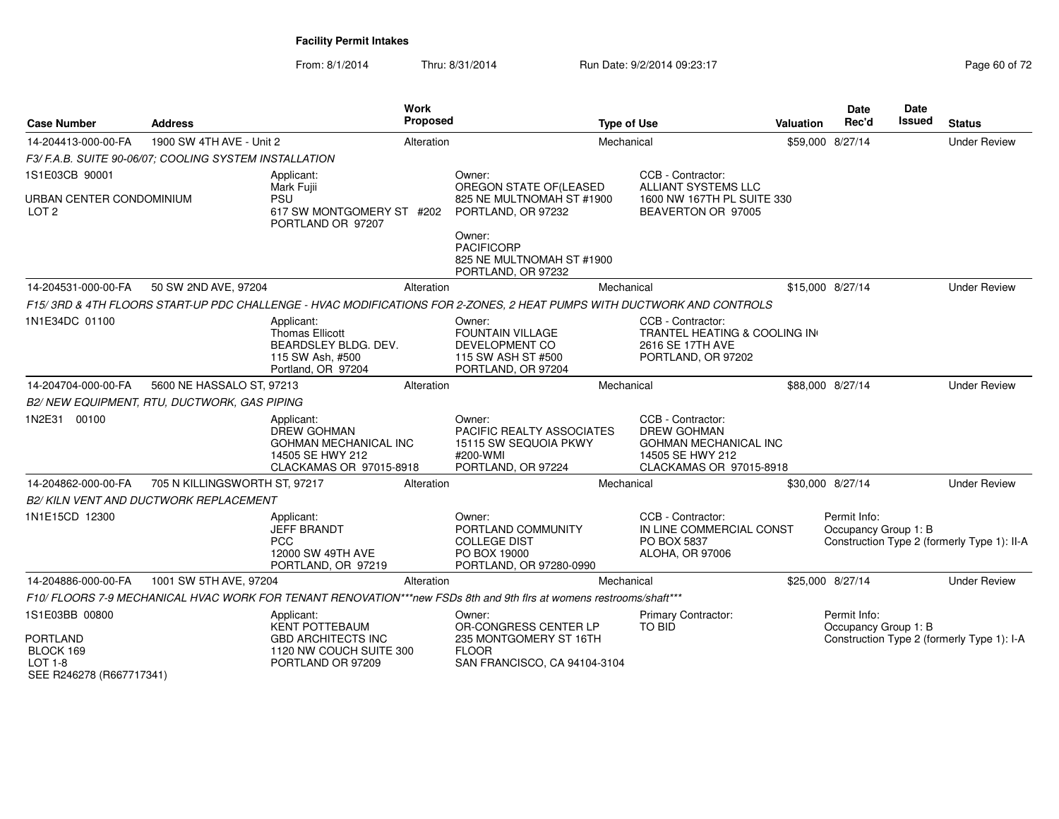From: 8/1/2014

Thru: 8/31/2014 Run Date: 9/2/2014 09:23:17 Research 2010 12

| <b>Case Number</b>                                      | <b>Address</b>                                         |                                                                                                          | <b>Work</b><br>Proposed |                                                                                                                       | <b>Type of Use</b>                                                                                                     | <b>Valuation</b> | <b>Date</b><br>Rec'd                 | Date<br><b>Issued</b> | <b>Status</b>                               |
|---------------------------------------------------------|--------------------------------------------------------|----------------------------------------------------------------------------------------------------------|-------------------------|-----------------------------------------------------------------------------------------------------------------------|------------------------------------------------------------------------------------------------------------------------|------------------|--------------------------------------|-----------------------|---------------------------------------------|
| 14-204413-000-00-FA                                     | 1900 SW 4TH AVE - Unit 2                               |                                                                                                          | Alteration              |                                                                                                                       | Mechanical                                                                                                             |                  | \$59,000 8/27/14                     |                       | <b>Under Review</b>                         |
|                                                         | F3/ F.A.B. SUITE 90-06/07; COOLING SYSTEM INSTALLATION |                                                                                                          |                         |                                                                                                                       |                                                                                                                        |                  |                                      |                       |                                             |
| 1S1E03CB 90001                                          |                                                        | Applicant:                                                                                               |                         | Owner:                                                                                                                | CCB - Contractor:                                                                                                      |                  |                                      |                       |                                             |
| URBAN CENTER CONDOMINIUM<br>LOT <sub>2</sub>            |                                                        | Mark Fujii<br>PSU<br>617 SW MONTGOMERY ST #202<br>PORTLAND OR 97207                                      |                         | OREGON STATE OF (LEASED<br>825 NE MULTNOMAH ST #1900<br>PORTLAND, OR 97232                                            | <b>ALLIANT SYSTEMS LLC</b><br>1600 NW 167TH PL SUITE 330<br>BEAVERTON OR 97005                                         |                  |                                      |                       |                                             |
|                                                         |                                                        |                                                                                                          |                         | Owner:<br><b>PACIFICORP</b><br>825 NE MULTNOMAH ST #1900<br>PORTLAND, OR 97232                                        |                                                                                                                        |                  |                                      |                       |                                             |
| 14-204531-000-00-FA                                     | 50 SW 2ND AVE, 97204                                   |                                                                                                          | Alteration              |                                                                                                                       | Mechanical                                                                                                             |                  | \$15,000 8/27/14                     |                       | <b>Under Review</b>                         |
|                                                         |                                                        |                                                                                                          |                         | F15/3RD & 4TH FLOORS START-UP PDC CHALLENGE - HVAC MODIFICATIONS FOR 2-ZONES, 2 HEAT PUMPS WITH DUCTWORK AND CONTROLS |                                                                                                                        |                  |                                      |                       |                                             |
| 1N1E34DC 01100                                          |                                                        | Applicant:<br>Thomas Ellicott<br>BEARDSLEY BLDG. DEV.<br>115 SW Ash, #500<br>Portland, OR 97204          |                         | Owner:<br>FOUNTAIN VILLAGE<br>DEVELOPMENT CO<br>115 SW ASH ST #500<br>PORTLAND, OR 97204                              | CCB - Contractor:<br>TRANTEL HEATING & COOLING IN<br>2616 SE 17TH AVE<br>PORTLAND, OR 97202                            |                  |                                      |                       |                                             |
| 14-204704-000-00-FA                                     | 5600 NE HASSALO ST, 97213                              |                                                                                                          | Alteration              |                                                                                                                       | Mechanical                                                                                                             |                  | \$88,000 8/27/14                     |                       | <b>Under Review</b>                         |
|                                                         | B2/NEW EQUIPMENT, RTU, DUCTWORK, GAS PIPING            |                                                                                                          |                         |                                                                                                                       |                                                                                                                        |                  |                                      |                       |                                             |
| 1N2E31 00100                                            |                                                        | Applicant:<br>DREW GOHMAN<br><b>GOHMAN MECHANICAL INC</b><br>14505 SE HWY 212<br>CLACKAMAS OR 97015-8918 |                         | Owner:<br>PACIFIC REALTY ASSOCIATES<br>15115 SW SEQUOIA PKWY<br>#200-WMI<br>PORTLAND, OR 97224                        | CCB - Contractor:<br><b>DREW GOHMAN</b><br><b>GOHMAN MECHANICAL INC</b><br>14505 SE HWY 212<br>CLACKAMAS OR 97015-8918 |                  |                                      |                       |                                             |
| 14-204862-000-00-FA                                     | 705 N KILLINGSWORTH ST, 97217                          |                                                                                                          | Alteration              |                                                                                                                       | Mechanical                                                                                                             |                  | \$30,000 8/27/14                     |                       | <b>Under Review</b>                         |
|                                                         | <b>B2/ KILN VENT AND DUCTWORK REPLACEMENT</b>          |                                                                                                          |                         |                                                                                                                       |                                                                                                                        |                  |                                      |                       |                                             |
| 1N1E15CD 12300                                          |                                                        | Applicant:<br><b>JEFF BRANDT</b><br><b>PCC</b><br>12000 SW 49TH AVE<br>PORTLAND, OR 97219                |                         | Owner:<br>PORTLAND COMMUNITY<br><b>COLLEGE DIST</b><br>PO BOX 19000<br>PORTLAND, OR 97280-0990                        | CCB - Contractor:<br>IN LINE COMMERCIAL CONST<br>PO BOX 5837<br>ALOHA, OR 97006                                        |                  | Permit Info:<br>Occupancy Group 1: B |                       | Construction Type 2 (formerly Type 1): II-A |
| 14-204886-000-00-FA                                     | 1001 SW 5TH AVE, 97204                                 |                                                                                                          | Alteration              |                                                                                                                       | Mechanical                                                                                                             |                  | \$25,000 8/27/14                     |                       | <b>Under Review</b>                         |
|                                                         |                                                        |                                                                                                          |                         | F10/ FLOORS 7-9 MECHANICAL HVAC WORK FOR TENANT RENOVATION***new FSDs 8th and 9th firs at womens restrooms/shaft***   |                                                                                                                        |                  |                                      |                       |                                             |
| 1S1E03BB 00800<br><b>PORTLAND</b>                       |                                                        | Applicant:<br><b>KENT POTTEBAUM</b><br><b>GBD ARCHITECTS INC</b>                                         |                         | Owner:<br>OR-CONGRESS CENTER LP<br>235 MONTGOMERY ST 16TH                                                             | Primary Contractor:<br>TO BID                                                                                          |                  | Permit Info:<br>Occupancy Group 1: B |                       | Construction Type 2 (formerly Type 1): I-A  |
| BLOCK 169<br><b>LOT 1-8</b><br>SEE R246278 (R667717341) |                                                        | 1120 NW COUCH SUITE 300<br>PORTLAND OR 97209                                                             |                         | <b>FLOOR</b><br>SAN FRANCISCO, CA 94104-3104                                                                          |                                                                                                                        |                  |                                      |                       |                                             |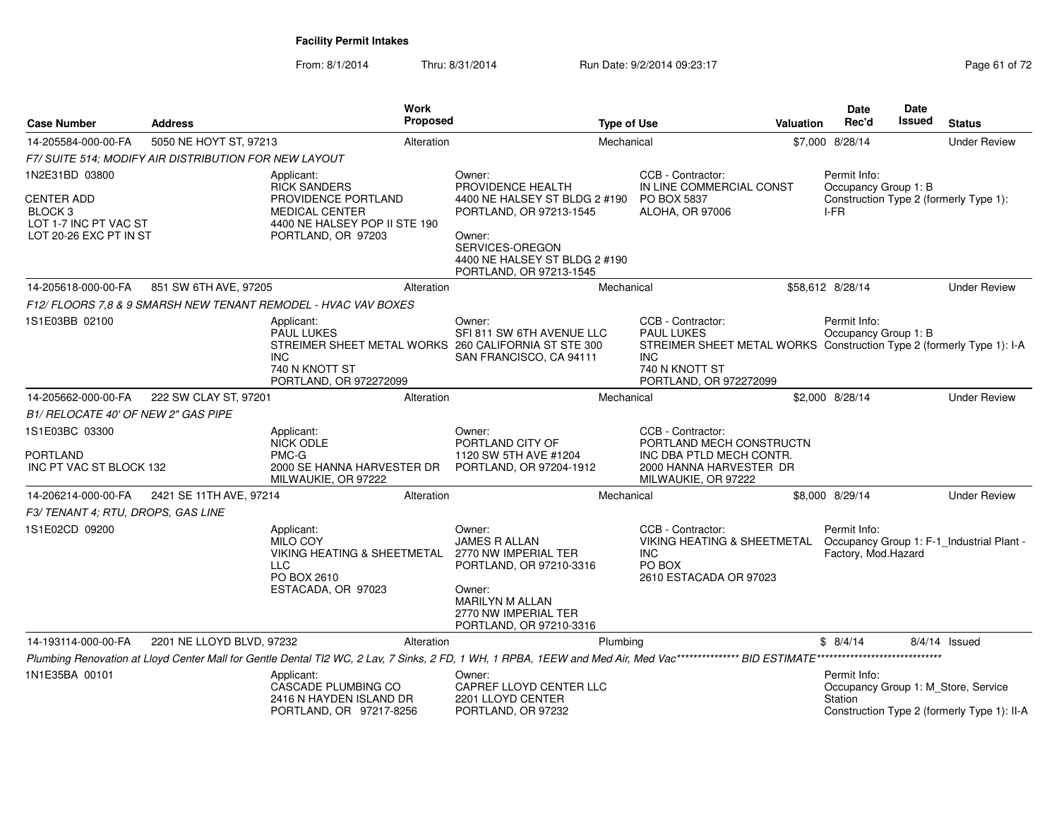From: 8/1/2014Thru: 8/31/2014 Run Date: 9/2/2014 09:23:17 Page 61 of 72

| <b>Case Number</b>                                                              | <b>Address</b>                                        |                                                                                                          | Work<br>Proposed |                                                                                                                                                                          | <b>Type of Use</b> |                                                                                                                                                                           | <b>Valuation</b> | <b>Date</b><br>Rec'd                 | <b>Date</b><br>Issued | <b>Status</b>                                                                      |
|---------------------------------------------------------------------------------|-------------------------------------------------------|----------------------------------------------------------------------------------------------------------|------------------|--------------------------------------------------------------------------------------------------------------------------------------------------------------------------|--------------------|---------------------------------------------------------------------------------------------------------------------------------------------------------------------------|------------------|--------------------------------------|-----------------------|------------------------------------------------------------------------------------|
| 14-205584-000-00-FA                                                             | 5050 NE HOYT ST, 97213                                |                                                                                                          | Alteration       |                                                                                                                                                                          | Mechanical         |                                                                                                                                                                           |                  | \$7,000 8/28/14                      |                       | <b>Under Review</b>                                                                |
|                                                                                 | F7/ SUITE 514; MODIFY AIR DISTRIBUTION FOR NEW LAYOUT |                                                                                                          |                  |                                                                                                                                                                          |                    |                                                                                                                                                                           |                  |                                      |                       |                                                                                    |
| 1N2E31BD 03800                                                                  |                                                       | Applicant:<br><b>RICK SANDERS</b>                                                                        |                  | Owner:<br>PROVIDENCE HEALTH                                                                                                                                              |                    | CCB - Contractor:<br>IN LINE COMMERCIAL CONST                                                                                                                             |                  | Permit Info:<br>Occupancy Group 1: B |                       |                                                                                    |
| <b>CENTER ADD</b><br>BLOCK 3<br>LOT 1-7 INC PT VAC ST<br>LOT 20-26 EXC PT IN ST |                                                       | PROVIDENCE PORTLAND<br><b>MEDICAL CENTER</b><br>4400 NE HALSEY POP II STE 190<br>PORTLAND, OR 97203      |                  | 4400 NE HALSEY ST BLDG 2 #190<br>PORTLAND, OR 97213-1545<br>Owner:<br>SERVICES-OREGON<br>4400 NE HALSEY ST BLDG 2 #190<br>PORTLAND, OR 97213-1545                        |                    | PO BOX 5837<br>ALOHA, OR 97006                                                                                                                                            |                  | I-FR                                 |                       | Construction Type 2 (formerly Type 1):                                             |
| 14-205618-000-00-FA                                                             | 851 SW 6TH AVE, 97205                                 |                                                                                                          | Alteration       |                                                                                                                                                                          | Mechanical         |                                                                                                                                                                           |                  | \$58,612 8/28/14                     |                       | <b>Under Review</b>                                                                |
|                                                                                 |                                                       | F12/ FLOORS 7,8 & 9 SMARSH NEW TENANT REMODEL - HVAC VAV BOXES                                           |                  |                                                                                                                                                                          |                    |                                                                                                                                                                           |                  |                                      |                       |                                                                                    |
| 1S1E03BB 02100                                                                  |                                                       | Applicant:<br><b>PAUL LUKES</b><br><b>INC</b><br>740 N KNOTT ST<br>PORTLAND, OR 972272099                |                  | Owner:<br>SFI 811 SW 6TH AVENUE LLC<br>STREIMER SHEET METAL WORKS 260 CALIFORNIA ST STE 300<br>SAN FRANCISCO, CA 94111                                                   |                    | CCB - Contractor:<br><b>PAUL LUKES</b><br>STREIMER SHEET METAL WORKS Construction Type 2 (formerly Type 1): I-A<br><b>INC</b><br>740 N KNOTT ST<br>PORTLAND, OR 972272099 |                  | Permit Info:<br>Occupancy Group 1: B |                       |                                                                                    |
| 14-205662-000-00-FA                                                             | 222 SW CLAY ST, 97201                                 |                                                                                                          | Alteration       |                                                                                                                                                                          | Mechanical         |                                                                                                                                                                           |                  | \$2,000 8/28/14                      |                       | <b>Under Review</b>                                                                |
| B1/ RELOCATE 40' OF NEW 2" GAS PIPE                                             |                                                       |                                                                                                          |                  |                                                                                                                                                                          |                    |                                                                                                                                                                           |                  |                                      |                       |                                                                                    |
| 1S1E03BC 03300<br><b>PORTLAND</b>                                               |                                                       | Applicant:<br><b>NICK ODLE</b><br>PMC-G                                                                  |                  | Owner:<br>PORTLAND CITY OF<br>1120 SW 5TH AVE #1204                                                                                                                      |                    | CCB - Contractor:<br>PORTLAND MECH CONSTRUCTN<br>INC DBA PTLD MECH CONTR.                                                                                                 |                  |                                      |                       |                                                                                    |
| INC PT VAC ST BLOCK 132                                                         |                                                       | 2000 SE HANNA HARVESTER DR<br>MILWAUKIE, OR 97222                                                        |                  | PORTLAND, OR 97204-1912                                                                                                                                                  |                    | 2000 HANNA HARVESTER DR<br>MILWAUKIE, OR 97222                                                                                                                            |                  |                                      |                       |                                                                                    |
| 14-206214-000-00-FA                                                             | 2421 SE 11TH AVE, 97214                               |                                                                                                          | Alteration       |                                                                                                                                                                          | Mechanical         |                                                                                                                                                                           |                  | \$8,000 8/29/14                      |                       | <b>Under Review</b>                                                                |
| F3/ TENANT 4; RTU, DROPS, GAS LINE                                              |                                                       |                                                                                                          |                  |                                                                                                                                                                          |                    |                                                                                                                                                                           |                  |                                      |                       |                                                                                    |
| 1S1E02CD 09200                                                                  |                                                       | Applicant:<br>MILO COY<br>VIKING HEATING & SHEETMETAL<br><b>LLC</b><br>PO BOX 2610<br>ESTACADA, OR 97023 |                  | Owner:<br><b>JAMES R ALLAN</b><br>2770 NW IMPERIAL TER<br>PORTLAND, OR 97210-3316<br>Owner:<br><b>MARILYN M ALLAN</b><br>2770 NW IMPERIAL TER<br>PORTLAND, OR 97210-3316 |                    | CCB - Contractor:<br>VIKING HEATING & SHEETMETAL Occupancy Group 1: F-1_Industrial Plant -<br><b>INC</b><br>PO BOX<br>2610 ESTACADA OR 97023                              |                  | Permit Info:<br>Factory, Mod. Hazard |                       |                                                                                    |
| 14-193114-000-00-FA                                                             | 2201 NE LLOYD BLVD, 97232                             |                                                                                                          | Alteration       |                                                                                                                                                                          | Plumbing           |                                                                                                                                                                           |                  | \$8/4/14                             |                       | 8/4/14 Issued                                                                      |
|                                                                                 |                                                       |                                                                                                          |                  |                                                                                                                                                                          |                    |                                                                                                                                                                           |                  |                                      |                       |                                                                                    |
| 1N1E35BA 00101                                                                  |                                                       | Applicant:<br>CASCADE PLUMBING CO<br>2416 N HAYDEN ISLAND DR<br>PORTLAND, OR 97217-8256                  |                  | Owner:<br>CAPREF LLOYD CENTER LLC<br>2201 LLOYD CENTER<br>PORTLAND, OR 97232                                                                                             |                    |                                                                                                                                                                           |                  | Permit Info:<br>Station              |                       | Occupancy Group 1: M_Store, Service<br>Construction Type 2 (formerly Type 1): II-A |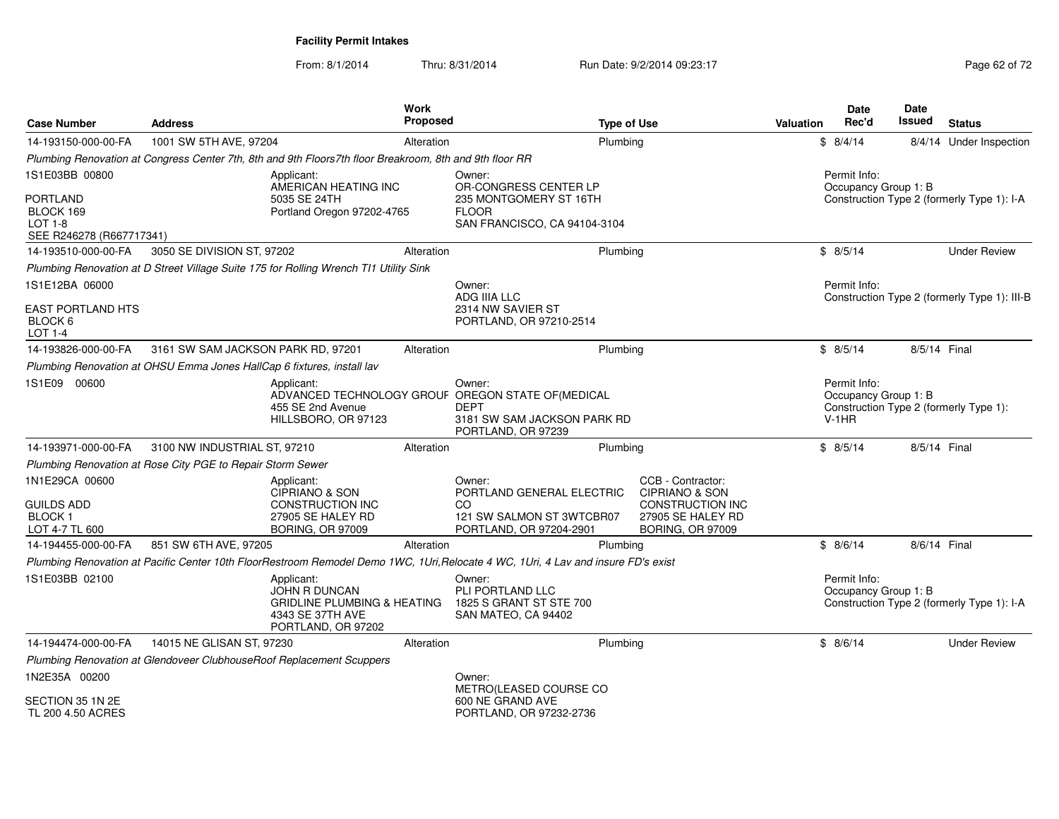From: 8/1/2014Thru: 8/31/2014 Run Date: 9/2/2014 09:23:17 Rege 62 of 72

| <b>Case Number</b>                                                         | <b>Address</b>                                                         |                                                                                                                        | Work<br><b>Proposed</b> |                                                                                                                                   | <b>Type of Use</b> |                                                                           | Valuation | Date<br>Rec'd                                   | <b>Date</b><br><b>Issued</b> | <b>Status</b>                                |
|----------------------------------------------------------------------------|------------------------------------------------------------------------|------------------------------------------------------------------------------------------------------------------------|-------------------------|-----------------------------------------------------------------------------------------------------------------------------------|--------------------|---------------------------------------------------------------------------|-----------|-------------------------------------------------|------------------------------|----------------------------------------------|
| 14-193150-000-00-FA                                                        | 1001 SW 5TH AVE, 97204                                                 |                                                                                                                        | Alteration              |                                                                                                                                   | Plumbing           |                                                                           |           | \$8/4/14                                        |                              | 8/4/14 Under Inspection                      |
|                                                                            |                                                                        | Plumbing Renovation at Congress Center 7th, 8th and 9th Floors7th floor Breakroom, 8th and 9th floor RR                |                         |                                                                                                                                   |                    |                                                                           |           |                                                 |                              |                                              |
| 1S1E03BB 00800                                                             |                                                                        | Applicant:<br>AMERICAN HEATING INC                                                                                     |                         | Owner:<br>OR-CONGRESS CENTER LP                                                                                                   |                    |                                                                           |           | Permit Info:<br>Occupancy Group 1: B            |                              |                                              |
| <b>PORTLAND</b><br>BLOCK 169<br><b>LOT 1-8</b><br>SEE R246278 (R667717341) |                                                                        | 5035 SE 24TH<br>Portland Oregon 97202-4765                                                                             |                         | 235 MONTGOMERY ST 16TH<br><b>FLOOR</b><br>SAN FRANCISCO, CA 94104-3104                                                            |                    |                                                                           |           |                                                 |                              | Construction Type 2 (formerly Type 1): I-A   |
| 14-193510-000-00-FA                                                        | 3050 SE DIVISION ST, 97202                                             |                                                                                                                        | Alteration              |                                                                                                                                   | Plumbing           |                                                                           |           | \$8/5/14                                        |                              | <b>Under Review</b>                          |
|                                                                            |                                                                        | Plumbing Renovation at D Street Village Suite 175 for Rolling Wrench TI1 Utility Sink                                  |                         |                                                                                                                                   |                    |                                                                           |           |                                                 |                              |                                              |
| 1S1E12BA 06000                                                             |                                                                        |                                                                                                                        |                         | Owner:<br><b>ADG IIIA LLC</b>                                                                                                     |                    |                                                                           |           | Permit Info:                                    |                              | Construction Type 2 (formerly Type 1): III-B |
| <b>EAST PORTLAND HTS</b><br>BLOCK 6<br>LOT 1-4                             |                                                                        |                                                                                                                        |                         | 2314 NW SAVIER ST<br>PORTLAND, OR 97210-2514                                                                                      |                    |                                                                           |           |                                                 |                              |                                              |
| 14-193826-000-00-FA                                                        | 3161 SW SAM JACKSON PARK RD, 97201                                     |                                                                                                                        | Alteration              |                                                                                                                                   | Plumbing           |                                                                           |           | \$8/5/14                                        | 8/5/14 Final                 |                                              |
|                                                                            | Plumbing Renovation at OHSU Emma Jones HallCap 6 fixtures, install lav |                                                                                                                        |                         |                                                                                                                                   |                    |                                                                           |           |                                                 |                              |                                              |
| 1S1E09 00600                                                               |                                                                        | Applicant:<br>455 SE 2nd Avenue<br>HILLSBORO, OR 97123                                                                 |                         | Owner:<br>ADVANCED TECHNOLOGY GROUF OREGON STATE OF (MEDICAL<br><b>DEPT</b><br>3181 SW SAM JACKSON PARK RD<br>PORTLAND, OR 97239  |                    |                                                                           |           | Permit Info:<br>Occupancy Group 1: B<br>$V-1HR$ |                              | Construction Type 2 (formerly Type 1):       |
| 14-193971-000-00-FA                                                        | 3100 NW INDUSTRIAL ST, 97210                                           |                                                                                                                        | Alteration              |                                                                                                                                   | Plumbing           |                                                                           |           | \$8/5/14                                        | 8/5/14 Final                 |                                              |
|                                                                            | Plumbing Renovation at Rose City PGE to Repair Storm Sewer             |                                                                                                                        |                         |                                                                                                                                   |                    |                                                                           |           |                                                 |                              |                                              |
| 1N1E29CA 00600<br><b>GUILDS ADD</b>                                        |                                                                        | Applicant:<br>CIPRIANO & SON<br><b>CONSTRUCTION INC</b>                                                                |                         | Owner:<br>PORTLAND GENERAL ELECTRIC<br>CO                                                                                         |                    | CCB - Contractor:<br><b>CIPRIANO &amp; SON</b><br><b>CONSTRUCTION INC</b> |           |                                                 |                              |                                              |
| <b>BLOCK1</b><br>LOT 4-7 TL 600                                            |                                                                        | 27905 SE HALEY RD<br>BORING, OR 97009                                                                                  |                         | 121 SW SALMON ST 3WTCBR07<br>PORTLAND, OR 97204-2901                                                                              |                    | 27905 SE HALEY RD<br><b>BORING, OR 97009</b>                              |           |                                                 |                              |                                              |
| 14-194455-000-00-FA                                                        | 851 SW 6TH AVE, 97205                                                  |                                                                                                                        | Alteration              |                                                                                                                                   | Plumbing           |                                                                           |           | \$8/6/14                                        | 8/6/14 Final                 |                                              |
|                                                                            |                                                                        |                                                                                                                        |                         | Plumbing Renovation at Pacific Center 10th FloorRestroom Remodel Demo 1WC, 1Uri, Relocate 4 WC, 1Uri, 4 Lav and insure FD's exist |                    |                                                                           |           |                                                 |                              |                                              |
| 1S1E03BB 02100                                                             |                                                                        | Applicant:<br><b>JOHN R DUNCAN</b><br><b>GRIDLINE PLUMBING &amp; HEATING</b><br>4343 SE 37TH AVE<br>PORTLAND, OR 97202 |                         | Owner:<br>PLI PORTLAND LLC<br>1825 S GRANT ST STE 700<br>SAN MATEO, CA 94402                                                      |                    |                                                                           |           | Permit Info:<br>Occupancy Group 1: B            |                              | Construction Type 2 (formerly Type 1): I-A   |
| 14-194474-000-00-FA                                                        | 14015 NE GLISAN ST, 97230                                              |                                                                                                                        | Alteration              |                                                                                                                                   | Plumbing           |                                                                           |           | \$8/6/14                                        |                              | <b>Under Review</b>                          |
|                                                                            |                                                                        | Plumbing Renovation at Glendoveer ClubhouseRoof Replacement Scuppers                                                   |                         |                                                                                                                                   |                    |                                                                           |           |                                                 |                              |                                              |
| 1N2E35A 00200                                                              |                                                                        |                                                                                                                        |                         | Owner:<br>METRO(LEASED COURSE CO                                                                                                  |                    |                                                                           |           |                                                 |                              |                                              |
| SECTION 35 1N 2E<br>TL 200 4.50 ACRES                                      |                                                                        |                                                                                                                        |                         | 600 NE GRAND AVE<br>PORTLAND, OR 97232-2736                                                                                       |                    |                                                                           |           |                                                 |                              |                                              |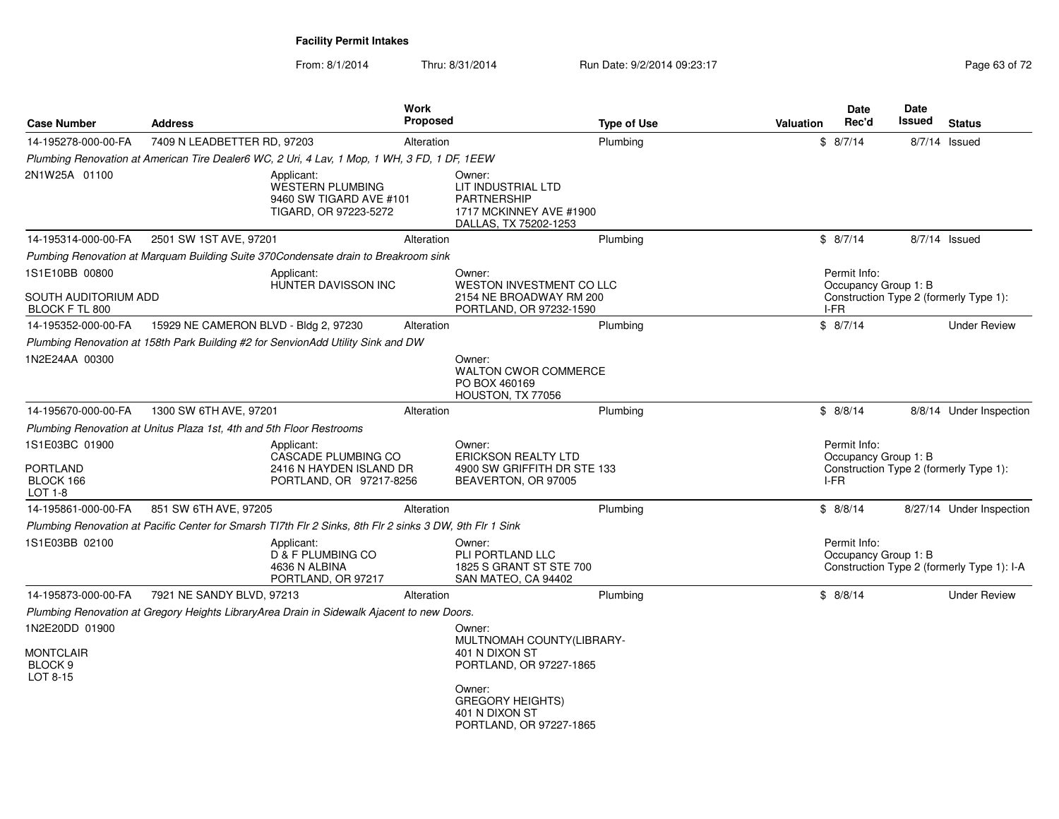From: 8/1/2014Thru: 8/31/2014 Run Date: 9/2/2014 09:23:17 Rege 63 of 72

| <b>Case Number</b>                                        | <b>Address</b>                                                       |                                                                                                          | Work<br><b>Proposed</b> |                                                                                                        | <b>Type of Use</b> | <b>Valuation</b> | <b>Date</b><br>Rec'd                         | <b>Date</b><br>Issued | <b>Status</b>                              |
|-----------------------------------------------------------|----------------------------------------------------------------------|----------------------------------------------------------------------------------------------------------|-------------------------|--------------------------------------------------------------------------------------------------------|--------------------|------------------|----------------------------------------------|-----------------------|--------------------------------------------|
| 14-195278-000-00-FA                                       | 7409 N LEADBETTER RD, 97203                                          |                                                                                                          | Alteration              |                                                                                                        | Plumbing           |                  | \$8/7/14                                     |                       | $8/7/14$ Issued                            |
|                                                           |                                                                      | Plumbing Renovation at American Tire Dealer6 WC, 2 Uri, 4 Lav, 1 Mop, 1 WH, 3 FD, 1 DF, 1 EEW            |                         |                                                                                                        |                    |                  |                                              |                       |                                            |
| 2N1W25A 01100                                             |                                                                      | Applicant:<br><b>WESTERN PLUMBING</b><br>9460 SW TIGARD AVE #101<br>TIGARD, OR 97223-5272                |                         | Owner:<br>LIT INDUSTRIAL LTD<br><b>PARTNERSHIP</b><br>1717 MCKINNEY AVE #1900<br>DALLAS, TX 75202-1253 |                    |                  |                                              |                       |                                            |
| 14-195314-000-00-FA                                       | 2501 SW 1ST AVE, 97201                                               |                                                                                                          | Alteration              |                                                                                                        | Plumbing           |                  | \$8/7/14                                     |                       | $8/7/14$ Issued                            |
|                                                           |                                                                      | Pumbing Renovation at Marquam Building Suite 370Condensate drain to Breakroom sink                       |                         |                                                                                                        |                    |                  |                                              |                       |                                            |
| 1S1E10BB 00800<br>SOUTH AUDITORIUM ADD                    |                                                                      | Applicant:<br>HUNTER DAVISSON INC                                                                        |                         | Owner:<br>WESTON INVESTMENT CO LLC<br>2154 NE BROADWAY RM 200                                          |                    |                  | Permit Info:<br>Occupancy Group 1: B         |                       | Construction Type 2 (formerly Type 1):     |
| BLOCK F TL 800                                            |                                                                      |                                                                                                          |                         | PORTLAND, OR 97232-1590                                                                                |                    | I-FR             |                                              |                       |                                            |
| 14-195352-000-00-FA                                       | 15929 NE CAMERON BLVD - Bldg 2, 97230                                |                                                                                                          | Alteration              |                                                                                                        | Plumbing           |                  | \$8/7/14                                     |                       | <b>Under Review</b>                        |
|                                                           |                                                                      | Plumbing Renovation at 158th Park Building #2 for SenvionAdd Utility Sink and DW                         |                         |                                                                                                        |                    |                  |                                              |                       |                                            |
| 1N2E24AA 00300                                            |                                                                      |                                                                                                          |                         | Owner:<br><b>WALTON CWOR COMMERCE</b><br>PO BOX 460169<br>HOUSTON, TX 77056                            |                    |                  |                                              |                       |                                            |
| 14-195670-000-00-FA                                       | 1300 SW 6TH AVE, 97201                                               |                                                                                                          | Alteration              |                                                                                                        | Plumbing           |                  | \$8/8/14                                     |                       | 8/8/14 Under Inspection                    |
|                                                           | Plumbing Renovation at Unitus Plaza 1st, 4th and 5th Floor Restrooms |                                                                                                          |                         |                                                                                                        |                    |                  |                                              |                       |                                            |
| 1S1E03BC 01900<br><b>PORTLAND</b><br>BLOCK 166<br>LOT 1-8 |                                                                      | Applicant:<br><b>CASCADE PLUMBING CO</b><br>2416 N HAYDEN ISLAND DR<br>PORTLAND, OR 97217-8256           |                         | Owner:<br><b>ERICKSON REALTY LTD</b><br>4900 SW GRIFFITH DR STE 133<br>BEAVERTON, OR 97005             |                    |                  | Permit Info:<br>Occupancy Group 1: B<br>I-FR |                       | Construction Type 2 (formerly Type 1):     |
| 14-195861-000-00-FA                                       | 851 SW 6TH AVE, 97205                                                |                                                                                                          | Alteration              |                                                                                                        | Plumbing           |                  | \$8/8/14                                     |                       | 8/27/14 Under Inspection                   |
|                                                           |                                                                      | Plumbing Renovation at Pacific Center for Smarsh TI7th Flr 2 Sinks, 8th Flr 2 sinks 3 DW, 9th Flr 1 Sink |                         |                                                                                                        |                    |                  |                                              |                       |                                            |
| 1S1E03BB 02100                                            |                                                                      | Applicant:<br>D & F PLUMBING CO<br>4636 N ALBINA<br>PORTLAND, OR 97217                                   |                         | Owner:<br>PLI PORTLAND LLC<br>1825 S GRANT ST STE 700<br>SAN MATEO, CA 94402                           |                    |                  | Permit Info:<br>Occupancy Group 1: B         |                       | Construction Type 2 (formerly Type 1): I-A |
| 14-195873-000-00-FA                                       | 7921 NE SANDY BLVD, 97213                                            |                                                                                                          | Alteration              |                                                                                                        | Plumbing           |                  | \$8/8/14                                     |                       | <b>Under Review</b>                        |
|                                                           |                                                                      | Plumbing Renovation at Gregory Heights LibraryArea Drain in Sidewalk Ajacent to new Doors.               |                         |                                                                                                        |                    |                  |                                              |                       |                                            |
| 1N2E20DD 01900<br><b>MONTCLAIR</b><br>BLOCK <sub>9</sub>  |                                                                      |                                                                                                          |                         | Owner:<br>MULTNOMAH COUNTY(LIBRARY-<br>401 N DIXON ST<br>PORTLAND, OR 97227-1865                       |                    |                  |                                              |                       |                                            |
| LOT 8-15                                                  |                                                                      |                                                                                                          |                         | Owner:<br><b>GREGORY HEIGHTS)</b><br>401 N DIXON ST<br>PORTLAND, OR 97227-1865                         |                    |                  |                                              |                       |                                            |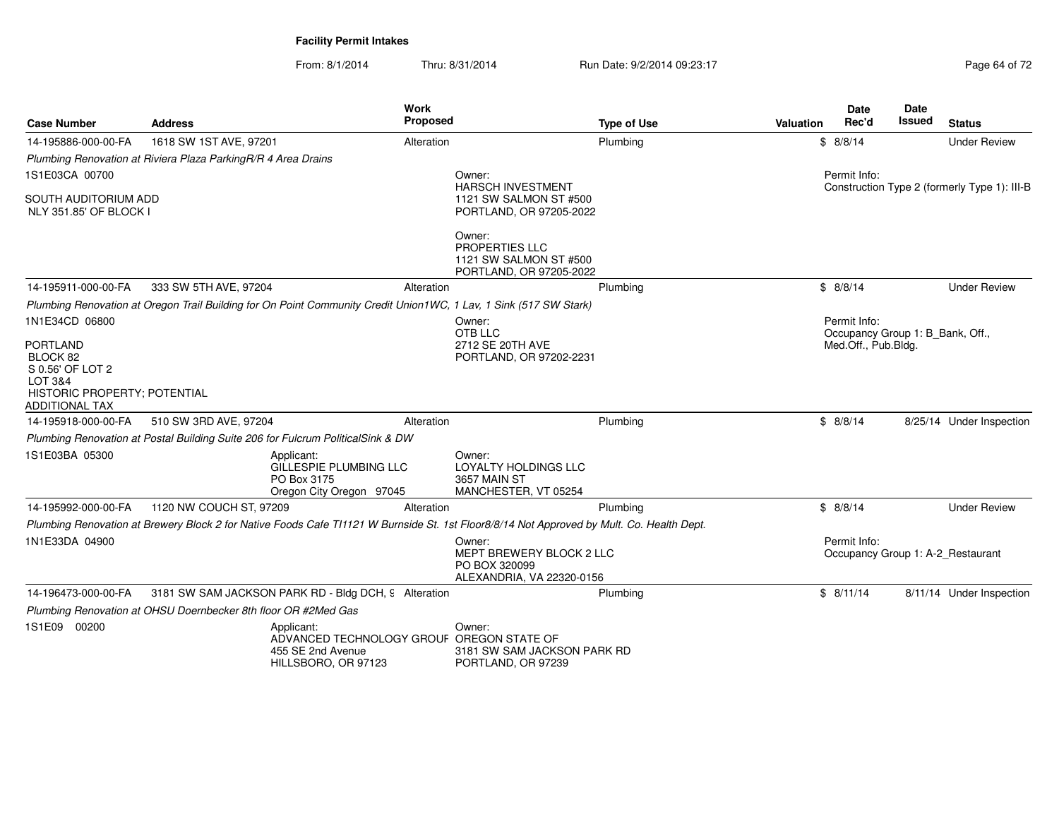From: 8/1/2014Thru: 8/31/2014 Run Date: 9/2/2014 09:23:17 Page 64 of 72

| <b>Case Number</b>                                                                                                  | <b>Address</b>                                                                  | <b>Work</b><br>Proposed                                                                                                                   | <b>Type of Use</b>                                    | <b>Valuation</b> | <b>Date</b><br>Rec'd                             | Date<br>Issued | <b>Status</b>                                |
|---------------------------------------------------------------------------------------------------------------------|---------------------------------------------------------------------------------|-------------------------------------------------------------------------------------------------------------------------------------------|-------------------------------------------------------|------------------|--------------------------------------------------|----------------|----------------------------------------------|
| 14-195886-000-00-FA                                                                                                 | 1618 SW 1ST AVE, 97201                                                          | Alteration                                                                                                                                | Plumbing                                              |                  | \$8/8/14                                         |                | <b>Under Review</b>                          |
|                                                                                                                     | Plumbing Renovation at Riviera Plaza ParkingR/R 4 Area Drains                   |                                                                                                                                           |                                                       |                  |                                                  |                |                                              |
| 1S1E03CA 00700                                                                                                      |                                                                                 | Owner:                                                                                                                                    |                                                       |                  | Permit Info:                                     |                |                                              |
| <b>SOUTH AUDITORIUM ADD</b><br>NLY 351.85' OF BLOCK I                                                               |                                                                                 | <b>HARSCH INVESTMENT</b>                                                                                                                  | 1121 SW SALMON ST #500<br>PORTLAND, OR 97205-2022     |                  |                                                  |                | Construction Type 2 (formerly Type 1): III-B |
|                                                                                                                     |                                                                                 | Owner:<br><b>PROPERTIES LLC</b>                                                                                                           | 1121 SW SALMON ST #500<br>PORTLAND, OR 97205-2022     |                  |                                                  |                |                                              |
| 14-195911-000-00-FA                                                                                                 | 333 SW 5TH AVE, 97204                                                           | Alteration                                                                                                                                | Plumbing                                              |                  | \$8/8/14                                         |                | <b>Under Review</b>                          |
|                                                                                                                     |                                                                                 | Plumbing Renovation at Oregon Trail Building for On Point Community Credit Union1WC, 1 Lav, 1 Sink (517 SW Stark)                         |                                                       |                  |                                                  |                |                                              |
| 1N1E34CD 06800                                                                                                      |                                                                                 | Owner:<br>OTB LLC                                                                                                                         |                                                       |                  | Permit Info:<br>Occupancy Group 1: B_Bank, Off., |                |                                              |
| <b>PORTLAND</b><br>BLOCK 82<br>S 0.56' OF LOT 2<br>LOT 3&4<br>HISTORIC PROPERTY; POTENTIAL<br><b>ADDITIONAL TAX</b> |                                                                                 | 2712 SE 20TH AVE                                                                                                                          | PORTLAND, OR 97202-2231                               |                  | Med.Off., Pub.Bldg.                              |                |                                              |
| 14-195918-000-00-FA                                                                                                 | 510 SW 3RD AVE, 97204                                                           | Alteration                                                                                                                                | Plumbing                                              |                  | \$8/8/14                                         |                | 8/25/14 Under Inspection                     |
|                                                                                                                     | Plumbing Renovation at Postal Building Suite 206 for Fulcrum PoliticalSink & DW |                                                                                                                                           |                                                       |                  |                                                  |                |                                              |
| 1S1E03BA 05300                                                                                                      | Applicant:<br>PO Box 3175                                                       | Owner:<br>GILLESPIE PLUMBING LLC<br>LOYALTY HOLDINGS LLC<br>3657 MAIN ST<br>Oregon City Oregon 97045<br>MANCHESTER, VT 05254              |                                                       |                  |                                                  |                |                                              |
| 14-195992-000-00-FA                                                                                                 | 1120 NW COUCH ST, 97209                                                         | Alteration                                                                                                                                | Plumbing                                              |                  | \$8/8/14                                         |                | <b>Under Review</b>                          |
|                                                                                                                     |                                                                                 | Plumbing Renovation at Brewery Block 2 for Native Foods Cafe TI1121 W Burnside St. 1st Floor8/8/14 Not Approved by Mult. Co. Health Dept. |                                                       |                  |                                                  |                |                                              |
| 1N1E33DA 04900                                                                                                      |                                                                                 | Owner:<br>PO BOX 320099                                                                                                                   | MEPT BREWERY BLOCK 2 LLC<br>ALEXANDRIA, VA 22320-0156 |                  | Permit Info:                                     |                | Occupancy Group 1: A-2 Restaurant            |
| 14-196473-000-00-FA                                                                                                 | 3181 SW SAM JACKSON PARK RD - Bldg DCH, 9 Alteration                            |                                                                                                                                           | Plumbing                                              |                  | \$8/11/14                                        |                | 8/11/14 Under Inspection                     |
|                                                                                                                     | Plumbing Renovation at OHSU Doernbecker 8th floor OR #2Med Gas                  |                                                                                                                                           |                                                       |                  |                                                  |                |                                              |
| 1S1E09 00200                                                                                                        | Applicant:<br>455 SE 2nd Avenue<br>HILLSBORO, OR 97123                          | Owner:<br>ADVANCED TECHNOLOGY GROUF OREGON STATE OF<br>PORTLAND, OR 97239                                                                 | 3181 SW SAM JACKSON PARK RD                           |                  |                                                  |                |                                              |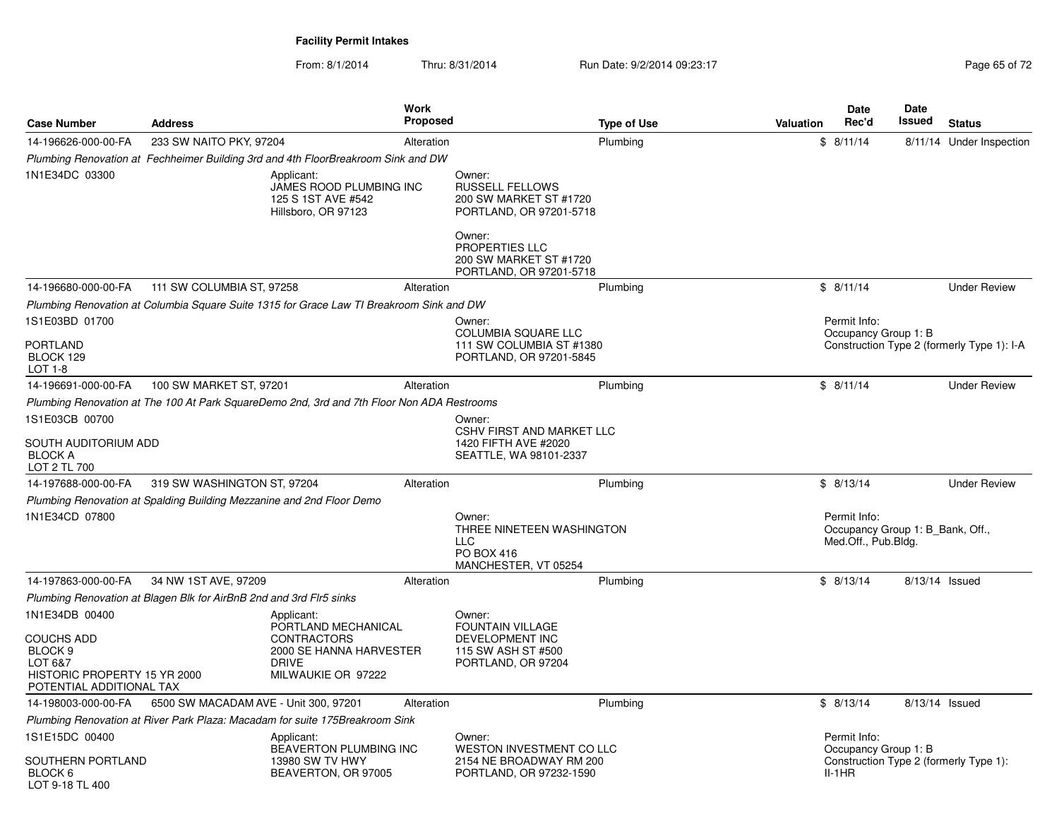From: 8/1/2014Thru: 8/31/2014 Run Date: 9/2/2014 09:23:17 Rege 65 of 72

| <b>Case Number</b>                                                                                             | <b>Address</b>                                                        | <b>Work</b><br><b>Proposed</b>                                                                             |                                                                                               | <b>Type of Use</b> | Valuation | Date<br>Rec'd                       | <b>Date</b><br>Issued            | <b>Status</b>                              |
|----------------------------------------------------------------------------------------------------------------|-----------------------------------------------------------------------|------------------------------------------------------------------------------------------------------------|-----------------------------------------------------------------------------------------------|--------------------|-----------|-------------------------------------|----------------------------------|--------------------------------------------|
| 14-196626-000-00-FA                                                                                            | 233 SW NAITO PKY, 97204                                               | Alteration                                                                                                 |                                                                                               | Plumbing           |           | \$8/11/14                           |                                  | 8/11/14 Under Inspection                   |
|                                                                                                                |                                                                       | Plumbing Renovation at Fechheimer Building 3rd and 4th FloorBreakroom Sink and DW                          |                                                                                               |                    |           |                                     |                                  |                                            |
| 1N1E34DC 03300                                                                                                 |                                                                       | Applicant:<br>JAMES ROOD PLUMBING INC<br>125 S 1ST AVE #542<br>Hillsboro, OR 97123                         | Owner:<br><b>RUSSELL FELLOWS</b><br>200 SW MARKET ST #1720<br>PORTLAND, OR 97201-5718         |                    |           |                                     |                                  |                                            |
|                                                                                                                |                                                                       |                                                                                                            | Owner:<br>PROPERTIES LLC<br>200 SW MARKET ST #1720<br>PORTLAND, OR 97201-5718                 |                    |           |                                     |                                  |                                            |
| 14-196680-000-00-FA                                                                                            | 111 SW COLUMBIA ST, 97258                                             | Alteration                                                                                                 |                                                                                               | Plumbing           |           | \$8/11/14                           |                                  | <b>Under Review</b>                        |
|                                                                                                                |                                                                       | Plumbing Renovation at Columbia Square Suite 1315 for Grace Law TI Breakroom Sink and DW                   |                                                                                               |                    |           |                                     |                                  |                                            |
| 1S1E03BD 01700                                                                                                 |                                                                       |                                                                                                            | Owner:                                                                                        |                    |           | Permit Info:                        |                                  |                                            |
| PORTLAND<br>BLOCK 129<br><b>LOT 1-8</b>                                                                        |                                                                       |                                                                                                            | <b>COLUMBIA SQUARE LLC</b><br>111 SW COLUMBIA ST #1380<br>PORTLAND, OR 97201-5845             |                    |           | Occupancy Group 1: B                |                                  | Construction Type 2 (formerly Type 1): I-A |
| 14-196691-000-00-FA                                                                                            | 100 SW MARKET ST, 97201                                               | Alteration                                                                                                 |                                                                                               | Plumbing           |           | \$8/11/14                           |                                  | <b>Under Review</b>                        |
|                                                                                                                |                                                                       | Plumbing Renovation at The 100 At Park SquareDemo 2nd, 3rd and 7th Floor Non ADA Restrooms                 |                                                                                               |                    |           |                                     |                                  |                                            |
| 1S1E03CB 00700                                                                                                 |                                                                       |                                                                                                            | Owner:                                                                                        |                    |           |                                     |                                  |                                            |
| SOUTH AUDITORIUM ADD<br><b>BLOCK A</b><br>LOT 2 TL 700                                                         |                                                                       |                                                                                                            | <b>CSHV FIRST AND MARKET LLC</b><br>1420 FIFTH AVE #2020<br>SEATTLE, WA 98101-2337            |                    |           |                                     |                                  |                                            |
| 14-197688-000-00-FA                                                                                            | 319 SW WASHINGTON ST, 97204                                           | Alteration                                                                                                 |                                                                                               | Plumbing           |           | \$8/13/14                           |                                  | <b>Under Review</b>                        |
|                                                                                                                | Plumbing Renovation at Spalding Building Mezzanine and 2nd Floor Demo |                                                                                                            |                                                                                               |                    |           |                                     |                                  |                                            |
| 1N1E34CD 07800                                                                                                 |                                                                       |                                                                                                            | Owner:<br>THREE NINETEEN WASHINGTON<br><b>LLC</b><br>PO BOX 416<br>MANCHESTER, VT 05254       |                    |           | Permit Info:<br>Med.Off., Pub.Bldg. | Occupancy Group 1: B Bank, Off., |                                            |
| 14-197863-000-00-FA                                                                                            | 34 NW 1ST AVE, 97209                                                  | Alteration                                                                                                 |                                                                                               | Plumbing           |           | \$8/13/14                           | 8/13/14 Issued                   |                                            |
|                                                                                                                | Plumbing Renovation at Blagen Blk for AirBnB 2nd and 3rd Flr5 sinks   |                                                                                                            |                                                                                               |                    |           |                                     |                                  |                                            |
| 1N1E34DB 00400                                                                                                 |                                                                       | Applicant:                                                                                                 | Owner:                                                                                        |                    |           |                                     |                                  |                                            |
| <b>COUCHS ADD</b><br>BLOCK <sub>9</sub><br>LOT 6&7<br>HISTORIC PROPERTY 15 YR 2000<br>POTENTIAL ADDITIONAL TAX |                                                                       | PORTLAND MECHANICAL<br><b>CONTRACTORS</b><br>2000 SE HANNA HARVESTER<br><b>DRIVE</b><br>MILWAUKIE OR 97222 | <b>FOUNTAIN VILLAGE</b><br><b>DEVELOPMENT INC</b><br>115 SW ASH ST #500<br>PORTLAND, OR 97204 |                    |           |                                     |                                  |                                            |
| 14-198003-000-00-FA                                                                                            | 6500 SW MACADAM AVE - Unit 300, 97201                                 | Alteration                                                                                                 |                                                                                               | Plumbing           |           | \$8/13/14                           | 8/13/14 Issued                   |                                            |
|                                                                                                                |                                                                       | Plumbing Renovation at River Park Plaza: Macadam for suite 175Breakroom Sink                               |                                                                                               |                    |           |                                     |                                  |                                            |
| 1S1E15DC 00400                                                                                                 |                                                                       | Applicant:                                                                                                 | Owner:                                                                                        |                    |           | Permit Info:                        |                                  |                                            |
| SOUTHERN PORTLAND<br>BLOCK 6<br>LOT 9-18 TL 400                                                                |                                                                       | <b>BEAVERTON PLUMBING INC</b><br>13980 SW TV HWY<br>BEAVERTON, OR 97005                                    | WESTON INVESTMENT CO LLC<br>2154 NE BROADWAY RM 200<br>PORTLAND, OR 97232-1590                |                    |           | Occupancy Group 1: B<br>$II-1HR$    |                                  | Construction Type 2 (formerly Type 1):     |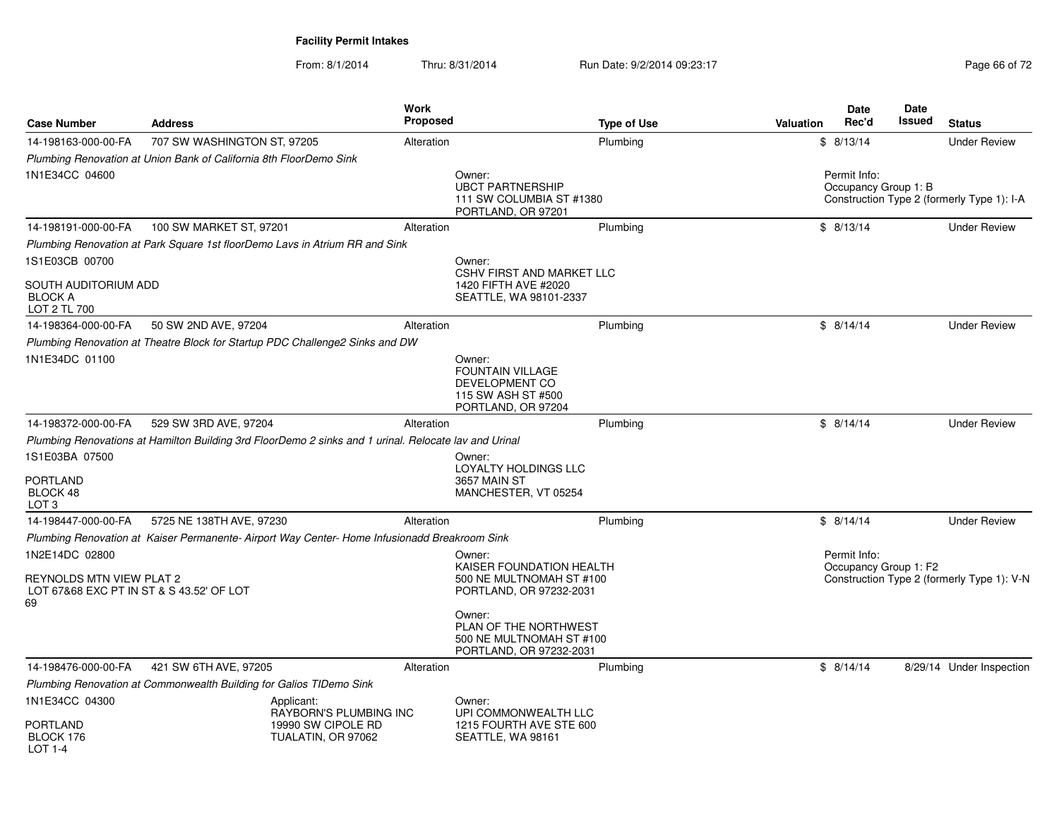From: 8/1/2014Thru: 8/31/2014 Run Date: 9/2/2014 09:23:17 Rege 66 of 72

| <b>Case Number</b>                                                                           | <b>Address</b>                                                               | <b>Work</b><br><b>Proposed</b>                                                                        | <b>Type of Use</b>                                                                        | Valuation | Date<br>Rec'd                         | <b>Date</b><br>Issued | <b>Status</b>                              |
|----------------------------------------------------------------------------------------------|------------------------------------------------------------------------------|-------------------------------------------------------------------------------------------------------|-------------------------------------------------------------------------------------------|-----------|---------------------------------------|-----------------------|--------------------------------------------|
| 14-198163-000-00-FA                                                                          | 707 SW WASHINGTON ST, 97205                                                  | Alteration                                                                                            | Plumbing                                                                                  |           | \$8/13/14                             |                       | <b>Under Review</b>                        |
|                                                                                              | Plumbing Renovation at Union Bank of California 8th FloorDemo Sink           |                                                                                                       |                                                                                           |           |                                       |                       |                                            |
| 1N1E34CC 04600                                                                               |                                                                              |                                                                                                       | Owner:<br><b>UBCT PARTNERSHIP</b><br>111 SW COLUMBIA ST #1380<br>PORTLAND, OR 97201       |           | Permit Info:<br>Occupancy Group 1: B  |                       | Construction Type 2 (formerly Type 1): I-A |
| 14-198191-000-00-FA                                                                          | 100 SW MARKET ST, 97201                                                      | Alteration                                                                                            | Plumbing                                                                                  |           | \$8/13/14                             |                       | <b>Under Review</b>                        |
|                                                                                              | Plumbing Renovation at Park Square 1st floorDemo Lavs in Atrium RR and Sink  |                                                                                                       |                                                                                           |           |                                       |                       |                                            |
| 1S1E03CB 00700                                                                               |                                                                              |                                                                                                       | Owner:<br><b>CSHV FIRST AND MARKET LLC</b>                                                |           |                                       |                       |                                            |
| SOUTH AUDITORIUM ADD<br><b>BLOCK A</b><br>LOT 2 TL 700                                       |                                                                              |                                                                                                       | 1420 FIFTH AVE #2020<br>SEATTLE, WA 98101-2337                                            |           |                                       |                       |                                            |
| 14-198364-000-00-FA                                                                          | 50 SW 2ND AVE, 97204                                                         | Alteration                                                                                            | Plumbing                                                                                  |           | \$8/14/14                             |                       | <b>Under Review</b>                        |
|                                                                                              | Plumbing Renovation at Theatre Block for Startup PDC Challenge2 Sinks and DW |                                                                                                       |                                                                                           |           |                                       |                       |                                            |
| 1N1E34DC 01100                                                                               |                                                                              |                                                                                                       | Owner:<br>FOUNTAIN VILLAGE<br>DEVELOPMENT CO<br>115 SW ASH ST #500<br>PORTLAND, OR 97204  |           |                                       |                       |                                            |
| 14-198372-000-00-FA                                                                          | 529 SW 3RD AVE, 97204                                                        | Alteration                                                                                            | Plumbing                                                                                  |           | \$8/14/14                             |                       | <b>Under Review</b>                        |
|                                                                                              |                                                                              | Plumbing Renovations at Hamilton Building 3rd FloorDemo 2 sinks and 1 urinal. Relocate lav and Urinal |                                                                                           |           |                                       |                       |                                            |
| 1S1E03BA 07500<br>PORTLAND<br>BLOCK 48<br>LOT 3                                              |                                                                              |                                                                                                       | Owner:<br>LOYALTY HOLDINGS LLC<br>3657 MAIN ST<br>MANCHESTER, VT 05254                    |           |                                       |                       |                                            |
| 14-198447-000-00-FA                                                                          | 5725 NE 138TH AVE, 97230                                                     | Alteration                                                                                            | Plumbing                                                                                  |           | \$8/14/14                             |                       | <b>Under Review</b>                        |
|                                                                                              |                                                                              | Plumbing Renovation at Kaiser Permanente-Airport Way Center-Home Infusionadd Breakroom Sink           |                                                                                           |           |                                       |                       |                                            |
| 1N2E14DC 02800<br>REYNOLDS MTN VIEW PLAT 2<br>LOT 67&68 EXC PT IN ST & S 43.52' OF LOT<br>69 |                                                                              |                                                                                                       | Owner:<br>KAISER FOUNDATION HEALTH<br>500 NE MULTNOMAH ST #100<br>PORTLAND, OR 97232-2031 |           | Permit Info:<br>Occupancy Group 1: F2 |                       | Construction Type 2 (formerly Type 1): V-N |
|                                                                                              |                                                                              |                                                                                                       | Owner:<br>PLAN OF THE NORTHWEST<br>500 NE MULTNOMAH ST #100<br>PORTLAND, OR 97232-2031    |           |                                       |                       |                                            |
| 14-198476-000-00-FA                                                                          | 421 SW 6TH AVE, 97205                                                        | Alteration                                                                                            | Plumbing                                                                                  |           | \$8/14/14                             |                       | 8/29/14 Under Inspection                   |
|                                                                                              | Plumbing Renovation at Commonwealth Building for Galios TIDemo Sink          |                                                                                                       |                                                                                           |           |                                       |                       |                                            |
| 1N1E34CC 04300                                                                               |                                                                              | Applicant:<br>RAYBORN'S PLUMBING INC                                                                  | Owner:<br>UPI COMMONWEALTH LLC                                                            |           |                                       |                       |                                            |
| PORTLAND<br>BLOCK 176<br>LOT 1-4                                                             |                                                                              | 19990 SW CIPOLE RD<br>TUALATIN, OR 97062                                                              | 1215 FOURTH AVE STE 600<br>SEATTLE, WA 98161                                              |           |                                       |                       |                                            |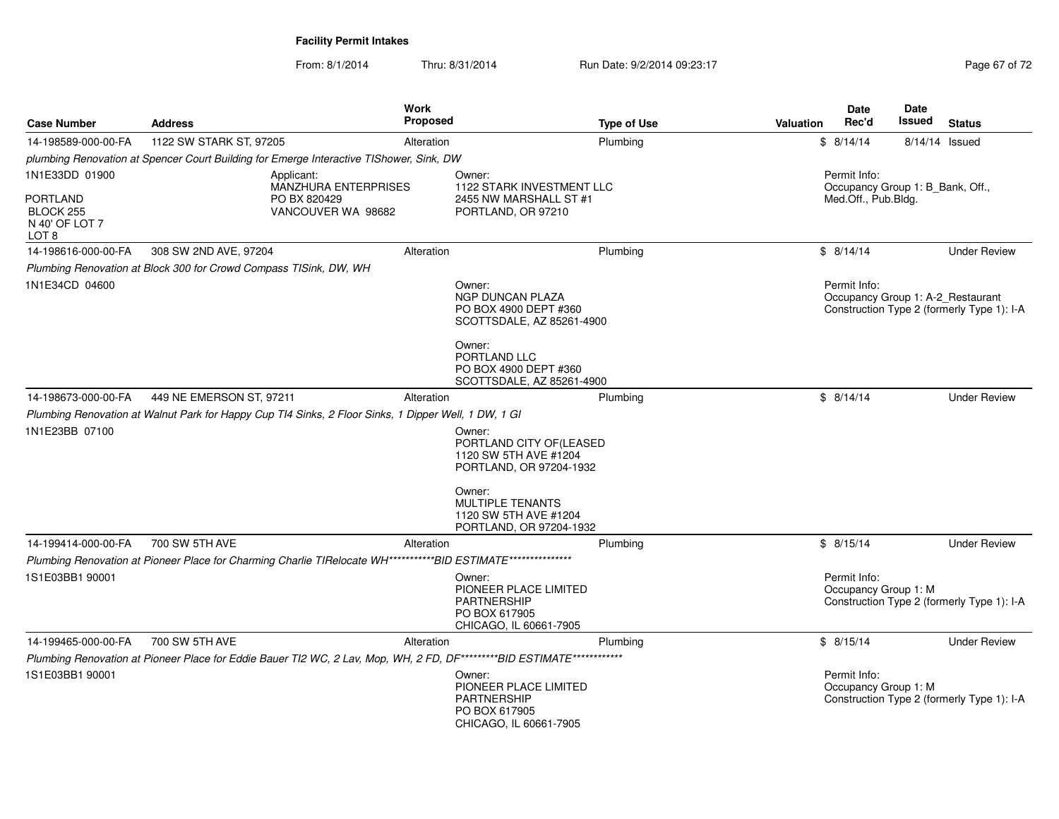From: 8/1/2014Thru: 8/31/2014 Run Date: 9/2/2014 09:23:17 Page 67 of 72

| <b>Case Number</b>                                      | <b>Address</b>                                                                                                         | Work<br><b>Proposed</b> | <b>Type of Use</b>                                                                     | Date<br>Rec'd<br><b>Valuation</b>    | Date<br>Issued<br><b>Status</b>                                                 |
|---------------------------------------------------------|------------------------------------------------------------------------------------------------------------------------|-------------------------|----------------------------------------------------------------------------------------|--------------------------------------|---------------------------------------------------------------------------------|
| 14-198589-000-00-FA                                     | 1122 SW STARK ST, 97205                                                                                                | Alteration              | Plumbing                                                                               | \$8/14/14                            | 8/14/14 Issued                                                                  |
|                                                         | plumbing Renovation at Spencer Court Building for Emerge Interactive TIShower, Sink, DW                                |                         |                                                                                        |                                      |                                                                                 |
| 1N1E33DD 01900                                          | Applicant:<br><b>MANZHURA ENTERPRISES</b>                                                                              | Owner:                  | 1122 STARK INVESTMENT LLC                                                              | Permit Info:                         | Occupancy Group 1: B Bank, Off.,                                                |
| <b>PORTLAND</b><br>BLOCK 255<br>N 40' OF LOT 7<br>LOT 8 | PO BX 820429<br>VANCOUVER WA 98682                                                                                     |                         | 2455 NW MARSHALL ST #1<br>PORTLAND, OR 97210                                           | Med.Off., Pub.Bldg.                  |                                                                                 |
| 14-198616-000-00-FA                                     | 308 SW 2ND AVE, 97204                                                                                                  | Alteration              | Plumbing                                                                               | \$8/14/14                            | <b>Under Review</b>                                                             |
|                                                         | Plumbing Renovation at Block 300 for Crowd Compass TISink, DW, WH                                                      |                         |                                                                                        |                                      |                                                                                 |
| 1N1E34CD 04600                                          |                                                                                                                        | Owner:                  | NGP DUNCAN PLAZA<br>PO BOX 4900 DEPT #360<br>SCOTTSDALE, AZ 85261-4900                 | Permit Info:                         | Occupancy Group 1: A-2_Restaurant<br>Construction Type 2 (formerly Type 1): I-A |
|                                                         |                                                                                                                        | Owner:                  | PORTLAND LLC<br>PO BOX 4900 DEPT #360<br>SCOTTSDALE, AZ 85261-4900                     |                                      |                                                                                 |
| 14-198673-000-00-FA                                     | 449 NE EMERSON ST, 97211                                                                                               | Alteration              | Plumbing                                                                               | \$8/14/14                            | <b>Under Review</b>                                                             |
|                                                         | Plumbing Renovation at Walnut Park for Happy Cup TI4 Sinks, 2 Floor Sinks, 1 Dipper Well, 1 DW, 1 GI                   |                         |                                                                                        |                                      |                                                                                 |
| 1N1E23BB 07100                                          |                                                                                                                        | Owner:                  | PORTLAND CITY OF(LEASED<br>1120 SW 5TH AVE #1204<br>PORTLAND, OR 97204-1932            |                                      |                                                                                 |
|                                                         |                                                                                                                        | Owner:                  | <b>MULTIPLE TENANTS</b><br>1120 SW 5TH AVE #1204<br>PORTLAND, OR 97204-1932            |                                      |                                                                                 |
| 14-199414-000-00-FA                                     | 700 SW 5TH AVE                                                                                                         | Alteration              | Plumbing                                                                               | \$8/15/14                            | <b>Under Review</b>                                                             |
|                                                         | Plumbing Renovation at Pioneer Place for Charming Charlie TIRelocate WH***********BID ESTIMATE***************          |                         |                                                                                        |                                      |                                                                                 |
| 1S1E03BB1 90001                                         |                                                                                                                        | Owner:                  | PIONEER PLACE LIMITED<br><b>PARTNERSHIP</b><br>PO BOX 617905<br>CHICAGO, IL 60661-7905 | Permit Info:<br>Occupancy Group 1: M | Construction Type 2 (formerly Type 1): I-A                                      |
| 14-199465-000-00-FA                                     | 700 SW 5TH AVE                                                                                                         | Alteration              | Plumbing                                                                               | \$8/15/14                            | <b>Under Review</b>                                                             |
| 1S1E03BB1 90001                                         | Plumbing Renovation at Pioneer Place for Eddie Bauer TI2 WC, 2 Lav, Mop, WH, 2 FD, DF*********BID ESTIMATE************ | Owner:                  | PIONEER PLACE LIMITED<br><b>PARTNERSHIP</b><br>PO BOX 617905<br>CHICAGO, IL 60661-7905 | Permit Info:<br>Occupancy Group 1: M | Construction Type 2 (formerly Type 1): I-A                                      |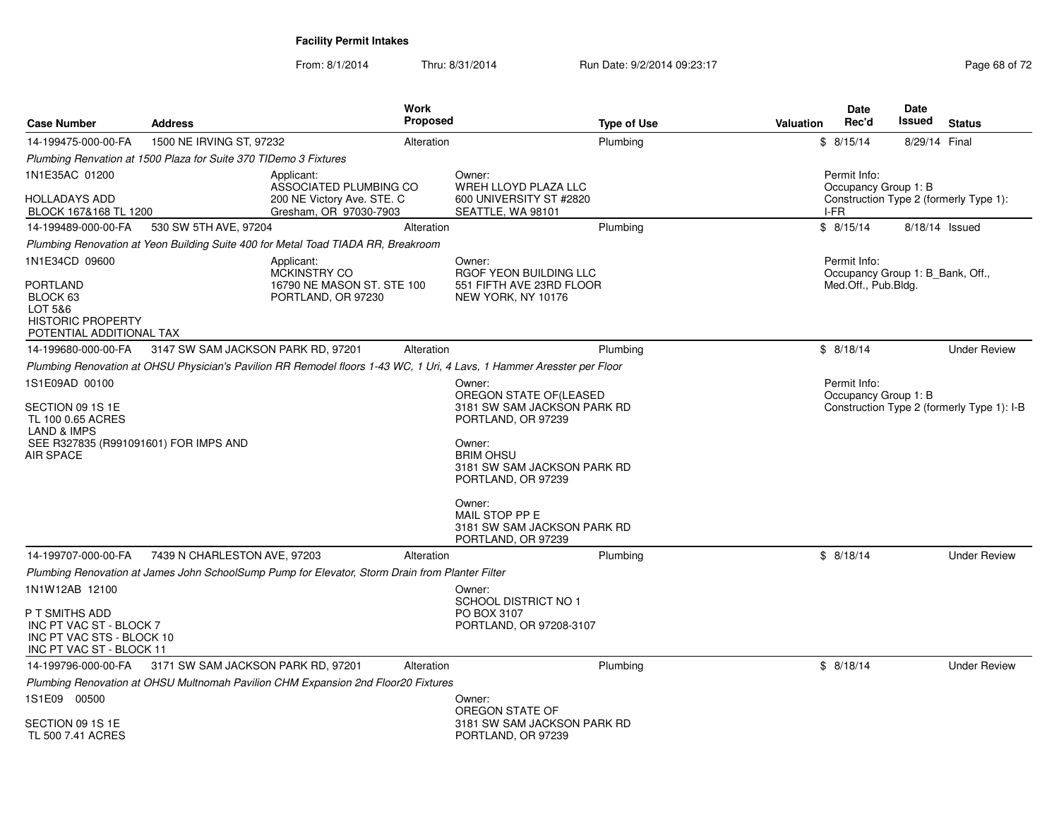From: 8/1/2014Thru: 8/31/2014 Run Date: 9/2/2014 09:23:17 Rege 68 of 72

| <b>Case Number</b>                                                                                                           | <b>Address</b>                     |                                                                                                 | Work<br><b>Proposed</b> |                                                                                                                                                                | <b>Type of Use</b> | Valuation | <b>Date</b><br>Rec'd                                    | <b>Date</b><br>Issued | <b>Status</b>                              |
|------------------------------------------------------------------------------------------------------------------------------|------------------------------------|-------------------------------------------------------------------------------------------------|-------------------------|----------------------------------------------------------------------------------------------------------------------------------------------------------------|--------------------|-----------|---------------------------------------------------------|-----------------------|--------------------------------------------|
| 14-199475-000-00-FA                                                                                                          | 1500 NE IRVING ST, 97232           |                                                                                                 | Alteration              |                                                                                                                                                                | Plumbing           |           | \$8/15/14                                               | 8/29/14 Final         |                                            |
| Plumbing Renvation at 1500 Plaza for Suite 370 TIDemo 3 Fixtures                                                             |                                    |                                                                                                 |                         |                                                                                                                                                                |                    |           |                                                         |                       |                                            |
| 1N1E35AC 01200                                                                                                               |                                    | Applicant:                                                                                      |                         | Owner:                                                                                                                                                         |                    |           | Permit Info:                                            |                       |                                            |
| HOLLADAYS ADD<br>BLOCK 167&168 TL 1200                                                                                       |                                    | ASSOCIATED PLUMBING CO<br>200 NE Victory Ave. STE. C<br>Gresham, OR 97030-7903                  |                         | WREH LLOYD PLAZA LLC<br>600 UNIVERSITY ST #2820<br>SEATTLE, WA 98101                                                                                           |                    |           | Occupancy Group 1: B<br>I-FR                            |                       | Construction Type 2 (formerly Type 1):     |
| 14-199489-000-00-FA                                                                                                          | 530 SW 5TH AVE, 97204              |                                                                                                 | Alteration              |                                                                                                                                                                | Plumbing           |           | \$8/15/14                                               | 8/18/14 Issued        |                                            |
|                                                                                                                              |                                    | Plumbing Renovation at Yeon Building Suite 400 for Metal Toad TIADA RR, Breakroom               |                         |                                                                                                                                                                |                    |           |                                                         |                       |                                            |
| 1N1E34CD 09600                                                                                                               |                                    | Applicant:                                                                                      |                         | Owner:                                                                                                                                                         |                    |           | Permit Info:                                            |                       |                                            |
| PORTLAND<br>BLOCK 63<br>LOT 5&6<br><b>HISTORIC PROPERTY</b><br>POTENTIAL ADDITIONAL TAX                                      |                                    | MCKINSTRY CO<br>16790 NE MASON ST. STE 100<br>PORTLAND, OR 97230                                |                         | RGOF YEON BUILDING LLC<br>551 FIFTH AVE 23RD FLOOR<br>NEW YORK, NY 10176                                                                                       |                    |           | Occupancy Group 1: B Bank, Off.,<br>Med.Off., Pub.Bldg. |                       |                                            |
| 14-199680-000-00-FA                                                                                                          | 3147 SW SAM JACKSON PARK RD, 97201 |                                                                                                 | Alteration              |                                                                                                                                                                | Plumbing           |           | \$8/18/14                                               |                       | <b>Under Review</b>                        |
|                                                                                                                              |                                    |                                                                                                 |                         | Plumbing Renovation at OHSU Physician's Pavilion RR Remodel floors 1-43 WC, 1 Uri, 4 Lavs, 1 Hammer Aresster per Floor                                         |                    |           |                                                         |                       |                                            |
| 1S1E09AD 00100                                                                                                               |                                    |                                                                                                 |                         | Owner:                                                                                                                                                         |                    |           | Permit Info:                                            |                       |                                            |
| SECTION 09 1S 1E<br>TL 100 0.65 ACRES<br><b>LAND &amp; IMPS</b><br>SEE R327835 (R991091601) FOR IMPS AND<br><b>AIR SPACE</b> |                                    |                                                                                                 |                         | OREGON STATE OF(LEASED<br>3181 SW SAM JACKSON PARK RD<br>PORTLAND, OR 97239<br>Owner:<br><b>BRIM OHSU</b><br>3181 SW SAM JACKSON PARK RD<br>PORTLAND, OR 97239 |                    |           | Occupancy Group 1: B                                    |                       | Construction Type 2 (formerly Type 1): I-B |
|                                                                                                                              |                                    |                                                                                                 |                         | Owner:<br>MAIL STOP PP E<br>3181 SW SAM JACKSON PARK RD<br>PORTLAND, OR 97239                                                                                  |                    |           |                                                         |                       |                                            |
| 14-199707-000-00-FA                                                                                                          | 7439 N CHARLESTON AVE, 97203       |                                                                                                 | Alteration              |                                                                                                                                                                | Plumbing           |           | \$8/18/14                                               |                       | <b>Under Review</b>                        |
|                                                                                                                              |                                    | Plumbing Renovation at James John SchoolSump Pump for Elevator, Storm Drain from Planter Filter |                         |                                                                                                                                                                |                    |           |                                                         |                       |                                            |
| 1N1W12AB 12100<br>P T SMITHS ADD<br>INC PT VAC ST - BLOCK 7<br>INC PT VAC STS - BLOCK 10<br>INC PT VAC ST - BLOCK 11         |                                    |                                                                                                 |                         | Owner:<br>SCHOOL DISTRICT NO 1<br>PO BOX 3107<br>PORTLAND, OR 97208-3107                                                                                       |                    |           |                                                         |                       |                                            |
| 14-199796-000-00-FA                                                                                                          | 3171 SW SAM JACKSON PARK RD, 97201 |                                                                                                 | Alteration              |                                                                                                                                                                | Plumbing           |           | \$8/18/14                                               |                       | <b>Under Review</b>                        |
|                                                                                                                              |                                    | Plumbing Renovation at OHSU Multnomah Pavilion CHM Expansion 2nd Floor20 Fixtures               |                         |                                                                                                                                                                |                    |           |                                                         |                       |                                            |
| 1S1E09 00500<br>SECTION 09 1S 1E<br>TL 500 7.41 ACRES                                                                        |                                    |                                                                                                 |                         | Owner:<br>OREGON STATE OF<br>3181 SW SAM JACKSON PARK RD<br>PORTLAND, OR 97239                                                                                 |                    |           |                                                         |                       |                                            |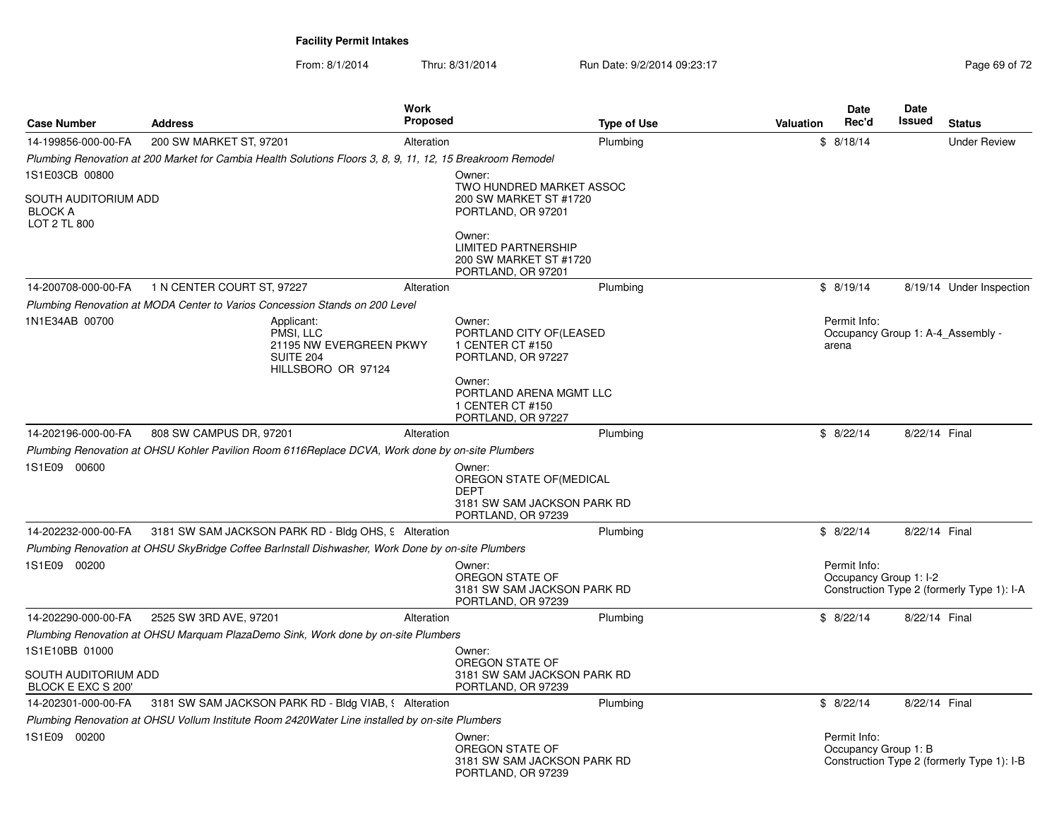From: 8/1/2014Thru: 8/31/2014 Run Date: 9/2/2014 09:23:17 Rege 69 of 72

| <b>Case Number</b>                                           | <b>Address</b>                                                                                             | <b>Work</b><br><b>Proposed</b> | <b>Type of Use</b>                                                            | <b>Date</b><br>Valuation | <b>Date</b><br>Rec'd<br>Issued    | <b>Status</b>                              |
|--------------------------------------------------------------|------------------------------------------------------------------------------------------------------------|--------------------------------|-------------------------------------------------------------------------------|--------------------------|-----------------------------------|--------------------------------------------|
| 14-199856-000-00-FA                                          | 200 SW MARKET ST, 97201                                                                                    | Alteration                     | Plumbing                                                                      | \$8/18/14                |                                   | <b>Under Review</b>                        |
|                                                              | Plumbing Renovation at 200 Market for Cambia Health Solutions Floors 3, 8, 9, 11, 12, 15 Breakroom Remodel |                                |                                                                               |                          |                                   |                                            |
| 1S1E03CB 00800                                               |                                                                                                            | Owner:                         |                                                                               |                          |                                   |                                            |
| SOUTH AUDITORIUM ADD<br><b>BLOCK A</b><br>LOT 2 TL 800       |                                                                                                            |                                | TWO HUNDRED MARKET ASSOC<br>200 SW MARKET ST #1720<br>PORTLAND, OR 97201      |                          |                                   |                                            |
|                                                              |                                                                                                            | Owner:                         | <b>LIMITED PARTNERSHIP</b><br>200 SW MARKET ST #1720<br>PORTLAND, OR 97201    |                          |                                   |                                            |
| 14-200708-000-00-FA                                          | 1 N CENTER COURT ST, 97227                                                                                 | Alteration                     | Plumbing                                                                      | \$8/19/14                |                                   | 8/19/14 Under Inspection                   |
|                                                              | Plumbing Renovation at MODA Center to Varios Concession Stands on 200 Level                                |                                |                                                                               |                          |                                   |                                            |
| 1N1E34AB 00700                                               | Applicant:<br>PMSI. LLC<br>21195 NW EVERGREEN PKWY<br><b>SUITE 204</b><br>HILLSBORO OR 97124               | Owner:<br>1 CENTER CT #150     | PORTLAND CITY OF (LEASED<br>PORTLAND, OR 97227                                | Permit Info:<br>arena    | Occupancy Group 1: A-4_Assembly - |                                            |
|                                                              |                                                                                                            | Owner:<br>1 CENTER CT #150     | PORTLAND ARENA MGMT LLC<br>PORTLAND, OR 97227                                 |                          |                                   |                                            |
| 14-202196-000-00-FA                                          | 808 SW CAMPUS DR, 97201                                                                                    | Alteration                     | Plumbing                                                                      | \$8/22/14                | 8/22/14 Final                     |                                            |
|                                                              | Plumbing Renovation at OHSU Kohler Pavilion Room 6116Replace DCVA, Work done by on-site Plumbers           |                                |                                                                               |                          |                                   |                                            |
| 1S1E09 00600                                                 |                                                                                                            | Owner:<br><b>DEPT</b>          | OREGON STATE OF (MEDICAL<br>3181 SW SAM JACKSON PARK RD<br>PORTLAND, OR 97239 |                          |                                   |                                            |
| 14-202232-000-00-FA                                          | 3181 SW SAM JACKSON PARK RD - Bldg OHS, 9 Alteration                                                       |                                | Plumbing                                                                      | \$8/22/14                | 8/22/14 Final                     |                                            |
|                                                              | Plumbing Renovation at OHSU SkyBridge Coffee Barlnstall Dishwasher, Work Done by on-site Plumbers          |                                |                                                                               |                          |                                   |                                            |
| 1S1E09 00200                                                 |                                                                                                            | Owner:<br>OREGON STATE OF      | 3181 SW SAM JACKSON PARK RD<br>PORTLAND, OR 97239                             | Permit Info:             | Occupancy Group 1: I-2            | Construction Type 2 (formerly Type 1): I-A |
| 14-202290-000-00-FA                                          | 2525 SW 3RD AVE, 97201                                                                                     | Alteration                     | Plumbing                                                                      | \$8/22/14                | 8/22/14 Final                     |                                            |
|                                                              | Plumbing Renovation at OHSU Marquam PlazaDemo Sink, Work done by on-site Plumbers                          |                                |                                                                               |                          |                                   |                                            |
| 1S1E10BB 01000<br>SOUTH AUDITORIUM ADD<br>BLOCK E EXC S 200' |                                                                                                            | Owner:<br>OREGON STATE OF      | 3181 SW SAM JACKSON PARK RD<br>PORTLAND, OR 97239                             |                          |                                   |                                            |
| 14-202301-000-00-FA                                          | 3181 SW SAM JACKSON PARK RD - Bldg VIAB, § Alteration                                                      |                                | Plumbing                                                                      | \$8/22/14                | 8/22/14 Final                     |                                            |
|                                                              | Plumbing Renovation at OHSU Vollum Institute Room 2420Water Line installed by on-site Plumbers             |                                |                                                                               |                          |                                   |                                            |
| 1S1E09 00200                                                 |                                                                                                            | Owner:<br>OREGON STATE OF      | 3181 SW SAM JACKSON PARK RD<br>PORTLAND, OR 97239                             | Permit Info:             | Occupancy Group 1: B              | Construction Type 2 (formerly Type 1): I-B |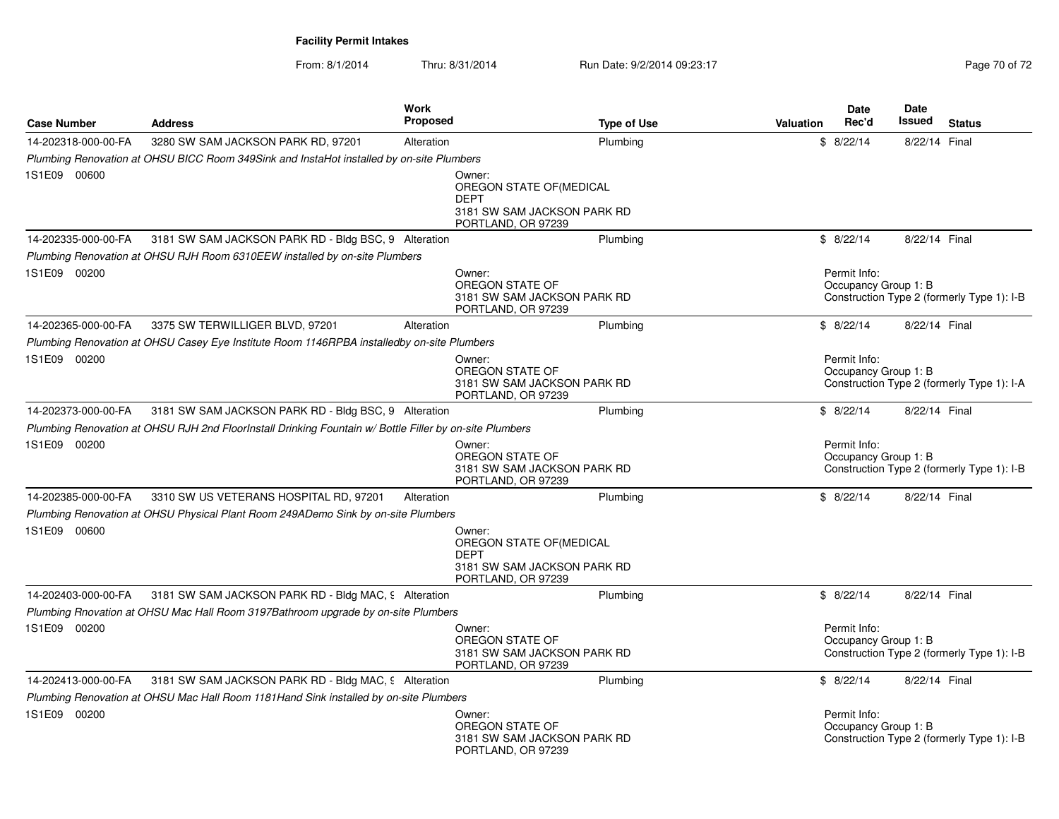From: 8/1/2014Thru: 8/31/2014 Run Date: 9/2/2014 09:23:17 Rege 70 of 72

| <b>Case Number</b>  | <b>Address</b>                                                                                          | Work<br><b>Proposed</b> | <b>Type of Use</b>                                                                                     | Valuation | <b>Date</b><br>Rec'd                 | Date<br><b>Issued</b> | <b>Status</b>                              |
|---------------------|---------------------------------------------------------------------------------------------------------|-------------------------|--------------------------------------------------------------------------------------------------------|-----------|--------------------------------------|-----------------------|--------------------------------------------|
| 14-202318-000-00-FA | 3280 SW SAM JACKSON PARK RD, 97201                                                                      | Alteration              | Plumbing                                                                                               |           | \$8/22/14                            | 8/22/14 Final         |                                            |
|                     | Plumbing Renovation at OHSU BICC Room 349Sink and InstaHot installed by on-site Plumbers                |                         |                                                                                                        |           |                                      |                       |                                            |
| 1S1E09 00600        |                                                                                                         |                         | Owner:<br>OREGON STATE OF (MEDICAL<br><b>DEPT</b><br>3181 SW SAM JACKSON PARK RD<br>PORTLAND, OR 97239 |           |                                      |                       |                                            |
| 14-202335-000-00-FA | 3181 SW SAM JACKSON PARK RD - Bldg BSC, 9 Alteration                                                    |                         | Plumbing                                                                                               |           | \$8/22/14                            | 8/22/14 Final         |                                            |
|                     | Plumbing Renovation at OHSU RJH Room 6310EEW installed by on-site Plumbers                              |                         |                                                                                                        |           |                                      |                       |                                            |
| 1S1E09 00200        |                                                                                                         |                         | Owner:<br>OREGON STATE OF<br>3181 SW SAM JACKSON PARK RD<br>PORTLAND, OR 97239                         |           | Permit Info:<br>Occupancy Group 1: B |                       | Construction Type 2 (formerly Type 1): I-B |
| 14-202365-000-00-FA | 3375 SW TERWILLIGER BLVD, 97201                                                                         | Alteration              | Plumbing                                                                                               |           | \$8/22/14                            | 8/22/14 Final         |                                            |
|                     | Plumbing Renovation at OHSU Casey Eye Institute Room 1146RPBA installedby on-site Plumbers              |                         |                                                                                                        |           |                                      |                       |                                            |
| 1S1E09 00200        |                                                                                                         |                         | Owner:<br>OREGON STATE OF<br>3181 SW SAM JACKSON PARK RD<br>PORTLAND, OR 97239                         |           | Permit Info:<br>Occupancy Group 1: B |                       | Construction Type 2 (formerly Type 1): I-A |
| 14-202373-000-00-FA | 3181 SW SAM JACKSON PARK RD - Bldg BSC, 9 Alteration                                                    |                         | Plumbing                                                                                               |           | \$8/22/14                            | 8/22/14 Final         |                                            |
|                     | Plumbing Renovation at OHSU RJH 2nd FloorInstall Drinking Fountain w/ Bottle Filler by on-site Plumbers |                         |                                                                                                        |           |                                      |                       |                                            |
| 1S1E09 00200        |                                                                                                         |                         | Owner:<br>OREGON STATE OF<br>3181 SW SAM JACKSON PARK RD<br>PORTLAND, OR 97239                         |           | Permit Info:<br>Occupancy Group 1: B |                       | Construction Type 2 (formerly Type 1): I-B |
| 14-202385-000-00-FA | 3310 SW US VETERANS HOSPITAL RD, 97201                                                                  | Alteration              | Plumbing                                                                                               |           | \$8/22/14                            | 8/22/14 Final         |                                            |
|                     | Plumbing Renovation at OHSU Physical Plant Room 249ADemo Sink by on-site Plumbers                       |                         |                                                                                                        |           |                                      |                       |                                            |
| 1S1E09 00600        |                                                                                                         |                         | Owner:<br>OREGON STATE OF (MEDICAL<br><b>DEPT</b><br>3181 SW SAM JACKSON PARK RD<br>PORTLAND, OR 97239 |           |                                      |                       |                                            |
| 14-202403-000-00-FA | 3181 SW SAM JACKSON PARK RD - Bldg MAC, 9 Alteration                                                    |                         | Plumbing                                                                                               |           | \$8/22/14                            | 8/22/14 Final         |                                            |
|                     | Plumbing Rnovation at OHSU Mac Hall Room 3197Bathroom upgrade by on-site Plumbers                       |                         |                                                                                                        |           |                                      |                       |                                            |
| 1S1E09 00200        |                                                                                                         |                         | Owner:<br>OREGON STATE OF<br>3181 SW SAM JACKSON PARK RD<br>PORTLAND, OR 97239                         |           | Permit Info:<br>Occupancy Group 1: B |                       | Construction Type 2 (formerly Type 1): I-B |
| 14-202413-000-00-FA | 3181 SW SAM JACKSON PARK RD - Bldg MAC, 9 Alteration                                                    |                         | Plumbing                                                                                               |           | \$8/22/14                            | 8/22/14 Final         |                                            |
|                     | Plumbing Renovation at OHSU Mac Hall Room 1181Hand Sink installed by on-site Plumbers                   |                         |                                                                                                        |           |                                      |                       |                                            |
| 1S1E09 00200        |                                                                                                         |                         | Owner:<br>OREGON STATE OF<br>3181 SW SAM JACKSON PARK RD<br>PORTLAND, OR 97239                         |           | Permit Info:<br>Occupancy Group 1: B |                       | Construction Type 2 (formerly Type 1): I-B |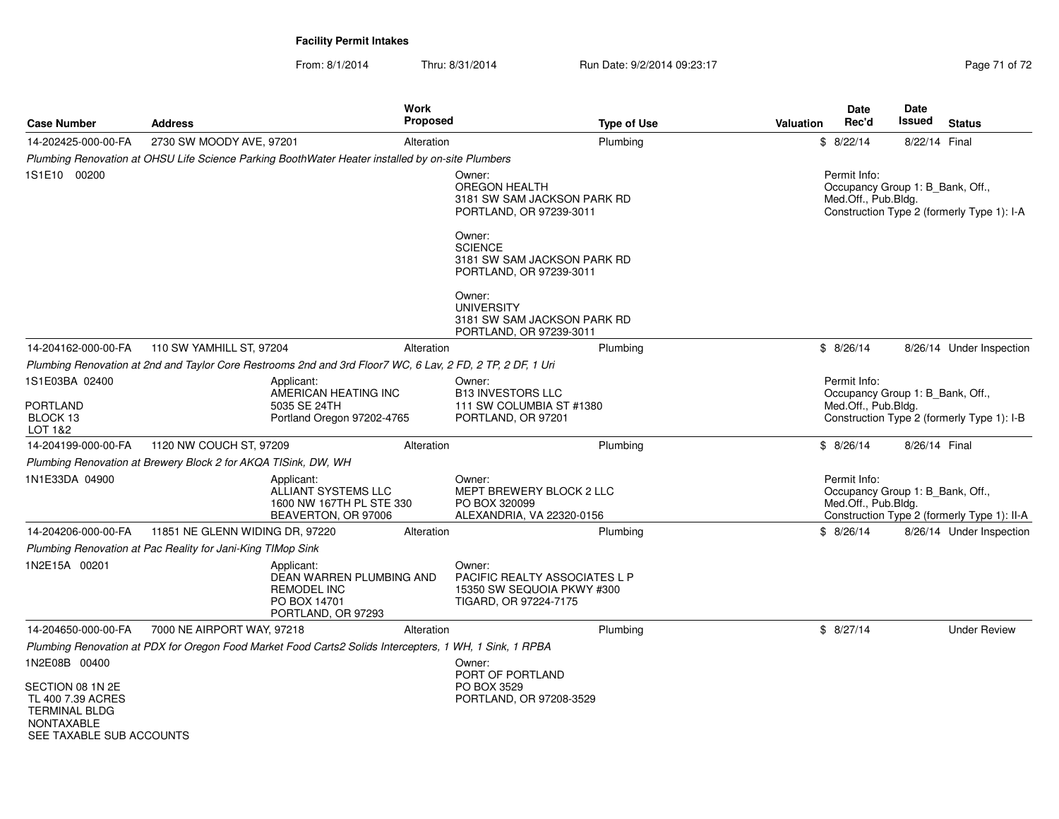From: 8/1/2014Thru: 8/31/2014 Run Date: 9/2/2014 09:23:17 Rege 71 of 72

| <b>Case Number</b>                                                                                      | <b>Address</b>                                                                                             | <b>Work</b><br><b>Proposed</b> | <b>Type of Use</b>                                                                             | <b>Date</b><br>Rec'd<br><b>Valuation</b> | Date<br><b>Issued</b><br><b>Status</b>                                          |
|---------------------------------------------------------------------------------------------------------|------------------------------------------------------------------------------------------------------------|--------------------------------|------------------------------------------------------------------------------------------------|------------------------------------------|---------------------------------------------------------------------------------|
| 14-202425-000-00-FA                                                                                     | 2730 SW MOODY AVE, 97201                                                                                   | Alteration                     | Plumbing                                                                                       | \$8/22/14                                | 8/22/14 Final                                                                   |
|                                                                                                         | Plumbing Renovation at OHSU Life Science Parking BoothWater Heater installed by on-site Plumbers           |                                |                                                                                                |                                          |                                                                                 |
| 1S1E10 00200                                                                                            |                                                                                                            |                                | Owner:<br>OREGON HEALTH<br>3181 SW SAM JACKSON PARK RD<br>PORTLAND, OR 97239-3011              | Permit Info:<br>Med.Off., Pub.Bldg.      | Occupancy Group 1: B Bank, Off.,<br>Construction Type 2 (formerly Type 1): I-A  |
|                                                                                                         |                                                                                                            |                                | Owner:<br><b>SCIENCE</b><br>3181 SW SAM JACKSON PARK RD<br>PORTLAND, OR 97239-3011             |                                          |                                                                                 |
|                                                                                                         |                                                                                                            |                                | Owner:<br><b>UNIVERSITY</b><br>3181 SW SAM JACKSON PARK RD<br>PORTLAND, OR 97239-3011          |                                          |                                                                                 |
| 14-204162-000-00-FA                                                                                     | 110 SW YAMHILL ST, 97204                                                                                   | Alteration                     | Plumbing                                                                                       | \$8/26/14                                | 8/26/14 Under Inspection                                                        |
|                                                                                                         | Plumbing Renovation at 2nd and Taylor Core Restrooms 2nd and 3rd Floor7 WC, 6 Lav, 2 FD, 2 TP, 2 DF, 1 Uri |                                |                                                                                                |                                          |                                                                                 |
| 1S1E03BA 02400                                                                                          | Applicant:                                                                                                 |                                | Owner:                                                                                         | Permit Info:                             |                                                                                 |
| <b>PORTLAND</b><br>BLOCK 13<br>LOT 1&2                                                                  | AMERICAN HEATING INC<br>5035 SE 24TH<br>Portland Oregon 97202-4765                                         |                                | <b>B13 INVESTORS LLC</b><br>111 SW COLUMBIA ST #1380<br>PORTLAND, OR 97201                     | Med.Off., Pub.Bldg.                      | Occupancy Group 1: B Bank, Off.,<br>Construction Type 2 (formerly Type 1): I-B  |
| 14-204199-000-00-FA                                                                                     | 1120 NW COUCH ST, 97209                                                                                    | Alteration                     | Plumbing                                                                                       | \$8/26/14                                | 8/26/14 Final                                                                   |
|                                                                                                         | Plumbing Renovation at Brewery Block 2 for AKQA TISink, DW, WH                                             |                                |                                                                                                |                                          |                                                                                 |
| 1N1E33DA 04900                                                                                          | Applicant:<br>ALLIANT SYSTEMS LLC<br>1600 NW 167TH PL STE 330<br>BEAVERTON, OR 97006                       |                                | Owner:<br>MEPT BREWERY BLOCK 2 LLC<br>PO BOX 320099<br>ALEXANDRIA, VA 22320-0156               | Permit Info:<br>Med.Off., Pub.Bldg.      | Occupancy Group 1: B_Bank, Off.,<br>Construction Type 2 (formerly Type 1): II-A |
| 14-204206-000-00-FA                                                                                     | 11851 NE GLENN WIDING DR, 97220                                                                            | Alteration                     | Plumbing                                                                                       | \$8/26/14                                | 8/26/14 Under Inspection                                                        |
|                                                                                                         | Plumbing Renovation at Pac Reality for Jani-King TIMop Sink                                                |                                |                                                                                                |                                          |                                                                                 |
| 1N2E15A 00201                                                                                           | Applicant:<br>DEAN WARREN PLUMBING AND<br><b>REMODEL INC</b><br>PO BOX 14701<br>PORTLAND, OR 97293         |                                | Owner:<br>PACIFIC REALTY ASSOCIATES L P<br>15350 SW SEQUOIA PKWY #300<br>TIGARD, OR 97224-7175 |                                          |                                                                                 |
| 14-204650-000-00-FA                                                                                     | 7000 NE AIRPORT WAY, 97218                                                                                 | Alteration                     | Plumbing                                                                                       | \$8/27/14                                | <b>Under Review</b>                                                             |
|                                                                                                         | Plumbing Renovation at PDX for Oregon Food Market Food Carts2 Solids Intercepters, 1 WH, 1 Sink, 1 RPBA    |                                |                                                                                                |                                          |                                                                                 |
| 1N2E08B 00400                                                                                           |                                                                                                            |                                | Owner:                                                                                         |                                          |                                                                                 |
| SECTION 08 1N 2E<br>TL 400 7.39 ACRES<br><b>TERMINAL BLDG</b><br>NONTAXABLE<br>SEE TAXABLE SUB ACCOUNTS |                                                                                                            |                                | PORT OF PORTLAND<br>PO BOX 3529<br>PORTLAND, OR 97208-3529                                     |                                          |                                                                                 |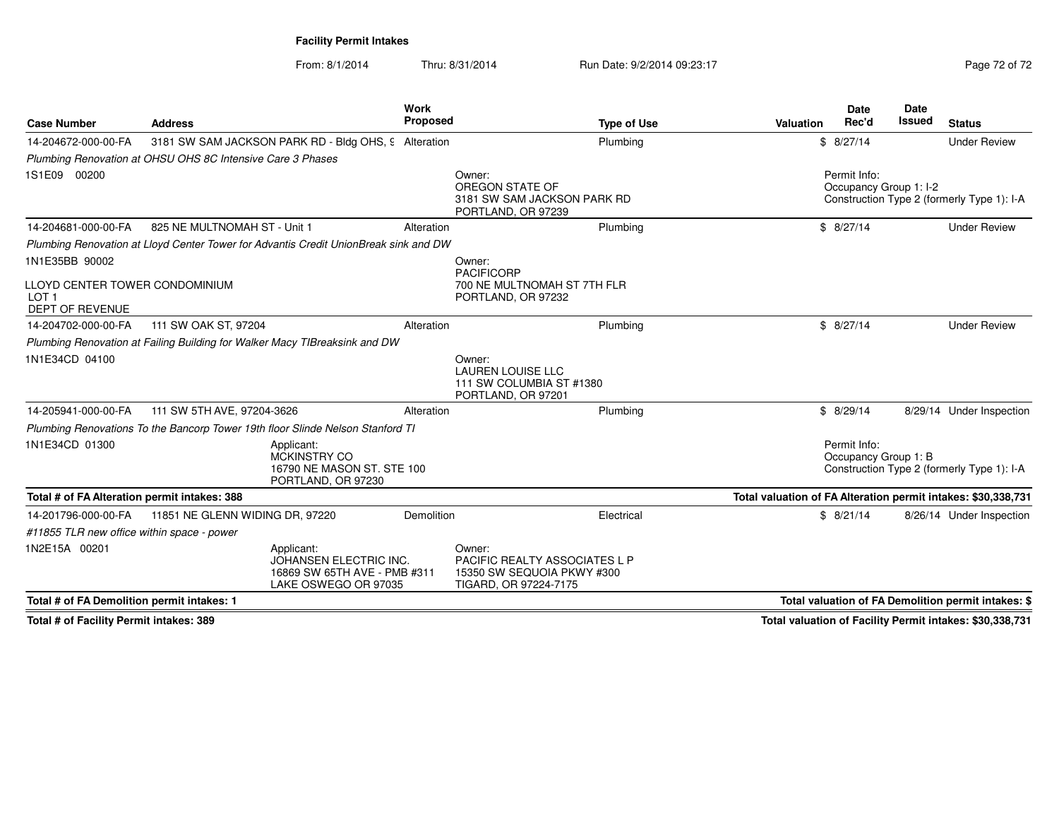From: 8/1/2014Thru: 8/31/2014 Run Date: 9/2/2014 09:23:17 Page 72 of 72

| <b>Case Number</b>                                                           | <b>Address</b>                                                                               | Work<br><b>Proposed</b> | <b>Type of Use</b>                                                                                    | Valuation | <b>Date</b><br>Rec'd                   | Date<br><b>Issued</b> | <b>Status</b>                                                 |
|------------------------------------------------------------------------------|----------------------------------------------------------------------------------------------|-------------------------|-------------------------------------------------------------------------------------------------------|-----------|----------------------------------------|-----------------------|---------------------------------------------------------------|
| 14-204672-000-00-FA                                                          | 3181 SW SAM JACKSON PARK RD - Bldg OHS, 9 Alteration                                         |                         | Plumbing                                                                                              |           | \$8/27/14                              |                       | <b>Under Review</b>                                           |
|                                                                              | Plumbing Renovation at OHSU OHS 8C Intensive Care 3 Phases                                   |                         |                                                                                                       |           |                                        |                       |                                                               |
| 1S1E09 00200                                                                 |                                                                                              |                         | Owner:<br>OREGON STATE OF<br>3181 SW SAM JACKSON PARK RD<br>PORTLAND, OR 97239                        |           | Permit Info:<br>Occupancy Group 1: I-2 |                       | Construction Type 2 (formerly Type 1): I-A                    |
| 14-204681-000-00-FA                                                          | 825 NE MULTNOMAH ST - Unit 1                                                                 | Alteration              | Plumbing                                                                                              |           | \$8/27/14                              |                       | <b>Under Review</b>                                           |
|                                                                              | Plumbing Renovation at Lloyd Center Tower for Advantis Credit UnionBreak sink and DW         |                         |                                                                                                       |           |                                        |                       |                                                               |
| 1N1E35BB 90002                                                               |                                                                                              |                         | Owner:                                                                                                |           |                                        |                       |                                                               |
| LLOYD CENTER TOWER CONDOMINIUM<br>LOT <sub>1</sub><br><b>DEPT OF REVENUE</b> |                                                                                              |                         | <b>PACIFICORP</b><br>700 NE MULTNOMAH ST 7TH FLR<br>PORTLAND, OR 97232                                |           |                                        |                       |                                                               |
| 14-204702-000-00-FA                                                          | 111 SW OAK ST, 97204                                                                         | Alteration              | Plumbing                                                                                              |           | \$8/27/14                              |                       | <b>Under Review</b>                                           |
|                                                                              | Plumbing Renovation at Failing Building for Walker Macy TIBreaksink and DW                   |                         |                                                                                                       |           |                                        |                       |                                                               |
| 1N1E34CD 04100                                                               |                                                                                              |                         | Owner:<br><b>LAUREN LOUISE LLC</b><br>111 SW COLUMBIA ST #1380<br>PORTLAND, OR 97201                  |           |                                        |                       |                                                               |
| 14-205941-000-00-FA                                                          | 111 SW 5TH AVE, 97204-3626                                                                   | Alteration              | Plumbing                                                                                              |           | \$8/29/14                              |                       | 8/29/14 Under Inspection                                      |
|                                                                              | Plumbing Renovations To the Bancorp Tower 19th floor Slinde Nelson Stanford TI               |                         |                                                                                                       |           |                                        |                       |                                                               |
| 1N1E34CD 01300                                                               | Applicant:<br><b>MCKINSTRY CO</b><br>16790 NE MASON ST, STE 100<br>PORTLAND, OR 97230        |                         |                                                                                                       |           | Permit Info:<br>Occupancy Group 1: B   |                       | Construction Type 2 (formerly Type 1): I-A                    |
| Total # of FA Alteration permit intakes: 388                                 |                                                                                              |                         |                                                                                                       |           |                                        |                       | Total valuation of FA Alteration permit intakes: \$30,338,731 |
| 14-201796-000-00-FA                                                          | 11851 NE GLENN WIDING DR, 97220                                                              | Demolition              | Electrical                                                                                            |           | \$8/21/14                              |                       | 8/26/14 Under Inspection                                      |
| #11855 TLR new office within space - power                                   |                                                                                              |                         |                                                                                                       |           |                                        |                       |                                                               |
| 1N2E15A 00201                                                                | Applicant:<br>JOHANSEN ELECTRIC INC.<br>16869 SW 65TH AVE - PMB #311<br>LAKE OSWEGO OR 97035 |                         | Owner:<br><b>PACIFIC REALTY ASSOCIATES L P</b><br>15350 SW SEQUOIA PKWY #300<br>TIGARD, OR 97224-7175 |           |                                        |                       |                                                               |
| Total # of FA Demolition permit intakes: 1                                   |                                                                                              |                         |                                                                                                       |           |                                        |                       | Total valuation of FA Demolition permit intakes: \$           |

**Total # of Facility Permit intakes: 389**

**Total valuation of Facility Permit intakes: \$30,338,731**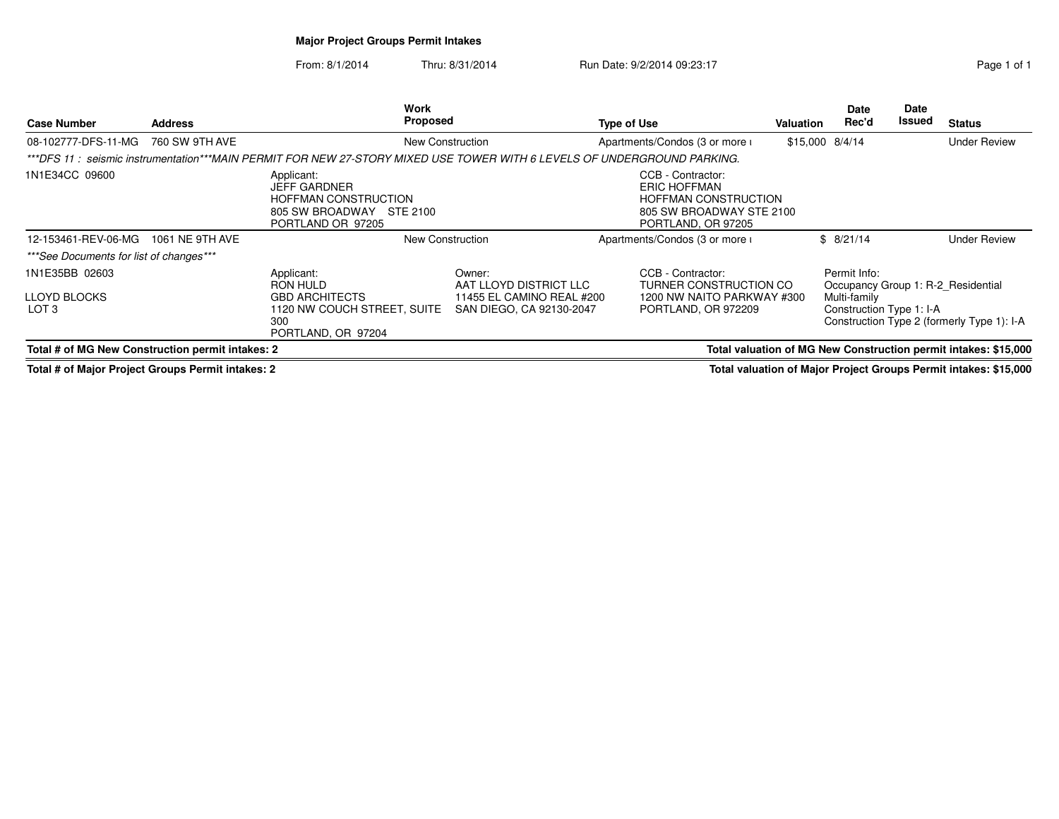## **Major Project Groups Permit Intakes**

From: 8/1/2014Thru: 8/31/2014 Run Date: 9/2/2014 09:23:17 Run Date: 9/2/2014 09:23:17

| <b>Case Number</b>                                                                                                  | <b>Address</b>  | Work<br><b>Proposed</b>                                                                                                |                                                                                           | <b>Type of Use</b>                                                                                                 | Valuation | <b>Date</b><br>Rec'd                                                                           | Date<br>Issued | <b>Status</b>                              |
|---------------------------------------------------------------------------------------------------------------------|-----------------|------------------------------------------------------------------------------------------------------------------------|-------------------------------------------------------------------------------------------|--------------------------------------------------------------------------------------------------------------------|-----------|------------------------------------------------------------------------------------------------|----------------|--------------------------------------------|
| 08-102777-DFS-11-MG                                                                                                 | 760 SW 9TH AVE  |                                                                                                                        | New Construction                                                                          | Apartments/Condos (3 or more i                                                                                     |           | $$15,000$ $8/4/14$                                                                             |                | <b>Under Review</b>                        |
|                                                                                                                     |                 | ***DFS 11:seismic instrumentation***MAIN PERMIT FOR NEW 27-STORY MIXED USE TOWER WITH 6 LEVELS OF UNDERGROUND PARKING. |                                                                                           |                                                                                                                    |           |                                                                                                |                |                                            |
| 1N1E34CC 09600                                                                                                      |                 | Applicant:<br><b>JEFF GARDNER</b><br><b>HOFFMAN CONSTRUCTION</b><br>805 SW BROADWAY STE 2100<br>PORTLAND OR 97205      |                                                                                           | CCB - Contractor:<br>ERIC HOFFMAN<br><b>HOFFMAN CONSTRUCTION</b><br>805 SW BROADWAY STE 2100<br>PORTLAND, OR 97205 |           |                                                                                                |                |                                            |
| 12-153461-REV-06-MG                                                                                                 | 1061 NE 9TH AVE | <b>New Construction</b>                                                                                                |                                                                                           | Apartments/Condos (3 or more i                                                                                     |           | \$8/21/14                                                                                      |                | <b>Under Review</b>                        |
| *** See Documents for list of changes***                                                                            |                 |                                                                                                                        |                                                                                           |                                                                                                                    |           |                                                                                                |                |                                            |
| 1N1E35BB 02603<br>LLOYD BLOCKS<br>LOT <sub>3</sub>                                                                  |                 | Applicant:<br>RON HULD<br><b>GBD ARCHITECTS</b><br>1120 NW COUCH STREET, SUITE<br>300<br>PORTLAND, OR 97204            | Owner:<br>AAT LLOYD DISTRICT LLC<br>11455 EL CAMINO REAL #200<br>SAN DIEGO, CA 92130-2047 | CCB - Contractor:<br>TURNER CONSTRUCTION CO<br>1200 NW NAITO PARKWAY #300<br>PORTLAND, OR 972209                   |           | Permit Info:<br>Occupancy Group 1: R-2 Residential<br>Multi-family<br>Construction Type 1: I-A |                | Construction Type 2 (formerly Type 1): I-A |
| Total valuation of MG New Construction permit intakes: \$15,000<br>Total # of MG New Construction permit intakes: 2 |                 |                                                                                                                        |                                                                                           |                                                                                                                    |           |                                                                                                |                |                                            |

**Total # of Major Project Groups Permit intakes: 2**

**Total valuation of Major Project Groups Permit intakes: \$15,000**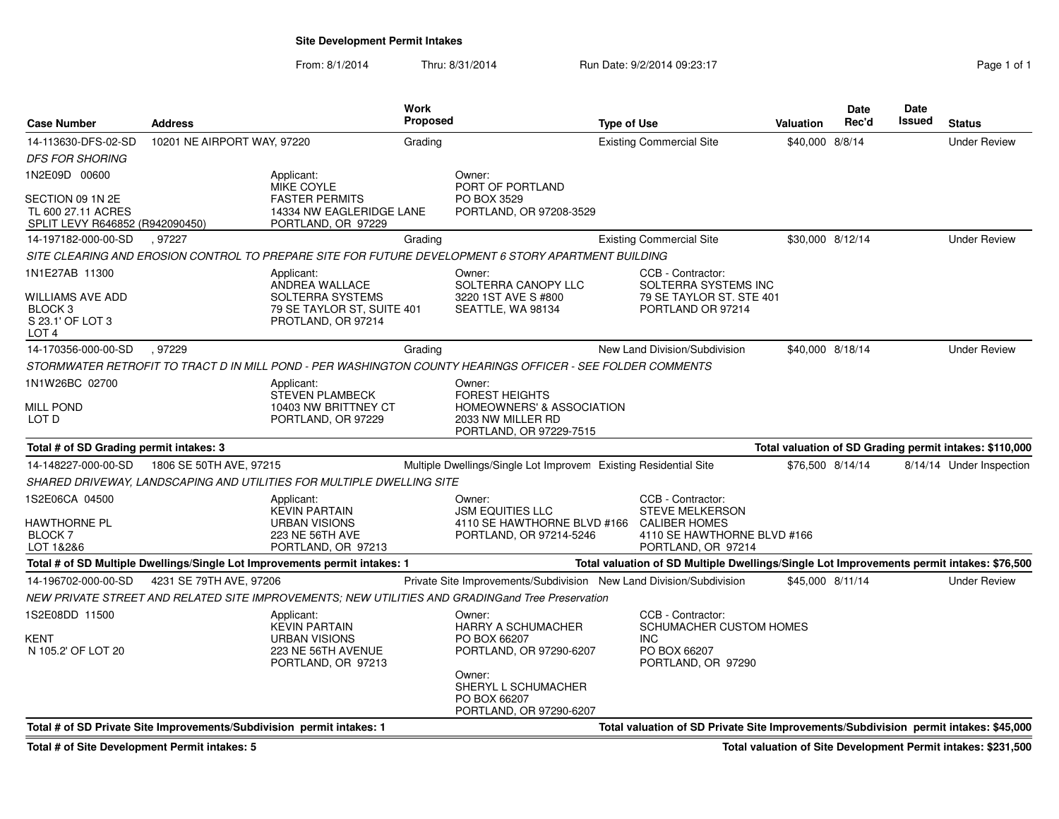## **Site Development Permit Intakes**

From: 8/1/2014Thru: 8/31/2014 Run Date: 9/2/2014 09:23:17

| Page 1 of 1 |  |  |
|-------------|--|--|

| <b>Case Number</b>                                                        | Address                                                               |                                                                                                 | Work<br><b>Proposed</b> |                                                                                                                         | <b>Type of Use</b> |                                                                                                                          | <b>Valuation</b> | <b>Date</b><br>Rec'd | Date<br><b>Issued</b> | <b>Status</b>                                           |
|---------------------------------------------------------------------------|-----------------------------------------------------------------------|-------------------------------------------------------------------------------------------------|-------------------------|-------------------------------------------------------------------------------------------------------------------------|--------------------|--------------------------------------------------------------------------------------------------------------------------|------------------|----------------------|-----------------------|---------------------------------------------------------|
| 14-113630-DFS-02-SD                                                       | 10201 NE AIRPORT WAY, 97220                                           |                                                                                                 | Grading                 |                                                                                                                         |                    | <b>Existing Commercial Site</b>                                                                                          | \$40,000 8/8/14  |                      |                       | <b>Under Review</b>                                     |
| <b>DFS FOR SHORING</b>                                                    |                                                                       |                                                                                                 |                         |                                                                                                                         |                    |                                                                                                                          |                  |                      |                       |                                                         |
| 1N2E09D 00600                                                             |                                                                       | Applicant:<br><b>MIKE COYLE</b>                                                                 |                         | Owner:<br>PORT OF PORTLAND                                                                                              |                    |                                                                                                                          |                  |                      |                       |                                                         |
| SECTION 09 1N 2E<br>TL 600 27.11 ACRES<br>SPLIT LEVY R646852 (R942090450) |                                                                       | <b>FASTER PERMITS</b><br>14334 NW EAGLERIDGE LANE<br>PORTLAND, OR 97229                         |                         | PO BOX 3529<br>PORTLAND, OR 97208-3529                                                                                  |                    |                                                                                                                          |                  |                      |                       |                                                         |
| 14-197182-000-00-SD                                                       | , 97227                                                               |                                                                                                 | Grading                 |                                                                                                                         |                    | <b>Existing Commercial Site</b>                                                                                          | \$30,000 8/12/14 |                      |                       | <b>Under Review</b>                                     |
|                                                                           |                                                                       |                                                                                                 |                         | SITE CLEARING AND EROSION CONTROL TO PREPARE SITE FOR FUTURE DEVELOPMENT 6 STORY APARTMENT BUILDING                     |                    |                                                                                                                          |                  |                      |                       |                                                         |
| 1N1E27AB 11300<br>WILLIAMS AVE ADD<br>BLOCK 3                             |                                                                       | Applicant:<br>ANDREA WALLACE<br>SOLTERRA SYSTEMS<br>79 SE TAYLOR ST, SUITE 401                  |                         | Owner:<br>SOLTERRA CANOPY LLC<br>3220 1ST AVE S #800<br>SEATTLE, WA 98134                                               |                    | CCB - Contractor:<br>SOLTERRA SYSTEMS INC<br>79 SE TAYLOR ST. STE 401<br>PORTLAND OR 97214                               |                  |                      |                       |                                                         |
| S 23.1' OF LOT 3<br>LOT <sub>4</sub>                                      |                                                                       | PROTLAND, OR 97214                                                                              |                         |                                                                                                                         |                    |                                                                                                                          |                  |                      |                       |                                                         |
| 14-170356-000-00-SD                                                       | .97229                                                                |                                                                                                 | Grading                 |                                                                                                                         |                    | New Land Division/Subdivision                                                                                            | \$40,000 8/18/14 |                      |                       | <b>Under Review</b>                                     |
|                                                                           |                                                                       |                                                                                                 |                         | STORMWATER RETROFIT TO TRACT D IN MILL POND - PER WASHINGTON COUNTY HEARINGS OFFICER - SEE FOLDER COMMENTS              |                    |                                                                                                                          |                  |                      |                       |                                                         |
| 1N1W26BC 02700<br>Mill Pond<br>LOT D                                      |                                                                       | Applicant:<br><b>STEVEN PLAMBECK</b><br>10403 NW BRITTNEY CT<br>PORTLAND, OR 97229              |                         | Owner:<br><b>FOREST HEIGHTS</b><br><b>HOMEOWNERS' &amp; ASSOCIATION</b><br>2033 NW MILLER RD<br>PORTLAND, OR 97229-7515 |                    |                                                                                                                          |                  |                      |                       |                                                         |
| Total # of SD Grading permit intakes: 3                                   |                                                                       |                                                                                                 |                         |                                                                                                                         |                    |                                                                                                                          |                  |                      |                       | Total valuation of SD Grading permit intakes: \$110,000 |
| 14-148227-000-00-SD                                                       | 1806 SE 50TH AVE, 97215                                               |                                                                                                 |                         | Multiple Dwellings/Single Lot Improvem Existing Residential Site                                                        |                    |                                                                                                                          |                  | \$76,500 8/14/14     |                       | 8/14/14 Under Inspection                                |
|                                                                           |                                                                       | SHARED DRIVEWAY, LANDSCAPING AND UTILITIES FOR MULTIPLE DWELLING SITE                           |                         |                                                                                                                         |                    |                                                                                                                          |                  |                      |                       |                                                         |
| 1S2E06CA 04500<br>HAWTHORNE PL<br><b>BLOCK7</b><br>LOT 1&2&6              |                                                                       | Applicant:<br>KEVIN PARTAIN<br>URBAN VISIONS<br>223 NE 56TH AVE<br>PORTLAND, OR 97213           |                         | Owner:<br><b>JSM EQUITIES LLC</b><br>4110 SE HAWTHORNE BLVD #166<br>PORTLAND, OR 97214-5246                             |                    | CCB - Contractor:<br><b>STEVE MELKERSON</b><br><b>CALIBER HOMES</b><br>4110 SE HAWTHORNE BLVD #166<br>PORTLAND, OR 97214 |                  |                      |                       |                                                         |
|                                                                           |                                                                       | Total # of SD Multiple Dwellings/Single Lot Improvements permit intakes: 1                      |                         |                                                                                                                         |                    | Total valuation of SD Multiple Dwellings/Single Lot Improvements permit intakes: \$76,500                                |                  |                      |                       |                                                         |
| 14-196702-000-00-SD                                                       | 4231 SE 79TH AVE, 97206                                               |                                                                                                 |                         | Private Site Improvements/Subdivision New Land Division/Subdivision                                                     |                    |                                                                                                                          | \$45,000 8/11/14 |                      |                       | <b>Under Review</b>                                     |
|                                                                           |                                                                       |                                                                                                 |                         | NEW PRIVATE STREET AND RELATED SITE IMPROVEMENTS; NEW UTILITIES AND GRADINGand Tree Preservation                        |                    |                                                                                                                          |                  |                      |                       |                                                         |
| 1S2E08DD 11500<br>KENT<br>N 105.2' OF LOT 20                              |                                                                       | Applicant:<br><b>KEVIN PARTAIN</b><br>URBAN VISIONS<br>223 NE 56TH AVENUE<br>PORTLAND, OR 97213 |                         | Owner:<br><b>HARRY A SCHUMACHER</b><br>PO BOX 66207<br>PORTLAND, OR 97290-6207                                          |                    | CCB - Contractor:<br><b>SCHUMACHER CUSTOM HOMES</b><br>INC.<br>PO BOX 66207<br>PORTLAND, OR 97290                        |                  |                      |                       |                                                         |
|                                                                           |                                                                       |                                                                                                 |                         | Owner:<br>SHERYL L SCHUMACHER<br>PO BOX 66207<br>PORTLAND, OR 97290-6207                                                |                    |                                                                                                                          |                  |                      |                       |                                                         |
|                                                                           | Total # of SD Private Site Improvements/Subdivision permit intakes: 1 |                                                                                                 |                         |                                                                                                                         |                    | Total valuation of SD Private Site Improvements/Subdivision permit intakes: \$45,000                                     |                  |                      |                       |                                                         |

**Total # of Site Development Permit intakes: 5**

**Total valuation of Site Development Permit intakes: \$231,500**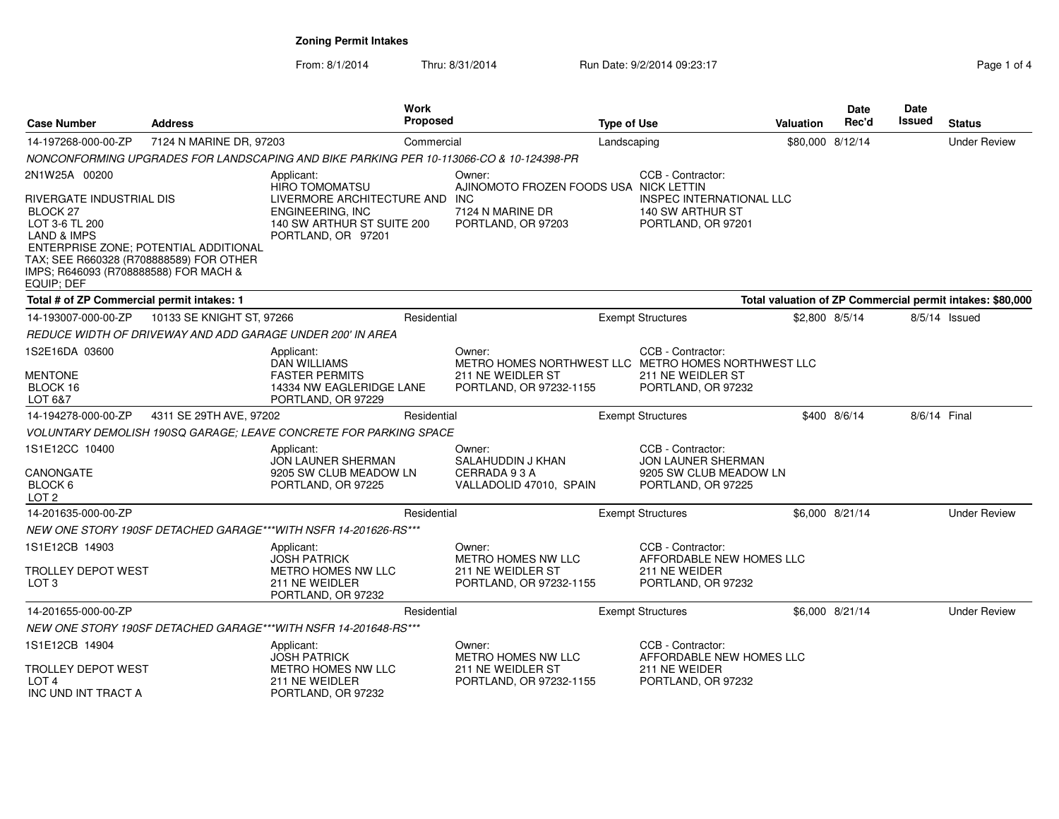From: 8/1/2014Thru: 8/31/2014 Run Date: 9/2/2014 09:23:17 Page 1 of 4

| Case Number                                                                                                                                                                        | <b>Address</b>                        |                                                                                                    | Work<br><b>Proposed</b>                              |                                                               | <b>Type of Use</b>                           |                                                                           | <b>Valuation</b> | <b>Date</b><br>Rec'd | <b>Date</b><br>Issued | <b>Status</b>                                             |
|------------------------------------------------------------------------------------------------------------------------------------------------------------------------------------|---------------------------------------|----------------------------------------------------------------------------------------------------|------------------------------------------------------|---------------------------------------------------------------|----------------------------------------------|---------------------------------------------------------------------------|------------------|----------------------|-----------------------|-----------------------------------------------------------|
| 14-197268-000-00-ZP                                                                                                                                                                | 7124 N MARINE DR, 97203               |                                                                                                    | Commercial                                           |                                                               | Landscaping                                  |                                                                           | \$80,000 8/12/14 |                      |                       | <b>Under Review</b>                                       |
|                                                                                                                                                                                    |                                       | NONCONFORMING UPGRADES FOR LANDSCAPING AND BIKE PARKING PER 10-113066-CO & 10-124398-PR            |                                                      |                                                               |                                              |                                                                           |                  |                      |                       |                                                           |
| 2N1W25A 00200                                                                                                                                                                      |                                       | Applicant:<br><b>HIRO TOMOMATSU</b>                                                                |                                                      | Owner:<br>AJINOMOTO FROZEN FOODS USA NICK LETTIN              |                                              | CCB - Contractor:                                                         |                  |                      |                       |                                                           |
| RIVERGATE INDUSTRIAL DIS<br>BLOCK <sub>27</sub><br>LOT 3-6 TL 200<br>LAND & IMPS<br>TAX; SEE R660328 (R708888589) FOR OTHER<br>IMPS; R646093 (R708888588) FOR MACH &<br>EQUIP; DEF | ENTERPRISE ZONE; POTENTIAL ADDITIONAL | LIVERMORE ARCHITECTURE AND<br>ENGINEERING, INC<br>140 SW ARTHUR ST SUITE 200<br>PORTLAND, OR 97201 | <b>INC</b><br>7124 N MARINE DR<br>PORTLAND, OR 97203 |                                                               |                                              | <b>INSPEC INTERNATIONAL LLC</b><br>140 SW ARTHUR ST<br>PORTLAND, OR 97201 |                  |                      |                       |                                                           |
| Total # of ZP Commercial permit intakes: 1                                                                                                                                         |                                       |                                                                                                    |                                                      |                                                               |                                              |                                                                           |                  |                      |                       | Total valuation of ZP Commercial permit intakes: \$80,000 |
| 14-193007-000-00-ZP                                                                                                                                                                | 10133 SE KNIGHT ST, 97266             |                                                                                                    | Residential                                          |                                                               |                                              | <b>Exempt Structures</b>                                                  | \$2,800 8/5/14   |                      |                       | 8/5/14 Issued                                             |
|                                                                                                                                                                                    |                                       | REDUCE WIDTH OF DRIVEWAY AND ADD GARAGE UNDER 200' IN AREA                                         |                                                      |                                                               |                                              |                                                                           |                  |                      |                       |                                                           |
| 1S2E16DA 03600                                                                                                                                                                     |                                       | Applicant:<br><b>DAN WILLIAMS</b>                                                                  |                                                      | Owner:<br>METRO HOMES NORTHWEST LLC METRO HOMES NORTHWEST LLC |                                              | CCB - Contractor:                                                         |                  |                      |                       |                                                           |
| <b>MENTONE</b><br>BLOCK 16<br>LOT 6&7                                                                                                                                              |                                       | <b>FASTER PERMITS</b><br>14334 NW EAGLERIDGE LANE<br>PORTLAND, OR 97229                            | 211 NE WEIDLER ST<br>PORTLAND, OR 97232-1155         |                                                               | 211 NE WEIDLER ST<br>PORTLAND, OR 97232      |                                                                           |                  |                      |                       |                                                           |
| 14-194278-000-00-ZP                                                                                                                                                                | 4311 SE 29TH AVE, 97202               |                                                                                                    | Residential                                          |                                                               |                                              | <b>Exempt Structures</b>                                                  |                  | \$400 8/6/14         | 8/6/14 Final          |                                                           |
|                                                                                                                                                                                    |                                       | VOLUNTARY DEMOLISH 190SQ GARAGE: LEAVE CONCRETE FOR PARKING SPACE                                  |                                                      |                                                               |                                              |                                                                           |                  |                      |                       |                                                           |
| 1S1E12CC 10400                                                                                                                                                                     |                                       | Applicant:<br>JON LAUNER SHERMAN                                                                   |                                                      | Owner:<br>SALAHUDDIN J KHAN                                   |                                              | CCB - Contractor:<br>JON LAUNER SHERMAN                                   |                  |                      |                       |                                                           |
| CANONGATE<br>BLOCK 6<br>LOT <sub>2</sub>                                                                                                                                           |                                       | 9205 SW CLUB MEADOW LN<br>PORTLAND, OR 97225                                                       | CERRADA 93A<br>VALLADOLID 47010, SPAIN               |                                                               | 9205 SW CLUB MEADOW LN<br>PORTLAND, OR 97225 |                                                                           |                  |                      |                       |                                                           |
| 14-201635-000-00-ZP                                                                                                                                                                |                                       |                                                                                                    | Residential                                          |                                                               |                                              | <b>Exempt Structures</b>                                                  |                  | \$6,000 8/21/14      |                       | <b>Under Review</b>                                       |
|                                                                                                                                                                                    |                                       | NEW ONE STORY 190SF DETACHED GARAGE***WITH NSFR 14-201626-RS***                                    |                                                      |                                                               |                                              |                                                                           |                  |                      |                       |                                                           |
| 1S1E12CB 14903<br><b>TROLLEY DEPOT WEST</b>                                                                                                                                        |                                       | Applicant:<br><b>JOSH PATRICK</b><br><b>METRO HOMES NW LLC</b>                                     |                                                      | Owner:<br><b>METRO HOMES NW LLC</b><br>211 NE WEIDLER ST      |                                              | CCB - Contractor:<br>AFFORDABLE NEW HOMES LLC                             |                  |                      |                       |                                                           |
| LOT 3                                                                                                                                                                              |                                       | 211 NE WEIDLER<br>PORTLAND, OR 97232                                                               |                                                      | PORTLAND, OR 97232-1155                                       | 211 NE WEIDER<br>PORTLAND, OR 97232          |                                                                           |                  |                      |                       |                                                           |
| 14-201655-000-00-ZP                                                                                                                                                                |                                       |                                                                                                    | Residential                                          |                                                               |                                              | <b>Exempt Structures</b>                                                  |                  | \$6,000 8/21/14      |                       | <b>Under Review</b>                                       |
|                                                                                                                                                                                    |                                       | NEW ONE STORY 190SF DETACHED GARAGE***WITH NSFR 14-201648-RS***                                    |                                                      |                                                               |                                              |                                                                           |                  |                      |                       |                                                           |
| 1S1E12CB 14904                                                                                                                                                                     |                                       | Applicant:<br><b>JOSH PATRICK</b>                                                                  |                                                      | Owner:<br><b>METRO HOMES NW LLC</b>                           |                                              | CCB - Contractor:<br>AFFORDABLE NEW HOMES LLC                             |                  |                      |                       |                                                           |
| <b>TROLLEY DEPOT WEST</b><br>LOT <sub>4</sub><br>INC UND INT TRACT A                                                                                                               |                                       | METRO HOMES NW LLC<br>211 NE WEIDLER<br>PORTLAND, OR 97232                                         |                                                      | 211 NE WEIDLER ST<br>PORTLAND, OR 97232-1155                  |                                              | 211 NE WEIDER<br>PORTLAND, OR 97232                                       |                  |                      |                       |                                                           |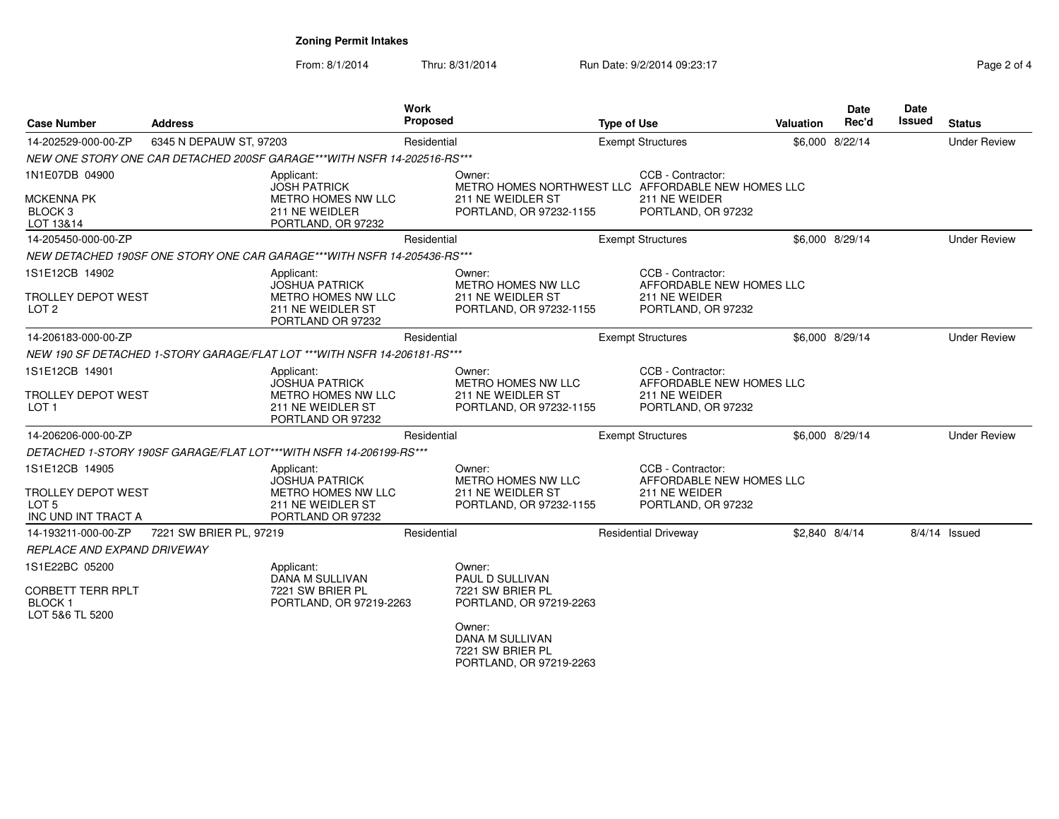From: 8/1/2014Thru: 8/31/2014 Run Date: 9/2/2014 09:23:17 Rag

| <b>Case Number</b>                                                                     | <b>Address</b>          |                                                                                                     | <b>Work</b><br>Proposed |                                                                                                                                                      | <b>Type of Use</b> |                                                                                      | Valuation | <b>Date</b><br>Rec'd | Date<br>Issued | <b>Status</b>       |
|----------------------------------------------------------------------------------------|-------------------------|-----------------------------------------------------------------------------------------------------|-------------------------|------------------------------------------------------------------------------------------------------------------------------------------------------|--------------------|--------------------------------------------------------------------------------------|-----------|----------------------|----------------|---------------------|
| 14-202529-000-00-ZP                                                                    | 6345 N DEPAUW ST, 97203 |                                                                                                     | Residential             |                                                                                                                                                      |                    | <b>Exempt Structures</b>                                                             |           | \$6,000 8/22/14      |                | <b>Under Review</b> |
|                                                                                        |                         | NEW ONE STORY ONE CAR DETACHED 200SF GARAGE***WITH NSFR 14-202516-RS***                             |                         |                                                                                                                                                      |                    |                                                                                      |           |                      |                |                     |
| 1N1E07DB 04900<br><b>MCKENNA PK</b><br>BLOCK <sub>3</sub><br>LOT 13&14                 |                         | Applicant:<br><b>JOSH PATRICK</b><br>METRO HOMES NW LLC<br>211 NE WEIDLER<br>PORTLAND, OR 97232     |                         | Owner:<br>METRO HOMES NORTHWEST LLC AFFORDABLE NEW HOMES LLC<br>211 NE WEIDLER ST<br>PORTLAND, OR 97232-1155                                         |                    | CCB - Contractor:<br>211 NE WEIDER<br>PORTLAND, OR 97232                             |           |                      |                |                     |
| 14-205450-000-00-ZP                                                                    |                         |                                                                                                     | Residential             |                                                                                                                                                      |                    | <b>Exempt Structures</b>                                                             |           | \$6,000 8/29/14      |                | <b>Under Review</b> |
|                                                                                        |                         | NEW DETACHED 190SF ONE STORY ONE CAR GARAGE***WITH NSFR 14-205436-RS***                             |                         |                                                                                                                                                      |                    |                                                                                      |           |                      |                |                     |
| 1S1E12CB 14902<br><b>TROLLEY DEPOT WEST</b><br>LOT <sub>2</sub>                        |                         | Applicant:<br><b>JOSHUA PATRICK</b><br>METRO HOMES NW LLC<br>211 NE WEIDLER ST<br>PORTLAND OR 97232 |                         | Owner:<br>METRO HOMES NW LLC<br>211 NE WEIDLER ST<br>PORTLAND, OR 97232-1155                                                                         |                    | CCB - Contractor:<br>AFFORDABLE NEW HOMES LLC<br>211 NE WEIDER<br>PORTLAND, OR 97232 |           |                      |                |                     |
| 14-206183-000-00-ZP                                                                    |                         |                                                                                                     | Residential             |                                                                                                                                                      |                    | <b>Exempt Structures</b>                                                             |           | \$6,000 8/29/14      |                | <b>Under Review</b> |
|                                                                                        |                         | NEW 190 SF DETACHED 1-STORY GARAGE/FLAT LOT ***WITH NSFR 14-206181-RS***                            |                         |                                                                                                                                                      |                    |                                                                                      |           |                      |                |                     |
| 1S1E12CB 14901<br><b>TROLLEY DEPOT WEST</b><br>LOT <sub>1</sub>                        |                         | Applicant:<br><b>JOSHUA PATRICK</b><br>METRO HOMES NW LLC<br>211 NE WEIDLER ST<br>PORTLAND OR 97232 |                         | Owner:<br>METRO HOMES NW LLC<br>211 NE WEIDLER ST<br>PORTLAND, OR 97232-1155                                                                         |                    | CCB - Contractor:<br>AFFORDABLE NEW HOMES LLC<br>211 NE WEIDER<br>PORTLAND, OR 97232 |           |                      |                |                     |
| 14-206206-000-00-ZP                                                                    |                         |                                                                                                     | Residential             |                                                                                                                                                      |                    | <b>Exempt Structures</b>                                                             |           | \$6.000 8/29/14      |                | <b>Under Review</b> |
|                                                                                        |                         | DETACHED 1-STORY 190SF GARAGE/FLAT LOT***WITH NSFR 14-206199-RS***                                  |                         |                                                                                                                                                      |                    |                                                                                      |           |                      |                |                     |
| 1S1E12CB 14905<br><b>TROLLEY DEPOT WEST</b><br>LOT <sub>5</sub><br>INC UND INT TRACT A |                         | Applicant:<br><b>JOSHUA PATRICK</b><br>METRO HOMES NW LLC<br>211 NE WEIDLER ST<br>PORTLAND OR 97232 |                         | Owner:<br><b>METRO HOMES NW LLC</b><br>211 NE WEIDLER ST<br>PORTLAND, OR 97232-1155                                                                  |                    | CCB - Contractor:<br>AFFORDABLE NEW HOMES LLC<br>211 NE WEIDER<br>PORTLAND, OR 97232 |           |                      |                |                     |
| 14-193211-000-00-ZP                                                                    | 7221 SW BRIER PL, 97219 |                                                                                                     | Residential             |                                                                                                                                                      |                    | <b>Residential Driveway</b>                                                          |           | \$2,840 8/4/14       |                | $8/4/14$ Issued     |
| REPLACE AND EXPAND DRIVEWAY                                                            |                         |                                                                                                     |                         |                                                                                                                                                      |                    |                                                                                      |           |                      |                |                     |
| 1S1E22BC 05200<br><b>CORBETT TERR RPLT</b><br><b>BLOCK1</b><br>LOT 5&6 TL 5200         |                         | Applicant:<br>DANA M SULLIVAN<br>7221 SW BRIER PL<br>PORTLAND, OR 97219-2263                        |                         | Owner:<br>PAUL D SULLIVAN<br>7221 SW BRIER PL<br>PORTLAND, OR 97219-2263<br>Owner:<br>DANA M SULLIVAN<br>7221 SW BRIER PL<br>PORTLAND, OR 97219-2263 |                    |                                                                                      |           |                      |                |                     |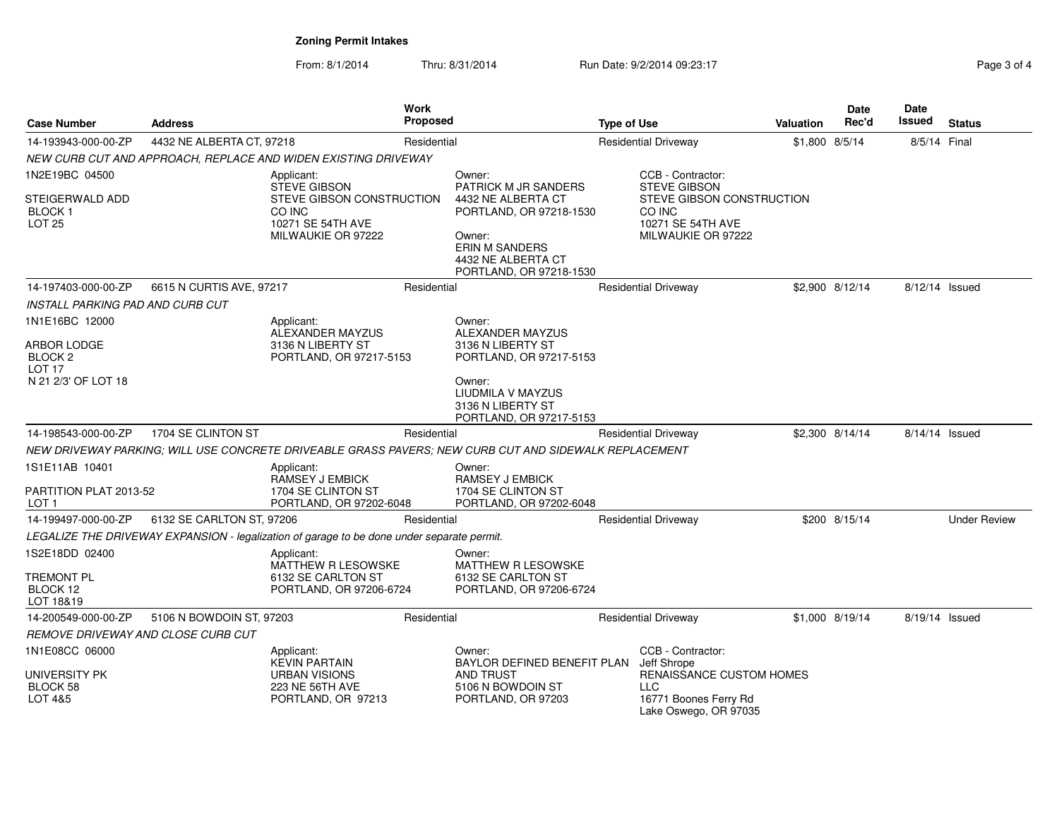From: 8/1/2014Thru: 8/31/2014 Run Date: 9/2/2014 09:23:17 Rege 3 of 4

| <b>Case Number</b>                                                 | Address                   |                                                                                            | Work<br><b>Proposed</b> |                                                                                                                                   | <b>Type of Use</b> |                                                                                          | <b>Valuation</b> | Date<br>Rec'd   | Date<br><b>Issued</b> | <b>Status</b>       |
|--------------------------------------------------------------------|---------------------------|--------------------------------------------------------------------------------------------|-------------------------|-----------------------------------------------------------------------------------------------------------------------------------|--------------------|------------------------------------------------------------------------------------------|------------------|-----------------|-----------------------|---------------------|
| 14-193943-000-00-ZP                                                | 4432 NE ALBERTA CT, 97218 |                                                                                            | Residential             |                                                                                                                                   |                    | <b>Residential Driveway</b>                                                              | \$1,800 8/5/14   |                 | 8/5/14 Final          |                     |
|                                                                    |                           | NEW CURB CUT AND APPROACH, REPLACE AND WIDEN EXISTING DRIVEWAY                             |                         |                                                                                                                                   |                    |                                                                                          |                  |                 |                       |                     |
| 1N2E19BC 04500                                                     |                           | Applicant:<br><b>STEVE GIBSON</b>                                                          |                         | Owner:<br>PATRICK M JR SANDERS                                                                                                    |                    | CCB - Contractor:<br><b>STEVE GIBSON</b>                                                 |                  |                 |                       |                     |
| STEIGERWALD ADD<br>BLOCK 1<br>LOT <sub>25</sub>                    |                           | STEVE GIBSON CONSTRUCTION<br>CO INC<br>10271 SE 54TH AVE<br>MILWAUKIE OR 97222             |                         | 4432 NE ALBERTA CT<br>PORTLAND, OR 97218-1530<br>Owner:<br><b>ERIN M SANDERS</b><br>4432 NE ALBERTA CT<br>PORTLAND, OR 97218-1530 |                    | STEVE GIBSON CONSTRUCTION<br>CO INC<br>10271 SE 54TH AVE<br>MILWAUKIE OR 97222           |                  |                 |                       |                     |
| 14-197403-000-00-ZP                                                | 6615 N CURTIS AVE, 97217  |                                                                                            | Residential             |                                                                                                                                   |                    | <b>Residential Driveway</b>                                                              |                  | \$2,900 8/12/14 | 8/12/14 Issued        |                     |
| INSTALL PARKING PAD AND CURB CUT                                   |                           |                                                                                            |                         |                                                                                                                                   |                    |                                                                                          |                  |                 |                       |                     |
| 1N1E16BC 12000                                                     |                           | Applicant:<br>ALEXANDER MAYZUS                                                             |                         | Owner:<br>ALEXANDER MAYZUS                                                                                                        |                    |                                                                                          |                  |                 |                       |                     |
| ARBOR LODGE<br>BLOCK 2<br>LOT <sub>17</sub><br>N 21 2/3' OF LOT 18 |                           | 3136 N LIBERTY ST<br>PORTLAND, OR 97217-5153                                               |                         | 3136 N LIBERTY ST<br>PORTLAND, OR 97217-5153<br>Owner:<br>LIUDMILA V MAYZUS<br>3136 N LIBERTY ST                                  |                    |                                                                                          |                  |                 |                       |                     |
|                                                                    |                           |                                                                                            |                         | PORTLAND, OR 97217-5153                                                                                                           |                    |                                                                                          |                  |                 |                       |                     |
| 14-198543-000-00-ZP                                                | 1704 SE CLINTON ST        |                                                                                            | Residential             |                                                                                                                                   |                    | <b>Residential Driveway</b>                                                              |                  | \$2,300 8/14/14 | 8/14/14 Issued        |                     |
|                                                                    |                           |                                                                                            |                         | NEW DRIVEWAY PARKING; WILL USE CONCRETE DRIVEABLE GRASS PAVERS; NEW CURB CUT AND SIDEWALK REPLACEMENT                             |                    |                                                                                          |                  |                 |                       |                     |
| 1S1E11AB 10401                                                     |                           | Applicant:<br><b>RAMSEY J EMBICK</b>                                                       |                         | Owner:<br><b>RAMSEY J EMBICK</b>                                                                                                  |                    |                                                                                          |                  |                 |                       |                     |
| PARTITION PLAT 2013-52<br>LOT 1                                    |                           | 1704 SE CLINTON ST<br>PORTLAND, OR 97202-6048                                              |                         | 1704 SE CLINTON ST<br>PORTLAND, OR 97202-6048                                                                                     |                    |                                                                                          |                  |                 |                       |                     |
| 14-199497-000-00-ZP                                                | 6132 SE CARLTON ST, 97206 |                                                                                            | Residential             |                                                                                                                                   |                    | <b>Residential Driveway</b>                                                              |                  | \$200 8/15/14   |                       | <b>Under Review</b> |
|                                                                    |                           | LEGALIZE THE DRIVEWAY EXPANSION - legalization of garage to be done under separate permit. |                         |                                                                                                                                   |                    |                                                                                          |                  |                 |                       |                     |
| 1S2E18DD 02400                                                     |                           | Applicant:<br>MATTHEW R LESOWSKE                                                           |                         | Owner:<br><b>MATTHEW R LESOWSKE</b>                                                                                               |                    |                                                                                          |                  |                 |                       |                     |
| TREMONT PL<br>BLOCK 12<br>LOT 18&19                                |                           | 6132 SE CARLTON ST<br>PORTLAND, OR 97206-6724                                              |                         | 6132 SE CARLTON ST<br>PORTLAND, OR 97206-6724                                                                                     |                    |                                                                                          |                  |                 |                       |                     |
| 14-200549-000-00-ZP                                                | 5106 N BOWDOIN ST, 97203  |                                                                                            | Residential             |                                                                                                                                   |                    | <b>Residential Driveway</b>                                                              |                  | \$1,000 8/19/14 | 8/19/14 Issued        |                     |
| REMOVE DRIVEWAY AND CLOSE CURB CUT                                 |                           |                                                                                            |                         |                                                                                                                                   |                    |                                                                                          |                  |                 |                       |                     |
| 1N1E08CC 06000                                                     |                           | Applicant:<br>KEVIN PARTAIN                                                                |                         | Owner:<br>BAYLOR DEFINED BENEFIT PLAN                                                                                             |                    | CCB - Contractor:<br>Jeff Shrope                                                         |                  |                 |                       |                     |
| UNIVERSITY PK<br>BLOCK 58<br>LOT 4&5                               |                           | <b>URBAN VISIONS</b><br>223 NE 56TH AVE<br>PORTLAND, OR 97213                              |                         | AND TRUST<br>5106 N BOWDOIN ST<br>PORTLAND, OR 97203                                                                              |                    | RENAISSANCE CUSTOM HOMES<br><b>LLC</b><br>16771 Boones Ferry Rd<br>Lake Oswego, OR 97035 |                  |                 |                       |                     |